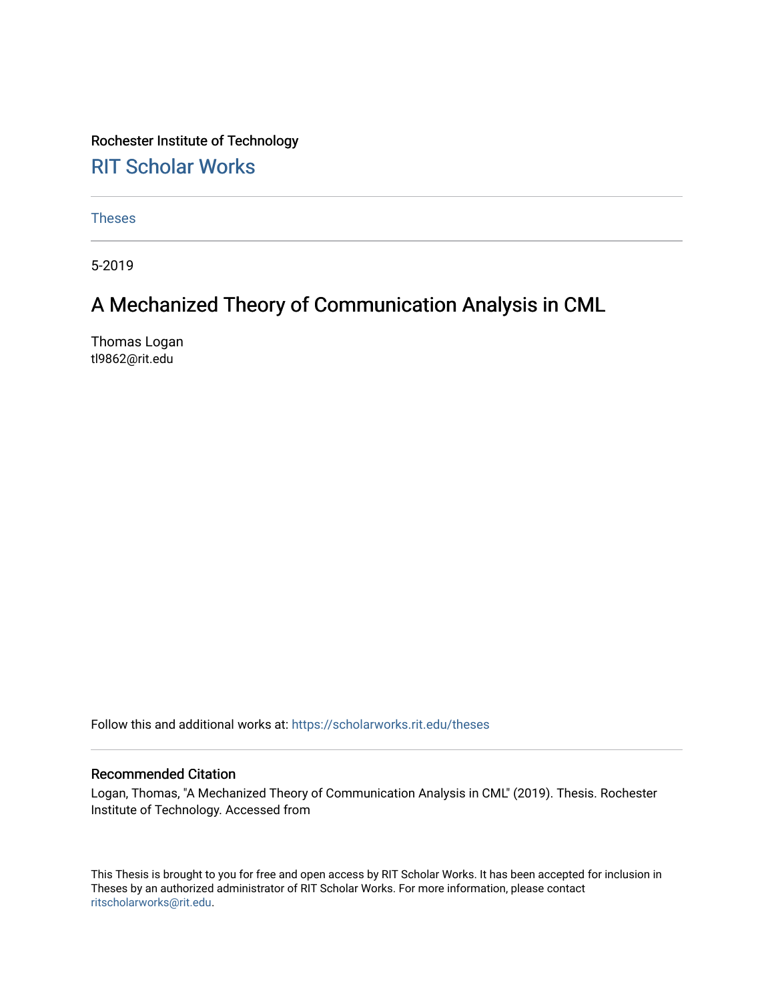Rochester Institute of Technology [RIT Scholar Works](https://scholarworks.rit.edu/)

[Theses](https://scholarworks.rit.edu/theses) 

5-2019

# A Mechanized Theory of Communication Analysis in CML

Thomas Logan tl9862@rit.edu

Follow this and additional works at: [https://scholarworks.rit.edu/theses](https://scholarworks.rit.edu/theses?utm_source=scholarworks.rit.edu%2Ftheses%2F9992&utm_medium=PDF&utm_campaign=PDFCoverPages) 

### Recommended Citation

Logan, Thomas, "A Mechanized Theory of Communication Analysis in CML" (2019). Thesis. Rochester Institute of Technology. Accessed from

This Thesis is brought to you for free and open access by RIT Scholar Works. It has been accepted for inclusion in Theses by an authorized administrator of RIT Scholar Works. For more information, please contact [ritscholarworks@rit.edu](mailto:ritscholarworks@rit.edu).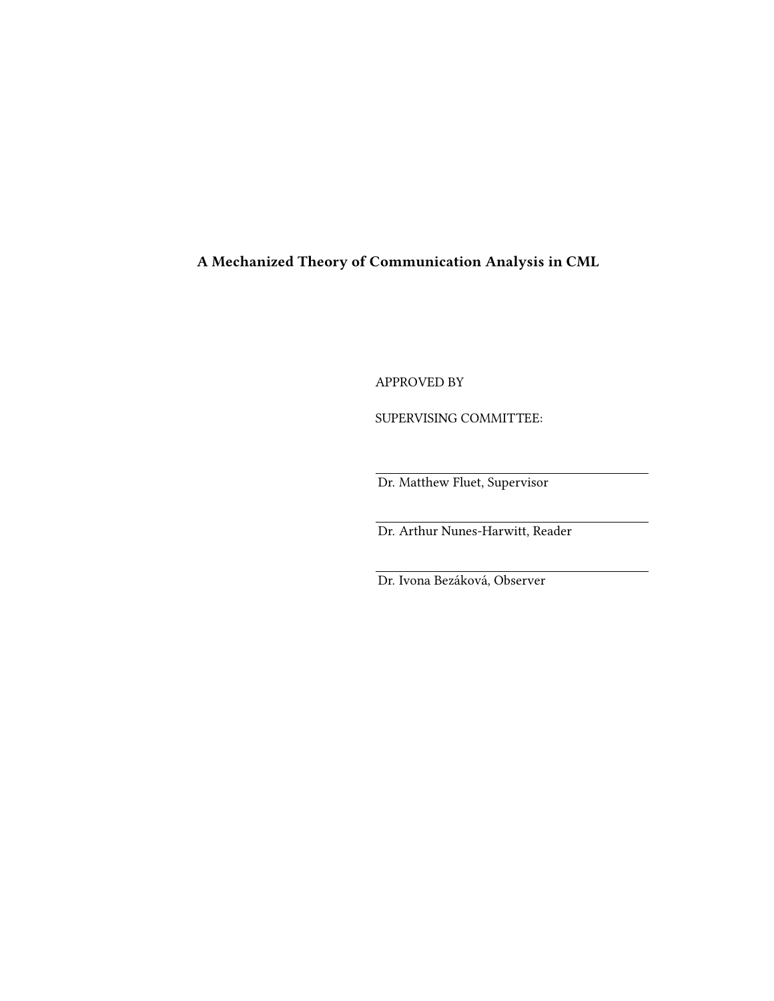A Mechanized Theory of Communication Analysis in CML

APPROVED BY

SUPERVISING COMMITTEE:

Dr. Matthew Fluet, Supervisor

Dr. Arthur Nunes-Harwitt, Reader

Dr. Ivona Bezáková, Observer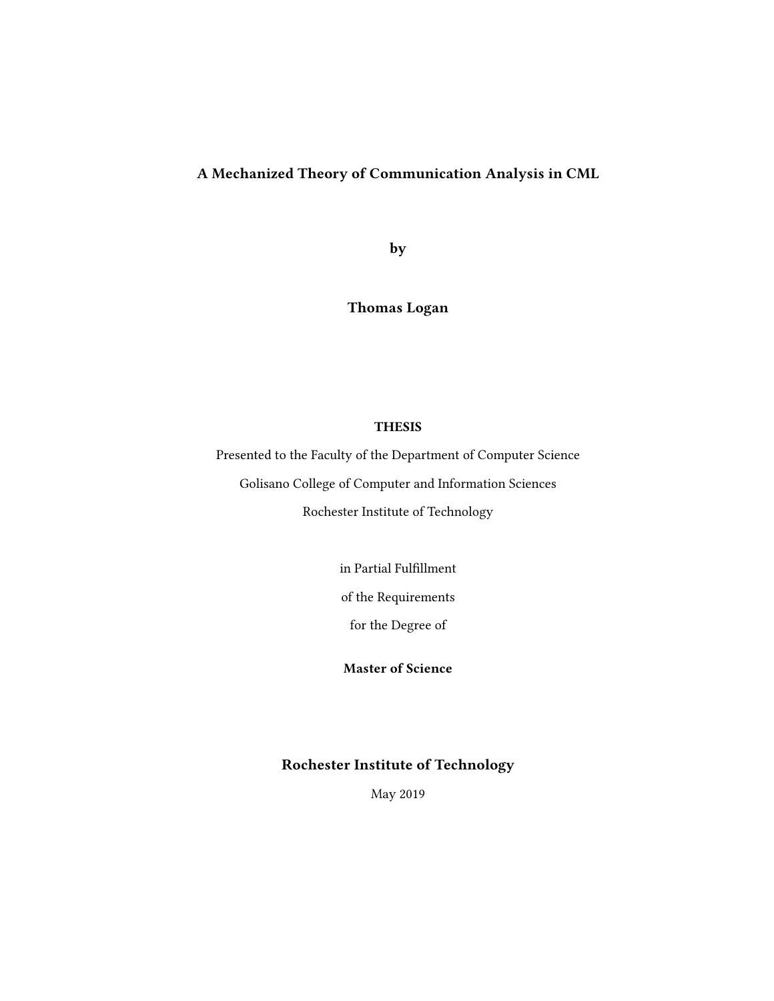## A Mechanized Theory of Communication Analysis in CML

by

Thomas Logan

### **THESIS**

Presented to the Faculty of the Department of Computer Science Golisano College of Computer and Information Sciences Rochester Institute of Technology

in Partial Fulfillment

of the Requirements

for the Degree of

Master of Science

## Rochester Institute of Technology

May 2019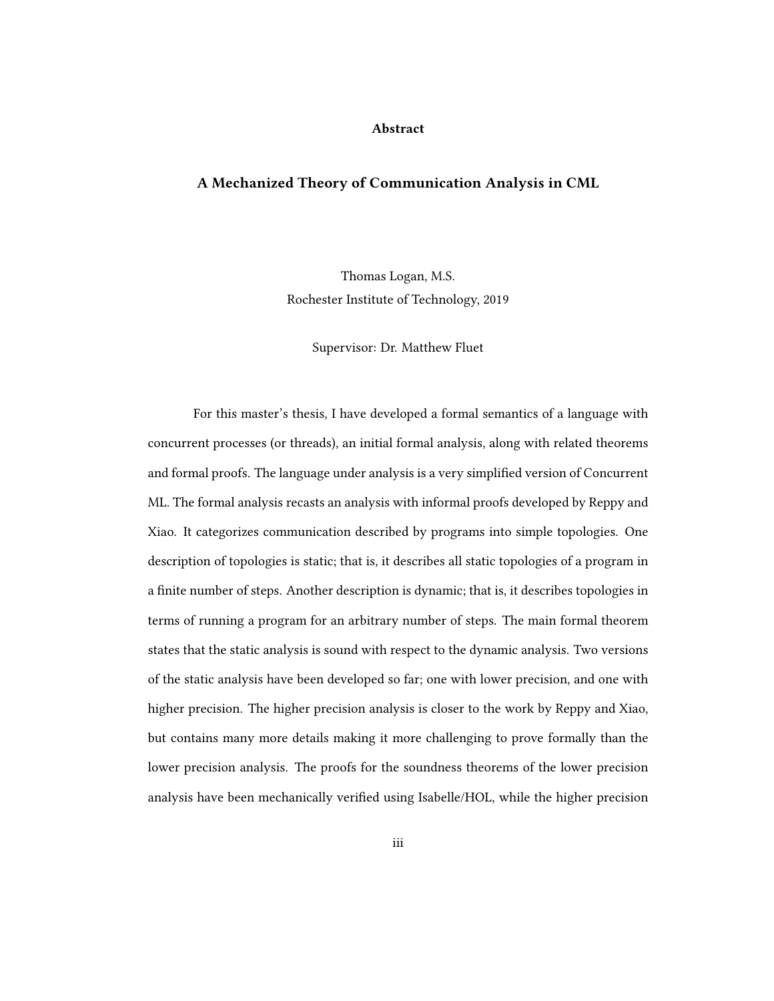#### Abstract

#### A Mechanized Theory of Communication Analysis in CML

Thomas Logan, M.S. Rochester Institute of Technology, 2019

Supervisor: Dr. Matthew Fluet

For this master's thesis, I have developed a formal semantics of a language with concurrent processes (or threads), an initial formal analysis, along with related theorems and formal proofs. The language under analysis is a very simplied version of Concurrent ML. The formal analysis recasts an analysis with informal proofs developed by Reppy and Xiao. It categorizes communication described by programs into simple topologies. One description of topologies is static; that is, it describes all static topologies of a program in a finite number of steps. Another description is dynamic; that is, it describes topologies in terms of running a program for an arbitrary number of steps. The main formal theorem states that the static analysis is sound with respect to the dynamic analysis. Two versions of the static analysis have been developed so far; one with lower precision, and one with higher precision. The higher precision analysis is closer to the work by Reppy and Xiao, but contains many more details making it more challenging to prove formally than the lower precision analysis. The proofs for the soundness theorems of the lower precision analysis have been mechanically verified using Isabelle/HOL, while the higher precision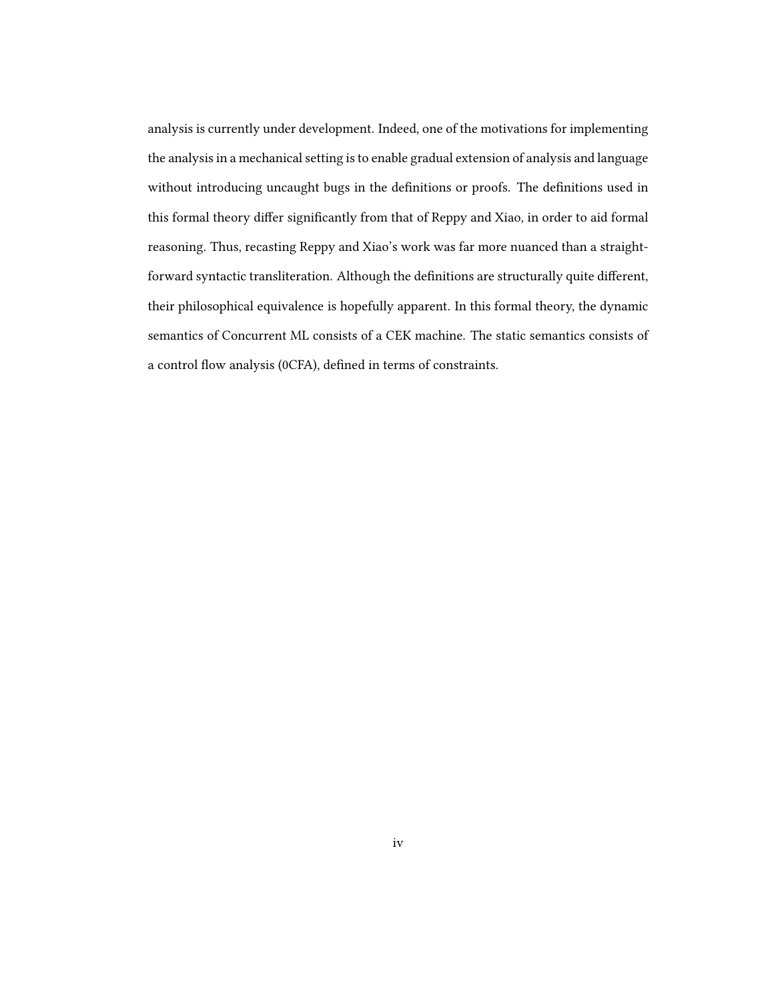analysis is currently under development. Indeed, one of the motivations for implementing the analysis in a mechanical setting is to enable gradual extension of analysis and language without introducing uncaught bugs in the definitions or proofs. The definitions used in this formal theory differ significantly from that of Reppy and Xiao, in order to aid formal reasoning. Thus, recasting Reppy and Xiao's work was far more nuanced than a straightforward syntactic transliteration. Although the definitions are structurally quite different, their philosophical equivalence is hopefully apparent. In this formal theory, the dynamic semantics of Concurrent ML consists of a CEK machine. The static semantics consists of a control flow analysis (0CFA), defined in terms of constraints.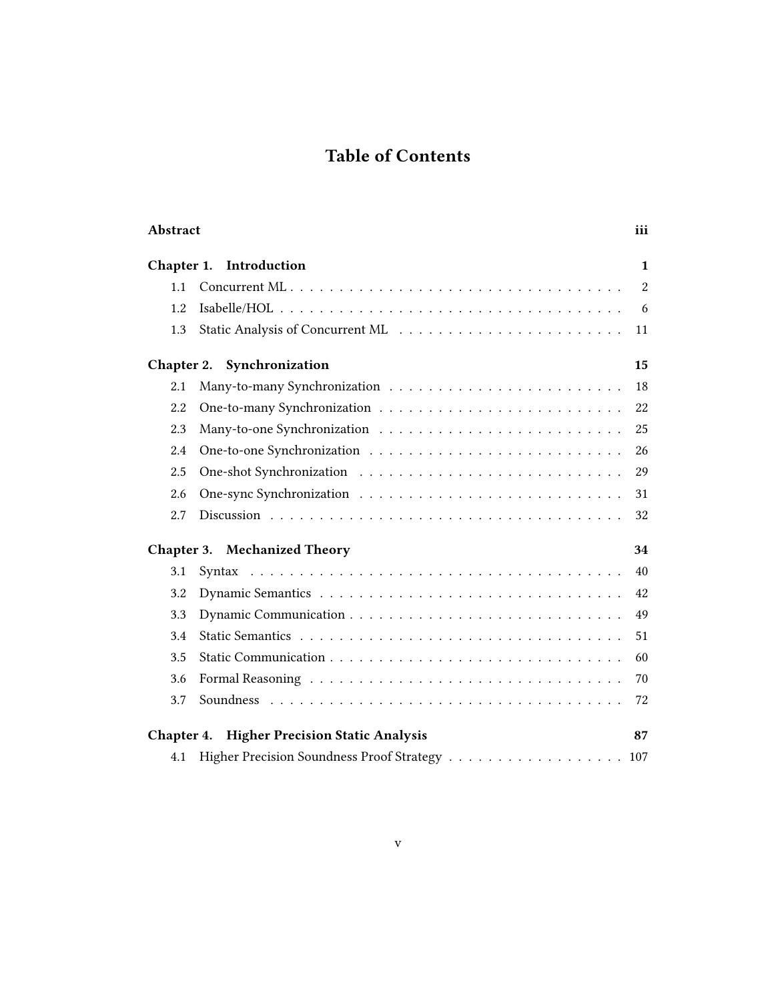# Table of Contents

| Abstract                                                 |                                               | <i>iii</i>     |  |
|----------------------------------------------------------|-----------------------------------------------|----------------|--|
| Chapter 1. Introduction                                  |                                               |                |  |
| 1.1                                                      |                                               | $\overline{2}$ |  |
| 1.2                                                      |                                               | 6              |  |
| 1.3                                                      |                                               | 11             |  |
|                                                          | Chapter 2. Synchronization                    | 15             |  |
| 2.1                                                      |                                               | 18             |  |
| 2.2                                                      |                                               | 22             |  |
| 2.3                                                      |                                               | 25             |  |
| 2.4                                                      |                                               | 26             |  |
| 2.5                                                      |                                               | 29             |  |
| 2.6                                                      |                                               | 31             |  |
| 2.7                                                      |                                               | 32             |  |
| <b>Chapter 3. Mechanized Theory</b><br>34                |                                               |                |  |
| 3.1                                                      |                                               | 40             |  |
| 3.2                                                      |                                               | 42             |  |
| 3.3                                                      |                                               | 49             |  |
| 3.4                                                      |                                               | 51             |  |
| 3.5                                                      |                                               | 60             |  |
| 3.6                                                      |                                               | 70             |  |
| 3.7                                                      |                                               | 72             |  |
| <b>Chapter 4. Higher Precision Static Analysis</b><br>87 |                                               |                |  |
| 4.1                                                      | Higher Precision Soundness Proof Strategy 107 |                |  |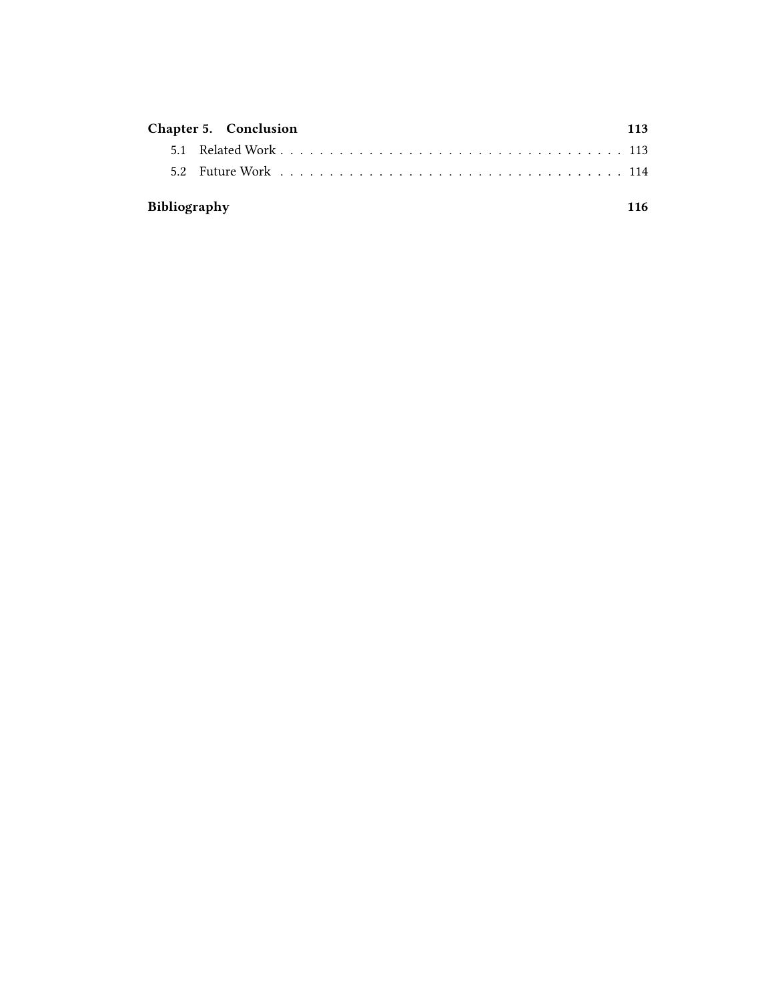|              | Chapter 5. Conclusion | 113 |
|--------------|-----------------------|-----|
|              |                       |     |
|              |                       |     |
| Bibliography |                       | 116 |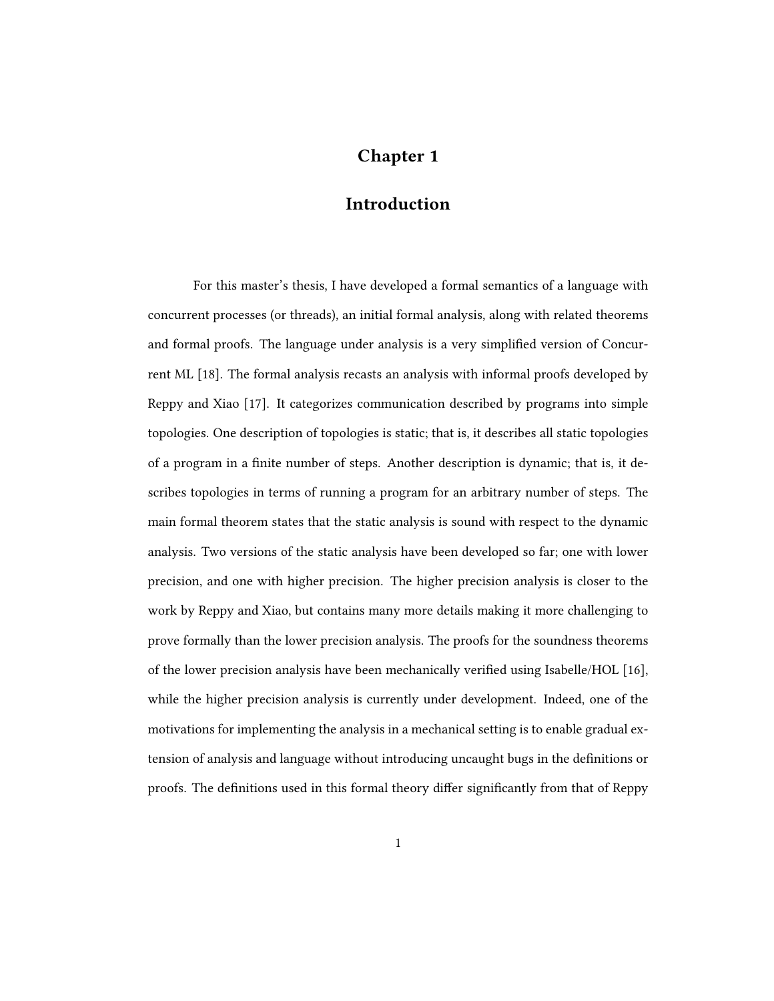## Chapter 1

## **Introduction**

For this master's thesis, I have developed a formal semantics of a language with concurrent processes (or threads), an initial formal analysis, along with related theorems and formal proofs. The language under analysis is a very simplied version of Concurrent ML [18]. The formal analysis recasts an analysis with informal proofs developed by Reppy and Xiao [17]. It categorizes communication described by programs into simple topologies. One description of topologies is static; that is, it describes all static topologies of a program in a finite number of steps. Another description is dynamic; that is, it describes topologies in terms of running a program for an arbitrary number of steps. The main formal theorem states that the static analysis is sound with respect to the dynamic analysis. Two versions of the static analysis have been developed so far; one with lower precision, and one with higher precision. The higher precision analysis is closer to the work by Reppy and Xiao, but contains many more details making it more challenging to prove formally than the lower precision analysis. The proofs for the soundness theorems of the lower precision analysis have been mechanically verified using Isabelle/HOL [16], while the higher precision analysis is currently under development. Indeed, one of the motivations for implementing the analysis in a mechanical setting is to enable gradual extension of analysis and language without introducing uncaught bugs in the denitions or proofs. The definitions used in this formal theory differ significantly from that of Reppy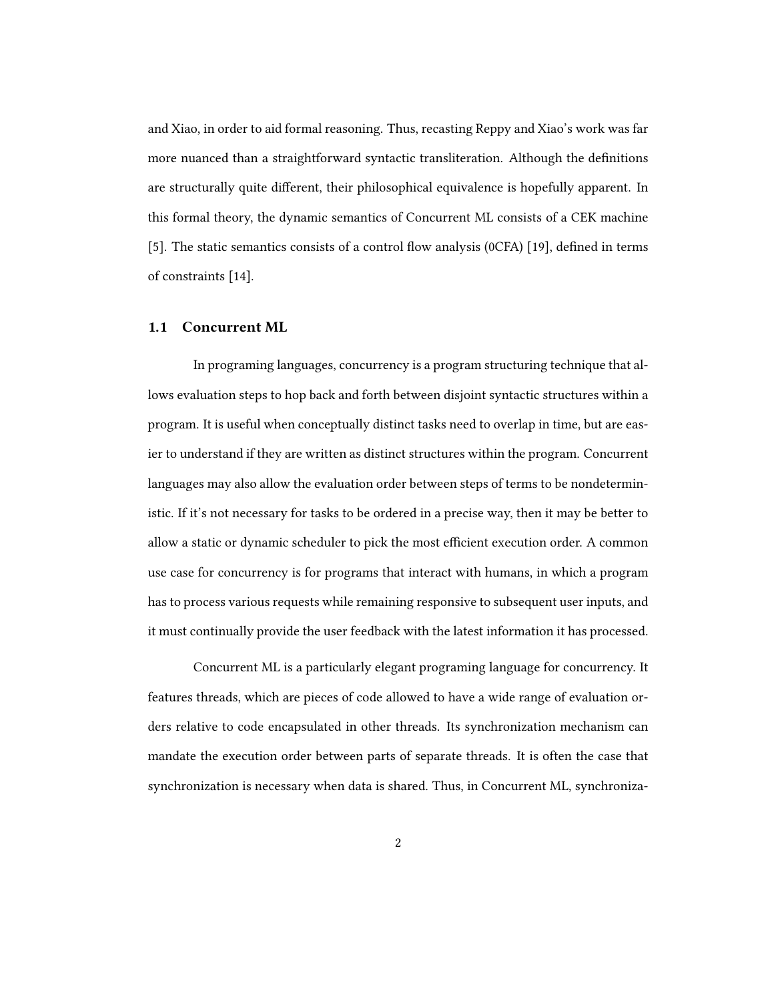and Xiao, in order to aid formal reasoning. Thus, recasting Reppy and Xiao's work was far more nuanced than a straightforward syntactic transliteration. Although the definitions are structurally quite different, their philosophical equivalence is hopefully apparent. In this formal theory, the dynamic semantics of Concurrent ML consists of a CEK machine [5]. The static semantics consists of a control flow analysis (0CFA) [19], defined in terms of constraints [14].

#### 1.1 Concurrent ML

In programing languages, concurrency is a program structuring technique that allows evaluation steps to hop back and forth between disjoint syntactic structures within a program. It is useful when conceptually distinct tasks need to overlap in time, but are easier to understand if they are written as distinct structures within the program. Concurrent languages may also allow the evaluation order between steps of terms to be nondeterministic. If it's not necessary for tasks to be ordered in a precise way, then it may be better to allow a static or dynamic scheduler to pick the most efficient execution order. A common use case for concurrency is for programs that interact with humans, in which a program has to process various requests while remaining responsive to subsequent user inputs, and it must continually provide the user feedback with the latest information it has processed.

Concurrent ML is a particularly elegant programing language for concurrency. It features threads, which are pieces of code allowed to have a wide range of evaluation orders relative to code encapsulated in other threads. Its synchronization mechanism can mandate the execution order between parts of separate threads. It is often the case that synchronization is necessary when data is shared. Thus, in Concurrent ML, synchroniza-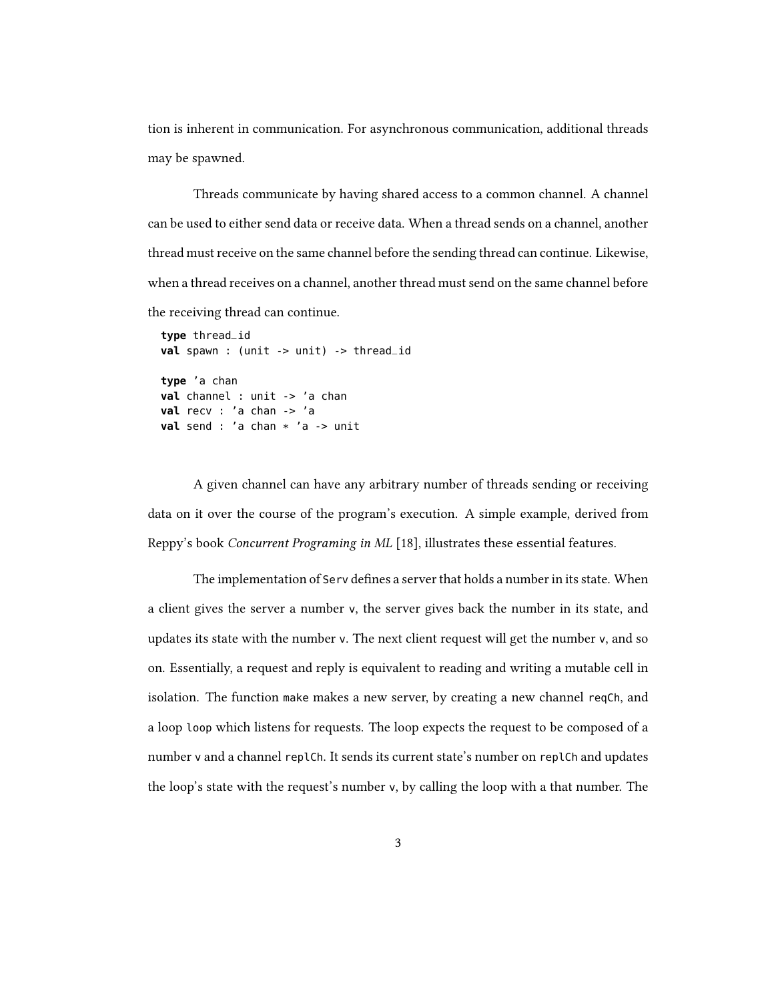tion is inherent in communication. For asynchronous communication, additional threads may be spawned.

Threads communicate by having shared access to a common channel. A channel can be used to either send data or receive data. When a thread sends on a channel, another thread must receive on the same channel before the sending thread can continue. Likewise, when a thread receives on a channel, another thread must send on the same channel before the receiving thread can continue.

```
type thread_id
val spawn : (unit -> unit) -> thread_id
type 'a chan
val channel : unit -> 'a chan
val recv : 'a chan -> 'a
val send : 'a chan * 'a -> unit
```
A given channel can have any arbitrary number of threads sending or receiving data on it over the course of the program's execution. A simple example, derived from Reppy's book Concurrent Programing in ML [18], illustrates these essential features.

The implementation of Serv defines a server that holds a number in its state. When a client gives the server a number v, the server gives back the number in its state, and updates its state with the number v. The next client request will get the number v, and so on. Essentially, a request and reply is equivalent to reading and writing a mutable cell in isolation. The function make makes a new server, by creating a new channel reqCh, and a loop loop which listens for requests. The loop expects the request to be composed of a number v and a channel replCh. It sends its current state's number on replCh and updates the loop's state with the request's number v, by calling the loop with a that number. The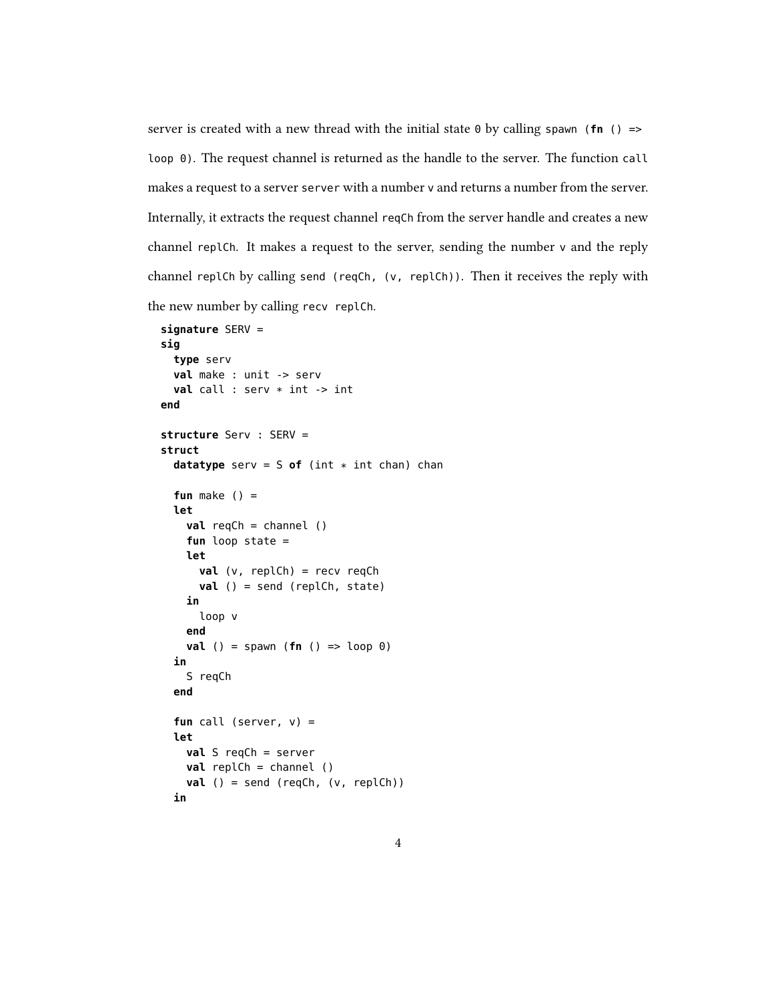server is created with a new thread with the initial state  $\theta$  by calling spawn (**fn** () => loop 0). The request channel is returned as the handle to the server. The function call makes a request to a server server with a number v and returns a number from the server. Internally, it extracts the request channel reqCh from the server handle and creates a new channel replCh. It makes a request to the server, sending the number v and the reply channel replCh by calling send (reqCh, (v, replCh)). Then it receives the reply with the new number by calling recv replCh.

```
signature SERV =
sig
  type serv
 val make : unit -> serv
 val call : serv * int -> int
end
structure Serv : SERV =
struct
  datatype serv = S of (int * int chan) chan
  fun make () =
  let
    val reqCh = channel ()
    fun loop state =
    let
      val (v, replCh) = recv reqCh
      val () = send (replCh, state)
    in
      loop v
    end
    val () = spawn (fn () => loop 0)
  in
    S reqCh
  end
  fun call (server, v) =
  let
    val S reqCh = server
    val replCh = channel ()
    val () = send (reqCh, (v, replCh))
  in
```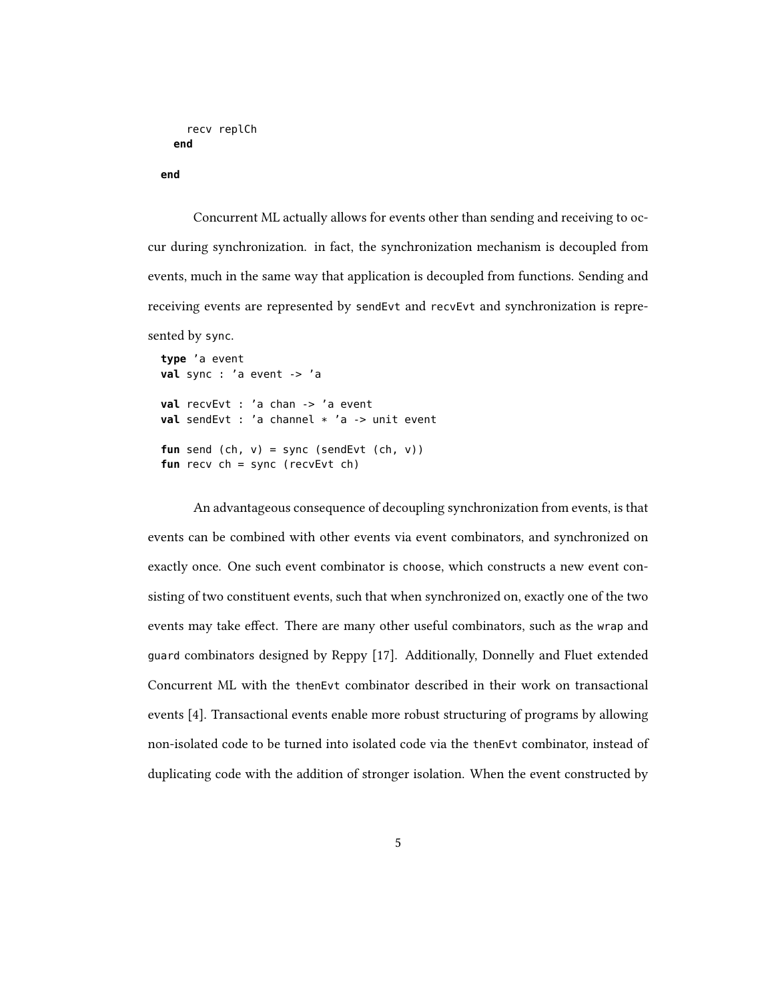```
recv replCh
end
```

```
end
```
Concurrent ML actually allows for events other than sending and receiving to occur during synchronization. in fact, the synchronization mechanism is decoupled from events, much in the same way that application is decoupled from functions. Sending and receiving events are represented by sendEvt and recvEvt and synchronization is repre-

sented by sync.

```
type 'a event
val sync : 'a event -> 'a
val recvEvt : 'a chan -> 'a event
val sendEvt : 'a channel * 'a -> unit event
fun send (ch, v) = sync (sendEvt (ch, v))
fun recv ch = sync (recvEvt ch)
```
An advantageous consequence of decoupling synchronization from events, is that events can be combined with other events via event combinators, and synchronized on exactly once. One such event combinator is choose, which constructs a new event consisting of two constituent events, such that when synchronized on, exactly one of the two events may take effect. There are many other useful combinators, such as the wrap and guard combinators designed by Reppy [17]. Additionally, Donnelly and Fluet extended Concurrent ML with the thenEvt combinator described in their work on transactional events [4]. Transactional events enable more robust structuring of programs by allowing non-isolated code to be turned into isolated code via the thenEvt combinator, instead of duplicating code with the addition of stronger isolation. When the event constructed by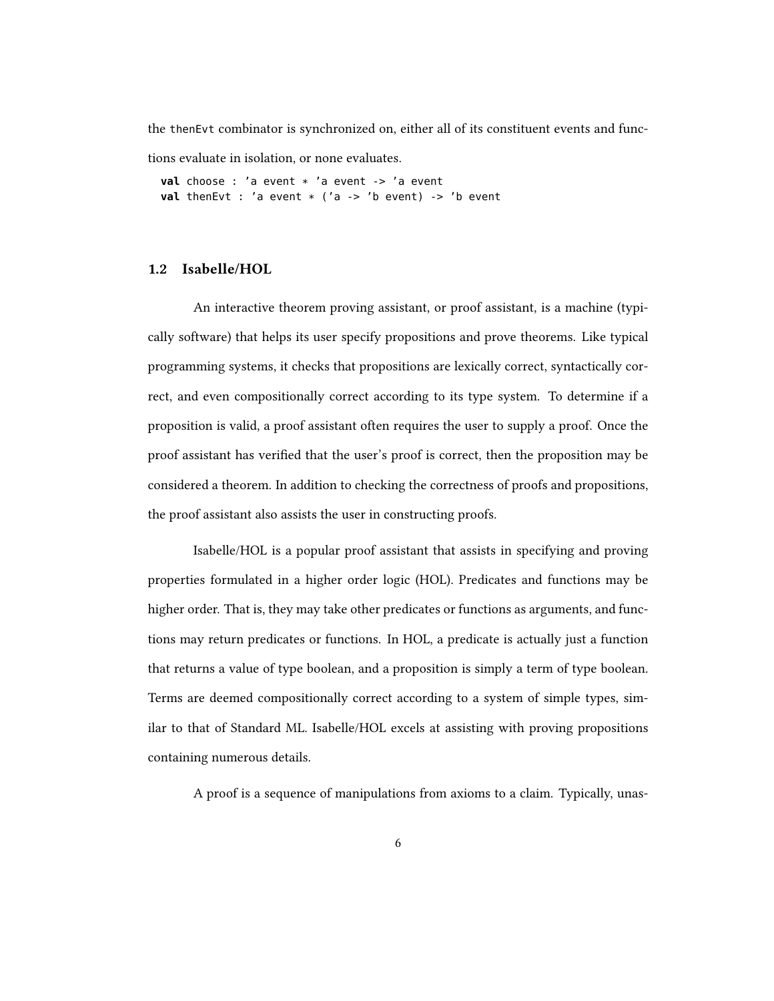the thenEvt combinator is synchronized on, either all of its constituent events and func-

tions evaluate in isolation, or none evaluates.

**val** choose : 'a event \* 'a event -> 'a event **val** thenEvt : 'a event \* ('a -> 'b event) -> 'b event

#### 1.2 Isabelle/HOL

An interactive theorem proving assistant, or proof assistant, is a machine (typically software) that helps its user specify propositions and prove theorems. Like typical programming systems, it checks that propositions are lexically correct, syntactically correct, and even compositionally correct according to its type system. To determine if a proposition is valid, a proof assistant often requires the user to supply a proof. Once the proof assistant has verified that the user's proof is correct, then the proposition may be considered a theorem. In addition to checking the correctness of proofs and propositions, the proof assistant also assists the user in constructing proofs.

Isabelle/HOL is a popular proof assistant that assists in specifying and proving properties formulated in a higher order logic (HOL). Predicates and functions may be higher order. That is, they may take other predicates or functions as arguments, and functions may return predicates or functions. In HOL, a predicate is actually just a function that returns a value of type boolean, and a proposition is simply a term of type boolean. Terms are deemed compositionally correct according to a system of simple types, similar to that of Standard ML. Isabelle/HOL excels at assisting with proving propositions containing numerous details.

A proof is a sequence of manipulations from axioms to a claim. Typically, unas-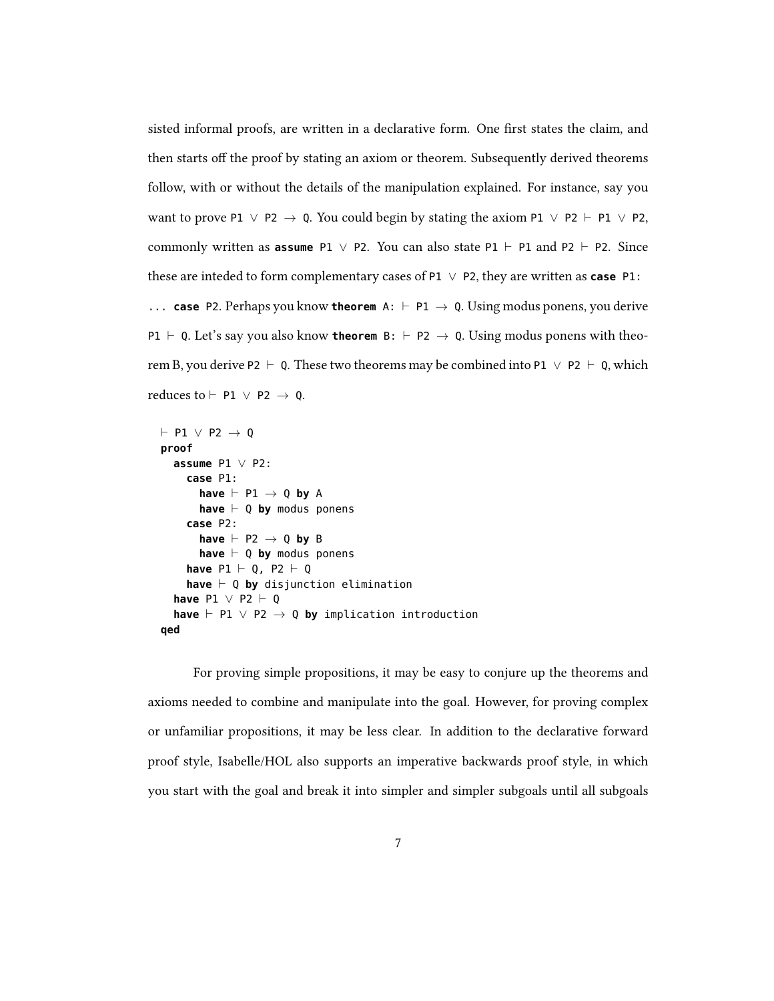sisted informal proofs, are written in a declarative form. One first states the claim, and then starts off the proof by stating an axiom or theorem. Subsequently derived theorems follow, with or without the details of the manipulation explained. For instance, say you want to prove P1  $\vee$  P2  $\rightarrow$  Q. You could begin by stating the axiom P1  $\vee$  P2  $\vdash$  P1  $\vee$  P2, commonly written as **assume** P1  $\vee$  P2. You can also state P1  $\vdash$  P1 and P2  $\vdash$  P2. Since these are inteded to form complementary cases of P1 ∨ P2, they are written as **case** P1: ... **case** P2. Perhaps you know **theorem** A:  $\vdash$  P1  $\rightarrow$  Q. Using modus ponens, you derive P1  $\vdash$  Q. Let's say you also know **theorem** B:  $\vdash$  P2  $\rightarrow$  Q. Using modus ponens with theorem B, you derive P2  $\vdash$  Q. These two theorems may be combined into P1  $\lor$  P2  $\vdash$  Q, which reduces to  $\vdash$  P1  $\lor$  P2  $\rightarrow$  Q.

```
\vdash P1 \lor P2 \rightarrow Q
proof
  assume P1 ∨ P2:
     case P1:
        have \vdash P1 \rightarrow Q by A
        have \vdash Q by modus ponens
     case P2:
        have \vdash P2 \rightarrow Q by B
        have \vdash Q by modus ponens
     have P1 \vdash Q, P2 \vdash Qhave \vdash Q by disjunction elimination
  have P1 \lor P2 \vdash Qhave \vdash P1 ∨ P2 \rightarrow 0 by implication introduction
qed
```
For proving simple propositions, it may be easy to conjure up the theorems and axioms needed to combine and manipulate into the goal. However, for proving complex or unfamiliar propositions, it may be less clear. In addition to the declarative forward proof style, Isabelle/HOL also supports an imperative backwards proof style, in which you start with the goal and break it into simpler and simpler subgoals until all subgoals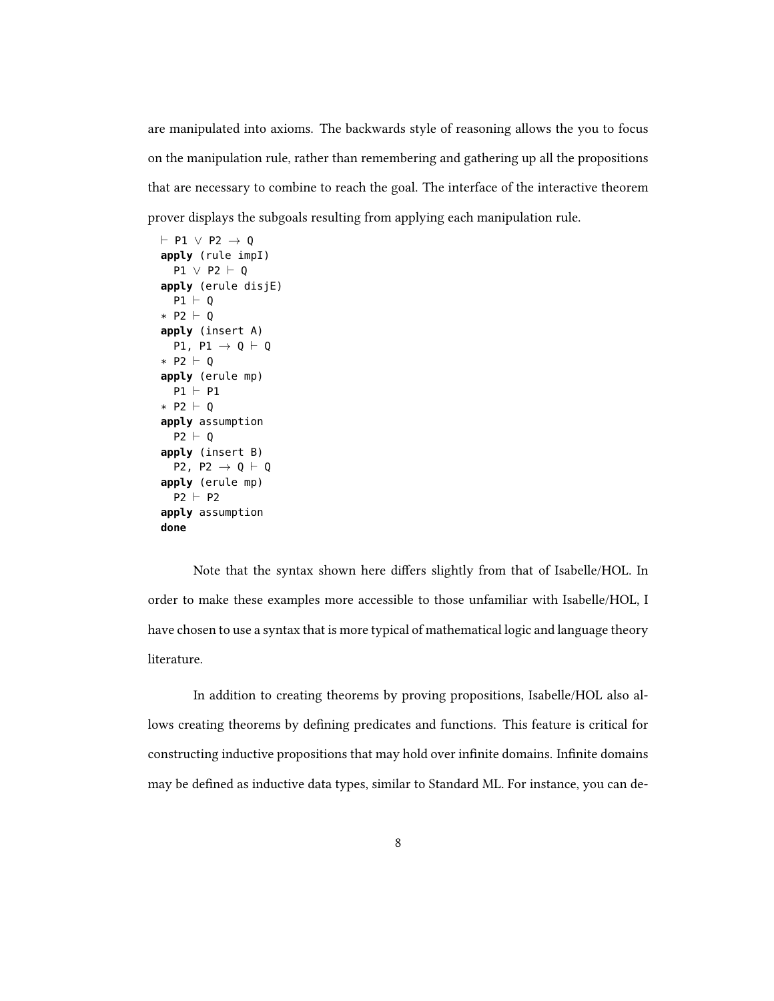are manipulated into axioms. The backwards style of reasoning allows the you to focus on the manipulation rule, rather than remembering and gathering up all the propositions that are necessary to combine to reach the goal. The interface of the interactive theorem prover displays the subgoals resulting from applying each manipulation rule.

```
\vdash P1 \lor P2 \rightarrow Q
apply (rule impI)
  P1 \vee P2 \vdash Qapply (erule disjE)
  P1 \vdash Q* P2 \vdash 0
apply (insert A)
  P1, P1 \rightarrow Q \vdash Q
* P2 \vdash 0
apply (erule mp)
  P1 \vdash P1* P2 \vdash Q
apply assumption
  P2 \vdash Qapply (insert B)
  P2, P2 \rightarrow Q \vdash Q
apply (erule mp)
  P2 \vdash P2apply assumption
done
```
Note that the syntax shown here differs slightly from that of Isabelle/HOL. In order to make these examples more accessible to those unfamiliar with Isabelle/HOL, I have chosen to use a syntax that is more typical of mathematical logic and language theory literature.

In addition to creating theorems by proving propositions, Isabelle/HOL also allows creating theorems by defining predicates and functions. This feature is critical for constructing inductive propositions that may hold over infinite domains. Infinite domains may be defined as inductive data types, similar to Standard ML. For instance, you can de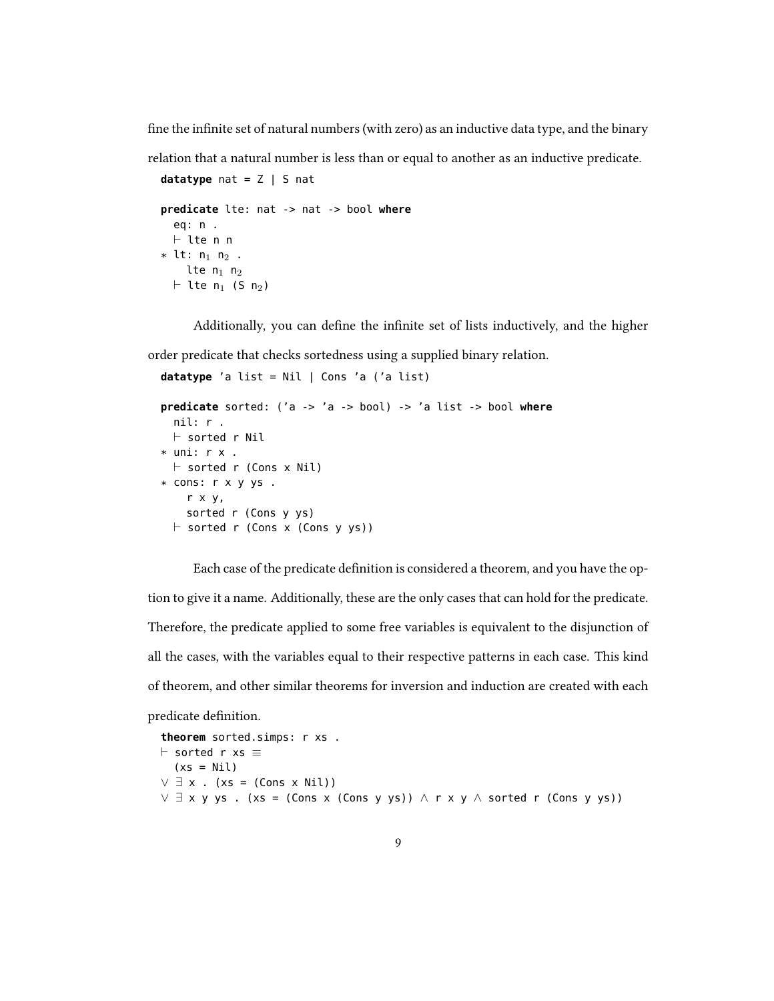fine the infinite set of natural numbers (with zero) as an inductive data type, and the binary

relation that a natural number is less than or equal to another as an inductive predicate.

```
datatype nat = Z | S nat
predicate lte: nat -> nat -> bool where
  eq: n .
  \vdash lte n n
* lt: n_1 n_2 .
     lte n_1 n_2\vdash lte n<sub>1</sub> (S n<sub>2</sub>)
```
Additionally, you can define the infinite set of lists inductively, and the higher

order predicate that checks sortedness using a supplied binary relation.

```
datatype 'a list = Nil | Cons 'a ('a list)
```

```
predicate sorted: ('a -> 'a -> bool) -> 'a list -> bool where
  nil: r .
  \vdash sorted r Nil
* uni: r x .
  \vdash sorted r (Cons x Nil)
* cons: r x y ys .
    r x y,
    sorted r (Cons y ys)
  \vdash sorted r (Cons x (Cons y ys))
```
Each case of the predicate definition is considered a theorem, and you have the option to give it a name. Additionally, these are the only cases that can hold for the predicate. Therefore, the predicate applied to some free variables is equivalent to the disjunction of all the cases, with the variables equal to their respective patterns in each case. This kind of theorem, and other similar theorems for inversion and induction are created with each predicate definition.

```
theorem sorted.simps: r xs .
\vdash sorted r xs \equiv(xs = Nil)V \exists x . (xs = (Cons x Nil))
∨ ∃ x y ys . (xs = (Cons x (Cons y ys)) ∧ r x y ∧ sorted r (Cons y ys))
```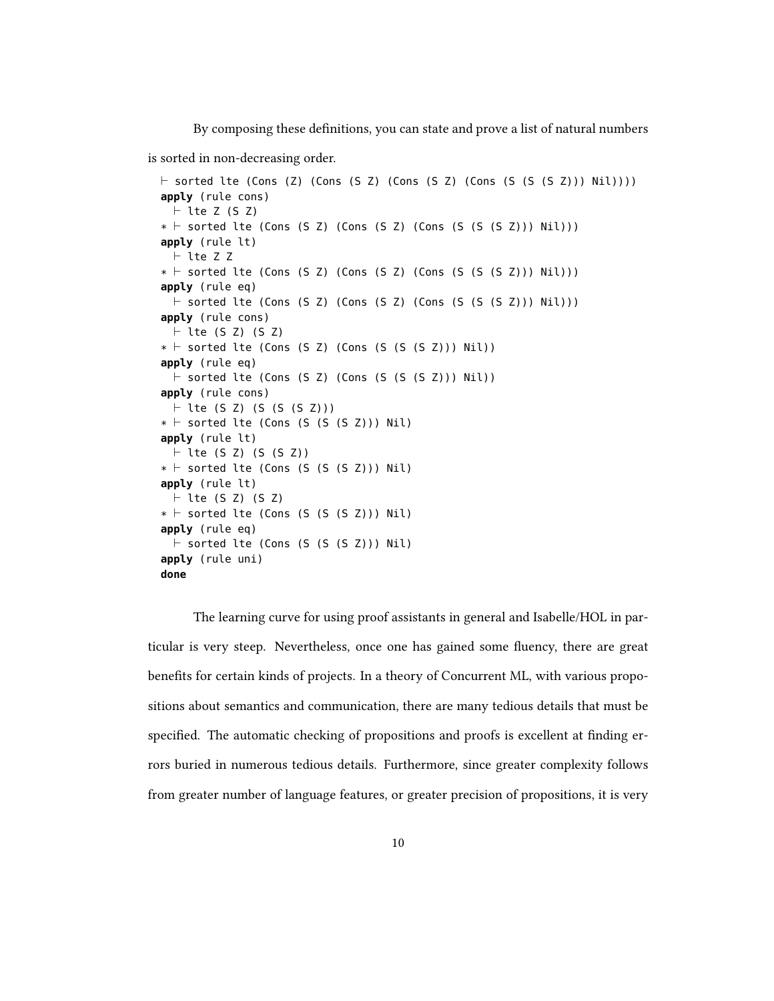By composing these definitions, you can state and prove a list of natural numbers

is sorted in non-decreasing order.

```
\vdash sorted lte (Cons (Z) (Cons (S Z) (Cons (S Z) (Cons (S (S (S Z))) Nil))))
apply (rule cons)
 \vdash lte Z (S Z)
* \vdash sorted lte (Cons (S Z) (Cons (S Z) (Cons (S (S (S Z))) Nil)))
apply (rule lt)
 \vdash lte Z Z
* \vdash sorted lte (Cons (S Z) (Cons (S Z) (Cons (S (S (S Z))) Nil)))
apply (rule eq)
  \vdash sorted lte (Cons (S Z) (Cons (S Z) (Cons (S (S (S Z))) Nil)))
apply (rule cons)
 \vdash lte (S Z) (S Z)
* \vdash sorted lte (Cons (S Z) (Cons (S (S (S Z))) Nil))
apply (rule eq)
  \vdash sorted lte (Cons (S Z) (Cons (S (S (S Z))) Nil))
apply (rule cons)
  \vdash lte (S Z) (S (S (S Z)))
* \vdash sorted lte (Cons (S (S (S Z))) Nil)
apply (rule lt)
 \vdash lte (S Z) (S (S Z))
* \vdash sorted lte (Cons (S (S (S Z))) Nil)
apply (rule lt)
 \vdash lte (S Z) (S Z)
* \vdash sorted lte (Cons (S (S (S Z))) Nil)
apply (rule eq)
  \vdash sorted lte (Cons (S (S (S Z))) Nil)
apply (rule uni)
done
```
The learning curve for using proof assistants in general and Isabelle/HOL in particular is very steep. Nevertheless, once one has gained some fluency, there are great benefits for certain kinds of projects. In a theory of Concurrent ML, with various propositions about semantics and communication, there are many tedious details that must be specified. The automatic checking of propositions and proofs is excellent at finding errors buried in numerous tedious details. Furthermore, since greater complexity follows from greater number of language features, or greater precision of propositions, it is very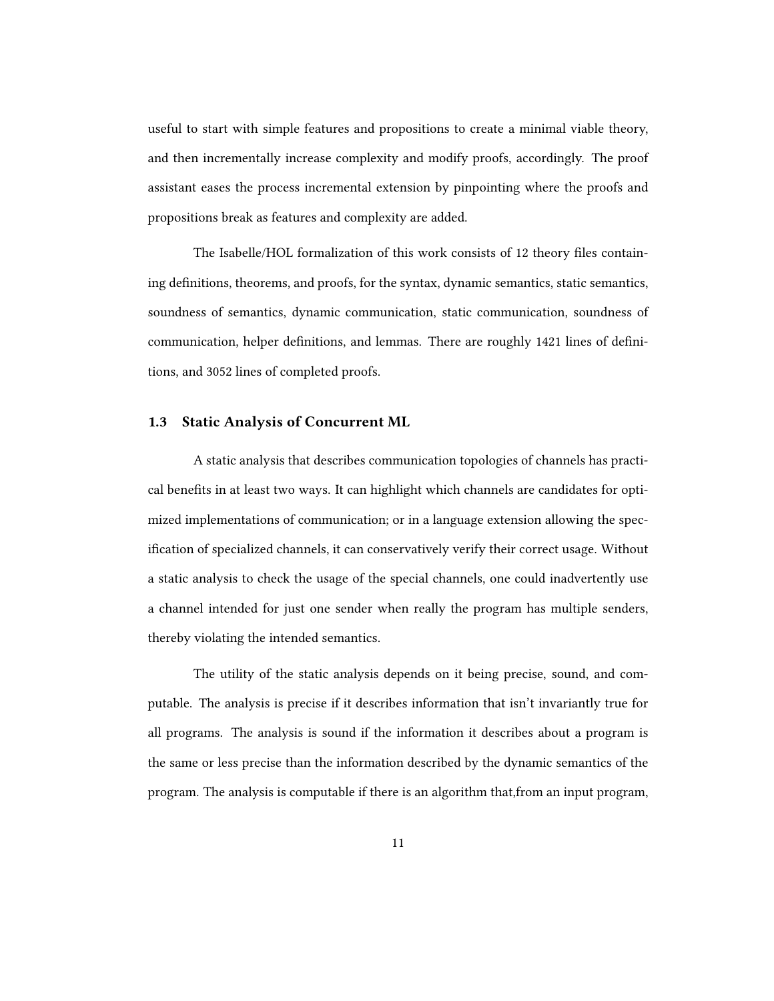useful to start with simple features and propositions to create a minimal viable theory, and then incrementally increase complexity and modify proofs, accordingly. The proof assistant eases the process incremental extension by pinpointing where the proofs and propositions break as features and complexity are added.

The Isabelle/HOL formalization of this work consists of 12 theory files containing definitions, theorems, and proofs, for the syntax, dynamic semantics, static semantics, soundness of semantics, dynamic communication, static communication, soundness of communication, helper definitions, and lemmas. There are roughly 1421 lines of definitions, and 3052 lines of completed proofs.

#### 1.3 Static Analysis of Concurrent ML

A static analysis that describes communication topologies of channels has practical benefits in at least two ways. It can highlight which channels are candidates for optimized implementations of communication; or in a language extension allowing the specification of specialized channels, it can conservatively verify their correct usage. Without a static analysis to check the usage of the special channels, one could inadvertently use a channel intended for just one sender when really the program has multiple senders, thereby violating the intended semantics.

The utility of the static analysis depends on it being precise, sound, and computable. The analysis is precise if it describes information that isn't invariantly true for all programs. The analysis is sound if the information it describes about a program is the same or less precise than the information described by the dynamic semantics of the program. The analysis is computable if there is an algorithm that,from an input program,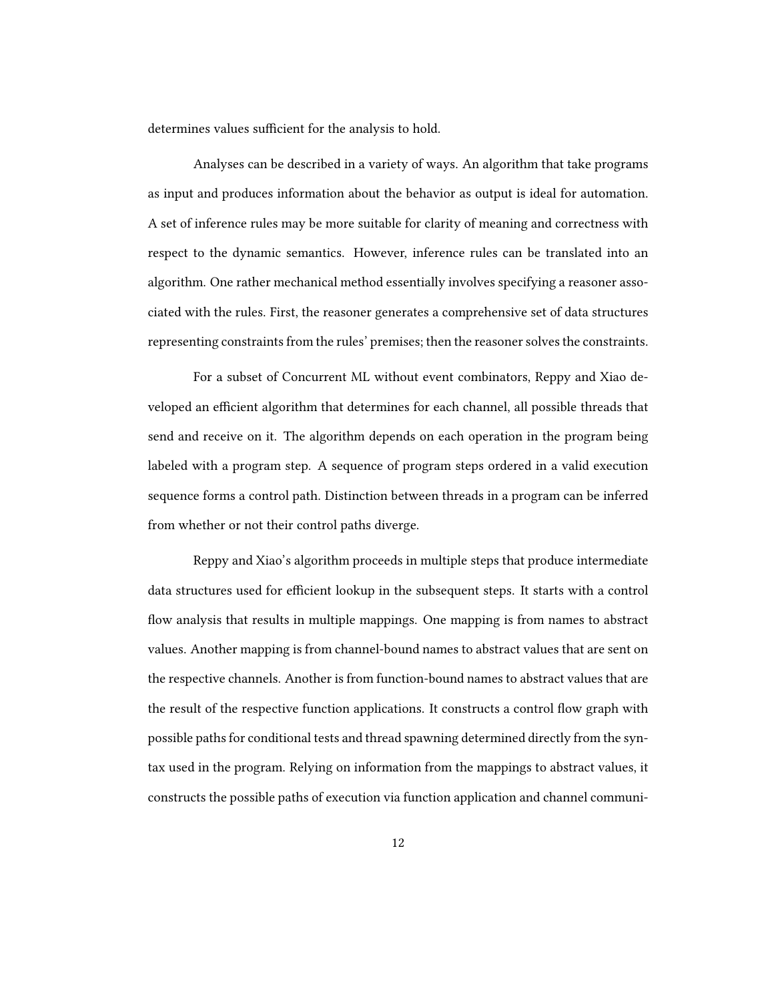determines values sufficient for the analysis to hold.

Analyses can be described in a variety of ways. An algorithm that take programs as input and produces information about the behavior as output is ideal for automation. A set of inference rules may be more suitable for clarity of meaning and correctness with respect to the dynamic semantics. However, inference rules can be translated into an algorithm. One rather mechanical method essentially involves specifying a reasoner associated with the rules. First, the reasoner generates a comprehensive set of data structures representing constraints from the rules' premises; then the reasoner solves the constraints.

For a subset of Concurrent ML without event combinators, Reppy and Xiao developed an efficient algorithm that determines for each channel, all possible threads that send and receive on it. The algorithm depends on each operation in the program being labeled with a program step. A sequence of program steps ordered in a valid execution sequence forms a control path. Distinction between threads in a program can be inferred from whether or not their control paths diverge.

Reppy and Xiao's algorithm proceeds in multiple steps that produce intermediate data structures used for efficient lookup in the subsequent steps. It starts with a control flow analysis that results in multiple mappings. One mapping is from names to abstract values. Another mapping is from channel-bound names to abstract values that are sent on the respective channels. Another is from function-bound names to abstract values that are the result of the respective function applications. It constructs a control flow graph with possible paths for conditional tests and thread spawning determined directly from the syntax used in the program. Relying on information from the mappings to abstract values, it constructs the possible paths of execution via function application and channel communi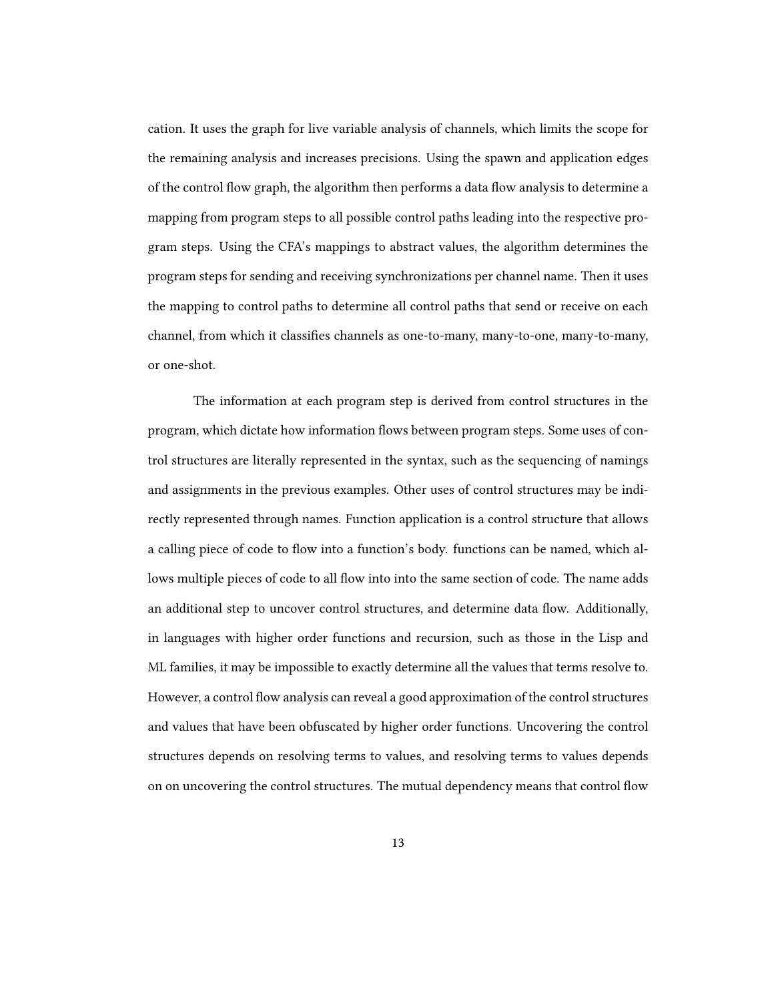cation. It uses the graph for live variable analysis of channels, which limits the scope for the remaining analysis and increases precisions. Using the spawn and application edges of the control flow graph, the algorithm then performs a data flow analysis to determine a mapping from program steps to all possible control paths leading into the respective program steps. Using the CFA's mappings to abstract values, the algorithm determines the program steps for sending and receiving synchronizations per channel name. Then it uses the mapping to control paths to determine all control paths that send or receive on each channel, from which it classifies channels as one-to-many, many-to-one, many-to-many, or one-shot.

The information at each program step is derived from control structures in the program, which dictate how information flows between program steps. Some uses of control structures are literally represented in the syntax, such as the sequencing of namings and assignments in the previous examples. Other uses of control structures may be indirectly represented through names. Function application is a control structure that allows a calling piece of code to flow into a function's body. functions can be named, which allows multiple pieces of code to all flow into into the same section of code. The name adds an additional step to uncover control structures, and determine data flow. Additionally, in languages with higher order functions and recursion, such as those in the Lisp and ML families, it may be impossible to exactly determine all the values that terms resolve to. However, a control flow analysis can reveal a good approximation of the control structures and values that have been obfuscated by higher order functions. Uncovering the control structures depends on resolving terms to values, and resolving terms to values depends on on uncovering the control structures. The mutual dependency means that control flow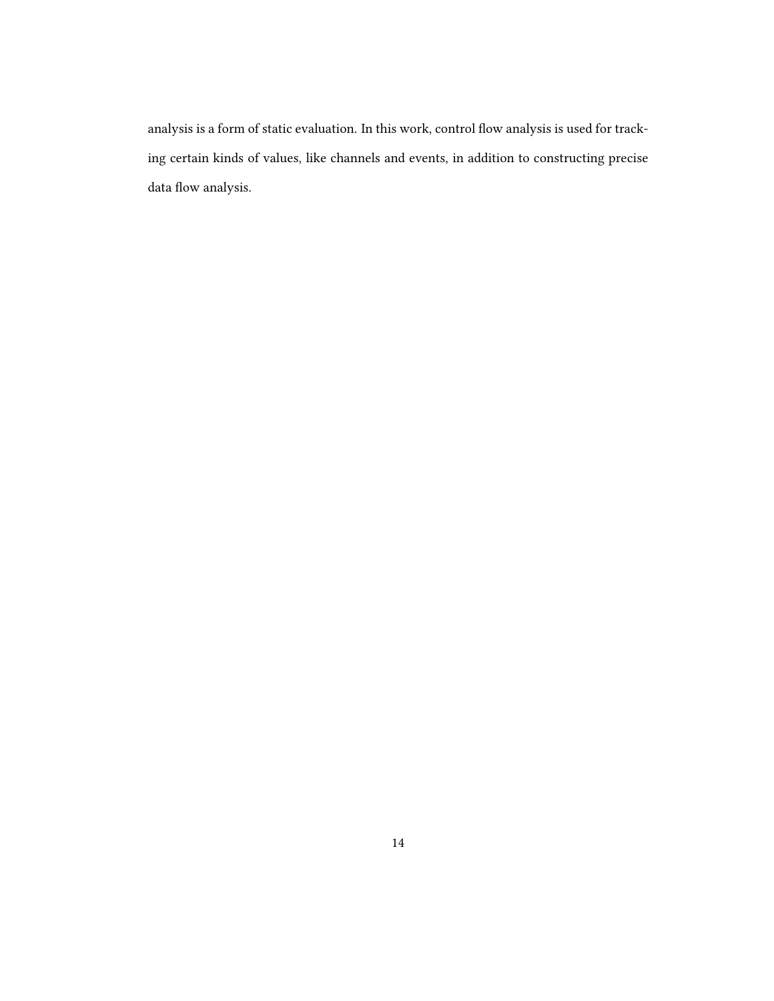analysis is a form of static evaluation. In this work, control flow analysis is used for tracking certain kinds of values, like channels and events, in addition to constructing precise data flow analysis.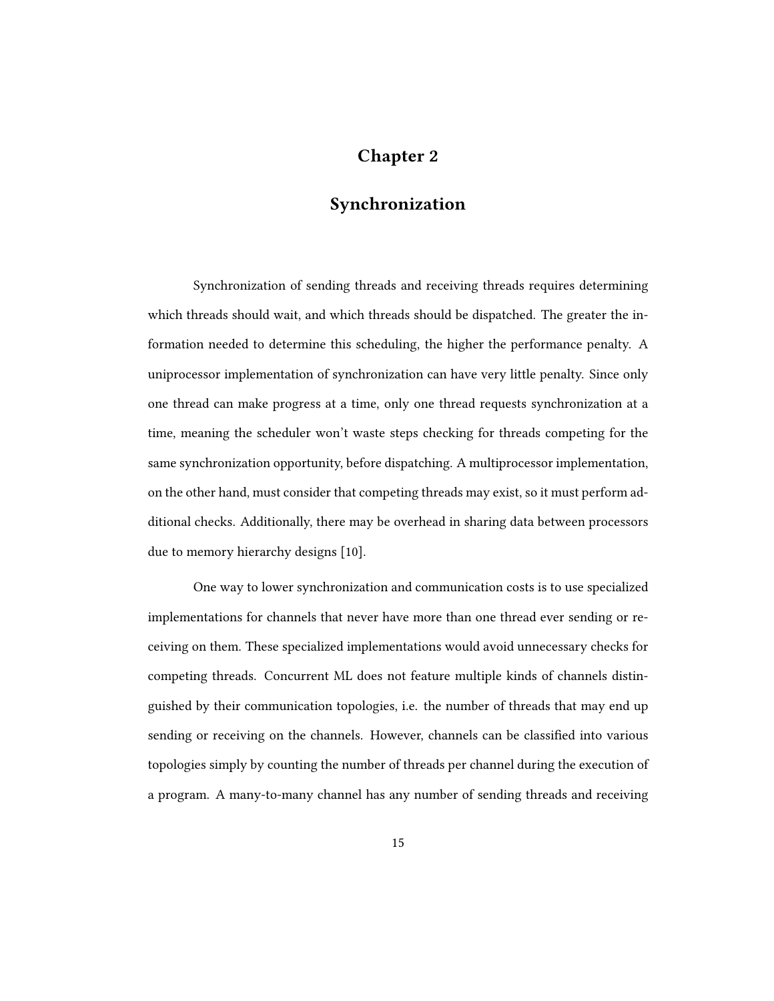## Chapter 2

# Synchronization

Synchronization of sending threads and receiving threads requires determining which threads should wait, and which threads should be dispatched. The greater the information needed to determine this scheduling, the higher the performance penalty. A uniprocessor implementation of synchronization can have very little penalty. Since only one thread can make progress at a time, only one thread requests synchronization at a time, meaning the scheduler won't waste steps checking for threads competing for the same synchronization opportunity, before dispatching. A multiprocessor implementation, on the other hand, must consider that competing threads may exist, so it must perform additional checks. Additionally, there may be overhead in sharing data between processors due to memory hierarchy designs [10].

One way to lower synchronization and communication costs is to use specialized implementations for channels that never have more than one thread ever sending or receiving on them. These specialized implementations would avoid unnecessary checks for competing threads. Concurrent ML does not feature multiple kinds of channels distinguished by their communication topologies, i.e. the number of threads that may end up sending or receiving on the channels. However, channels can be classified into various topologies simply by counting the number of threads per channel during the execution of a program. A many-to-many channel has any number of sending threads and receiving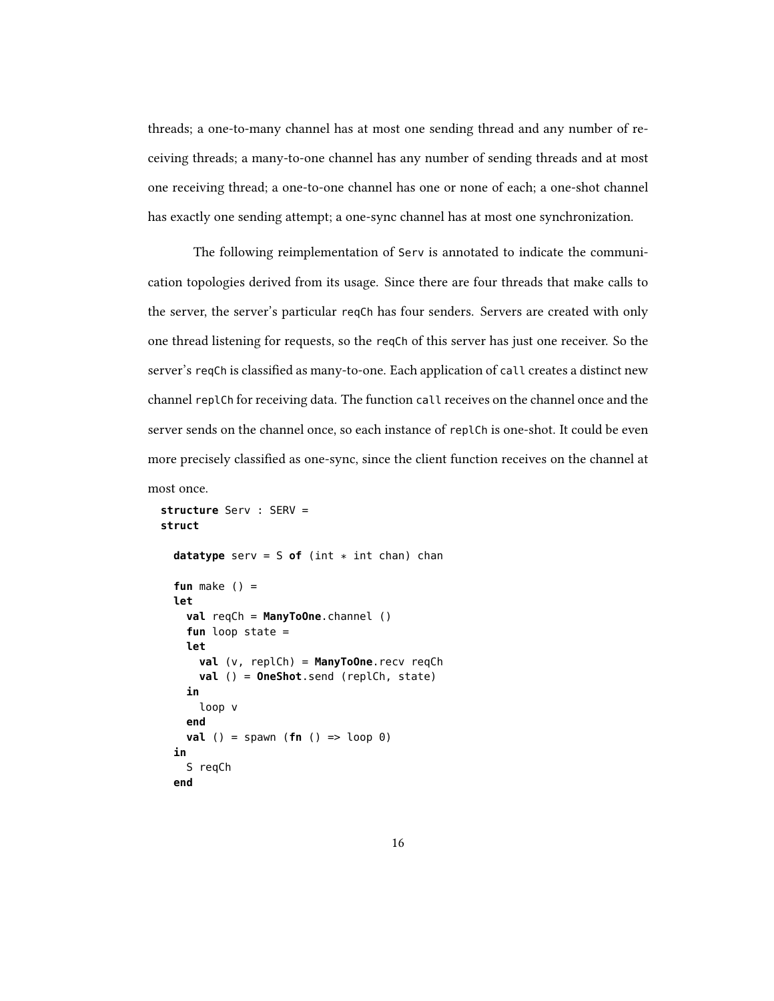threads; a one-to-many channel has at most one sending thread and any number of receiving threads; a many-to-one channel has any number of sending threads and at most one receiving thread; a one-to-one channel has one or none of each; a one-shot channel has exactly one sending attempt; a one-sync channel has at most one synchronization.

The following reimplementation of Serv is annotated to indicate the communication topologies derived from its usage. Since there are four threads that make calls to the server, the server's particular reqCh has four senders. Servers are created with only one thread listening for requests, so the reqCh of this server has just one receiver. So the server's reqCh is classified as many-to-one. Each application of call creates a distinct new channel replCh for receiving data. The function call receives on the channel once and the server sends on the channel once, so each instance of replCh is one-shot. It could be even more precisely classified as one-sync, since the client function receives on the channel at most once.

```
structure Serv : SERV =
struct
  datatype serv = S of (int * int chan) chan
  fun make () =let
    val reqCh = ManyToOne.channel ()
    fun loop state =
    let
      val (v, replCh) = ManyToOne.recv reqCh
      val () = OneShot.send (replCh, state)
    in
      loop v
    end
    val () = spawn (fn () => loop 0)
  in
    S reqCh
  end
```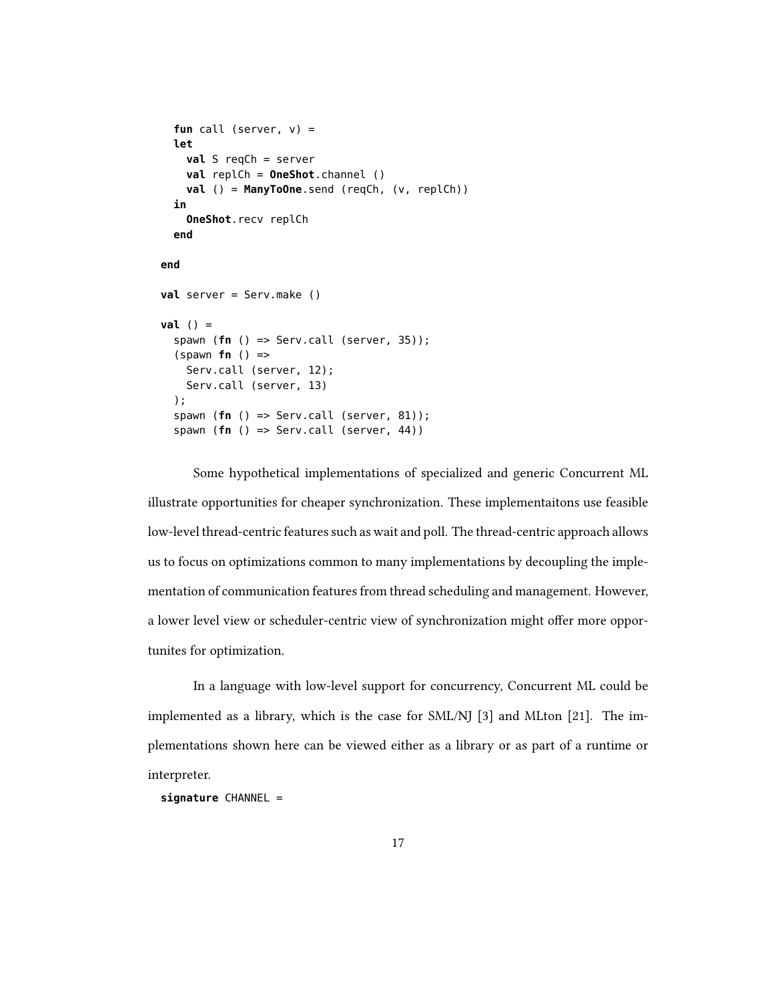```
fun call (server, v) =
  let
    val S reqCh = server
    val replCh = OneShot.channel ()
    val () = ManyToOne.send (reqCh, (v, replCh))
  in
    OneShot.recv replCh
  end
end
val server = Serv.make ()
val () =
  spawn (fn () => Serv.call (server, 35));
  (spawn fn () =>
    Serv.call (server, 12);
    Serv.call (server, 13)
  );
  spawn (fn () => Serv.call (server, 81));
  spawn (fn () => Serv.call (server, 44))
```
Some hypothetical implementations of specialized and generic Concurrent ML illustrate opportunities for cheaper synchronization. These implementaitons use feasible low-level thread-centric features such as wait and poll. The thread-centric approach allows us to focus on optimizations common to many implementations by decoupling the implementation of communication features from thread scheduling and management. However, a lower level view or scheduler-centric view of synchronization might offer more opportunites for optimization.

In a language with low-level support for concurrency, Concurrent ML could be implemented as a library, which is the case for SML/NJ [3] and MLton [21]. The implementations shown here can be viewed either as a library or as part of a runtime or interpreter.

**signature** CHANNEL =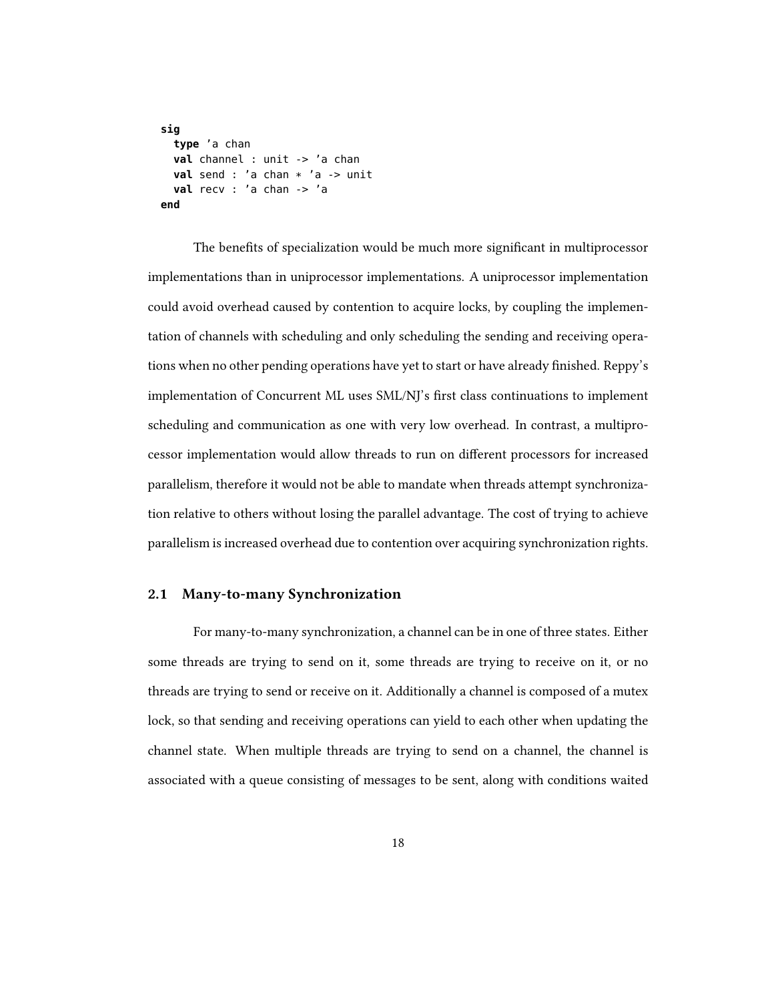```
sig
  type 'a chan
  val channel : unit -> 'a chan
  val send : 'a chan * 'a -> unit
  val recv : 'a chan -> 'a
end
```
The benefits of specialization would be much more significant in multiprocessor implementations than in uniprocessor implementations. A uniprocessor implementation could avoid overhead caused by contention to acquire locks, by coupling the implementation of channels with scheduling and only scheduling the sending and receiving operations when no other pending operations have yet to start or have already finished. Reppy's implementation of Concurrent ML uses SML/NJ's first class continuations to implement scheduling and communication as one with very low overhead. In contrast, a multiprocessor implementation would allow threads to run on different processors for increased parallelism, therefore it would not be able to mandate when threads attempt synchronization relative to others without losing the parallel advantage. The cost of trying to achieve parallelism is increased overhead due to contention over acquiring synchronization rights.

#### 2.1 Many-to-many Synchronization

For many-to-many synchronization, a channel can be in one of three states. Either some threads are trying to send on it, some threads are trying to receive on it, or no threads are trying to send or receive on it. Additionally a channel is composed of a mutex lock, so that sending and receiving operations can yield to each other when updating the channel state. When multiple threads are trying to send on a channel, the channel is associated with a queue consisting of messages to be sent, along with conditions waited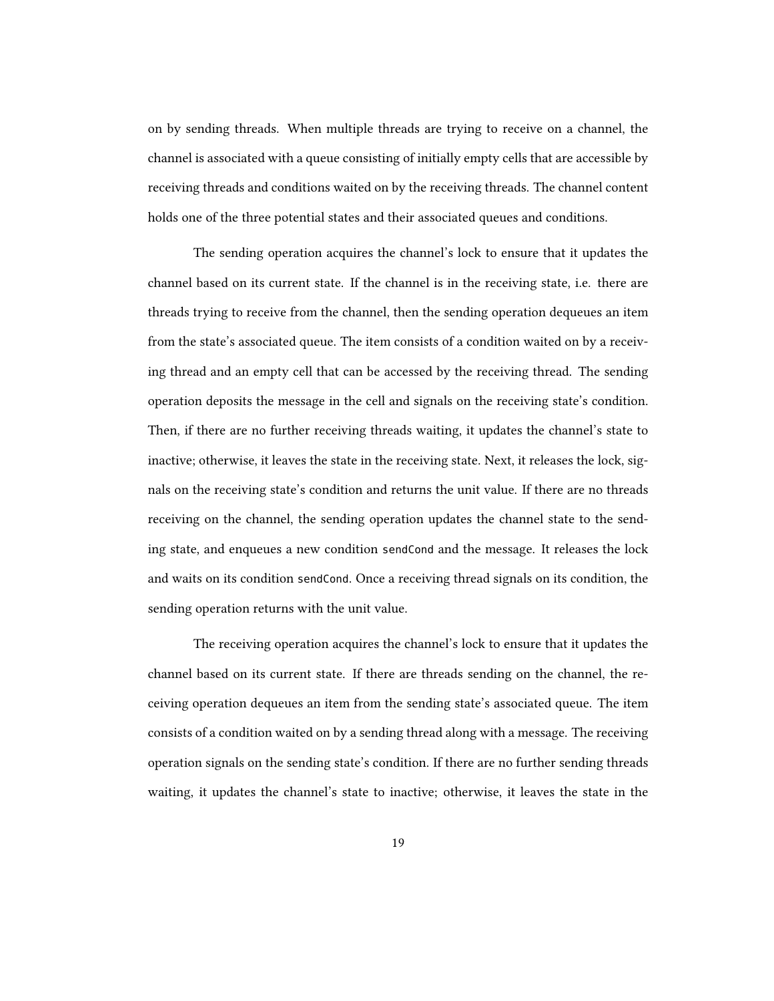on by sending threads. When multiple threads are trying to receive on a channel, the channel is associated with a queue consisting of initially empty cells that are accessible by receiving threads and conditions waited on by the receiving threads. The channel content holds one of the three potential states and their associated queues and conditions.

The sending operation acquires the channel's lock to ensure that it updates the channel based on its current state. If the channel is in the receiving state, i.e. there are threads trying to receive from the channel, then the sending operation dequeues an item from the state's associated queue. The item consists of a condition waited on by a receiving thread and an empty cell that can be accessed by the receiving thread. The sending operation deposits the message in the cell and signals on the receiving state's condition. Then, if there are no further receiving threads waiting, it updates the channel's state to inactive; otherwise, it leaves the state in the receiving state. Next, it releases the lock, signals on the receiving state's condition and returns the unit value. If there are no threads receiving on the channel, the sending operation updates the channel state to the sending state, and enqueues a new condition sendCond and the message. It releases the lock and waits on its condition sendCond. Once a receiving thread signals on its condition, the sending operation returns with the unit value.

The receiving operation acquires the channel's lock to ensure that it updates the channel based on its current state. If there are threads sending on the channel, the receiving operation dequeues an item from the sending state's associated queue. The item consists of a condition waited on by a sending thread along with a message. The receiving operation signals on the sending state's condition. If there are no further sending threads waiting, it updates the channel's state to inactive; otherwise, it leaves the state in the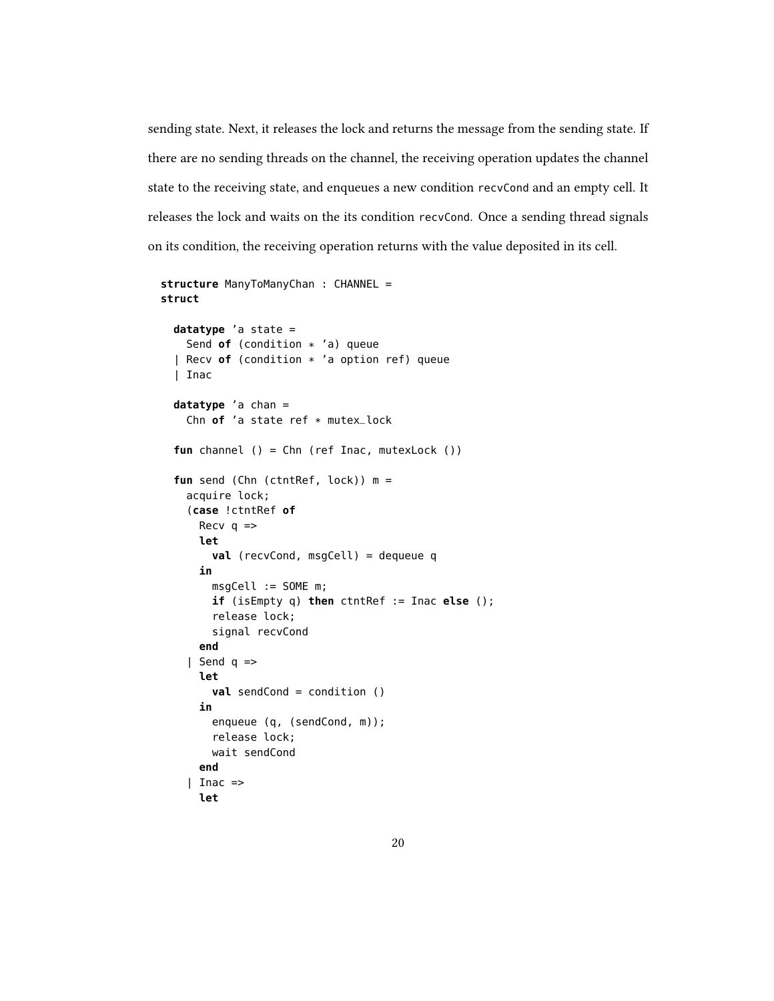sending state. Next, it releases the lock and returns the message from the sending state. If there are no sending threads on the channel, the receiving operation updates the channel state to the receiving state, and enqueues a new condition recvCond and an empty cell. It releases the lock and waits on the its condition recvCond. Once a sending thread signals on its condition, the receiving operation returns with the value deposited in its cell.

```
structure ManyToManyChan : CHANNEL =
struct
 datatype 'a state =
    Send of (condition * 'a) queue
  | Recv of (condition * 'a option ref) queue
  | Inac
  datatype 'a chan =
    Chn of 'a state ref * mutex_lock
  fun channel () = Chn (ref Inac, mutexLock ())
  fun send (Chn (ctntRef, lock)) m =
    acquire lock;
    (case !ctntRef of
      Recv q \Rightarrowlet
        val (recvCond, msgCell) = dequeue q
      in
        msgCell := SOME m;
        if (isEmpty q) then ctntRef := Inac else ();
        release lock;
        signal recvCond
      end
    | Send q =>
      let
        val sendCond = condition ()
      in
        enqueue (q, (sendCond, m));
        release lock;
        wait sendCond
      end
    | Inac =>
      let
```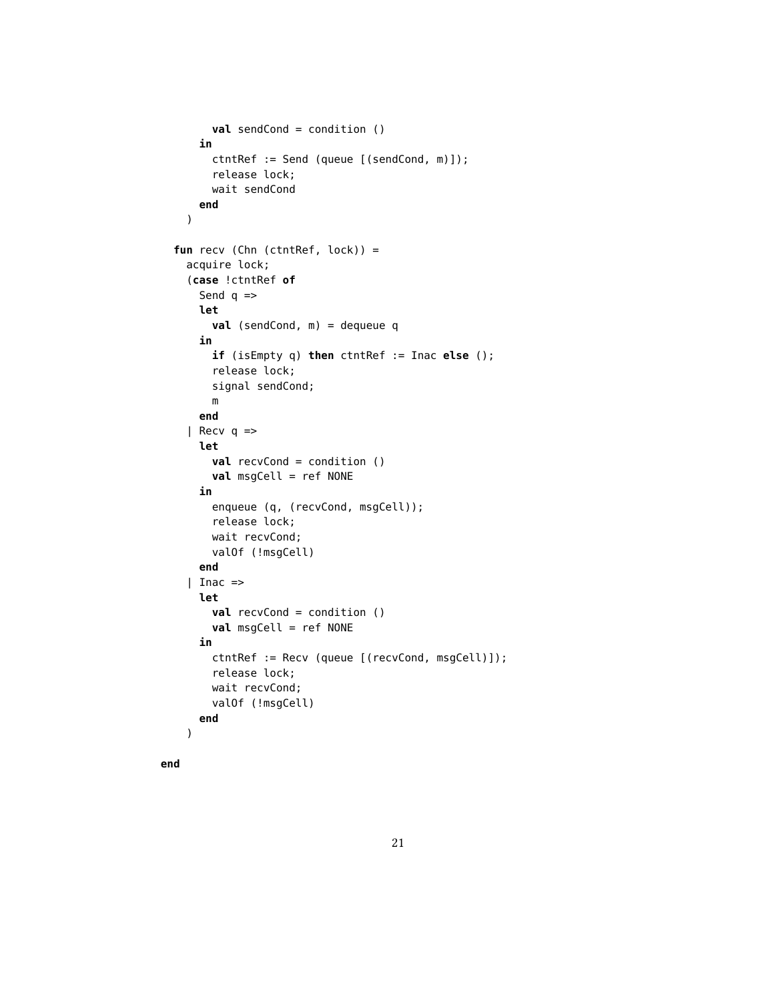```
val sendCond = condition ()
    in
      ctntRef := Send (queue [(sendCond, m)]);
      release lock;
      wait sendCond
    end
  )
fun recv (Chn (ctntRef, lock)) =
  acquire lock;
  (case !ctntRef of
    Send q \Rightarrowlet
      val (sendCond, m) = dequeue q
    in
      if (isEmpty q) then ctntRef := Inac else ();
      release lock;
      signal sendCond;
      m
    end
  | Recv q \Rightarrowlet
      val recvCond = condition ()
      val msgCell = ref NONE
    in
      enqueue (q, (recvCond, msgCell));
      release lock;
      wait recvCond;
      valOf (!msgCell)
    end
  | Inac =>
    let
      val recvCond = condition ()
      val msgCell = ref NONE
    in
      ctntRef := Recv (queue [(recvCond, msgCell)]);
      release lock;
      wait recvCond;
      valOf (!msgCell)
    end
  )
```
**end**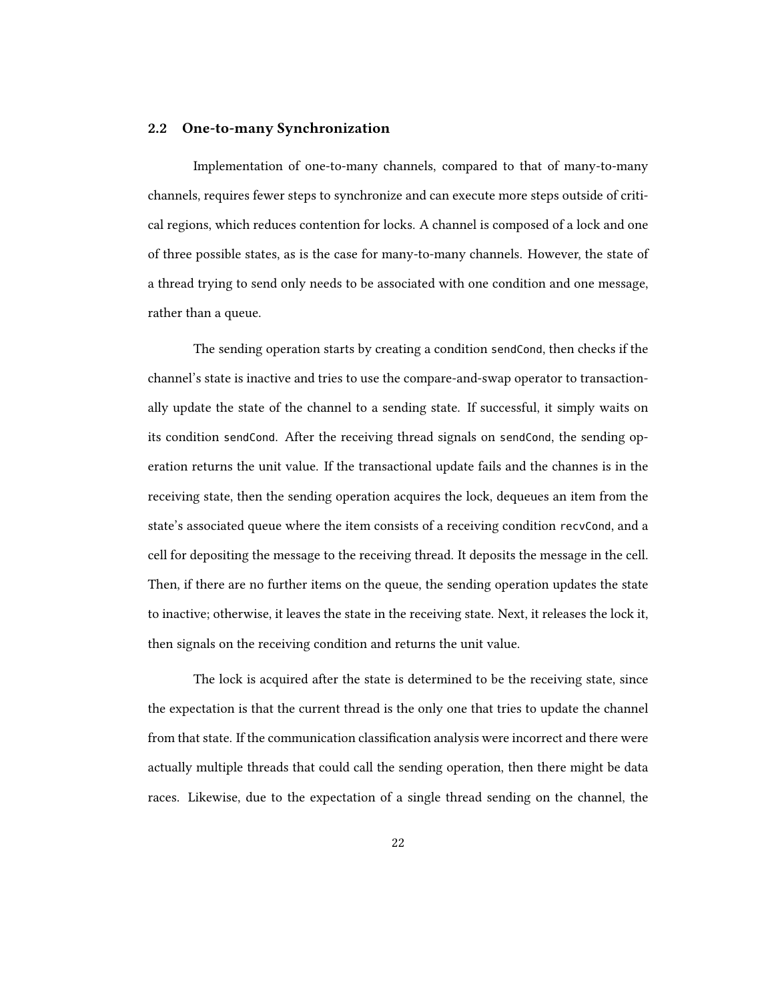#### 2.2 One-to-many Synchronization

Implementation of one-to-many channels, compared to that of many-to-many channels, requires fewer steps to synchronize and can execute more steps outside of critical regions, which reduces contention for locks. A channel is composed of a lock and one of three possible states, as is the case for many-to-many channels. However, the state of a thread trying to send only needs to be associated with one condition and one message, rather than a queue.

The sending operation starts by creating a condition sendCond, then checks if the channel's state is inactive and tries to use the compare-and-swap operator to transactionally update the state of the channel to a sending state. If successful, it simply waits on its condition sendCond. After the receiving thread signals on sendCond, the sending operation returns the unit value. If the transactional update fails and the channes is in the receiving state, then the sending operation acquires the lock, dequeues an item from the state's associated queue where the item consists of a receiving condition recvCond, and a cell for depositing the message to the receiving thread. It deposits the message in the cell. Then, if there are no further items on the queue, the sending operation updates the state to inactive; otherwise, it leaves the state in the receiving state. Next, it releases the lock it, then signals on the receiving condition and returns the unit value.

The lock is acquired after the state is determined to be the receiving state, since the expectation is that the current thread is the only one that tries to update the channel from that state. If the communication classification analysis were incorrect and there were actually multiple threads that could call the sending operation, then there might be data races. Likewise, due to the expectation of a single thread sending on the channel, the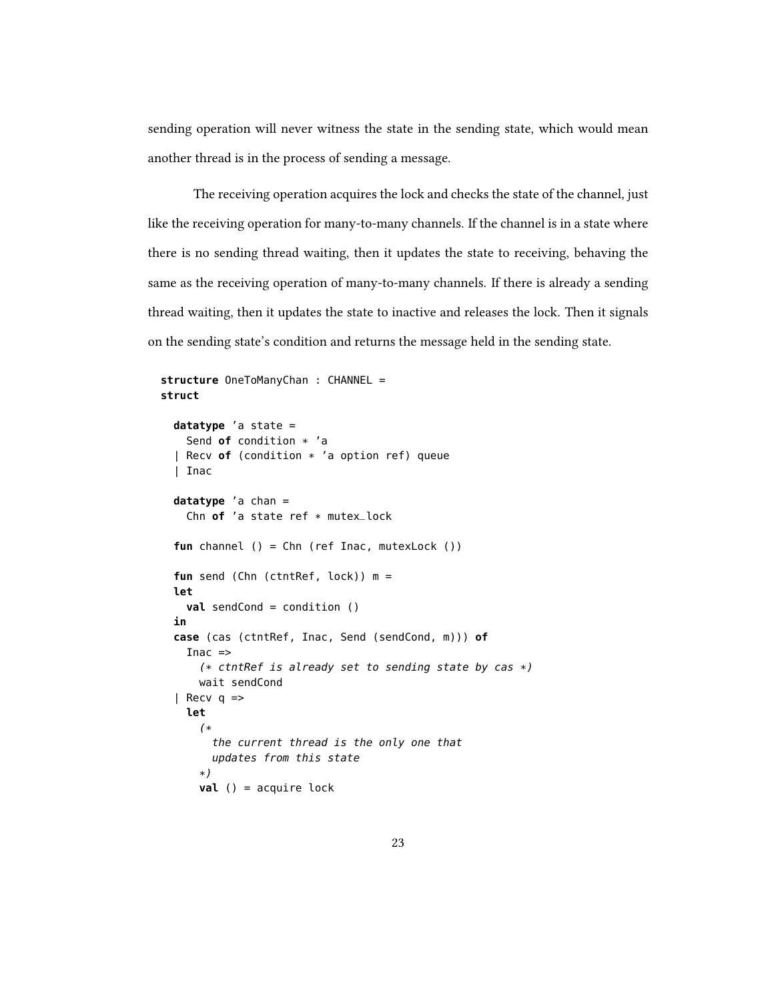sending operation will never witness the state in the sending state, which would mean another thread is in the process of sending a message.

The receiving operation acquires the lock and checks the state of the channel, just like the receiving operation for many-to-many channels. If the channel is in a state where there is no sending thread waiting, then it updates the state to receiving, behaving the same as the receiving operation of many-to-many channels. If there is already a sending thread waiting, then it updates the state to inactive and releases the lock. Then it signals on the sending state's condition and returns the message held in the sending state.

```
structure OneToManyChan : CHANNEL =
struct
 datatype 'a state =
    Send of condition * 'a
  | Recv of (condition * 'a option ref) queue
  | Inac
  datatype 'a chan =
    Chn of 'a state ref * mutex_lock
  fun channel () = Chn (ref Inac, mutexLock ())
  fun send (Chn (ctntRef, lock)) m =
  let
    val sendCond = condition ()
  in
  case (cas (ctntRef, Inac, Send (sendCond, m))) of
    Inac =>
      (* ctntRef is already set to sending state by cas *)
      wait sendCond
  | Recv \neq =let
      (*
        the current thread is the only one that
        updates from this state
      *)
      val () = acquire lock
```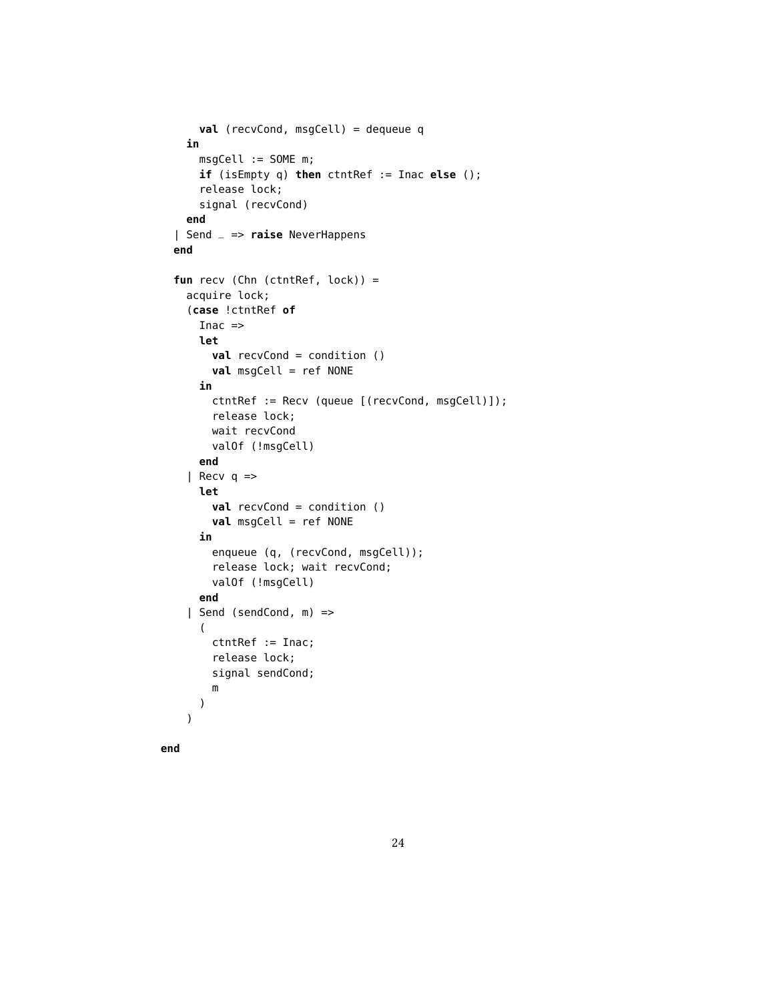```
val (recvCond, msgCell) = dequeue q
 in
    msgCell := SOME m;
    if (isEmpty q) then ctntRef := Inac else ();
    release lock;
    signal (recvCond)
 end
| Send _ => raise NeverHappens
end
fun recv (Chn (ctntRef, lock)) =
 acquire lock;
  (case !ctntRef of
    Inac =let
      val recvCond = condition ()
      val msgCell = ref NONE
    in
      ctntRef := Recv (queue [(recvCond, msgCell)]);
      release lock;
      wait recvCond
      valOf (!msgCell)
    end
  | Recv q \Rightarrowlet
      val recvCond = condition ()
      val msgCell = ref NONE
    in
      enqueue (q, (recvCond, msgCell));
      release lock; wait recvCond;
      valOf (!msgCell)
    end
  | Send (sendCond, m) =>
    (
      ctntRef := Inac;
      release lock;
      signal sendCond;
      m
    )
 )
```
**end**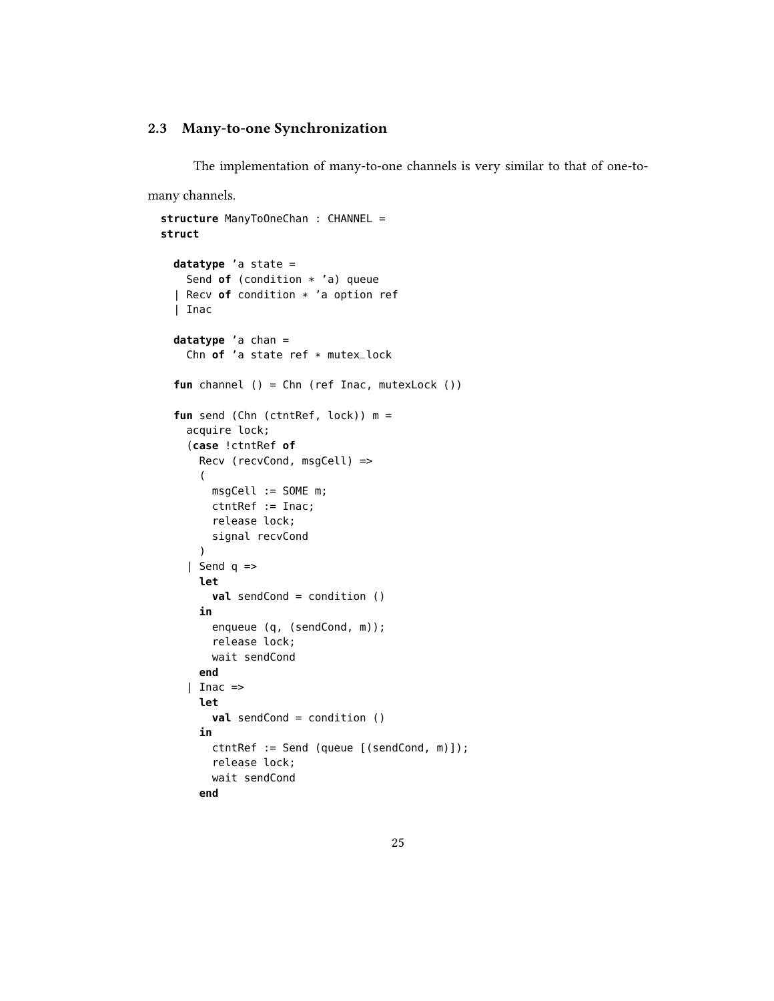#### 2.3 Many-to-one Synchronization

The implementation of many-to-one channels is very similar to that of one-to-

many channels.

```
structure ManyToOneChan : CHANNEL =
struct
 datatype 'a state =
    Send of (condition * 'a) queue
  | Recv of condition * 'a option ref
  | Inac
  datatype 'a chan =
    Chn of 'a state ref * mutex_lock
  fun channel () = Chn (ref Inac, mutexLock ())
  fun send (Chn (ctntRef, lock)) m =
    acquire lock;
    (case !ctntRef of
      Recv (recvCond, msgCell) =>
      (
        msgCell := SOME m;
        ctntRef := Inac;
        release lock;
        signal recvCond
      )
    | Send q =>
      let
        val sendCond = condition ()
      in
        enqueue (q, (sendCond, m));
        release lock;
        wait sendCond
      end
    | Inac =>
      let
        val sendCond = condition ()
      in
        ctntRef := Send (queue [(sendCond, m)]);
        release lock;
        wait sendCond
      end
```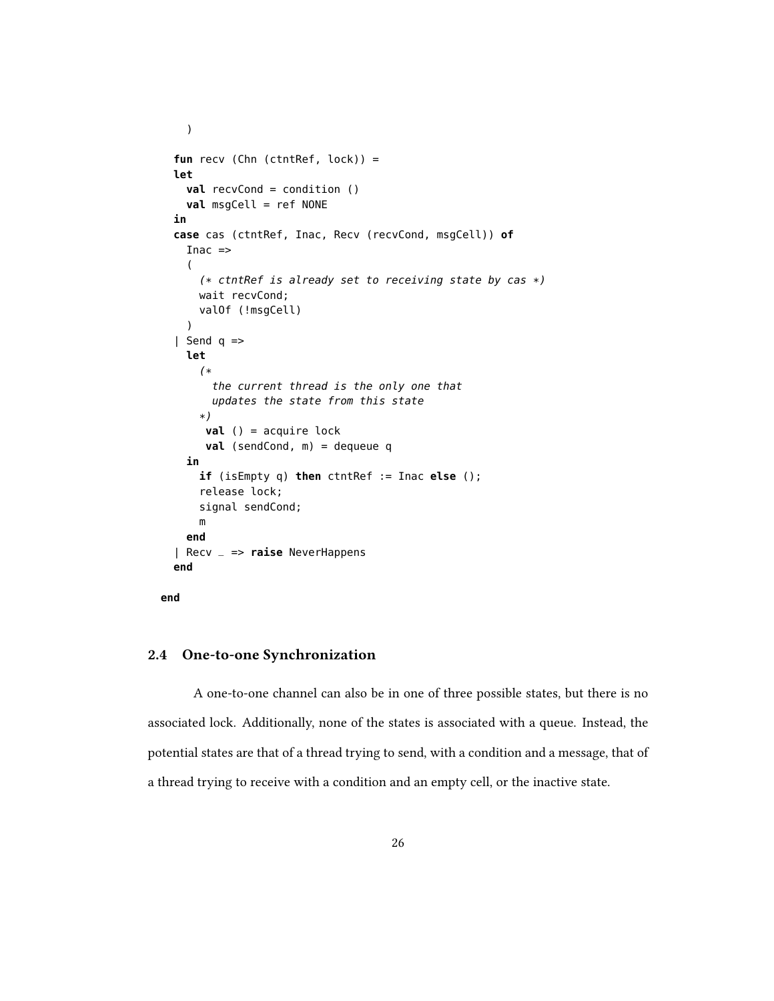```
fun recv (Chn (ctntRef, lock)) =
let
  val recvCond = condition ()
  val msgCell = ref NONE
in
case cas (ctntRef, Inac, Recv (recvCond, msgCell)) of
  Inac =>
  (
    (* ctntRef is already set to receiving state by cas *)wait recvCond;
    valOf (!msgCell)
  \lambda| Send q \Rightarrowlet
    (*
      the current thread is the only one that
      updates the state from this state
    *)
     val () = acquire lock
     val (sendCond, m) = dequeue q
  in
    if (isEmpty q) then ctntRef := Inac else ();
    release lock;
    signal sendCond;
    m
  end
| Recv _ => raise NeverHappens
end
```
# **end**

)

#### 2.4 One-to-one Synchronization

A one-to-one channel can also be in one of three possible states, but there is no associated lock. Additionally, none of the states is associated with a queue. Instead, the potential states are that of a thread trying to send, with a condition and a message, that of a thread trying to receive with a condition and an empty cell, or the inactive state.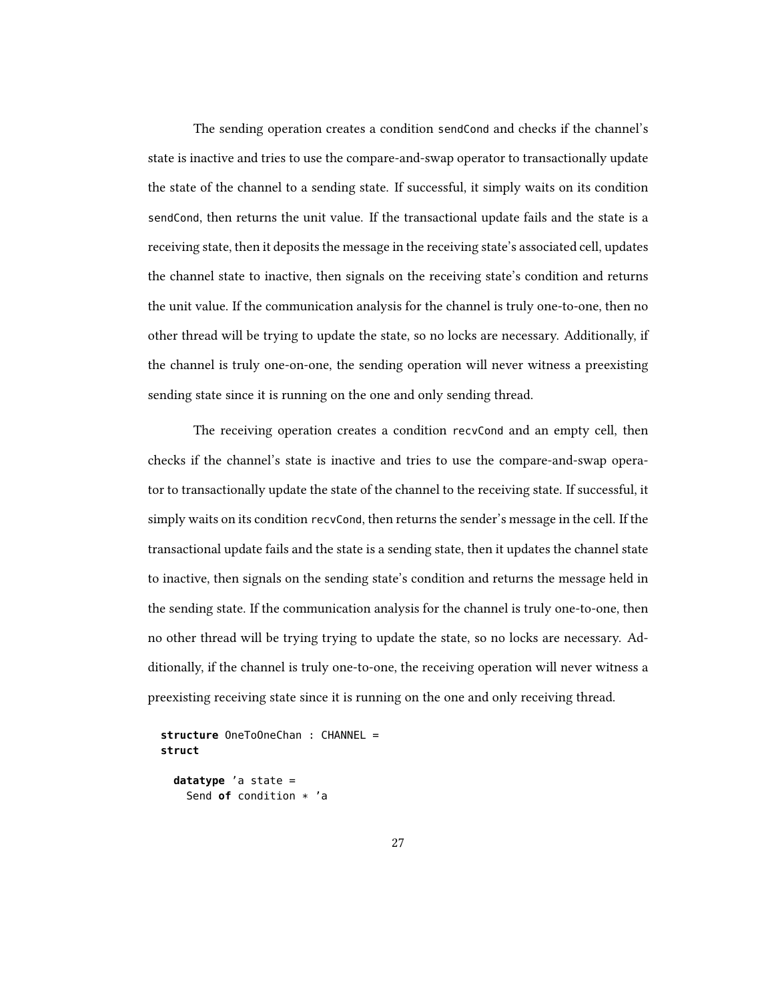The sending operation creates a condition sendCond and checks if the channel's state is inactive and tries to use the compare-and-swap operator to transactionally update the state of the channel to a sending state. If successful, it simply waits on its condition sendCond, then returns the unit value. If the transactional update fails and the state is a receiving state, then it deposits the message in the receiving state's associated cell, updates the channel state to inactive, then signals on the receiving state's condition and returns the unit value. If the communication analysis for the channel is truly one-to-one, then no other thread will be trying to update the state, so no locks are necessary. Additionally, if the channel is truly one-on-one, the sending operation will never witness a preexisting sending state since it is running on the one and only sending thread.

The receiving operation creates a condition recvCond and an empty cell, then checks if the channel's state is inactive and tries to use the compare-and-swap operator to transactionally update the state of the channel to the receiving state. If successful, it simply waits on its condition recvCond, then returns the sender's message in the cell. If the transactional update fails and the state is a sending state, then it updates the channel state to inactive, then signals on the sending state's condition and returns the message held in the sending state. If the communication analysis for the channel is truly one-to-one, then no other thread will be trying trying to update the state, so no locks are necessary. Additionally, if the channel is truly one-to-one, the receiving operation will never witness a preexisting receiving state since it is running on the one and only receiving thread.

```
structure OneToOneChan : CHANNEL =
struct
```
**datatype** 'a state = Send **of** condition \* 'a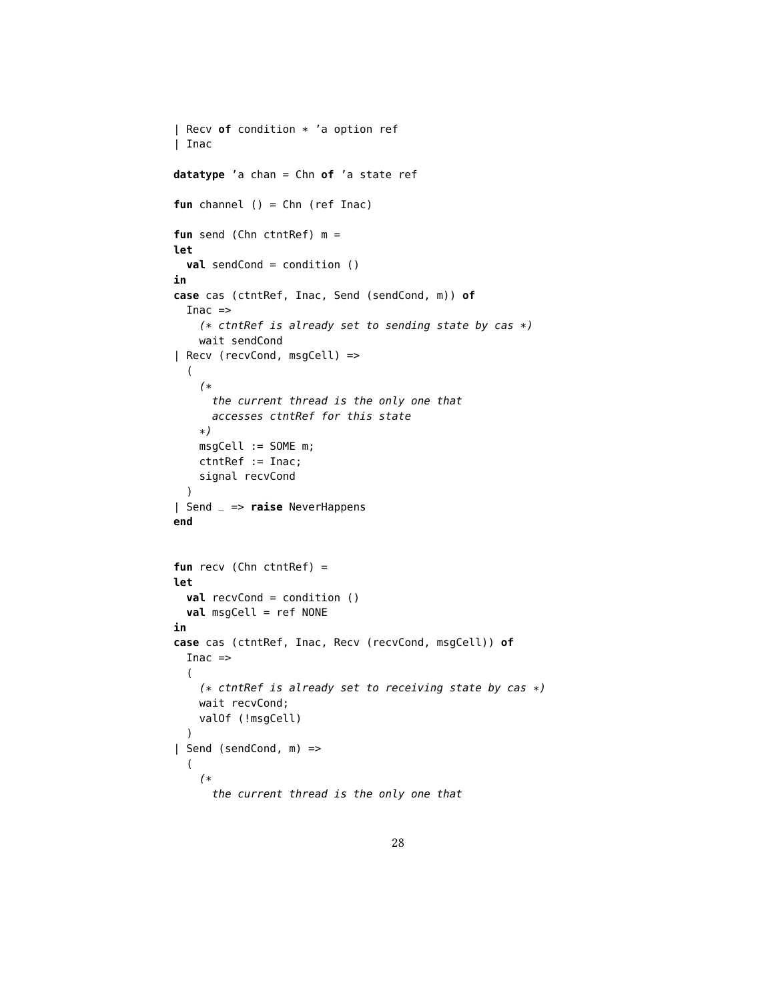```
| Recv of condition * 'a option ref
| Inac
datatype 'a chan = Chn of 'a state ref
fun channel () = Chn (ref Inac)
fun send (Chn ctntRef) m =
let
  val sendCond = condition ()
in
case cas (ctntRef, Inac, Send (sendCond, m)) of
  Inac \Rightarrow(* ctntRef is already set to sending state by cas *)wait sendCond
| Recv (recvCond, msgCell) =>
  (
    (*
      the current thread is the only one that
      accesses ctntRef for this state
    *)
    msgCell := SOME m;
    ctntRef := Inac;
    signal recvCond
  )
| Send _ => raise NeverHappens
end
fun recv (Chn ctntRef) =
let
  val recvCond = condition ()
  val msgCell = ref NONE
in
case cas (ctntRef, Inac, Recv (recvCond, msgCell)) of
  Inac \Rightarrow(
    (* ctntRef is already set to receiving state by cas *)
    wait recvCond;
    valOf (!msgCell)
  \lambda| Send (sendCond, m) =>
  (
    (*
      the current thread is the only one that
```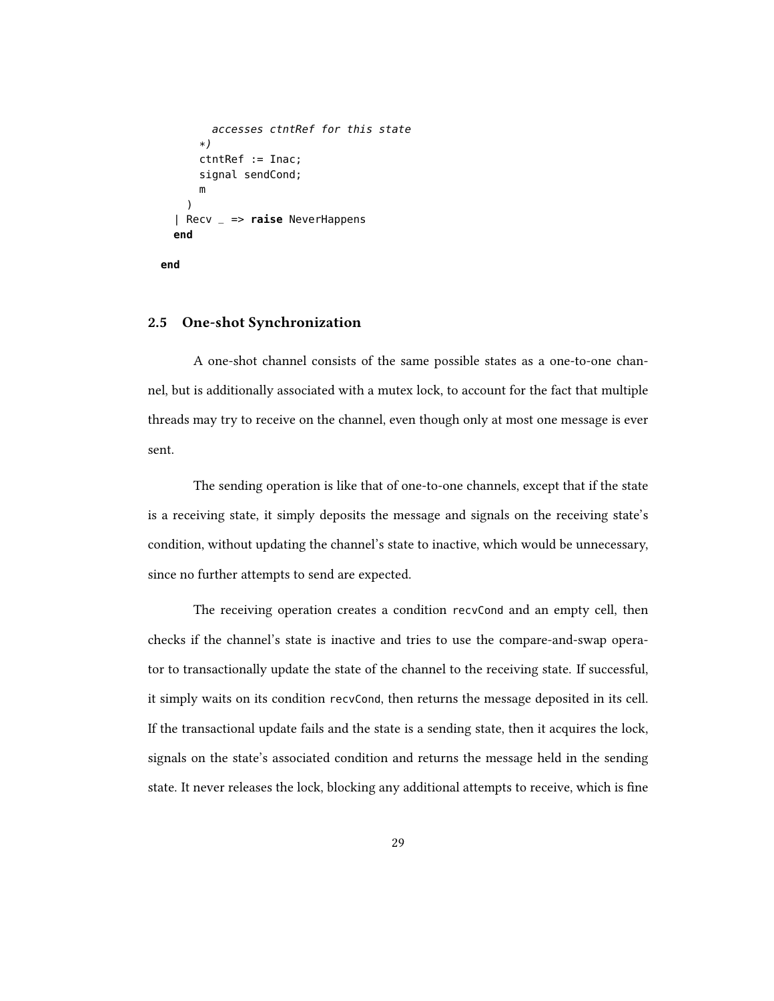```
accesses ctntRef for this state
    *)
    ctntRef := Inac;
    signal sendCond;
    m
  )
| Recv _ => raise NeverHappens
end
```
**end**

#### 2.5 One-shot Synchronization

A one-shot channel consists of the same possible states as a one-to-one channel, but is additionally associated with a mutex lock, to account for the fact that multiple threads may try to receive on the channel, even though only at most one message is ever sent.

The sending operation is like that of one-to-one channels, except that if the state is a receiving state, it simply deposits the message and signals on the receiving state's condition, without updating the channel's state to inactive, which would be unnecessary, since no further attempts to send are expected.

The receiving operation creates a condition recvCond and an empty cell, then checks if the channel's state is inactive and tries to use the compare-and-swap operator to transactionally update the state of the channel to the receiving state. If successful, it simply waits on its condition recvCond, then returns the message deposited in its cell. If the transactional update fails and the state is a sending state, then it acquires the lock, signals on the state's associated condition and returns the message held in the sending state. It never releases the lock, blocking any additional attempts to receive, which is fine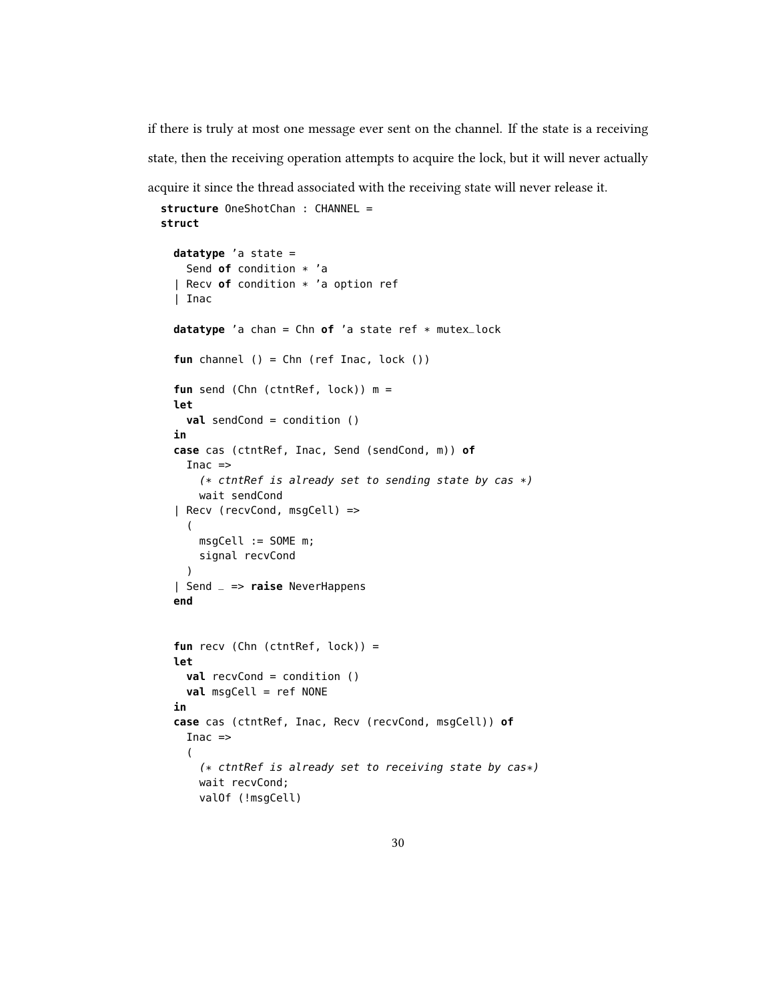if there is truly at most one message ever sent on the channel. If the state is a receiving state, then the receiving operation attempts to acquire the lock, but it will never actually

acquire it since the thread associated with the receiving state will never release it.

```
structure OneShotChan : CHANNEL =
struct
  datatype 'a state =
    Send of condition * 'a
  | Recv of condition * 'a option ref
  | Inac
  datatype 'a chan = Chn of 'a state ref * mutex_lock
  fun channel () = Chn (ref Inac, lock ())
  fun send (Chn (ctntRef, lock)) m =
  let
    val sendCond = condition ()
  in
  case cas (ctntRef, Inac, Send (sendCond, m)) of
    Inac \Rightarrow(* ctntRef is already set to sending state by cas *)
      wait sendCond
  | Recv (recvCond, msgCell) =>
    (
      msgCell := SOME m;
      signal recvCond
    \lambda| Send _ => raise NeverHappens
  end
  fun recv (Chn (ctntRef, lock)) =
  let
    val recvCond = condition ()
    val msgCell = ref NONE
  in
  case cas (ctntRef, Inac, Recv (recvCond, msgCell)) of
    Inac \Rightarrow(
      (* ctntRef is already set to receiving state by cas*)
      wait recvCond;
      valOf (!msgCell)
```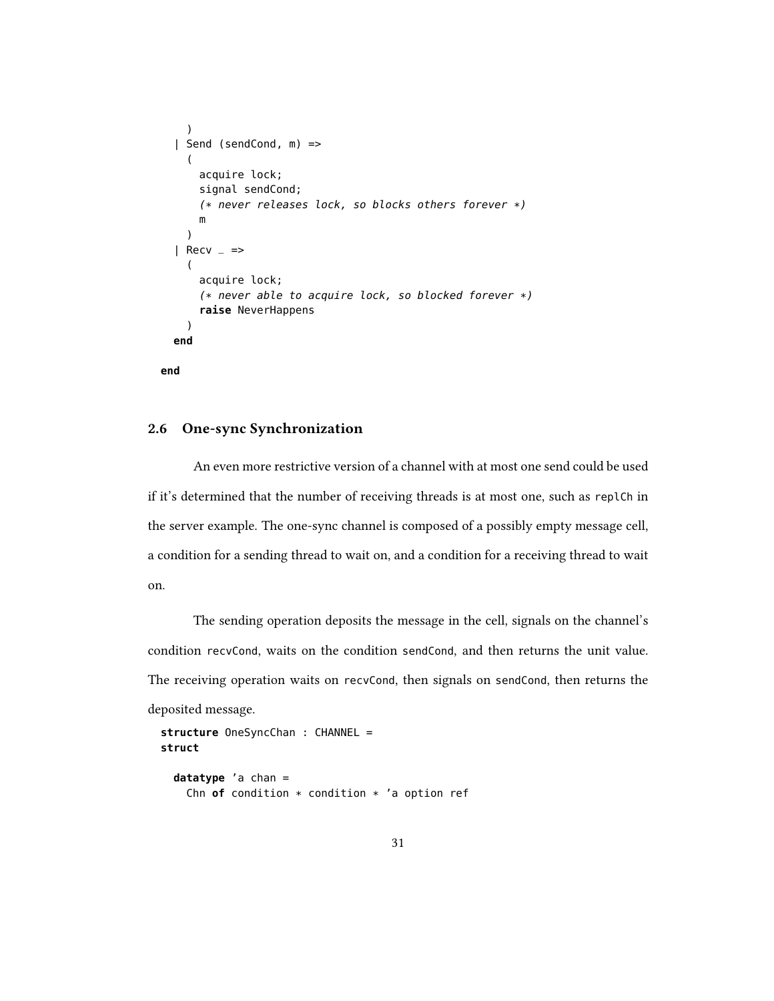```
)
| Send (sendCond, m) =>
  (
    acquire lock;
    signal sendCond;
    (* never releases lock, so blocks others forever *)
    m
  )
| Recv = \Rightarrow(
    acquire lock;
    (* never able to acquire lock, so blocked forever *)
    raise NeverHappens
  \lambdaend
```

```
end
```
## 2.6 One-sync Synchronization

An even more restrictive version of a channel with at most one send could be used if it's determined that the number of receiving threads is at most one, such as replCh in the server example. The one-sync channel is composed of a possibly empty message cell, a condition for a sending thread to wait on, and a condition for a receiving thread to wait on.

The sending operation deposits the message in the cell, signals on the channel's condition recvCond, waits on the condition sendCond, and then returns the unit value. The receiving operation waits on recvCond, then signals on sendCond, then returns the deposited message.

```
structure OneSyncChan : CHANNEL =
struct
  datatype 'a chan =
```

```
Chn of condition * condition * 'a option ref
```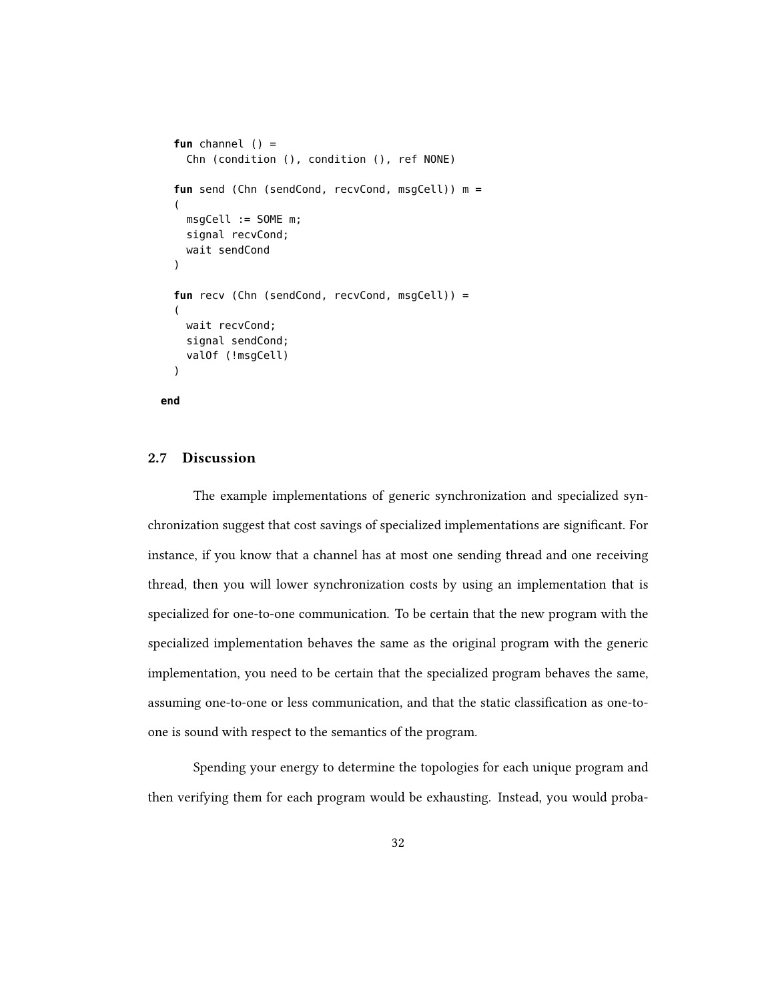```
fun channel () =
  Chn (condition (), condition (), ref NONE)
fun send (Chn (sendCond, recvCond, msqCell)) m =
(
 msgCell := SOME m;
 signal recvCond;
 wait sendCond
)
fun recv (Chn (sendCond, recvCond, msgCell)) =
(
 wait recvCond;
  signal sendCond;
 valOf (!msgCell)
)
```

```
end
```
## 2.7 Discussion

The example implementations of generic synchronization and specialized synchronization suggest that cost savings of specialized implementations are signicant. For instance, if you know that a channel has at most one sending thread and one receiving thread, then you will lower synchronization costs by using an implementation that is specialized for one-to-one communication. To be certain that the new program with the specialized implementation behaves the same as the original program with the generic implementation, you need to be certain that the specialized program behaves the same, assuming one-to-one or less communication, and that the static classification as one-toone is sound with respect to the semantics of the program.

Spending your energy to determine the topologies for each unique program and then verifying them for each program would be exhausting. Instead, you would proba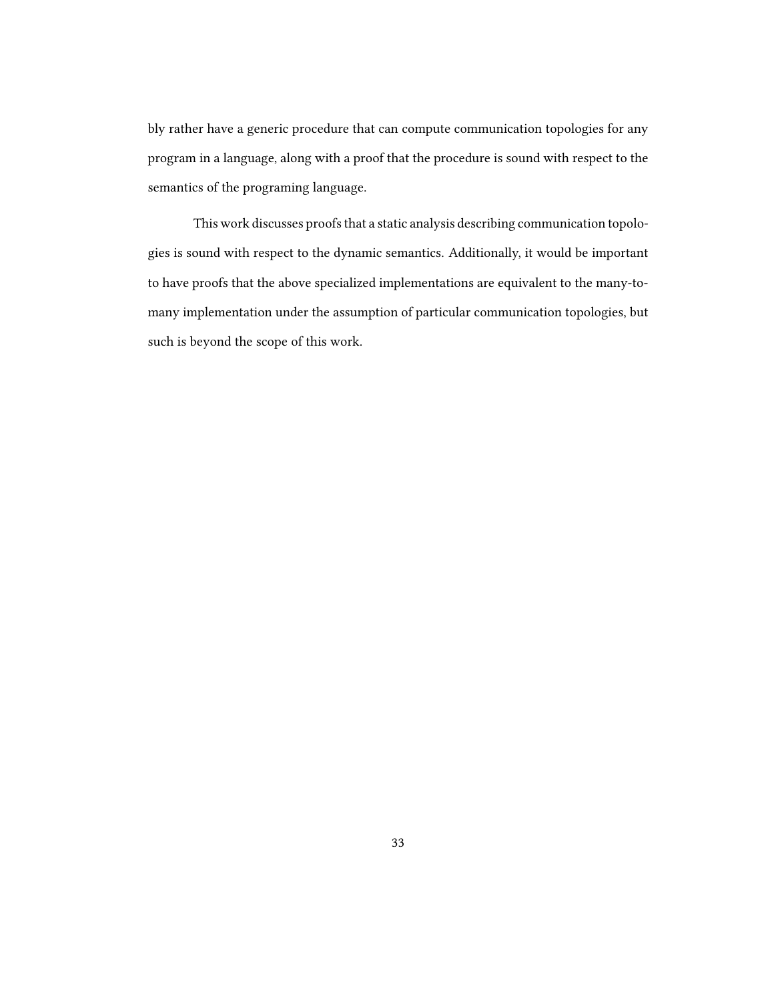bly rather have a generic procedure that can compute communication topologies for any program in a language, along with a proof that the procedure is sound with respect to the semantics of the programing language.

This work discusses proofs that a static analysis describing communication topologies is sound with respect to the dynamic semantics. Additionally, it would be important to have proofs that the above specialized implementations are equivalent to the many-tomany implementation under the assumption of particular communication topologies, but such is beyond the scope of this work.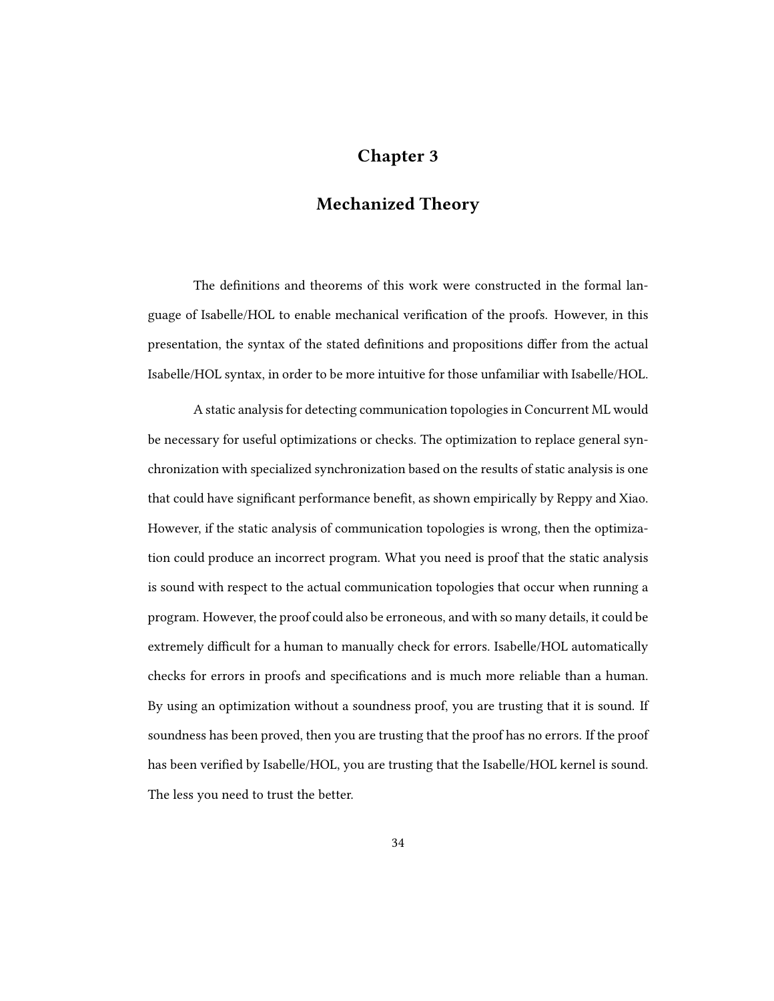## Chapter 3

# Mechanized Theory

The definitions and theorems of this work were constructed in the formal language of Isabelle/HOL to enable mechanical verification of the proofs. However, in this presentation, the syntax of the stated definitions and propositions differ from the actual Isabelle/HOL syntax, in order to be more intuitive for those unfamiliar with Isabelle/HOL.

A static analysis for detecting communication topologies in Concurrent ML would be necessary for useful optimizations or checks. The optimization to replace general synchronization with specialized synchronization based on the results of static analysis is one that could have significant performance benefit, as shown empirically by Reppy and Xiao. However, if the static analysis of communication topologies is wrong, then the optimization could produce an incorrect program. What you need is proof that the static analysis is sound with respect to the actual communication topologies that occur when running a program. However, the proof could also be erroneous, and with so many details, it could be extremely difficult for a human to manually check for errors. Isabelle/HOL automatically checks for errors in proofs and specifications and is much more reliable than a human. By using an optimization without a soundness proof, you are trusting that it is sound. If soundness has been proved, then you are trusting that the proof has no errors. If the proof has been verified by Isabelle/HOL, you are trusting that the Isabelle/HOL kernel is sound. The less you need to trust the better.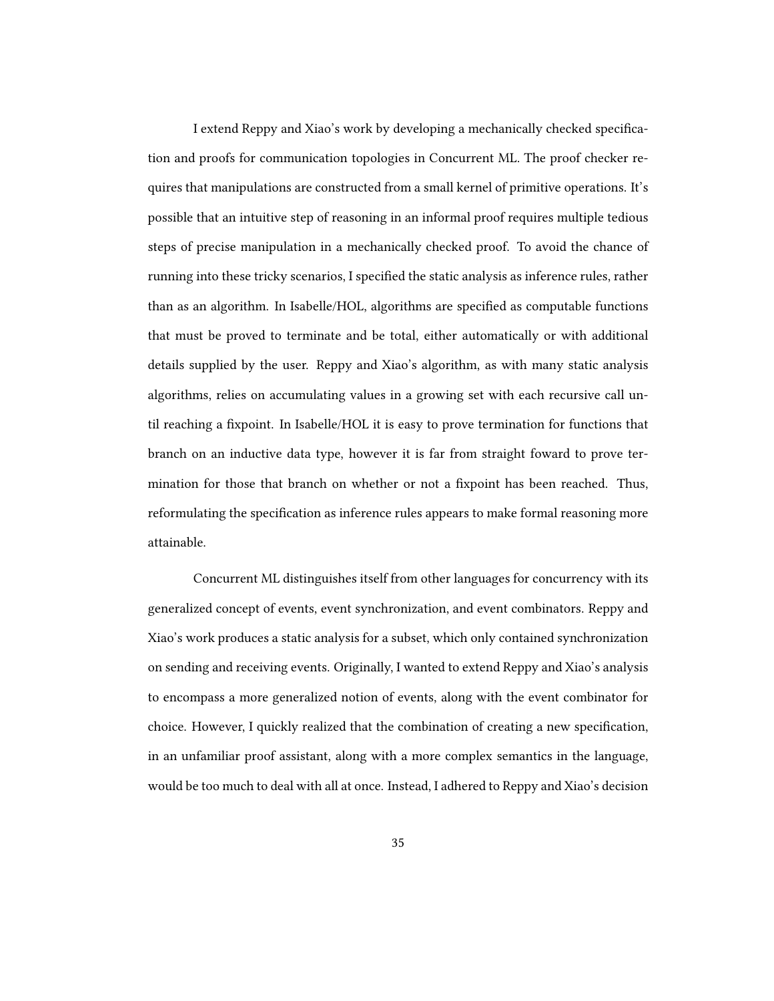I extend Reppy and Xiao's work by developing a mechanically checked specification and proofs for communication topologies in Concurrent ML. The proof checker requires that manipulations are constructed from a small kernel of primitive operations. It's possible that an intuitive step of reasoning in an informal proof requires multiple tedious steps of precise manipulation in a mechanically checked proof. To avoid the chance of running into these tricky scenarios, I specified the static analysis as inference rules, rather than as an algorithm. In Isabelle/HOL, algorithms are specified as computable functions that must be proved to terminate and be total, either automatically or with additional details supplied by the user. Reppy and Xiao's algorithm, as with many static analysis algorithms, relies on accumulating values in a growing set with each recursive call until reaching a fixpoint. In Isabelle/HOL it is easy to prove termination for functions that branch on an inductive data type, however it is far from straight foward to prove termination for those that branch on whether or not a fixpoint has been reached. Thus, reformulating the specification as inference rules appears to make formal reasoning more attainable.

Concurrent ML distinguishes itself from other languages for concurrency with its generalized concept of events, event synchronization, and event combinators. Reppy and Xiao's work produces a static analysis for a subset, which only contained synchronization on sending and receiving events. Originally, I wanted to extend Reppy and Xiao's analysis to encompass a more generalized notion of events, along with the event combinator for choice. However, I quickly realized that the combination of creating a new specification, in an unfamiliar proof assistant, along with a more complex semantics in the language, would be too much to deal with all at once. Instead, I adhered to Reppy and Xiao's decision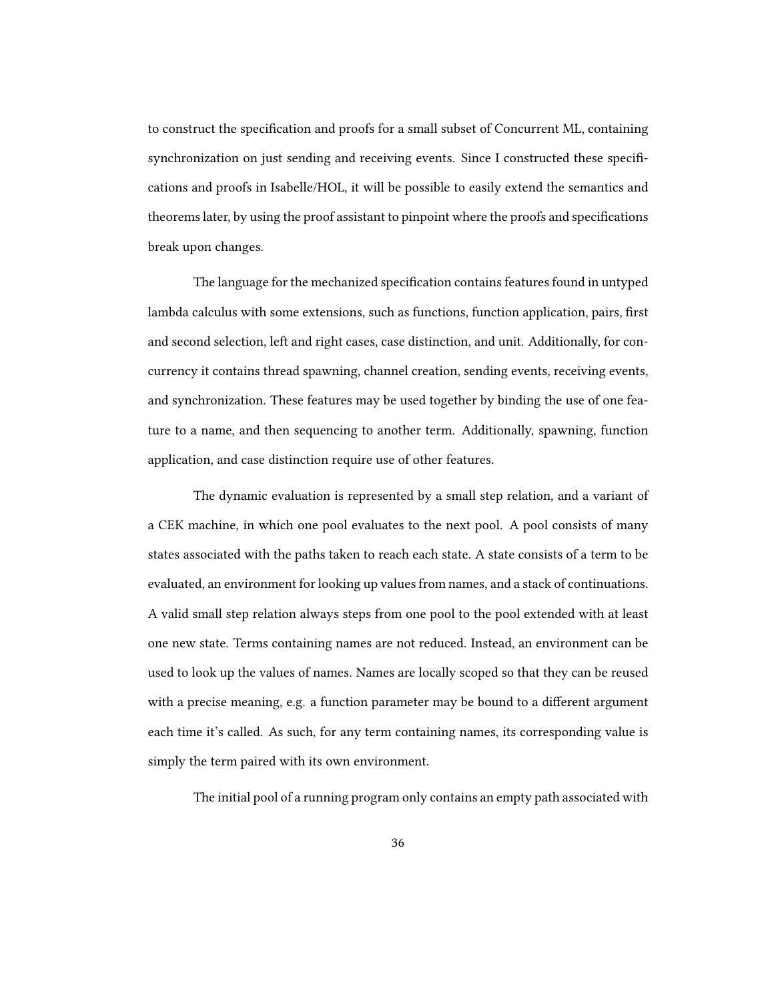to construct the specification and proofs for a small subset of Concurrent ML, containing synchronization on just sending and receiving events. Since I constructed these specifications and proofs in Isabelle/HOL, it will be possible to easily extend the semantics and theorems later, by using the proof assistant to pinpoint where the proofs and specifications break upon changes.

The language for the mechanized specification contains features found in untyped lambda calculus with some extensions, such as functions, function application, pairs, first and second selection, left and right cases, case distinction, and unit. Additionally, for concurrency it contains thread spawning, channel creation, sending events, receiving events, and synchronization. These features may be used together by binding the use of one feature to a name, and then sequencing to another term. Additionally, spawning, function application, and case distinction require use of other features.

The dynamic evaluation is represented by a small step relation, and a variant of a CEK machine, in which one pool evaluates to the next pool. A pool consists of many states associated with the paths taken to reach each state. A state consists of a term to be evaluated, an environment for looking up values from names, and a stack of continuations. A valid small step relation always steps from one pool to the pool extended with at least one new state. Terms containing names are not reduced. Instead, an environment can be used to look up the values of names. Names are locally scoped so that they can be reused with a precise meaning, e.g. a function parameter may be bound to a different argument each time it's called. As such, for any term containing names, its corresponding value is simply the term paired with its own environment.

The initial pool of a running program only contains an empty path associated with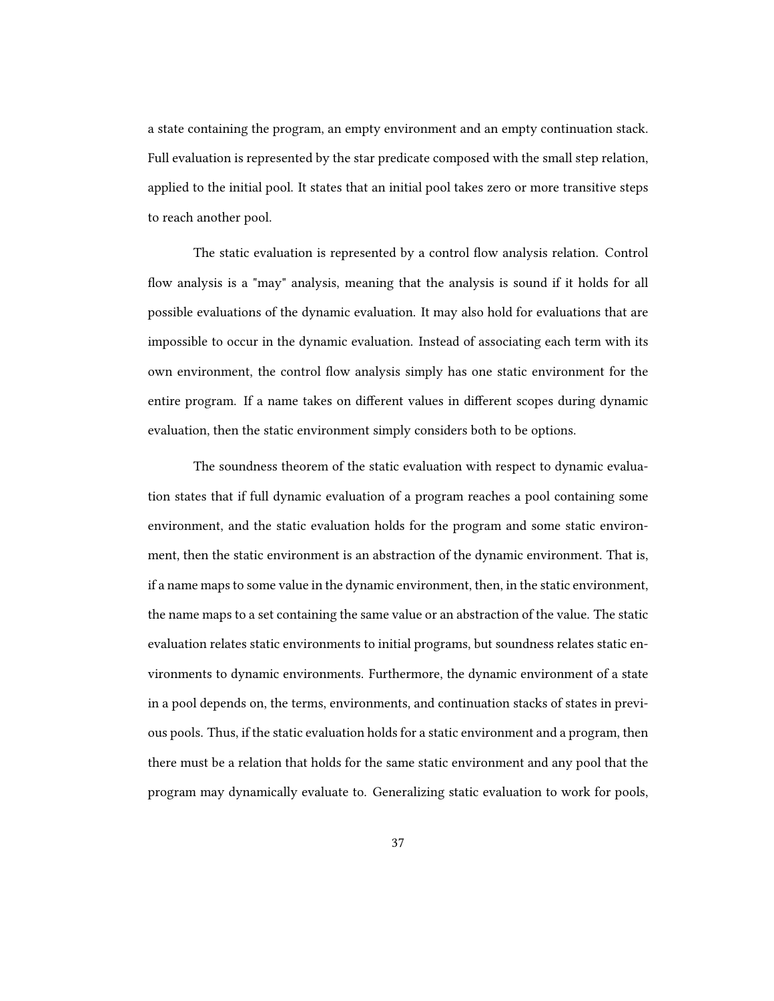a state containing the program, an empty environment and an empty continuation stack. Full evaluation is represented by the star predicate composed with the small step relation, applied to the initial pool. It states that an initial pool takes zero or more transitive steps to reach another pool.

The static evaluation is represented by a control flow analysis relation. Control flow analysis is a "may" analysis, meaning that the analysis is sound if it holds for all possible evaluations of the dynamic evaluation. It may also hold for evaluations that are impossible to occur in the dynamic evaluation. Instead of associating each term with its own environment, the control flow analysis simply has one static environment for the entire program. If a name takes on different values in different scopes during dynamic evaluation, then the static environment simply considers both to be options.

The soundness theorem of the static evaluation with respect to dynamic evaluation states that if full dynamic evaluation of a program reaches a pool containing some environment, and the static evaluation holds for the program and some static environment, then the static environment is an abstraction of the dynamic environment. That is, if a name maps to some value in the dynamic environment, then, in the static environment, the name maps to a set containing the same value or an abstraction of the value. The static evaluation relates static environments to initial programs, but soundness relates static environments to dynamic environments. Furthermore, the dynamic environment of a state in a pool depends on, the terms, environments, and continuation stacks of states in previous pools. Thus, if the static evaluation holds for a static environment and a program, then there must be a relation that holds for the same static environment and any pool that the program may dynamically evaluate to. Generalizing static evaluation to work for pools,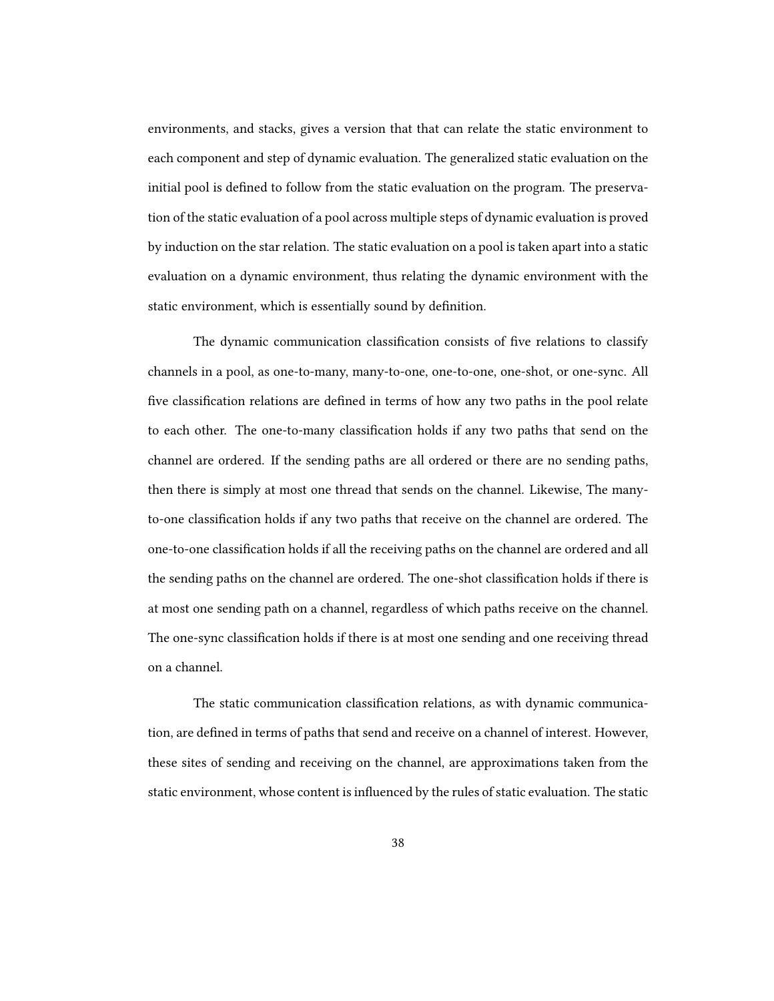environments, and stacks, gives a version that that can relate the static environment to each component and step of dynamic evaluation. The generalized static evaluation on the initial pool is defined to follow from the static evaluation on the program. The preservation of the static evaluation of a pool across multiple steps of dynamic evaluation is proved by induction on the star relation. The static evaluation on a pool is taken apart into a static evaluation on a dynamic environment, thus relating the dynamic environment with the static environment, which is essentially sound by definition.

The dynamic communication classification consists of five relations to classify channels in a pool, as one-to-many, many-to-one, one-to-one, one-shot, or one-sync. All five classification relations are defined in terms of how any two paths in the pool relate to each other. The one-to-many classification holds if any two paths that send on the channel are ordered. If the sending paths are all ordered or there are no sending paths, then there is simply at most one thread that sends on the channel. Likewise, The manyto-one classification holds if any two paths that receive on the channel are ordered. The one-to-one classification holds if all the receiving paths on the channel are ordered and all the sending paths on the channel are ordered. The one-shot classification holds if there is at most one sending path on a channel, regardless of which paths receive on the channel. The one-sync classification holds if there is at most one sending and one receiving thread on a channel.

The static communication classification relations, as with dynamic communication, are defined in terms of paths that send and receive on a channel of interest. However, these sites of sending and receiving on the channel, are approximations taken from the static environment, whose content is influenced by the rules of static evaluation. The static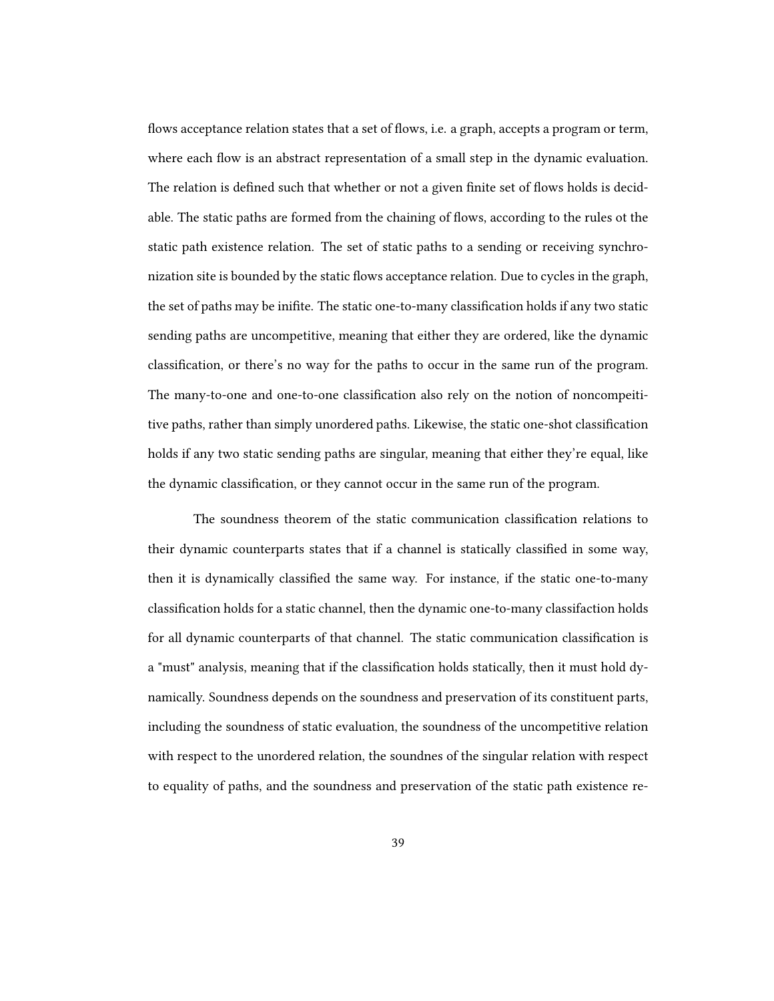flows acceptance relation states that a set of flows, i.e. a graph, accepts a program or term, where each flow is an abstract representation of a small step in the dynamic evaluation. The relation is defined such that whether or not a given finite set of flows holds is decidable. The static paths are formed from the chaining of flows, according to the rules ot the static path existence relation. The set of static paths to a sending or receiving synchronization site is bounded by the static flows acceptance relation. Due to cycles in the graph, the set of paths may be inifite. The static one-to-many classification holds if any two static sending paths are uncompetitive, meaning that either they are ordered, like the dynamic classification, or there's no way for the paths to occur in the same run of the program. The many-to-one and one-to-one classification also rely on the notion of noncompeititive paths, rather than simply unordered paths. Likewise, the static one-shot classification holds if any two static sending paths are singular, meaning that either they're equal, like the dynamic classification, or they cannot occur in the same run of the program.

The soundness theorem of the static communication classification relations to their dynamic counterparts states that if a channel is statically classified in some way, then it is dynamically classified the same way. For instance, if the static one-to-many classification holds for a static channel, then the dynamic one-to-many classifaction holds for all dynamic counterparts of that channel. The static communication classification is a "must" analysis, meaning that if the classification holds statically, then it must hold dynamically. Soundness depends on the soundness and preservation of its constituent parts, including the soundness of static evaluation, the soundness of the uncompetitive relation with respect to the unordered relation, the soundnes of the singular relation with respect to equality of paths, and the soundness and preservation of the static path existence re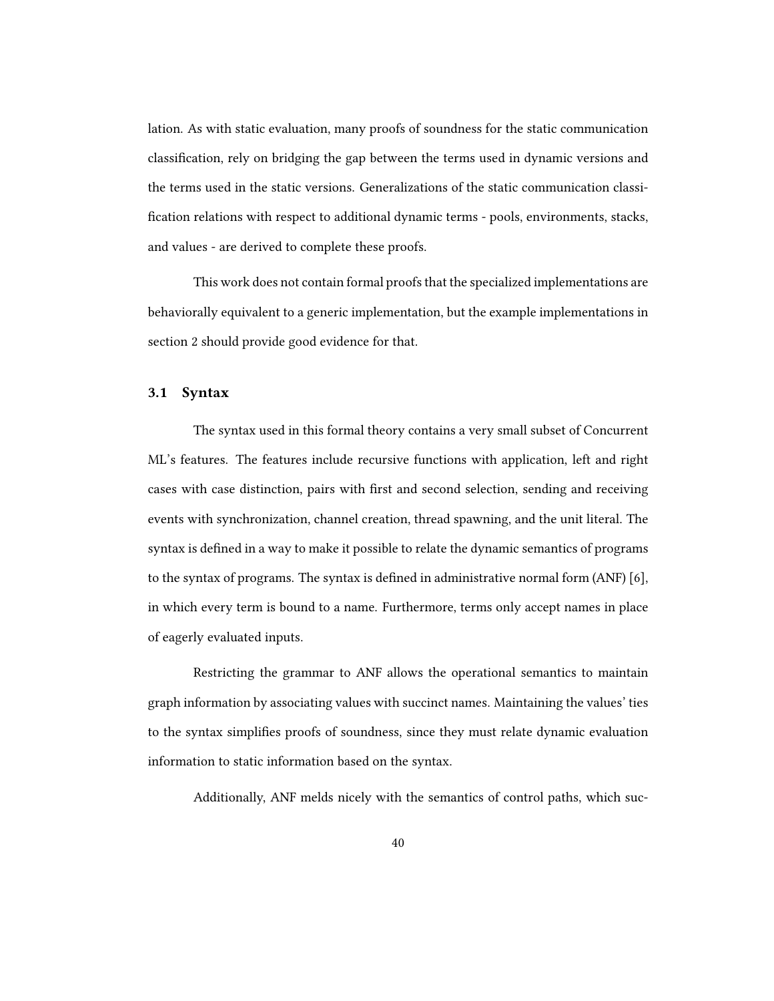lation. As with static evaluation, many proofs of soundness for the static communication classification, rely on bridging the gap between the terms used in dynamic versions and the terms used in the static versions. Generalizations of the static communication classi fication relations with respect to additional dynamic terms - pools, environments, stacks, and values - are derived to complete these proofs.

This work does not contain formal proofs that the specialized implementations are behaviorally equivalent to a generic implementation, but the example implementations in section 2 should provide good evidence for that.

#### 3.1 Syntax

The syntax used in this formal theory contains a very small subset of Concurrent ML's features. The features include recursive functions with application, left and right cases with case distinction, pairs with first and second selection, sending and receiving events with synchronization, channel creation, thread spawning, and the unit literal. The syntax is defined in a way to make it possible to relate the dynamic semantics of programs to the syntax of programs. The syntax is defined in administrative normal form  $(ANF)$  [6], in which every term is bound to a name. Furthermore, terms only accept names in place of eagerly evaluated inputs.

Restricting the grammar to ANF allows the operational semantics to maintain graph information by associating values with succinct names. Maintaining the values' ties to the syntax simplies proofs of soundness, since they must relate dynamic evaluation information to static information based on the syntax.

Additionally, ANF melds nicely with the semantics of control paths, which suc-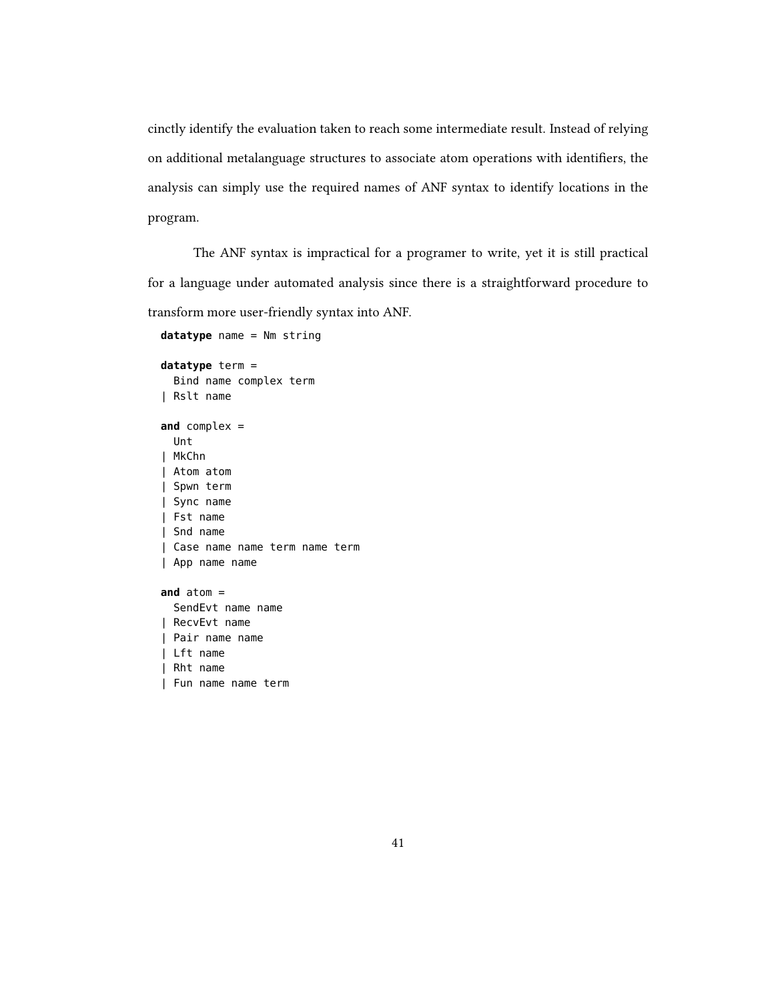cinctly identify the evaluation taken to reach some intermediate result. Instead of relying on additional metalanguage structures to associate atom operations with identifiers, the analysis can simply use the required names of ANF syntax to identify locations in the program.

The ANF syntax is impractical for a programer to write, yet it is still practical for a language under automated analysis since there is a straightforward procedure to transform more user-friendly syntax into ANF.

**datatype** name = Nm string **datatype** term = Bind name complex term | Rslt name **and** complex = Unt | MkChn | Atom atom | Spwn term | Sync name | Fst name | Snd name | Case name name term name term | App name name **and** atom = SendEvt name name | RecvEvt name | Pair name name | Lft name | Rht name | Fun name name term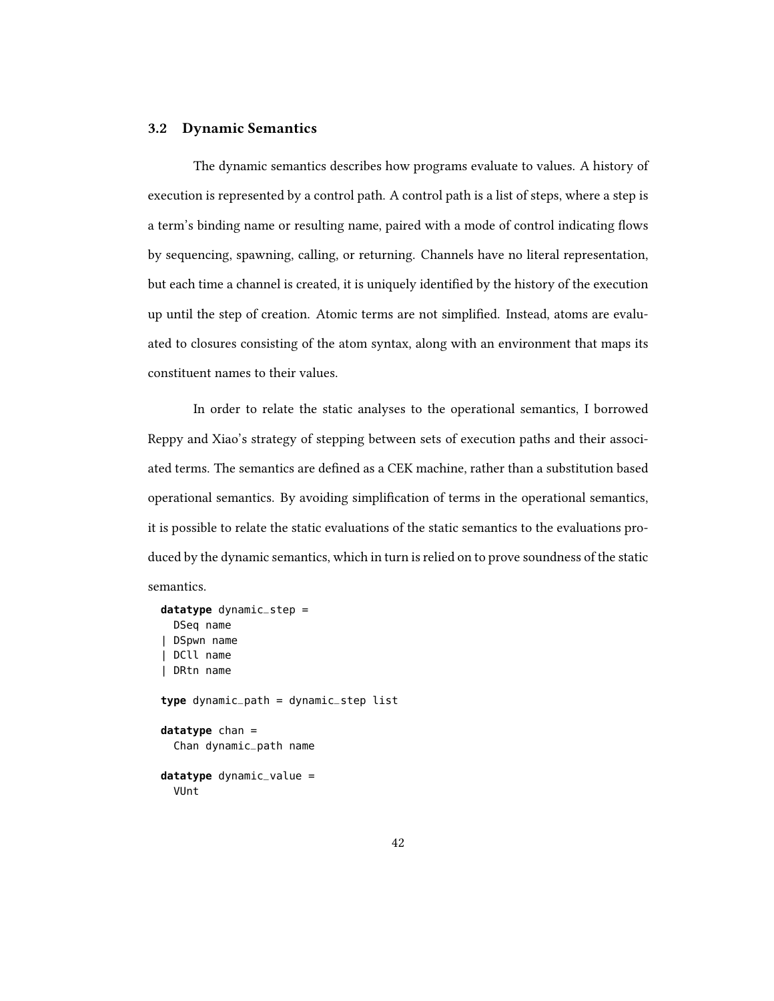### 3.2 Dynamic Semantics

The dynamic semantics describes how programs evaluate to values. A history of execution is represented by a control path. A control path is a list of steps, where a step is a term's binding name or resulting name, paired with a mode of control indicating flows by sequencing, spawning, calling, or returning. Channels have no literal representation, but each time a channel is created, it is uniquely identified by the history of the execution up until the step of creation. Atomic terms are not simplied. Instead, atoms are evaluated to closures consisting of the atom syntax, along with an environment that maps its constituent names to their values.

In order to relate the static analyses to the operational semantics, I borrowed Reppy and Xiao's strategy of stepping between sets of execution paths and their associated terms. The semantics are defined as a CEK machine, rather than a substitution based operational semantics. By avoiding simplication of terms in the operational semantics, it is possible to relate the static evaluations of the static semantics to the evaluations produced by the dynamic semantics, which in turn is relied on to prove soundness of the static semantics.

```
datatype dynamic_step =
 DSeq name
| DSpwn name
| DCll name
| DRtn name
type dynamic_path = dynamic_step list
datatype chan =
  Chan dynamic_path name
datatype dynamic_value =
  VUnt
```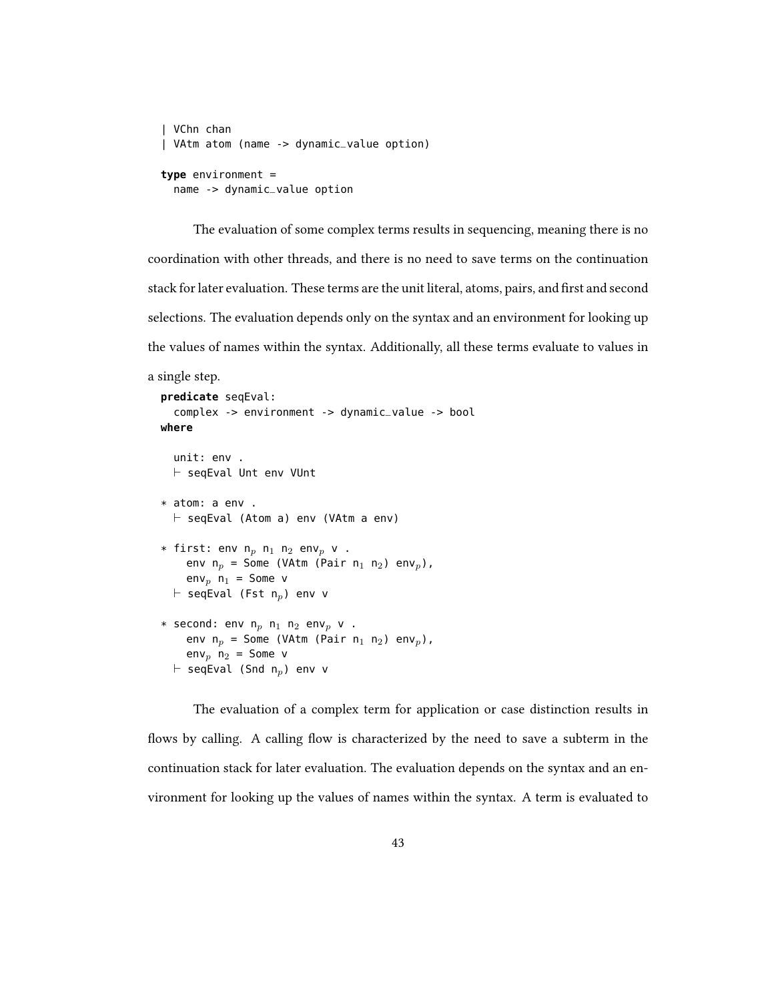```
| VChn chan
| VAtm atom (name -> dynamic_value option)
type environment =
  name -> dynamic_value option
```
The evaluation of some complex terms results in sequencing, meaning there is no coordination with other threads, and there is no need to save terms on the continuation stack for later evaluation. These terms are the unit literal, atoms, pairs, and first and second selections. The evaluation depends only on the syntax and an environment for looking up the values of names within the syntax. Additionally, all these terms evaluate to values in

```
a single step.
  predicate seqEval:
     complex -> environment -> dynamic_value -> bool
  where
     unit: env .
     \vdash seqEval Unt env VUnt
  * atom: a env .
     \vdash seqEval (Atom a) env (VAtm a env)
  * first: env n_p n_1 n_2 env<sub>p</sub> v .
       env n_p = Some (VAtm (Pair n_1 n_2) env<sub>p</sub>),
       env<sub>n</sub> n_1 = Some v
     \vdash seqEval (Fst n<sub>p</sub>) env v
  * second: env n_p n_1 n_2 env<sub>p</sub> v .
       env n_p = Some (VAtm (Pair n_1 n_2) env<sub>p</sub>),
       env<sub>p</sub> n_2 = Some v
     \vdash seqEval (Snd n<sub>p</sub>) env v
```
The evaluation of a complex term for application or case distinction results in flows by calling. A calling flow is characterized by the need to save a subterm in the continuation stack for later evaluation. The evaluation depends on the syntax and an environment for looking up the values of names within the syntax. A term is evaluated to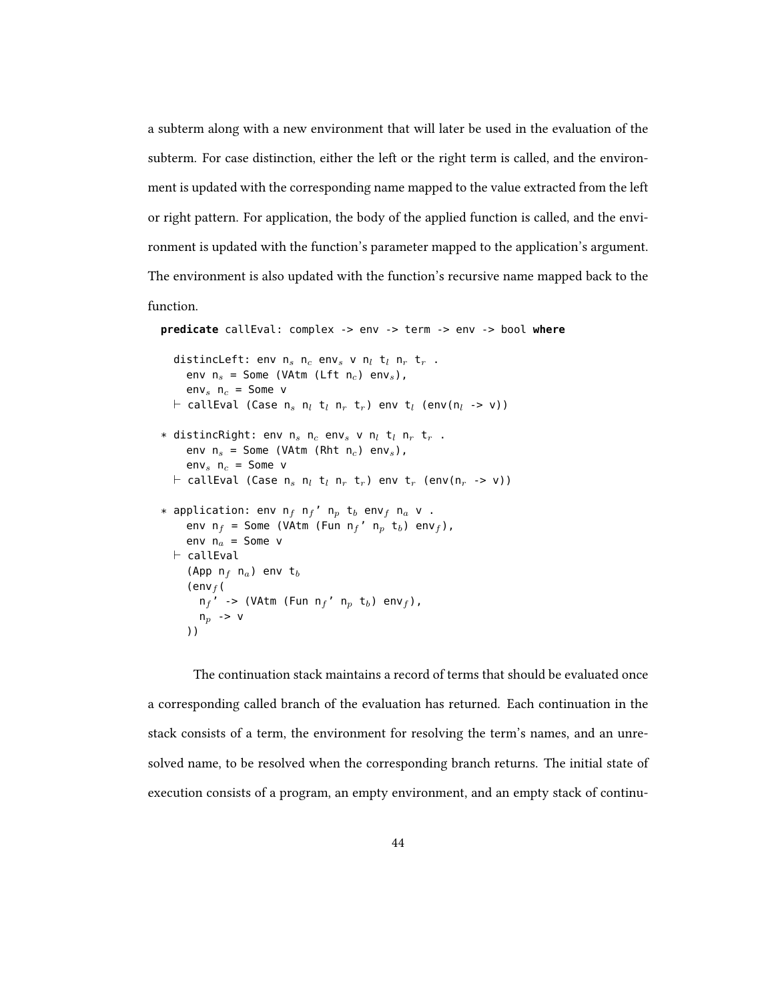a subterm along with a new environment that will later be used in the evaluation of the subterm. For case distinction, either the left or the right term is called, and the environment is updated with the corresponding name mapped to the value extracted from the left or right pattern. For application, the body of the applied function is called, and the environment is updated with the function's parameter mapped to the application's argument. The environment is also updated with the function's recursive name mapped back to the

```
function.
```

```
predicate callEval: complex -> env -> term -> env -> bool where
   distincLeft: env n_s n_c env<sub>s</sub> v n_l t<sub>l</sub> n_r t<sub>r</sub>.
      env n_s = Some (VAtm (Lft n_c) env<sub>s</sub>),
      env<sub>s</sub> n_c = Some v
   \vdash callEval (Case n<sub>s</sub> n<sub>l</sub> t<sub>l</sub> n<sub>r</sub> t<sub>r</sub>) env t<sub>l</sub> (env(n<sub>l</sub> -> v))
* distincRight: env n_s n_c env<sub>s</sub> v n_l t<sub>l</sub> n_r t<sub>r</sub>.
      env n_s = Some (VAtm (Rht n_c) env<sub>s</sub>),
      env<sub>s</sub> n_c = Some v
   \vdash callEval (Case n<sub>s</sub> n<sub>l</sub> t<sub>l</sub> n<sub>r</sub> t<sub>r</sub>) env t<sub>r</sub> (env(n<sub>r</sub> -> v))
* application: env n_f n_f' n_p t_b env<sub>f</sub> n_a v.
      env n_f = Some (VAtm (Fun n_f' n_p t<sub>b</sub>) env<sub>f</sub>),
      env n_a = Some v
   \vdash callEval
       (App n_f n_a) env t_b(env_f(
          n_f' -> (VAtm (Fun n_f' n_p t<sub>b</sub>) env<sub>f</sub>),
          n_p \rightarrow v))
```
The continuation stack maintains a record of terms that should be evaluated once a corresponding called branch of the evaluation has returned. Each continuation in the stack consists of a term, the environment for resolving the term's names, and an unresolved name, to be resolved when the corresponding branch returns. The initial state of execution consists of a program, an empty environment, and an empty stack of continu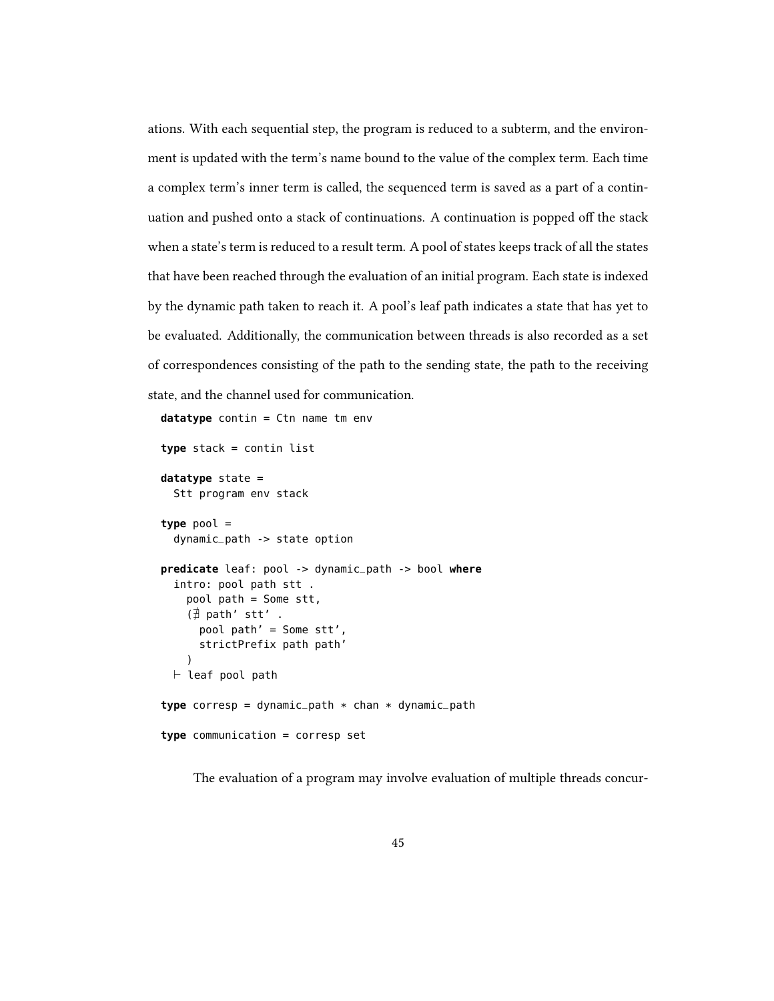ations. With each sequential step, the program is reduced to a subterm, and the environment is updated with the term's name bound to the value of the complex term. Each time a complex term's inner term is called, the sequenced term is saved as a part of a continuation and pushed onto a stack of continuations. A continuation is popped off the stack when a state's term is reduced to a result term. A pool of states keeps track of all the states that have been reached through the evaluation of an initial program. Each state is indexed by the dynamic path taken to reach it. A pool's leaf path indicates a state that has yet to be evaluated. Additionally, the communication between threads is also recorded as a set of correspondences consisting of the path to the sending state, the path to the receiving state, and the channel used for communication.

```
datatype contin = Ctn name tm env
```
**type** stack = contin list

```
datatype state =
  Stt program env stack
type pool =
  dynamic_path -> state option
predicate leaf: pool -> dynamic_path -> bool where
  intro: pool path stt .
    pool path = Some stt,
    (\nexists path' stt'.
      pool path' = Some stt',
      strictPrefix path path'
    \lambda\vdash leaf pool path
type corresp = dynamic_path * chan * dynamic_path
type communication = corresp set
```
The evaluation of a program may involve evaluation of multiple threads concur-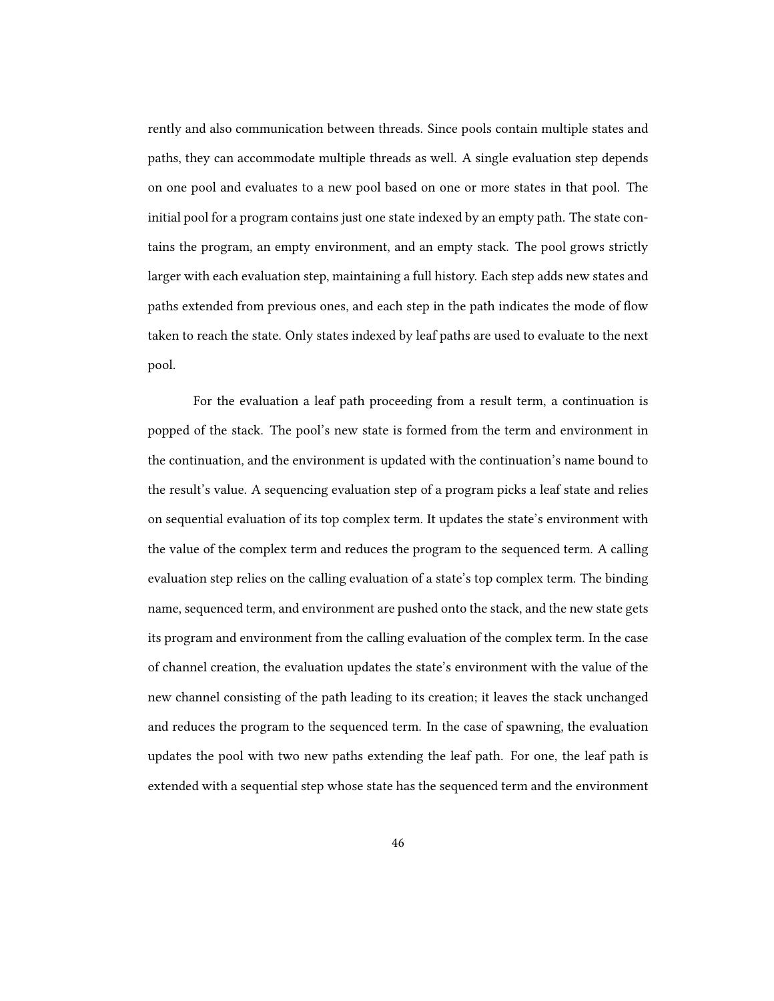rently and also communication between threads. Since pools contain multiple states and paths, they can accommodate multiple threads as well. A single evaluation step depends on one pool and evaluates to a new pool based on one or more states in that pool. The initial pool for a program contains just one state indexed by an empty path. The state contains the program, an empty environment, and an empty stack. The pool grows strictly larger with each evaluation step, maintaining a full history. Each step adds new states and paths extended from previous ones, and each step in the path indicates the mode of flow taken to reach the state. Only states indexed by leaf paths are used to evaluate to the next pool.

For the evaluation a leaf path proceeding from a result term, a continuation is popped of the stack. The pool's new state is formed from the term and environment in the continuation, and the environment is updated with the continuation's name bound to the result's value. A sequencing evaluation step of a program picks a leaf state and relies on sequential evaluation of its top complex term. It updates the state's environment with the value of the complex term and reduces the program to the sequenced term. A calling evaluation step relies on the calling evaluation of a state's top complex term. The binding name, sequenced term, and environment are pushed onto the stack, and the new state gets its program and environment from the calling evaluation of the complex term. In the case of channel creation, the evaluation updates the state's environment with the value of the new channel consisting of the path leading to its creation; it leaves the stack unchanged and reduces the program to the sequenced term. In the case of spawning, the evaluation updates the pool with two new paths extending the leaf path. For one, the leaf path is extended with a sequential step whose state has the sequenced term and the environment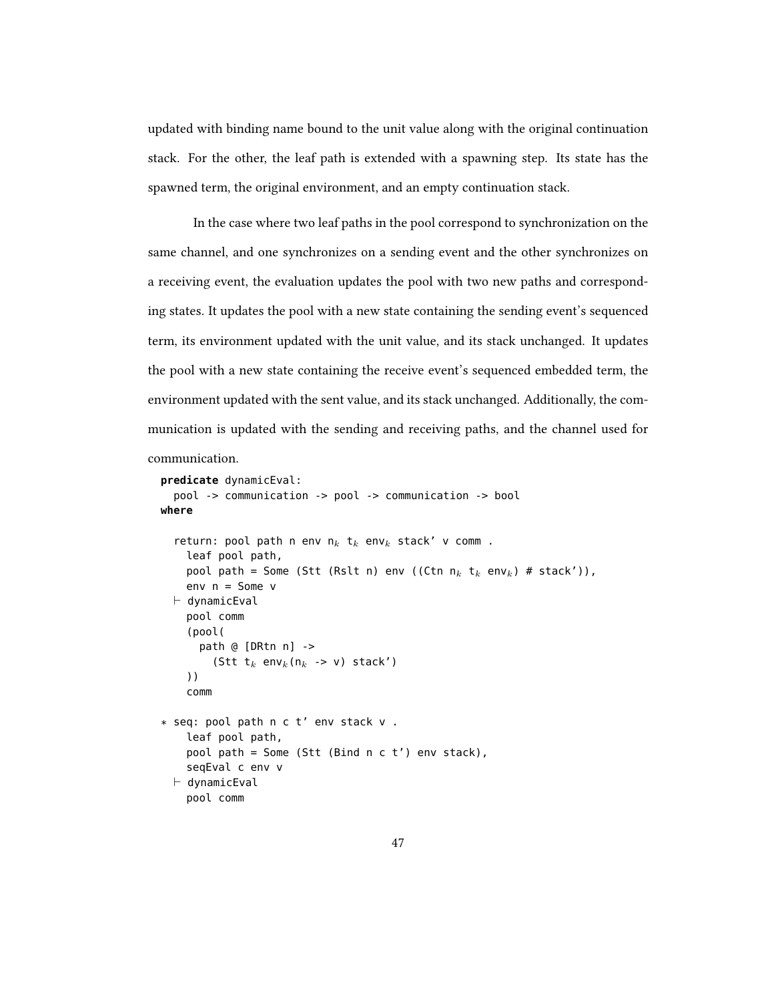updated with binding name bound to the unit value along with the original continuation stack. For the other, the leaf path is extended with a spawning step. Its state has the spawned term, the original environment, and an empty continuation stack.

In the case where two leaf paths in the pool correspond to synchronization on the same channel, and one synchronizes on a sending event and the other synchronizes on a receiving event, the evaluation updates the pool with two new paths and corresponding states. It updates the pool with a new state containing the sending event's sequenced term, its environment updated with the unit value, and its stack unchanged. It updates the pool with a new state containing the receive event's sequenced embedded term, the environment updated with the sent value, and its stack unchanged. Additionally, the communication is updated with the sending and receiving paths, and the channel used for

```
communication.
```

```
predicate dynamicEval:
  pool -> communication -> pool -> communication -> bool
where
  return: pool path n env n_k t<sub>k</sub> env<sub>k</sub> stack' v comm .
    leaf pool path,
    pool path = Some (Stt (Rslt n) env ((Ctn n_k t<sub>k</sub> env<sub>k</sub>) # stack')),
    env n = Some v
  \vdash dynamicEval
    pool comm
    (pool(
       path @ [DRtn n] ->
         (Stt t_k env<sub>k</sub>(n_k -> v) stack')
    ))
    comm
* seq: pool path n c t' env stack v .
    leaf pool path,
    pool path = Some (Stt (Bind n c t') env stack),
    seqEval c env v
  \vdash dynamicEval
    pool comm
```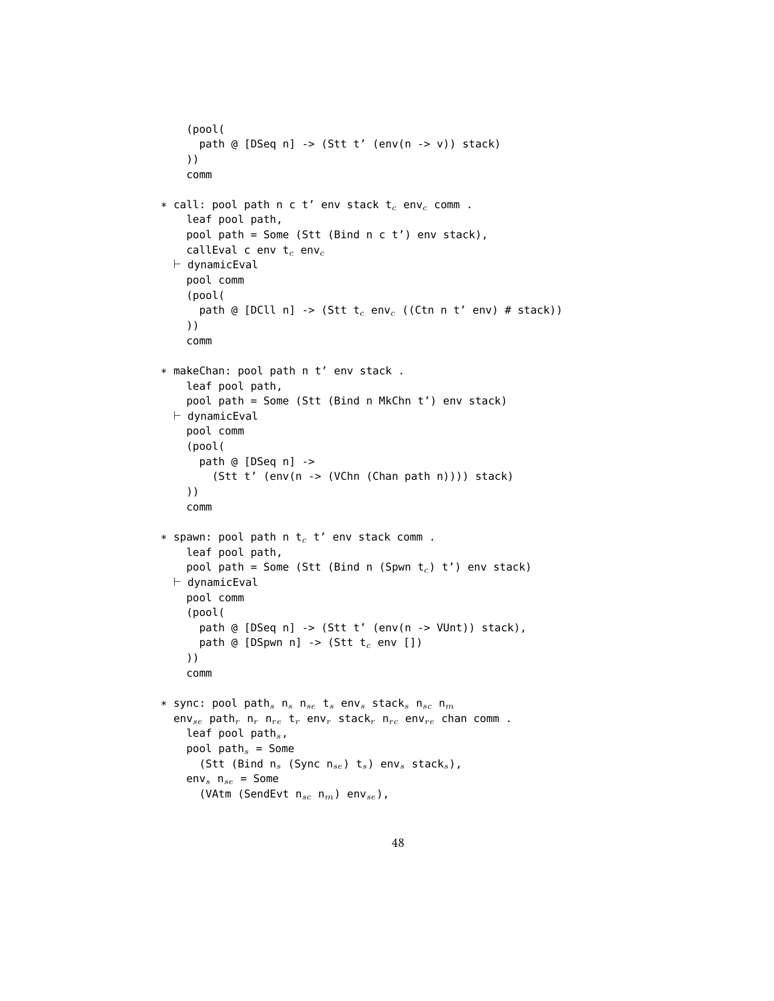```
(pool(
        path @ [DSeq n] -> (Stt t' (env(n -> v)) stack)
     ))
     comm
* call: pool path n c t' env stack t_c env<sub>c</sub> comm .
     leaf pool path,
     pool path = Some (Stt (Bind n c t') env stack),
     callEval c env t_c env_c\vdash dynamicEval
     pool comm
     (pool(
        path @ [DCll n] -> (Stt t<sub>c</sub> env<sub>c</sub> ((Ctn n t' env) # stack))
     ))
     comm
* makeChan: pool path n t' env stack .
     leaf pool path,
     pool path = Some (Stt (Bind n MkChn t') env stack)
  \vdash dynamicEval
     pool comm
     (pool(
        path @ [DSeq n] ->
           (Stt t' (env(n -> (VChn (Chan path n)))) stack)
     ))
     comm
* spawn: pool path n t_c t' env stack comm .
     leaf pool path,
     pool path = Some (Stt (Bind n (Spwn t<sub>c</sub>) t') env stack)
  \vdash dynamicEval
     pool comm
     (pool(
        path @ [DSeq n] -> (Stt t' (env(n -> VUnt)) stack),
        path @ [DSpwn n] -> (Stt t_c env [])
     ))
     comm
* sync: pool path<sub>s</sub> n<sub>s</sub> n<sub>se</sub> t<sub>s</sub> env<sub>s</sub> stack<sub>s</sub> n<sub>sc</sub> n<sub>m</sub>
  env<sub>se</sub> path<sub>r</sub> n<sub>r</sub> n<sub>re</sub> t<sub>r</sub> env<sub>r</sub> stack<sub>r</sub> n<sub>rc</sub> env<sub>re</sub> chan comm.
     leaf pool path_s,
     pool path_s = Some
        (Stt (Bind n_s (Sync n_{se}) t_s) env<sub>s</sub> stack<sub>s</sub>),
     env<sub>s</sub> n<sub>se</sub> = Some
        (VAtm (SendEvt n_{sc} n_m) env<sub>se</sub>),
```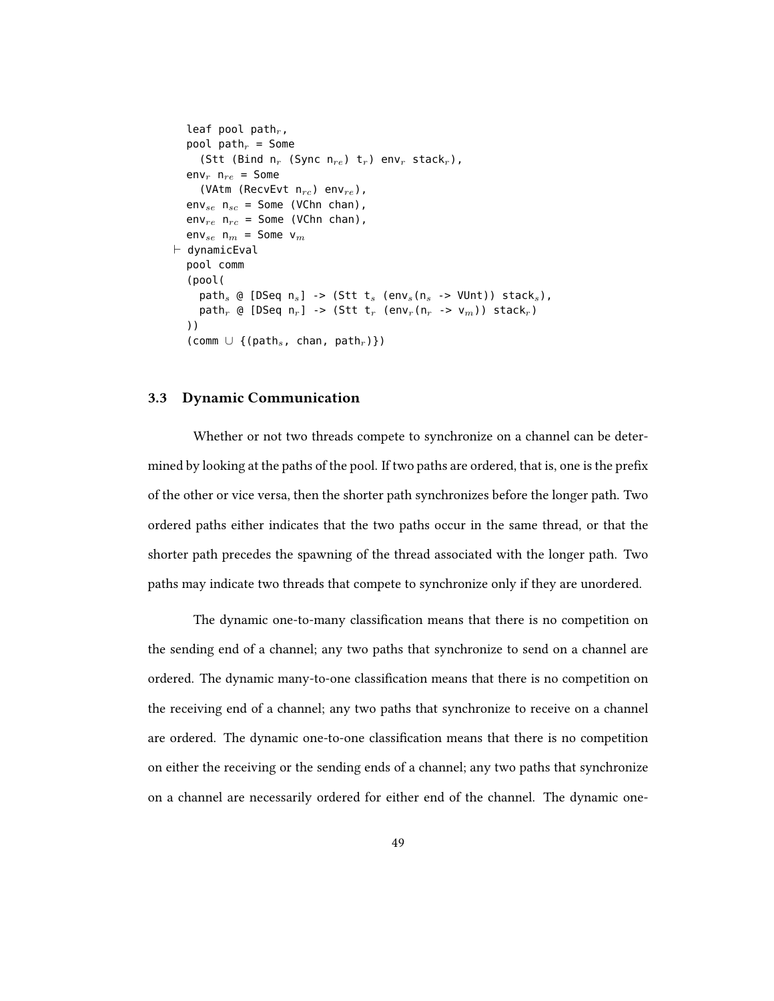```
leaf pool path_r,
   pool path_r = Some
       (Stt (Bind n_r (Sync n_{re}) t_r) env<sub>r</sub> stack<sub>r</sub>),
   env<sub>r</sub> n<sub>re</sub> = Some
       (VAtm (RecvEvt n_{rc}) env<sub>re</sub>),
   env_{se} n<sub>sc</sub> = Some (VChn chan),
   env_{re} n<sub>rc</sub> = Some (VChn chan),
   env<sub>se</sub> n<sub>m</sub> = Some v<sub>m</sub>
\vdash dynamicEval
   pool comm
   (pool(
       path<sub>s</sub> @ [DSeq n<sub>s</sub>] -> (Stt t<sub>s</sub> (env<sub>s</sub>(n<sub>s</sub> -> VUnt)) stack<sub>s</sub>),
       path<sub>r</sub> @ [DSeq n<sub>r</sub>] -> (Stt t<sub>r</sub> (env<sub>r</sub>(n<sub>r</sub> -> v<sub>m</sub>)) stack<sub>r</sub>)
   ))
   (comm \cup {(path<sub>s</sub>, chan, path<sub>r</sub>)})
```
#### 3.3 Dynamic Communication

Whether or not two threads compete to synchronize on a channel can be determined by looking at the paths of the pool. If two paths are ordered, that is, one is the prefix of the other or vice versa, then the shorter path synchronizes before the longer path. Two ordered paths either indicates that the two paths occur in the same thread, or that the shorter path precedes the spawning of the thread associated with the longer path. Two paths may indicate two threads that compete to synchronize only if they are unordered.

The dynamic one-to-many classification means that there is no competition on the sending end of a channel; any two paths that synchronize to send on a channel are ordered. The dynamic many-to-one classification means that there is no competition on the receiving end of a channel; any two paths that synchronize to receive on a channel are ordered. The dynamic one-to-one classification means that there is no competition on either the receiving or the sending ends of a channel; any two paths that synchronize on a channel are necessarily ordered for either end of the channel. The dynamic one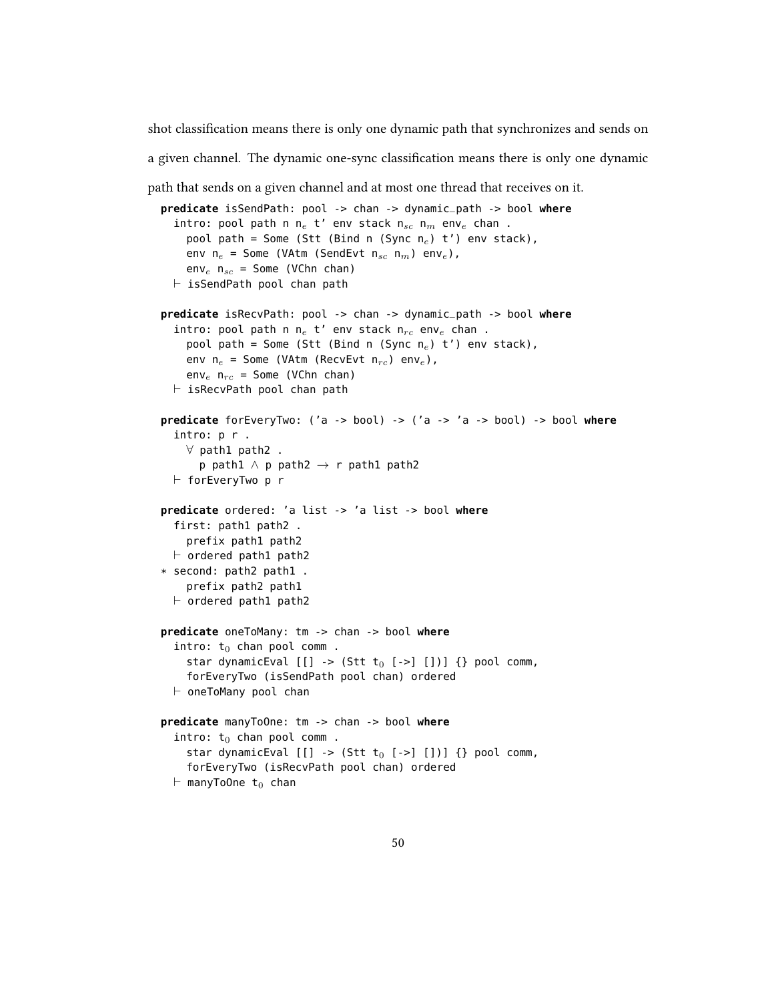shot classification means there is only one dynamic path that synchronizes and sends on

a given channel. The dynamic one-sync classification means there is only one dynamic

path that sends on a given channel and at most one thread that receives on it.

```
predicate isSendPath: pool -> chan -> dynamic_path -> bool where
  intro: pool path n n_e t' env stack n_{sc} n_m env<sub>e</sub> chan.
    pool path = Some (Stt (Bind n (Sync n_e) t') env stack),
    env n_e = Some (VAtm (SendEvt n_{sc} n_m) env<sub>e</sub>),
    env_e n<sub>sc</sub> = Some (VChn chan)
  \vdash isSendPath pool chan path
predicate isRecvPath: pool -> chan -> dynamic_path -> bool where
  intro: pool path n n_e t' env stack n_{rc} env<sub>e</sub> chan.
    pool path = Some (Stt (Bind n (Sync n_e) t') env stack),
    env n_e = Some (VAtm (RecvEvt n_{rc}) env<sub>e</sub>),
    env<sub>e</sub> n_{rc} = Some (VChn chan)
  \vdash isRecvPath pool chan path
predicate forEveryTwo: ('a -> bool) -> ('a -> 'a -> bool) -> bool where
  intro: p r .
    ∀ path1 path2 .
      p path1 \land p path2 \rightarrow r path1 path2
  \vdash forEveryTwo p r
predicate ordered: 'a list -> 'a list -> bool where
  first: path1 path2 .
    prefix path1 path2
  \vdash ordered path1 path2
* second: path2 path1 .
    prefix path2 path1
  \vdash ordered path1 path2
predicate oneToMany: tm -> chan -> bool where
  intro: t_0 chan pool comm.
    star dynamicEval [[] \rightarrow (Stt t_0 [->][])) {} pool comm,
    forEveryTwo (isSendPath pool chan) ordered
  \vdash oneToMany pool chan
predicate manyToOne: tm -> chan -> bool where
  intro: t_0 chan pool comm.
    star dynamicEval [[] \rightarrow (Stt t_0 [->][])) {} pool comm,
    forEveryTwo (isRecvPath pool chan) ordered
  \vdash manyToOne t<sub>0</sub> chan
```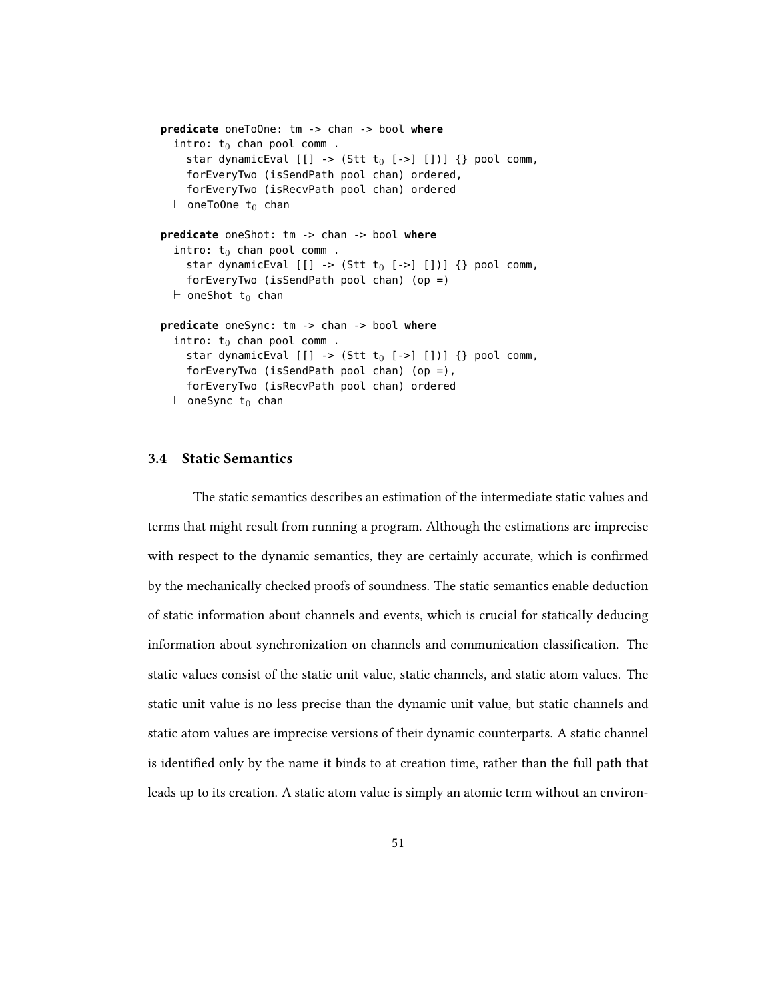```
predicate oneToOne: tm -> chan -> bool where
  intro: t_0 chan pool comm.
    star dynamicEval [[] \rightarrow (Stt t_0 [->][])) {} pool comm,
    forEveryTwo (isSendPath pool chan) ordered,
    forEveryTwo (isRecvPath pool chan) ordered
  \vdash oneToOne t<sub>0</sub> chan
predicate oneShot: tm -> chan -> bool where
  intro: t_0 chan pool comm.
    star dynamicEval [[] \rightarrow (Stt t_0 [->][])) {} pool comm,
    forEveryTwo (isSendPath pool chan) (op =)
  \vdash oneShot t<sub>0</sub> chan
predicate oneSync: tm -> chan -> bool where
  intro: t_0 chan pool comm.
    star dynamicEval [[] \rightarrow (Stt t_0 [->][])) {} pool comm,
    forEveryTwo (isSendPath pool chan) (op =),
    forEveryTwo (isRecvPath pool chan) ordered
  \vdash oneSync t<sub>0</sub> chan
```
## 3.4 Static Semantics

The static semantics describes an estimation of the intermediate static values and terms that might result from running a program. Although the estimations are imprecise with respect to the dynamic semantics, they are certainly accurate, which is confirmed by the mechanically checked proofs of soundness. The static semantics enable deduction of static information about channels and events, which is crucial for statically deducing information about synchronization on channels and communication classification. The static values consist of the static unit value, static channels, and static atom values. The static unit value is no less precise than the dynamic unit value, but static channels and static atom values are imprecise versions of their dynamic counterparts. A static channel is identified only by the name it binds to at creation time, rather than the full path that leads up to its creation. A static atom value is simply an atomic term without an environ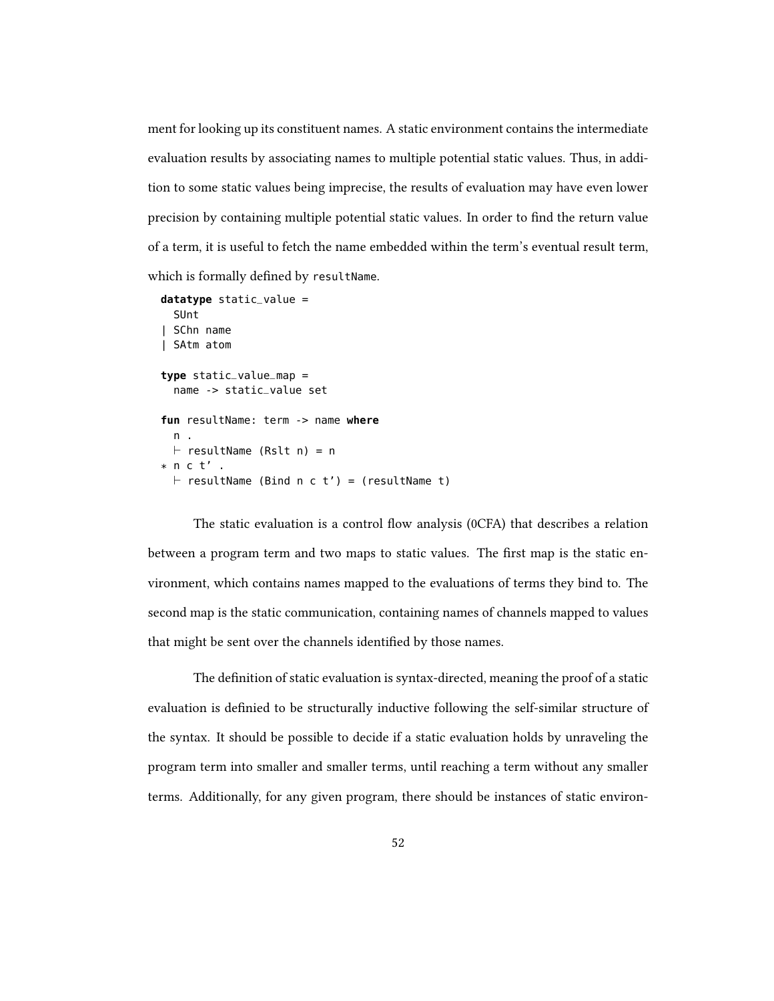ment for looking up its constituent names. A static environment contains the intermediate evaluation results by associating names to multiple potential static values. Thus, in addition to some static values being imprecise, the results of evaluation may have even lower precision by containing multiple potential static values. In order to find the return value of a term, it is useful to fetch the name embedded within the term's eventual result term, which is formally defined by resultName.

```
datatype static_value =
  SUnt
| SChn name
| SAtm atom
type static_value_map =
  name -> static_value set
fun resultName: term -> name where
  n .
  \vdash resultName (Rslt n) = n
* n c t' .
  \vdash resultName (Bind n c t') = (resultName t)
```

```
The static evaluation is a control flow analysis (0CFA) that describes a relation
between a program term and two maps to static values. The first map is the static en-
vironment, which contains names mapped to the evaluations of terms they bind to. The
second map is the static communication, containing names of channels mapped to values
that might be sent over the channels identified by those names.
```
The definition of static evaluation is syntax-directed, meaning the proof of a static evaluation is definied to be structurally inductive following the self-similar structure of the syntax. It should be possible to decide if a static evaluation holds by unraveling the program term into smaller and smaller terms, until reaching a term without any smaller terms. Additionally, for any given program, there should be instances of static environ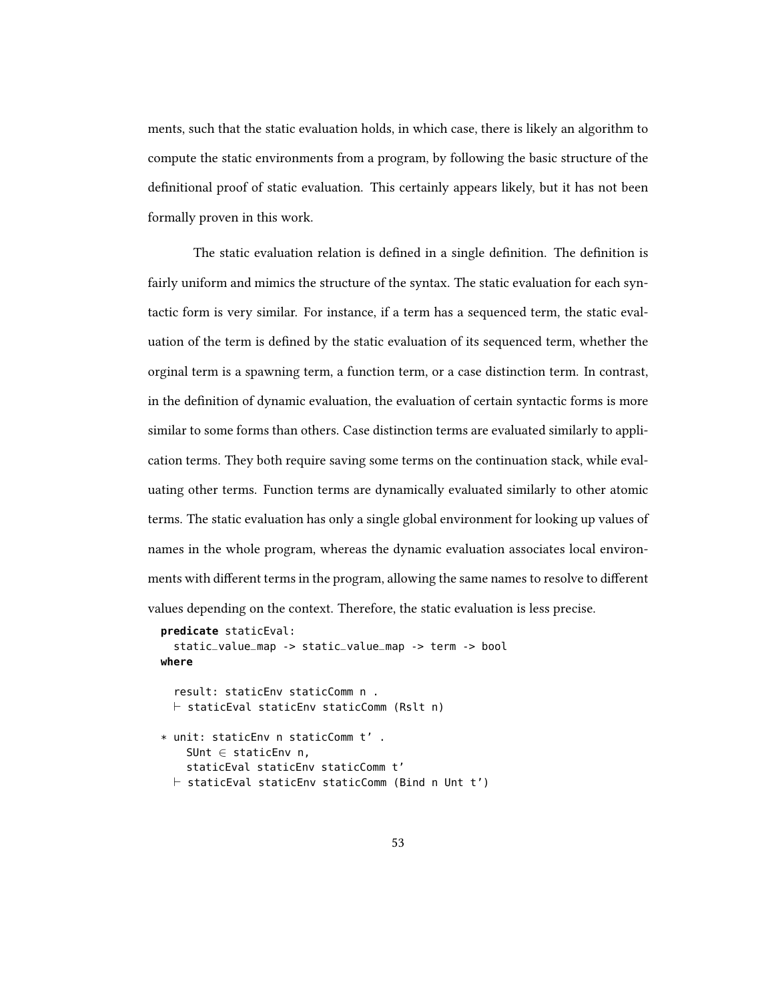ments, such that the static evaluation holds, in which case, there is likely an algorithm to compute the static environments from a program, by following the basic structure of the definitional proof of static evaluation. This certainly appears likely, but it has not been formally proven in this work.

The static evaluation relation is defined in a single definition. The definition is fairly uniform and mimics the structure of the syntax. The static evaluation for each syntactic form is very similar. For instance, if a term has a sequenced term, the static evaluation of the term is defined by the static evaluation of its sequenced term, whether the orginal term is a spawning term, a function term, or a case distinction term. In contrast, in the definition of dynamic evaluation, the evaluation of certain syntactic forms is more similar to some forms than others. Case distinction terms are evaluated similarly to application terms. They both require saving some terms on the continuation stack, while evaluating other terms. Function terms are dynamically evaluated similarly to other atomic terms. The static evaluation has only a single global environment for looking up values of names in the whole program, whereas the dynamic evaluation associates local environments with different terms in the program, allowing the same names to resolve to different values depending on the context. Therefore, the static evaluation is less precise.

```
predicate staticEval:
  static_value_map -> static_value_map -> term -> bool
where
  result: staticEnv staticComm n .
  \vdash staticEval staticEnv staticComm (Rslt n)
* unit: staticEnv n staticComm t' .
    SUnt \in staticEnv n,
    staticEval staticEnv staticComm t'
  \vdash staticEval staticEnv staticComm (Bind n Unt t')
```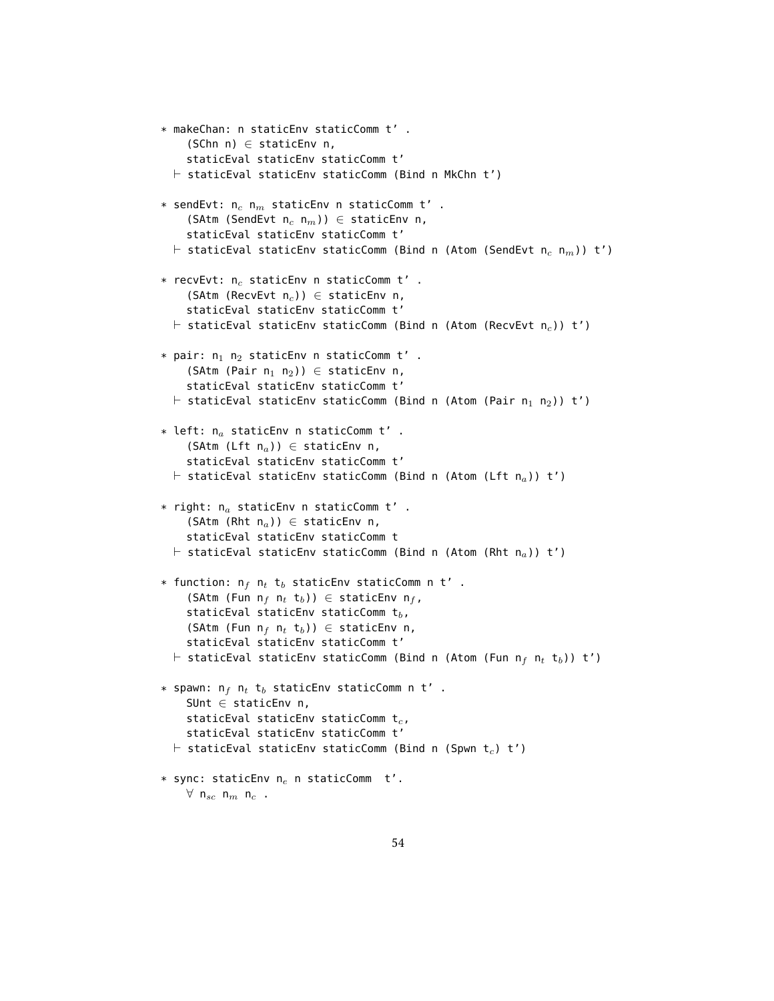```
* makeChan: n staticEnv staticComm t' .
    (SChn n) \in staticEnv n,
    staticEval staticEnv staticComm t'
  \vdash staticEval staticEnv staticComm (Bind n MkChn t')
* sendEvt: n_c n_m staticEnv n staticComm t'.
    (SAtm (SendEvt n_c n_m)) \in staticEnv n,
    staticEval staticEnv staticComm t'
  \vdash staticEval staticEnv staticComm (Bind n (Atom (SendEvt n<sub>c</sub> n<sub>m</sub>)) t')
* recvEvt: n_c staticEnv n staticComm t'.
    (SAtm (RecvEvt n_c)) \in staticEnv n,
    staticEval staticEnv staticComm t'
  \vdash staticEval staticEnv staticComm (Bind n (Atom (RecvEvt n<sub>c</sub>)) t')
* pair: n_1 n_2 staticEnv n staticComm t'.
    (SAtm (Pair n_1 n_2)) \in staticEnv n,
    staticEval staticEnv staticComm t'
  \vdash staticEval staticEnv staticComm (Bind n (Atom (Pair n<sub>1</sub> n<sub>2</sub>)) t')
* left: n_a staticEnv n staticComm t' .
    (SAtm (Lft n_a)) \in staticEnv n,
    staticEval staticEnv staticComm t'
  \vdash staticEval staticEnv staticComm (Bind n (Atom (Lft n<sub>a</sub>)) t')
* right: n_a staticEnv n staticComm t' .
    (SAtm (Rht n_a)) \in staticEnv n,
    staticEval staticEnv staticComm t
  \vdash staticEval staticEnv staticComm (Bind n (Atom (Rht n<sub>a</sub>)) t')
* function: n_f n_t t_b staticEnv staticComm n t' .
    (SAtm (Fun n_f n_t t<sub>b</sub>)) \in staticEnv n_f,
    staticEval staticEnv staticComm t_b,
    (SAtm (Fun n_f n_t t_b)) \in staticEnv n,
    staticEval staticEnv staticComm t'
  \vdash staticEval staticEnv staticComm (Bind n (Atom (Fun n<sub>f</sub> n<sub>t</sub> t<sub>b</sub>)) t')
* spawn: n_f n_t t_b staticEnv staticComm n t' .
    SUnt \in staticEnv n,
    staticEval staticEnv staticComm t_c,
    staticEval staticEnv staticComm t'
  \vdash staticEval staticEnv staticComm (Bind n (Spwn t<sub>c</sub>) t')
* sync: staticEnv n_e n staticComm t'.
    \forall n<sub>sc</sub> n<sub>m</sub> n<sub>c</sub> .
```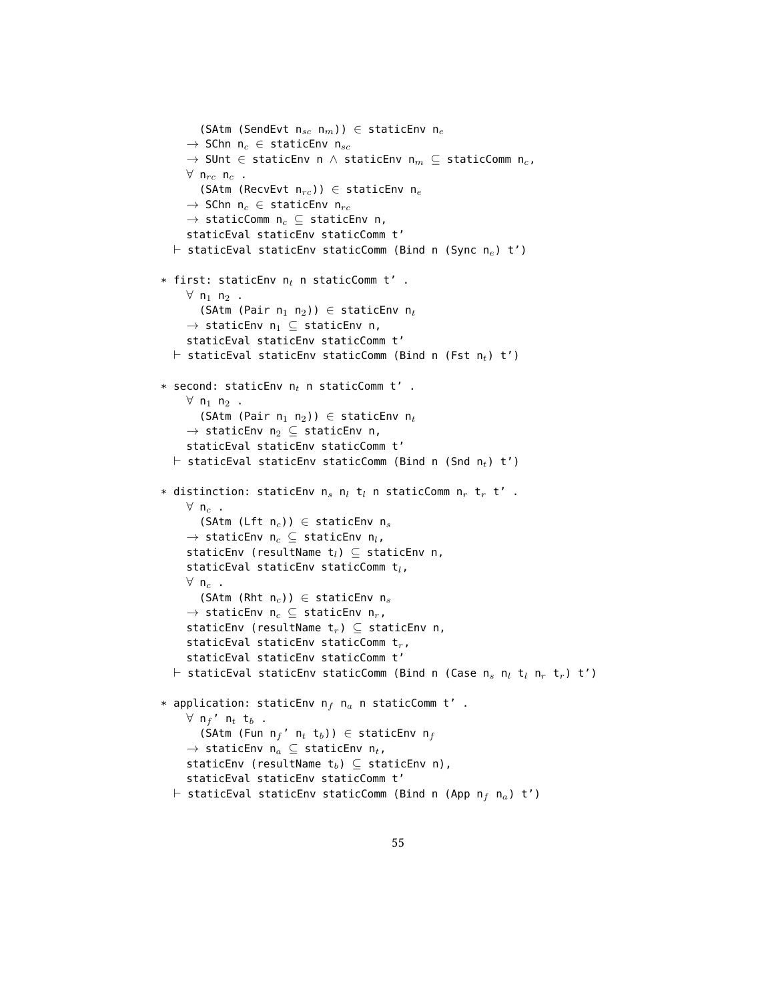```
(SAtm (SendEvt n_{sc} n_m)) \in staticEnv n_e\rightarrow SChn n<sub>c</sub> \in staticEnv n<sub>sc</sub>
      \rightarrow SUnt \in staticEnv n \wedge staticEnv n<sub>m</sub> \subseteq staticComm n<sub>c</sub>,
     \forall n<sub>rc</sub> n<sub>c</sub> .
         (SAtm (RecvEvt n_{rc})) \in staticEnv n_e\rightarrow SChn n<sub>c</sub> \in staticEnv n<sub>rc</sub>
      \rightarrow staticComm n<sub>c</sub> \subseteq staticEnv n,
      staticEval staticEnv staticComm t'
  \vdash staticEval staticEnv staticComm (Bind n (Sync n<sub>e</sub>) t')
* first: staticEnv n_t n staticComm t' .
     \forall n<sub>1</sub> n<sub>2</sub> .
         (SAtm (Pair n_1 n_2)) \in staticEnv n_t\rightarrow staticEnv n<sub>1</sub> \subseteq staticEnv n,
      staticEval staticEnv staticComm t'
  \vdash staticEval staticEnv staticComm (Bind n (Fst n<sub>t</sub>) t')
* second: staticEnv n_t n staticComm t' .
     \forall n<sub>1</sub> n<sub>2</sub> .
         (SAtm (Pair n_1 n_2)) \in staticEnv n_t\rightarrow staticEnv n<sub>2</sub> \subseteq staticEnv n,
      staticEval staticEnv staticComm t'
   \vdash staticEval staticEnv staticComm (Bind n (Snd n<sub>t</sub>) t')
* distinction: staticEnv n_s n_l t_l n staticComm n_r t_r t' .
     \forall n<sub>c</sub> .
        (SAtm (Lft n_c)) \in staticEnv n_s\rightarrow staticEnv n<sub>c</sub> \subseteq staticEnv n<sub>l</sub>,
      staticEnv (resultName t_l) \subseteq staticEnv n,
      staticEval staticEnv staticComm t_l,
     \forall n<sub>c</sub> .
         (SAtm (Rht n_c)) ∈ staticEnv n_s\rightarrow staticEnv n<sub>c</sub> \subseteq staticEnv n<sub>r</sub>,
      staticEnv (resultName t_r) \subseteq staticEnv n,
      staticEval staticEnv staticComm t_r,
      staticEval staticEnv staticComm t'
   \vdash staticEval staticEnv staticComm (Bind n (Case n<sub>s</sub> n<sub>l</sub> t<sub>l</sub> n<sub>r</sub> t<sub>r</sub>) t')
* application: staticEnv n_f n_a n staticComm t' .
     \forall n<sub>f</sub>' n<sub>t</sub> t<sub>b</sub>.
        (SAtm (Fun n_f' n_t t_b)) \in staticEnv n_f\rightarrow staticEnv n<sub>a</sub> \subseteq staticEnv n<sub>t</sub>,
     staticEnv (resultName t_b) \subseteq staticEnv n),
     staticEval staticEnv staticComm t'
   \vdash staticEval staticEnv staticComm (Bind n (App n<sub>f</sub> n<sub>a</sub>) t')
```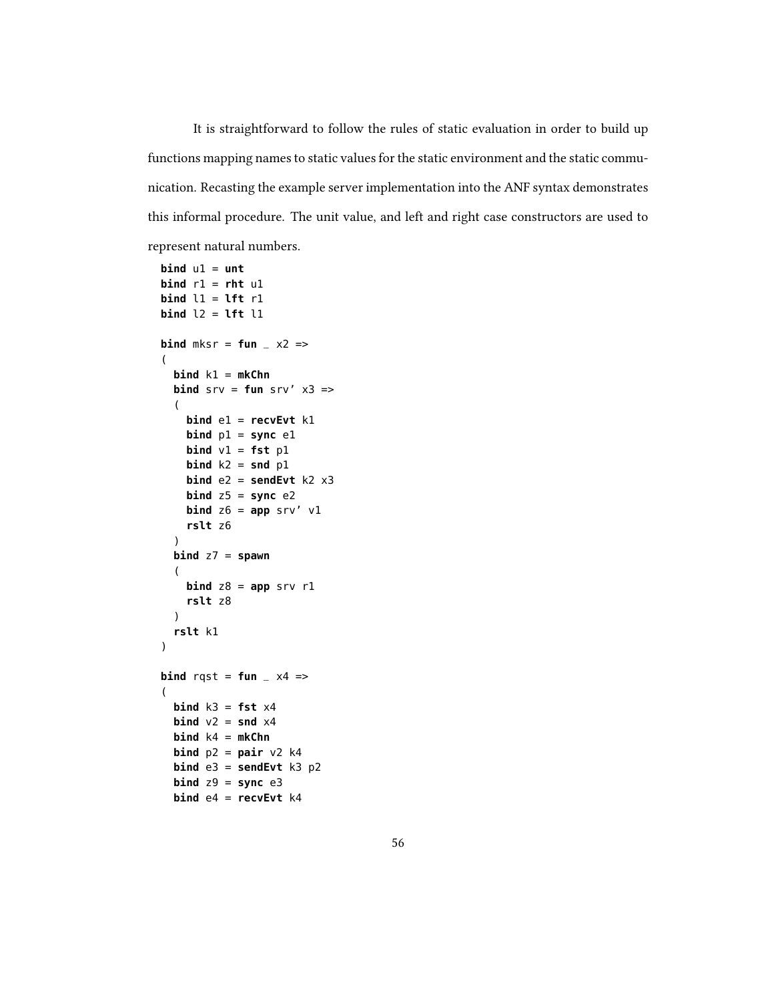It is straightforward to follow the rules of static evaluation in order to build up functions mapping names to static values for the static environment and the static communication. Recasting the example server implementation into the ANF syntax demonstrates this informal procedure. The unit value, and left and right case constructors are used to represent natural numbers.

```
\mathbf{bind} \mathbf{u1} = \mathbf{unt}bind r1 = rht u1
bind l1 = lft r1
bind l2 = lft l1
bind mksr = fun -x2 =>
(
  bind k1 = mkChn
  bind srv = fun srv' x3 =>(
    bind e1 = recvEvt k1
    bind p1 =sync e1\mathbf{bind} \mathbf{v1} = \mathbf{fst} \mathbf{p1}\mathbf{bind} k2 = \mathbf{snd} p1bind e2 = sendEvt k2 x3
    bind z5 = sync e2
    bind z6 = app srv' v1rslt z6
  )
  bind z7 = spawn
  (
    bind z8 = app srv r1rslt z8
  \lambdarslt k1
)
bind rqst = fun \angle x4 =>
(
  bind k3 = fst \times 4bind v2 = snd x4bind k4 = mkChn
  bind p2 = pair v2 k4bind e3 = sendEvt k3 p2
  bind z9 = sync e3bind e4 = recvEvt k4
```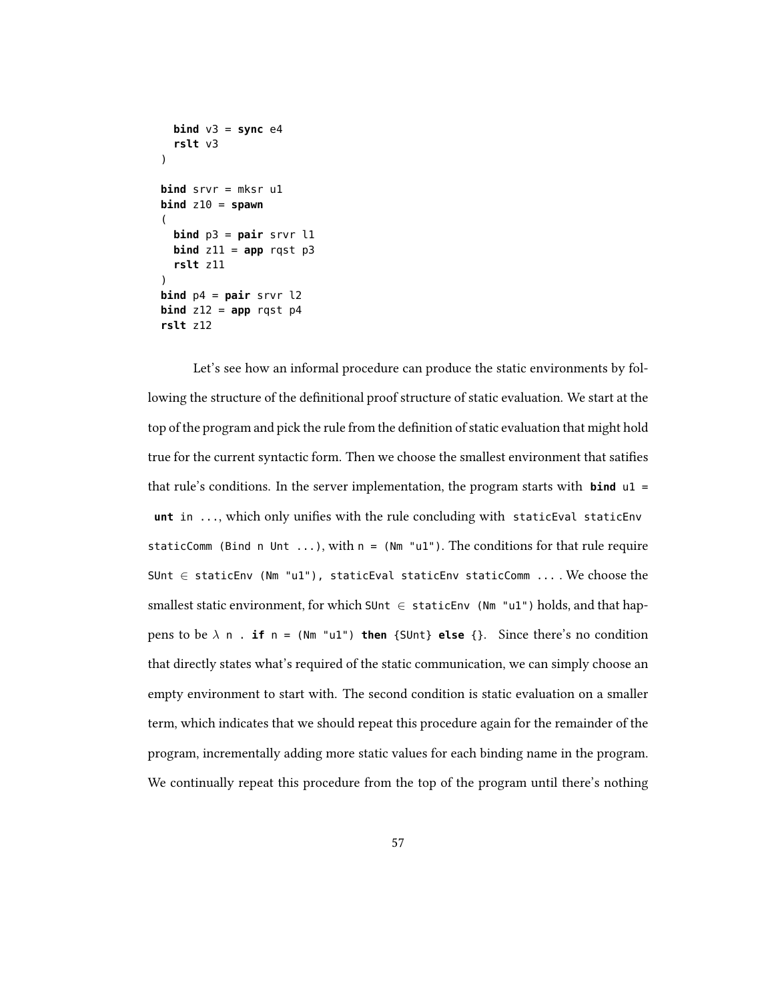```
bind v3 =sync e4rslt v3
)
bind srvr = mksr u1
\mathbf{bind} z10 = \mathbf{spam}(
  bind p3 = pair srvr l1
  bind z11 = app rqst p3rslt z11
)
bind p4 = pair srvr l2
bind z12 = app rgst p4rslt z12
```
Let's see how an informal procedure can produce the static environments by following the structure of the definitional proof structure of static evaluation. We start at the top of the program and pick the rule from the definition of static evaluation that might hold true for the current syntactic form. Then we choose the smallest environment that saties that rule's conditions. In the server implementation, the program starts with **bind** u1 = unt in ..., which only unifies with the rule concluding with staticEval staticEnv staticComm (Bind n Unt ...), with  $n = (Nm "u1")$ . The conditions for that rule require SUnt ∈ staticEnv (Nm "u1"), staticEval staticEnv staticComm ... . We choose the smallest static environment, for which SUnt  $\in$  staticEnv (Nm "u1") holds, and that happens to be  $\lambda$  n . **if** n = (Nm "u1") **then** {SUnt} **else** {}. Since there's no condition that directly states what's required of the static communication, we can simply choose an empty environment to start with. The second condition is static evaluation on a smaller term, which indicates that we should repeat this procedure again for the remainder of the program, incrementally adding more static values for each binding name in the program. We continually repeat this procedure from the top of the program until there's nothing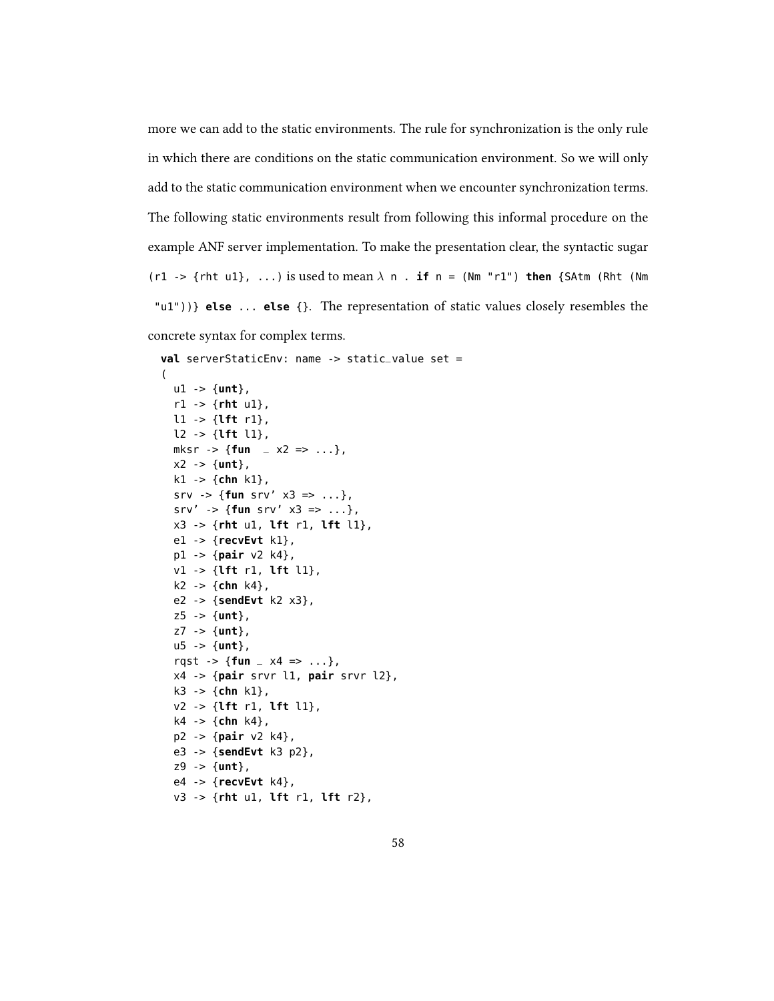more we can add to the static environments. The rule for synchronization is the only rule in which there are conditions on the static communication environment. So we will only add to the static communication environment when we encounter synchronization terms. The following static environments result from following this informal procedure on the example ANF server implementation. To make the presentation clear, the syntactic sugar (r1 -> {rht u1}, ...) is used to mean  $\lambda$  n . **if** n = (Nm "r1") **then** {SAtm (Rht (Nm "u1"))} **else** ... **else** {}. The representation of static values closely resembles the concrete syntax for complex terms.

```
val serverStaticEnv: name -> static_value set =
(
  u1 -> {unt},
  r1 -> {rht u1},
  l1 -> {lft r1},
  l2 -> {lft l1},
  mksr \rightarrow {fun \angle x2 => ...},
  x2 -> {unt},
  k1 -> {chn k1},
  srv -> {fun srv' x3 => ...},
  srv' -> {fun srv' x3 => ...},
  x3 -> {rht u1, lft r1, lft l1},
  e1 -> {recvEvt k1},
  p1 -> {pair v2 k4},
  v1 -> {lft r1, lft l1},
  k2 -> {chn k4},
  e2 -> {sendEvt k2 x3},
  z5 -> {unt},
  z7 -> {unt},
  u5 -> {unt},
  rqst -> {fun _ x4 => ...},
  x4 -> {pair srvr l1, pair srvr l2},
  k3 -> {chn k1},
  v2 -> {lft r1, lft l1},
  k4 -> {chn k4},
  p2 -> {pair v2 k4},
  e3 -> {sendEvt k3 p2},
  z9 -> {unt},
  e4 -> {recvEvt k4},
  v3 -> {rht u1, lft r1, lft r2},
```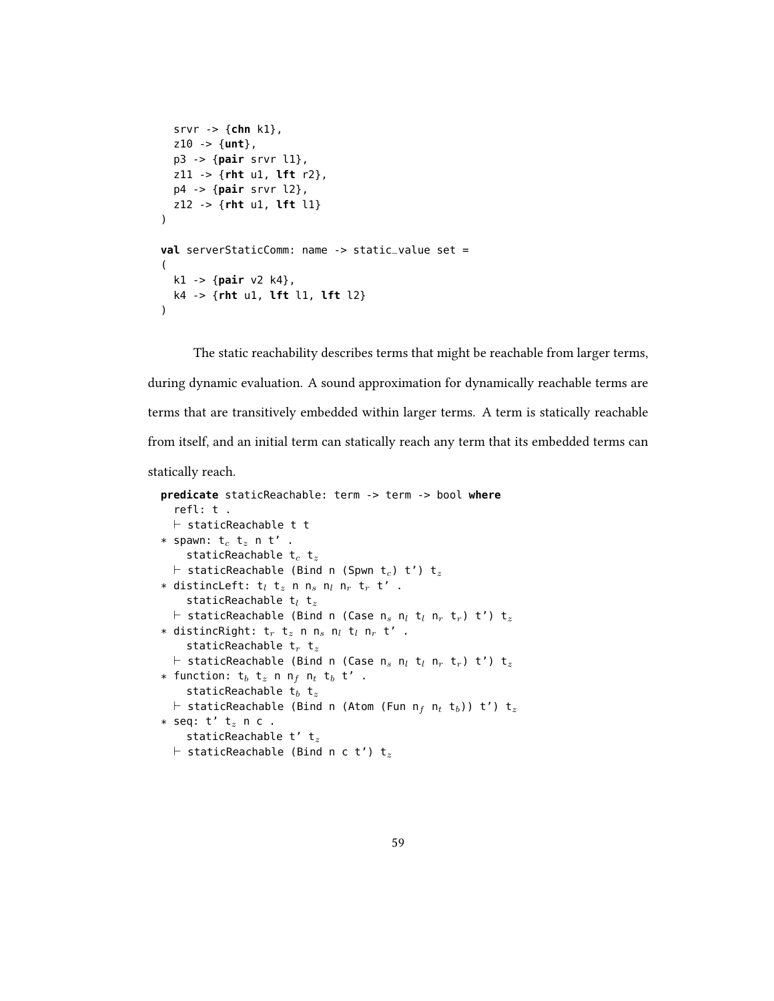```
srvr -> {chn k1},
  z10 -> {unt},
  p3 -> {pair srvr l1},
  z11 -> {rht u1, lft r2},
  p4 -> {pair srvr l2},
  z12 -> {rht u1, lft l1}
)
val serverStaticComm: name -> static_value set =
(
  k1 -> {pair v2 k4},
  k4 -> {rht u1, lft l1, lft l2}
\lambda
```
The static reachability describes terms that might be reachable from larger terms, during dynamic evaluation. A sound approximation for dynamically reachable terms are terms that are transitively embedded within larger terms. A term is statically reachable from itself, and an initial term can statically reach any term that its embedded terms can

statically reach.

```
predicate staticReachable: term -> term -> bool where
   refl: t .
  \vdash staticReachable t t
* spawn: t_c t_z n t' .
     staticReachable t_c t_z\vdash staticReachable (Bind n (Spwn t<sub>c</sub>) t') t<sub>z</sub>
* distincLeft: t_l t_z n n_s n_l n_r t_r t' .
     staticReachable t_l t_z\vdash staticReachable (Bind n (Case n<sub>s</sub> n<sub>l</sub> t<sub>l</sub> n<sub>r</sub> t<sub>r</sub>) t') t<sub>z</sub>
* distincRight: t_r t_z n n_s n_l t_l n_r t' .
     staticReachable t_r t_z\vdash staticReachable (Bind n (Case n<sub>s</sub> n<sub>l</sub> t<sub>l</sub> n<sub>r</sub> t<sub>r</sub>) t') t<sub>z</sub>
* function: t_b t_z n n<sub>f</sub> n_t t_b t' .
     staticReachable t_b t_z\vdash staticReachable (Bind n (Atom (Fun n<sub>f</sub> n<sub>t</sub> t<sub>b</sub>)) t') t<sub>z</sub>
* seq: t' t_z n c .
     staticReachable t' t_z\vdash staticReachable (Bind n c t') t<sub>z</sub>
```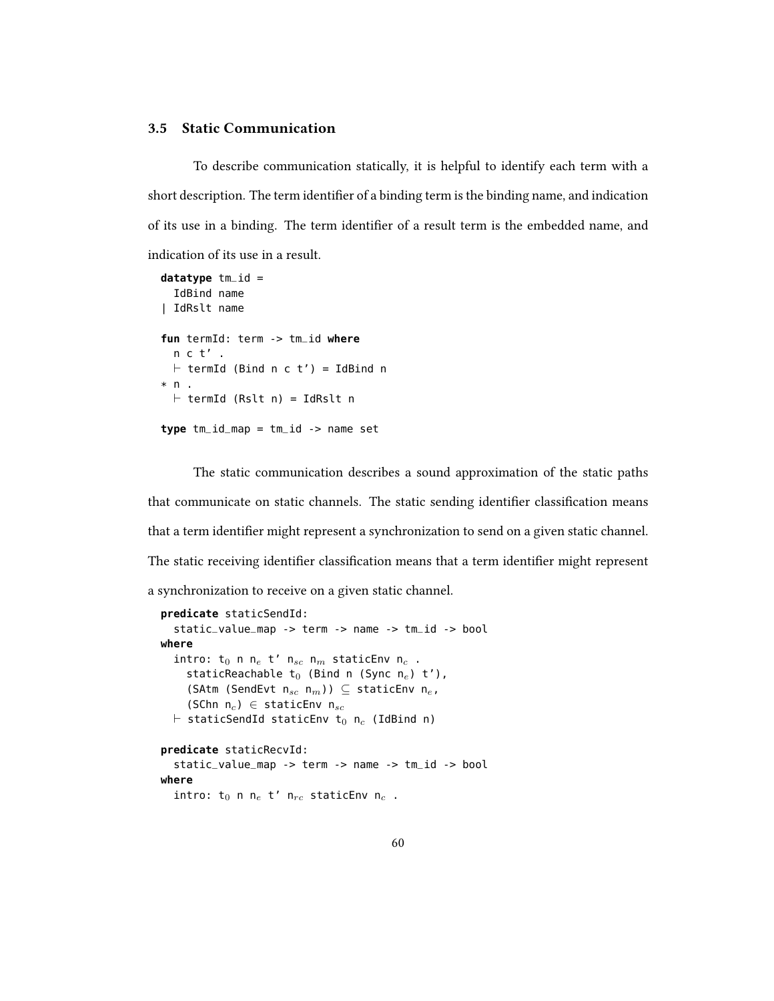### 3.5 Static Communication

To describe communication statically, it is helpful to identify each term with a short description. The term identifier of a binding term is the binding name, and indication of its use in a binding. The term identifier of a result term is the embedded name, and indication of its use in a result.

```
datatype tm_id =
  IdBind name
| IdRslt name
fun termId: term -> tm_id where
  n c t' .
  \vdash termId (Bind n c t') = IdBind n
* n .
  \vdash termId (Rslt n) = IdRslt n
type tm_id_map = tm_id -> name set
```
The static communication describes a sound approximation of the static paths that communicate on static channels. The static sending identifier classification means that a term identifier might represent a synchronization to send on a given static channel. The static receiving identifier classification means that a term identifier might represent a synchronization to receive on a given static channel.

```
predicate staticSendId:
  static_value_map -> term -> name -> tm_id -> bool
where
  intro: t_0 n n_e t' n_{sc} n_m staticEnv n_c .
    staticReachable t_0 (Bind n (Sync n<sub>e</sub>) t'),
    (SAtm (SendEvt n_{sc} n_m)) \subseteq staticEnv n_e,
    (SChn n_c) ∈ staticEnv n_{sc}\vdash staticSendId staticEnv t<sub>0</sub> n<sub>c</sub> (IdBind n)
predicate staticRecvId:
  static_value_map -> term -> name -> tm_id -> bool
where
  intro: t_0 n n_e t' n_{rc} staticEnv n_c .
```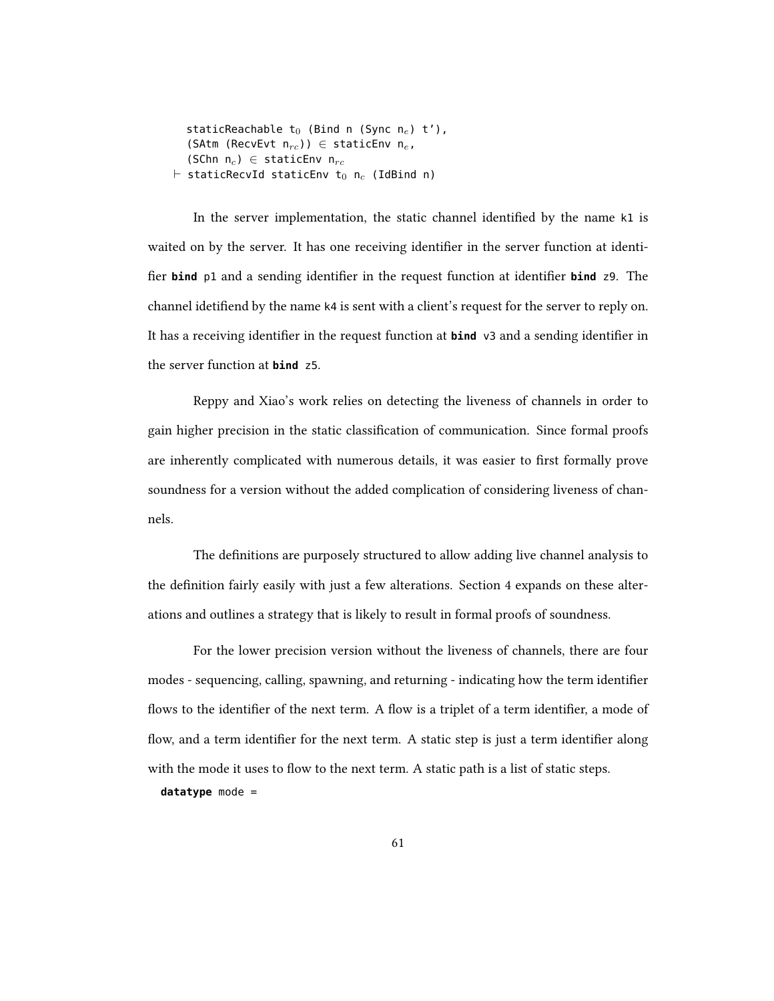staticReachable  $t_0$  (Bind n (Sync n<sub>e</sub>) t'), (SAtm (RecvEvt  $n_{rc}$ ))  $\in$  staticEnv  $n_e$ , (SChn  $n_c$ )  $\in$  staticEnv  $n_{rc}$  $\vdash$  staticRecvId staticEnv t<sub>0</sub> n<sub>c</sub> (IdBind n)

In the server implementation, the static channel identified by the name  $k1$  is waited on by the server. It has one receiving identifier in the server function at identifier **bind** p1 and a sending identifier in the request function at identifier **bind** z9. The channel idetifiend by the name k4 is sent with a client's request for the server to reply on. It has a receiving identifier in the request function at **bind** v3 and a sending identifier in the server function at **bind** z5.

Reppy and Xiao's work relies on detecting the liveness of channels in order to gain higher precision in the static classification of communication. Since formal proofs are inherently complicated with numerous details, it was easier to first formally prove soundness for a version without the added complication of considering liveness of channels.

The definitions are purposely structured to allow adding live channel analysis to the definition fairly easily with just a few alterations. Section 4 expands on these alterations and outlines a strategy that is likely to result in formal proofs of soundness.

For the lower precision version without the liveness of channels, there are four modes - sequencing, calling, spawning, and returning - indicating how the term identifier flows to the identifier of the next term. A flow is a triplet of a term identifier, a mode of flow, and a term identifier for the next term. A static step is just a term identifier along with the mode it uses to flow to the next term. A static path is a list of static steps. **datatype** mode =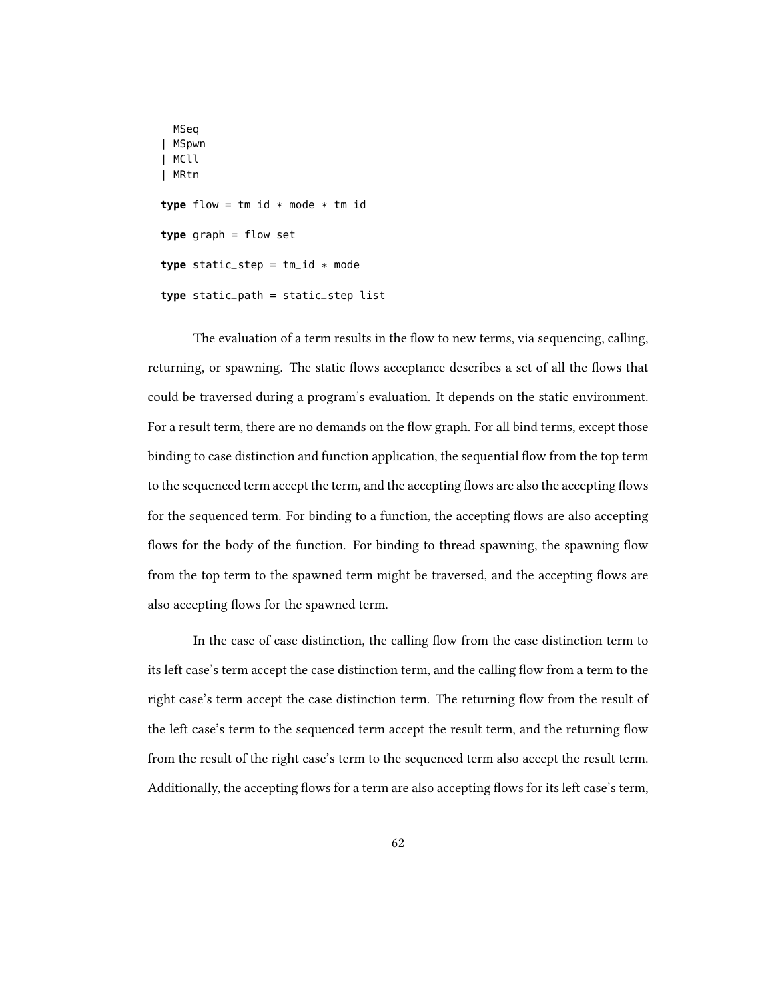```
MSeq
| MSpwn
| MCll
| MRtn
type flow = tm_id * mode * tm_idtype graph = flow set
type static_step = tm_id * modetype static_path = static_step list
```
The evaluation of a term results in the flow to new terms, via sequencing, calling, returning, or spawning. The static flows acceptance describes a set of all the flows that could be traversed during a program's evaluation. It depends on the static environment. For a result term, there are no demands on the flow graph. For all bind terms, except those binding to case distinction and function application, the sequential flow from the top term to the sequenced term accept the term, and the accepting flows are also the accepting flows for the sequenced term. For binding to a function, the accepting flows are also accepting flows for the body of the function. For binding to thread spawning, the spawning flow from the top term to the spawned term might be traversed, and the accepting flows are also accepting flows for the spawned term.

In the case of case distinction, the calling flow from the case distinction term to its left case's term accept the case distinction term, and the calling flow from a term to the right case's term accept the case distinction term. The returning flow from the result of the left case's term to the sequenced term accept the result term, and the returning flow from the result of the right case's term to the sequenced term also accept the result term. Additionally, the accepting flows for a term are also accepting flows for its left case's term,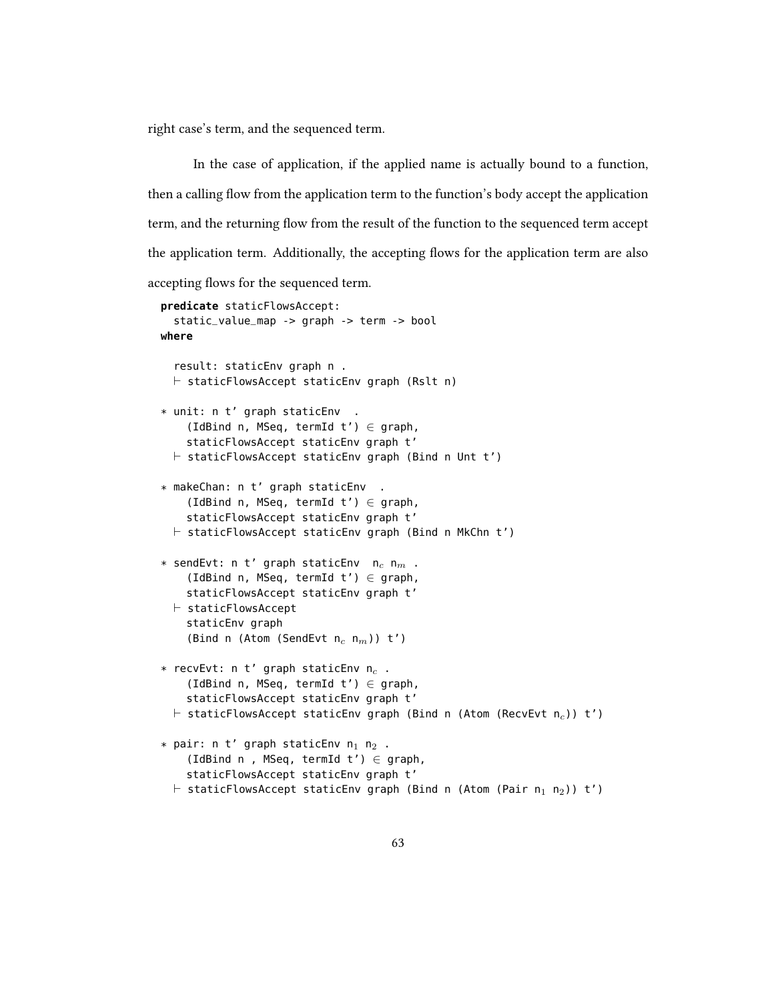right case's term, and the sequenced term.

In the case of application, if the applied name is actually bound to a function, then a calling flow from the application term to the function's body accept the application term, and the returning flow from the result of the function to the sequenced term accept the application term. Additionally, the accepting flows for the application term are also accepting flows for the sequenced term.

```
predicate staticFlowsAccept:
  static_value_map -> graph -> term -> bool
where
  result: staticEnv graph n .
  \vdash staticFlowsAccept staticEnv graph (Rslt n)
* unit: n t' graph staticEnv .
    (IdBind n, MSeq, termId t') \in graph,
    staticFlowsAccept staticEnv graph t'
  \vdash staticFlowsAccept staticEnv graph (Bind n Unt t')
* makeChan: n t' graph staticEnv .
    (IdBind n, MSeq, termId t') \in graph,
    staticFlowsAccept staticEnv graph t'
  \vdash staticFlowsAccept staticEnv graph (Bind n MkChn t')
* sendEvt: n t' graph staticEnv n_c n_m.
    (IdBind n, MSeq, termId t') \in graph,
    staticFlowsAccept staticEnv graph t'
  \vdash staticFlowsAccept
    staticEnv graph
    (Bind n (Atom (SendEvt n_c n_m)) t')
* recvEvt: n t' graph staticEnv n_c.
    (IdBind n, MSeq, termId t') \in graph,
    staticFlowsAccept staticEnv graph t'
  \vdash staticFlowsAccept staticEnv graph (Bind n (Atom (RecvEvt n<sub>c</sub>)) t')
* pair: n t' graph staticEnv n_1 n_2 .
    (IdBind n, MSeq, termId t') \in graph,
    staticFlowsAccept staticEnv graph t'
  \vdash staticFlowsAccept staticEnv graph (Bind n (Atom (Pair n<sub>1</sub> n<sub>2</sub>)) t')
```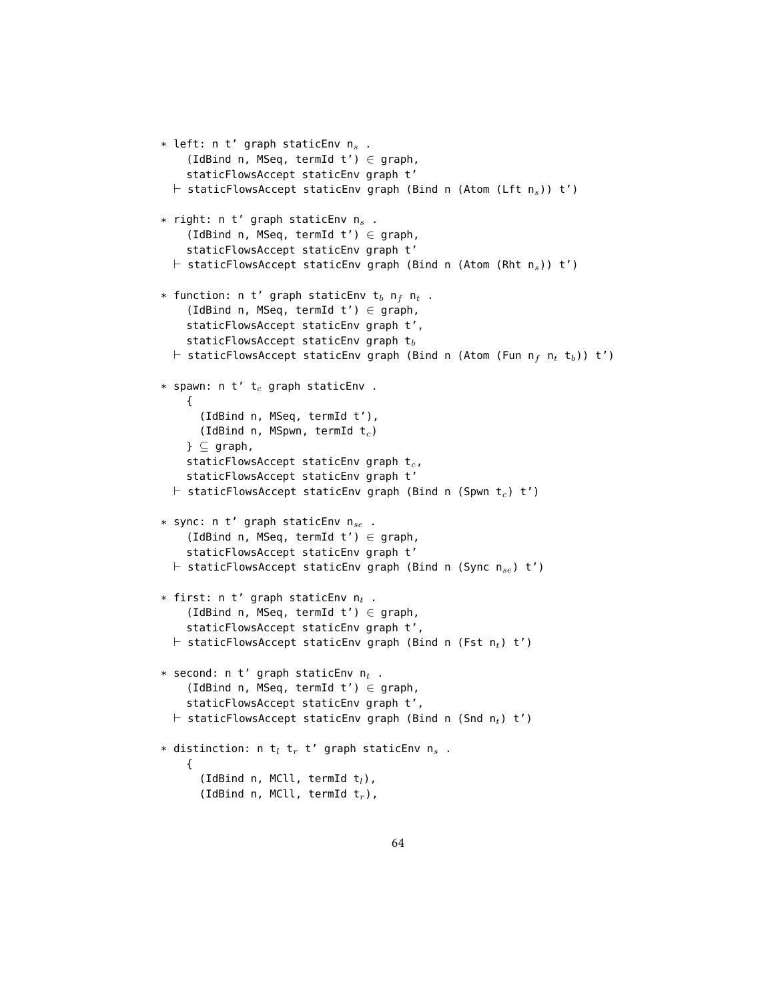```
* left: n t' graph staticEnv n_s.
    (IdBind n, MSeq, termId t') \in graph,
    staticFlowsAccept staticEnv graph t'
  \vdash staticFlowsAccept staticEnv graph (Bind n (Atom (Lft n<sub>s</sub>)) t')
* right: n t' graph staticEnv n<sub>s</sub>.
    (IdBind n, MSeq, termId t') \in graph,
    staticFlowsAccept staticEnv graph t'
  \vdash staticFlowsAccept staticEnv graph (Bind n (Atom (Rht n<sub>s</sub>)) t')
* function: n t' graph staticEnv t<sub>b</sub> n<sub>f</sub> n<sub>t</sub>.
    (IdBind n, MSeq, termId t') \in graph,
    staticFlowsAccept staticEnv graph t',
    staticFlowsAccept staticEnv graph t_b\vdash staticFlowsAccept staticEnv graph (Bind n (Atom (Fun n<sub>f</sub> n<sub>t</sub> t<sub>b</sub>)) t')
* spawn: n t' t_c graph staticEnv.
    {
       (IdBind n, MSeq, termId t'),
       (IdBind n, MSpwn, termId t_c)
    \} \subset graph,
    staticFlowsAccept staticEnv graph t_c,
    staticFlowsAccept staticEnv graph t'
  \vdash staticFlowsAccept staticEnv graph (Bind n (Spwn t<sub>c</sub>) t')
* sync: n t' graph staticEnv n_{se} .
    (IdBind n, MSeq, termId t') \in graph,
    staticFlowsAccept staticEnv graph t'
  \vdash staticFlowsAccept staticEnv graph (Bind n (Sync nse) t')
* first: n t' graph staticEnv n_t.
    (IdBind n, MSeq, termId t') \in graph,
    staticFlowsAccept staticEnv graph t',
  \vdash staticFlowsAccept staticEnv graph (Bind n (Fst n<sub>t</sub>) t')
* second: n t' graph staticEnv n_t.
    (IdBind n, MSeq, termId t') \in graph,
    staticFlowsAccept staticEnv graph t',
  \vdash staticFlowsAccept staticEnv graph (Bind n (Snd n<sub>t</sub>) t')
* distinction: n t<sub>l</sub> t<sub>r</sub> t' graph staticEnv n<sub>s</sub>.
    {
       (IdBind n, MCll, termId t_l),
       (IdBind n, MCll, termId t_r),
```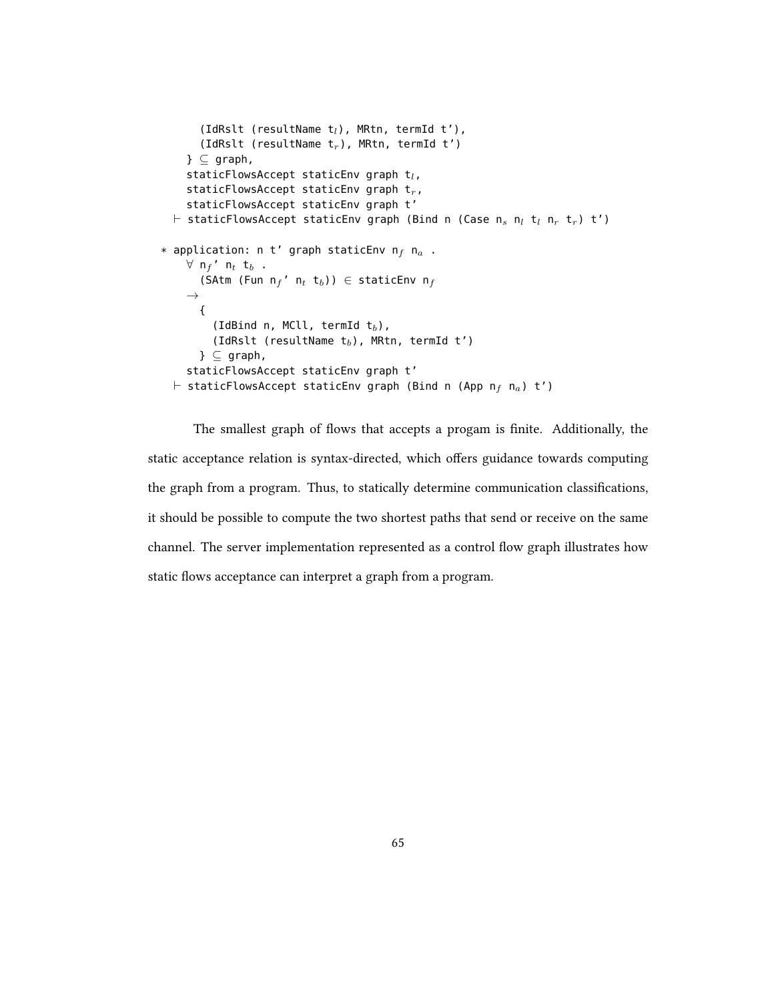```
(IdRslt (resultName t_l), MRtn, termId t'),
        (IdRslt (resultName t_r), MRtn, termId t')
     \} \subseteq graph,
     staticFlowsAccept staticEnv graph t_l,
     staticFlowsAccept staticEnv graph t_r,
     staticFlowsAccept staticEnv graph t'
  \vdash staticFlowsAccept staticEnv graph (Bind n (Case n<sub>s</sub> n<sub>l</sub> t<sub>l</sub> n<sub>r</sub> t<sub>r</sub>) t')
* application: n t' graph staticEnv n_f n_a .
     \forall n<sub>f</sub>' n<sub>t</sub> t<sub>b</sub>.
       (SAtm (Fun n_f' n_t t<sub>b</sub>)) \in staticEnv n_f\rightarrow{
           (IdBind n, MCll, termId t_b),
           (IdRslt (resultName t_b), MRtn, termId t')
        } \subseteq graph,
     staticFlowsAccept staticEnv graph t'
  \vdash staticFlowsAccept staticEnv graph (Bind n (App n<sub>f</sub> n<sub>a</sub>) t')
```
The smallest graph of flows that accepts a progam is finite. Additionally, the static acceptance relation is syntax-directed, which offers guidance towards computing the graph from a program. Thus, to statically determine communication classications, it should be possible to compute the two shortest paths that send or receive on the same channel. The server implementation represented as a control flow graph illustrates how static flows acceptance can interpret a graph from a program.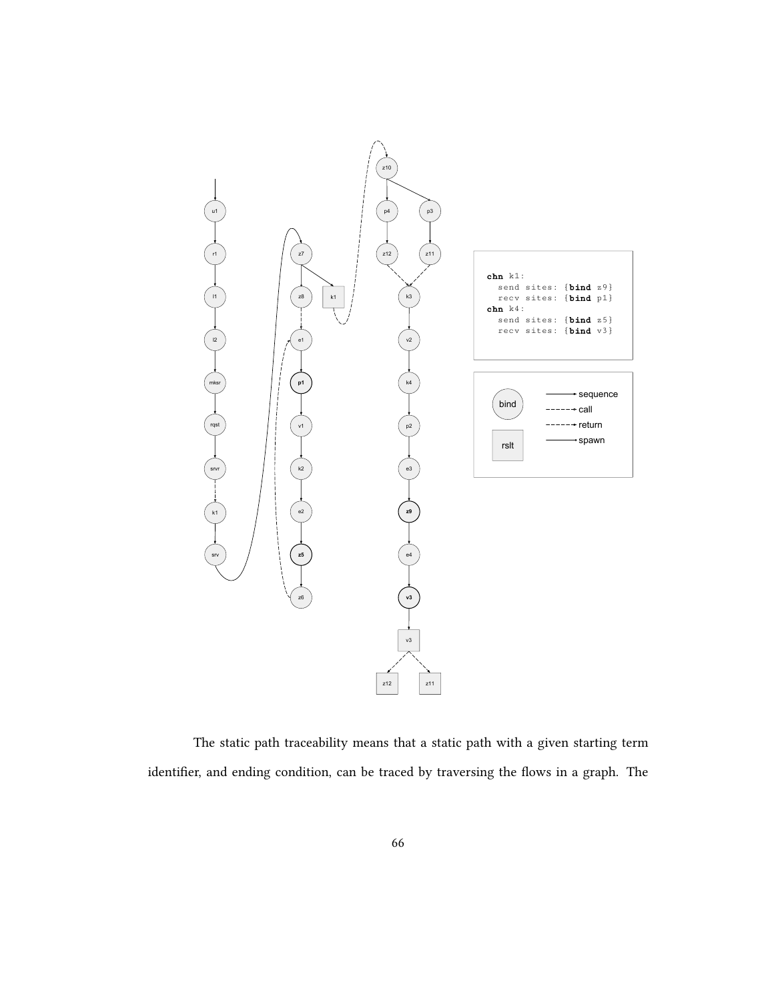

The static path traceability means that a static path with a given starting term identifier, and ending condition, can be traced by traversing the flows in a graph. The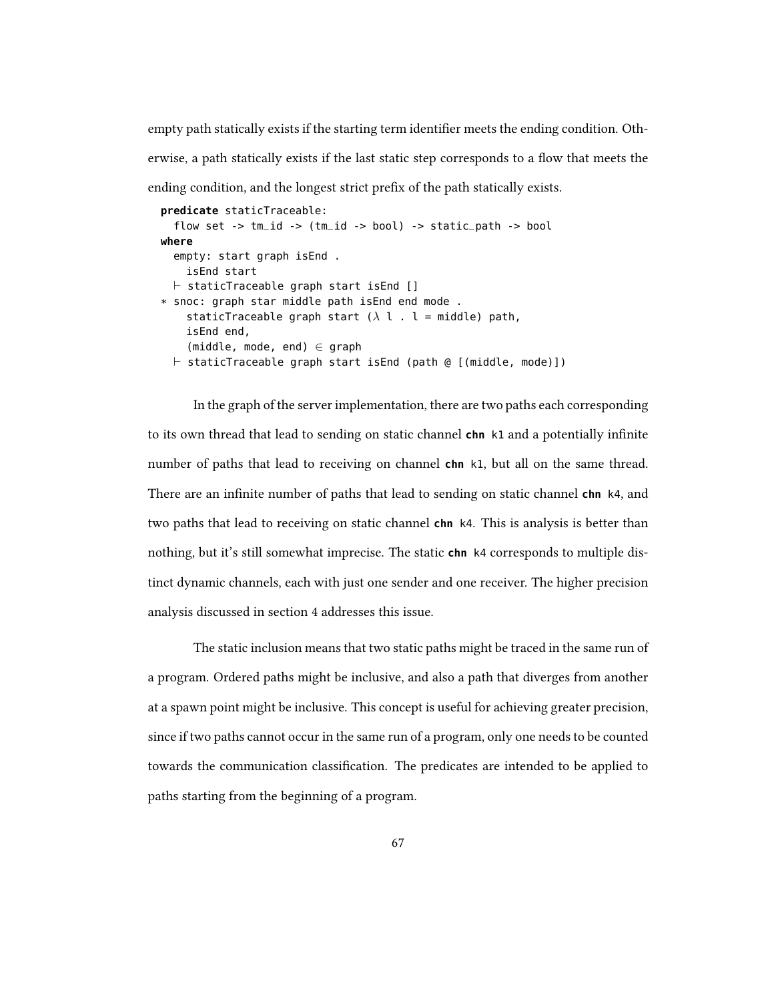empty path statically exists if the starting term identifier meets the ending condition. Otherwise, a path statically exists if the last static step corresponds to a flow that meets the ending condition, and the longest strict prefix of the path statically exists.

```
predicate staticTraceable:
  flow set -> tm_id -> (tm_id -> bool) -> static_path -> bool
where
  empty: start graph isEnd .
    isEnd start
  \vdash staticTraceable graph start isEnd []
* snoc: graph star middle path isEnd end mode .
    staticTraceable graph start (\lambda \, l \, . \, l = middle) path,
    isEnd end,
    (middle, mode, end) \in graph
  \vdash staticTraceable graph start isEnd (path @ [(middle, mode)])
```
In the graph of the server implementation, there are two paths each corresponding to its own thread that lead to sending on static channel **chn** k1 and a potentially infinite number of paths that lead to receiving on channel **chn** k1, but all on the same thread. There are an infinite number of paths that lead to sending on static channel **chn** k4, and two paths that lead to receiving on static channel **chn** k4. This is analysis is better than nothing, but it's still somewhat imprecise. The static **chn** k4 corresponds to multiple distinct dynamic channels, each with just one sender and one receiver. The higher precision analysis discussed in section 4 addresses this issue.

The static inclusion means that two static paths might be traced in the same run of a program. Ordered paths might be inclusive, and also a path that diverges from another at a spawn point might be inclusive. This concept is useful for achieving greater precision, since if two paths cannot occur in the same run of a program, only one needs to be counted towards the communication classification. The predicates are intended to be applied to paths starting from the beginning of a program.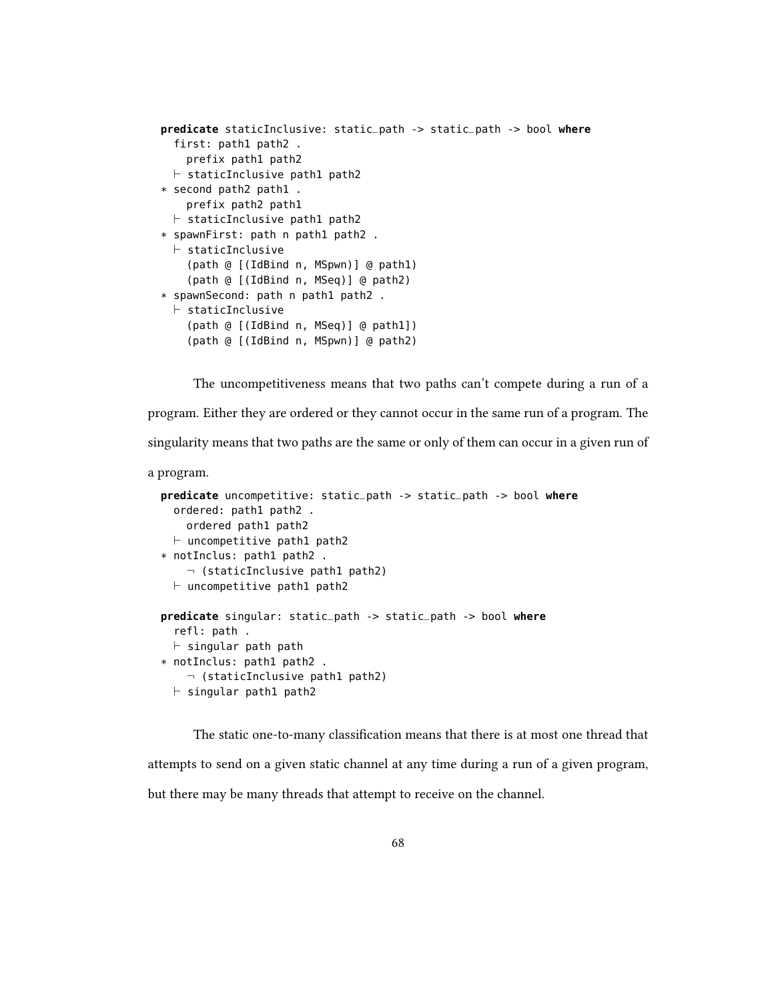```
predicate staticInclusive: static_path -> static_path -> bool where
  first: path1 path2 .
    prefix path1 path2
  \vdash staticInclusive path1 path2
* second path2 path1 .
    prefix path2 path1
  \vdash staticInclusive path1 path2
* spawnFirst: path n path1 path2 .
  \vdash staticInclusive
    (path @ [(IdBind n, MSpwn)] @ path1)
    (path @ [(IdBind n, MSeq)] @ path2)
* spawnSecond: path n path1 path2 .
  \vdash staticInclusive
    (path @ [(IdBind n, MSeq)] @ path1])
    (path @ [(IdBind n, MSpwn)] @ path2)
```
The uncompetitiveness means that two paths can't compete during a run of a program. Either they are ordered or they cannot occur in the same run of a program. The singularity means that two paths are the same or only of them can occur in a given run of

a program.

```
predicate uncompetitive: static_path -> static_path -> bool where
  ordered: path1 path2 .
    ordered path1 path2
  \vdash uncompetitive path1 path2
* notInclus: path1 path2 .
    \neg (staticInclusive path1 path2)
  \vdash uncompetitive path1 path2
predicate singular: static_path -> static_path -> bool where
  refl: path .
  \vdash singular path path
* notInclus: path1 path2 .
    \neg (staticInclusive path1 path2)
  \vdash singular path1 path2
```
The static one-to-many classification means that there is at most one thread that attempts to send on a given static channel at any time during a run of a given program, but there may be many threads that attempt to receive on the channel.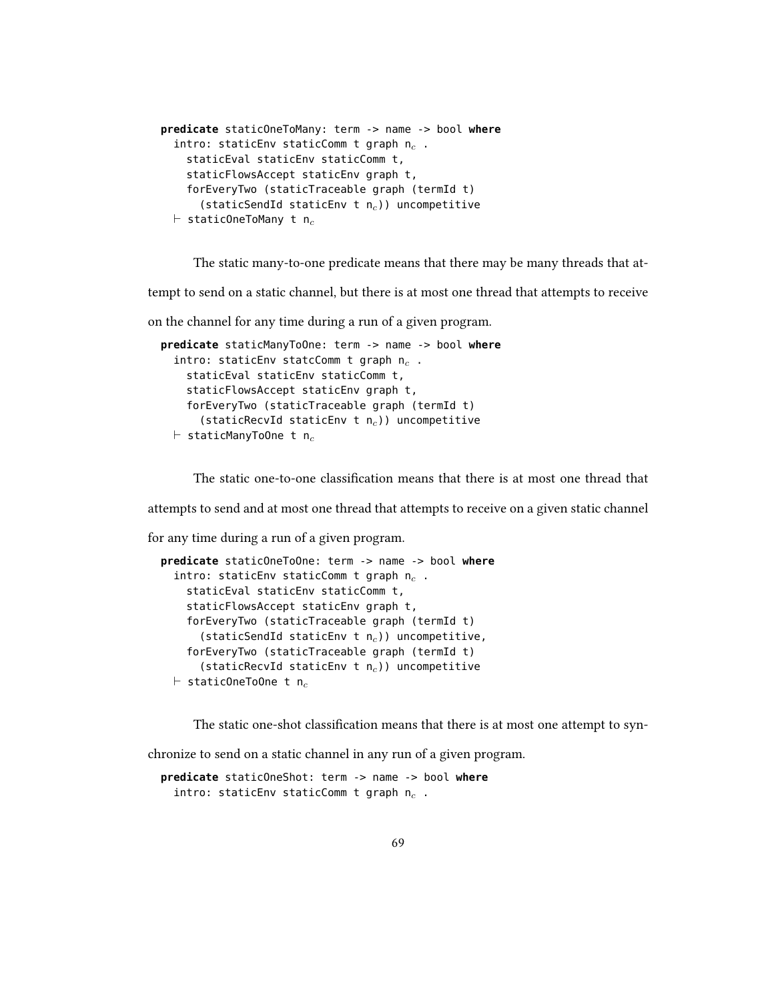```
predicate staticOneToMany: term -> name -> bool where
  intro: staticEnv staticComm t graph n_c.
    staticEval staticEnv staticComm t,
    staticFlowsAccept staticEnv graph t,
    forEveryTwo (staticTraceable graph (termId t)
      (staticSendId staticEnv t n_c)) uncompetitive
  \vdash staticOneToMany t n<sub>c</sub>
```
The static many-to-one predicate means that there may be many threads that at-

tempt to send on a static channel, but there is at most one thread that attempts to receive

on the channel for any time during a run of a given program.

```
predicate staticManyToOne: term -> name -> bool where
  intro: staticEnv statcComm t graph n_c.
    staticEval staticEnv staticComm t,
    staticFlowsAccept staticEnv graph t,
    forEveryTwo (staticTraceable graph (termId t)
      (staticRecvId staticEnv t n_c)) uncompetitive
  \vdash staticManyToOne t n<sub>c</sub>
```
The static one-to-one classification means that there is at most one thread that

attempts to send and at most one thread that attempts to receive on a given static channel

for any time during a run of a given program.

```
predicate staticOneToOne: term -> name -> bool where
  intro: staticEnv staticComm t graph n_c.
    staticEval staticEnv staticComm t,
    staticFlowsAccept staticEnv graph t,
    forEveryTwo (staticTraceable graph (termId t)
      (staticSendId staticEnv t n_c)) uncompetitive,
    forEveryTwo (staticTraceable graph (termId t)
      (staticRecvId staticEnv t n_c)) uncompetitive
  \vdash staticOneToOne t n<sub>c</sub>
```
The static one-shot classification means that there is at most one attempt to syn-

chronize to send on a static channel in any run of a given program.

**predicate** staticOneShot: term -> name -> bool **where** intro: staticEnv staticComm t graph  $n_c$ .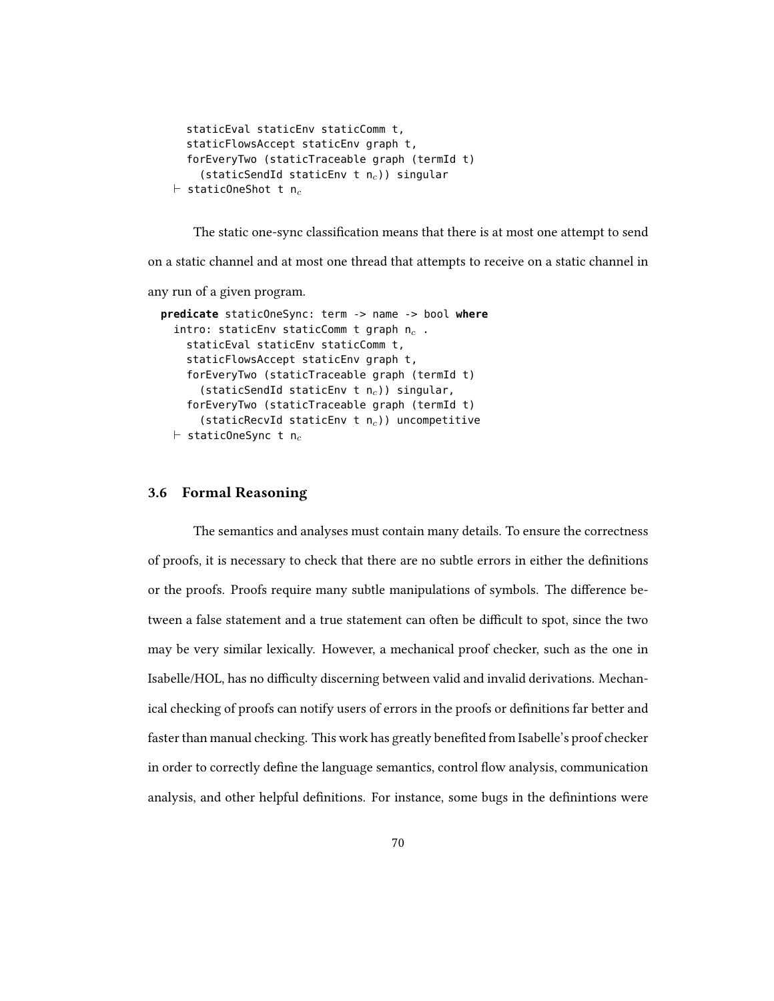```
staticEval staticEnv staticComm t,
  staticFlowsAccept staticEnv graph t,
  forEveryTwo (staticTraceable graph (termId t)
    (staticSendId staticEnv t n_c)) singular
\vdash staticOneShot t n<sub>c</sub>
```
The static one-sync classification means that there is at most one attempt to send

on a static channel and at most one thread that attempts to receive on a static channel in

any run of a given program.

```
predicate staticOneSync: term -> name -> bool where
  intro: staticEnv staticComm t graph n_c.
    staticEval staticEnv staticComm t,
    staticFlowsAccept staticEnv graph t,
    forEveryTwo (staticTraceable graph (termId t)
      (staticSendId staticEnv t n_c)) singular,
    forEveryTwo (staticTraceable graph (termId t)
      (staticRecvId staticEnv t n_c)) uncompetitive
  \vdash staticOneSync t n<sub>c</sub>
```
## 3.6 Formal Reasoning

The semantics and analyses must contain many details. To ensure the correctness of proofs, it is necessary to check that there are no subtle errors in either the denitions or the proofs. Proofs require many subtle manipulations of symbols. The difference between a false statement and a true statement can often be difficult to spot, since the two may be very similar lexically. However, a mechanical proof checker, such as the one in Isabelle/HOL, has no difficulty discerning between valid and invalid derivations. Mechanical checking of proofs can notify users of errors in the proofs or definitions far better and faster than manual checking. This work has greatly benefited from Isabelle's proof checker in order to correctly define the language semantics, control flow analysis, communication analysis, and other helpful definitions. For instance, some bugs in the definintions were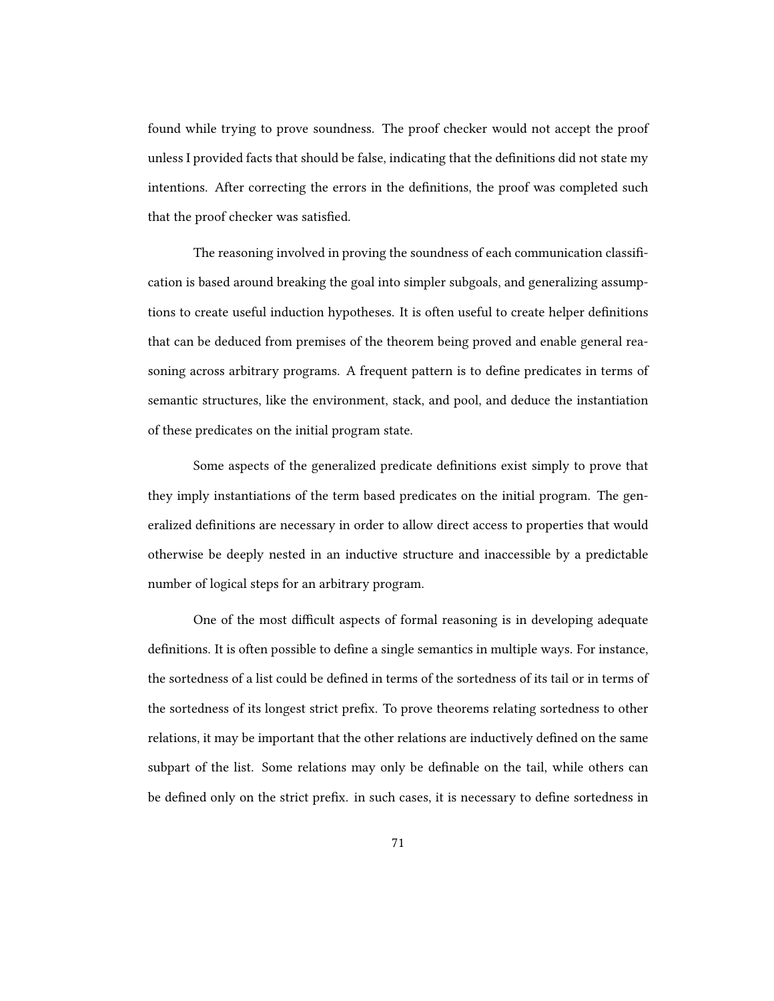found while trying to prove soundness. The proof checker would not accept the proof unless I provided facts that should be false, indicating that the definitions did not state my intentions. After correcting the errors in the definitions, the proof was completed such that the proof checker was satisfied.

The reasoning involved in proving the soundness of each communication classification is based around breaking the goal into simpler subgoals, and generalizing assumptions to create useful induction hypotheses. It is often useful to create helper definitions that can be deduced from premises of the theorem being proved and enable general reasoning across arbitrary programs. A frequent pattern is to define predicates in terms of semantic structures, like the environment, stack, and pool, and deduce the instantiation of these predicates on the initial program state.

Some aspects of the generalized predicate definitions exist simply to prove that they imply instantiations of the term based predicates on the initial program. The generalized definitions are necessary in order to allow direct access to properties that would otherwise be deeply nested in an inductive structure and inaccessible by a predictable number of logical steps for an arbitrary program.

One of the most difficult aspects of formal reasoning is in developing adequate definitions. It is often possible to define a single semantics in multiple ways. For instance, the sortedness of a list could be defined in terms of the sortedness of its tail or in terms of the sortedness of its longest strict prefix. To prove theorems relating sortedness to other relations, it may be important that the other relations are inductively defined on the same subpart of the list. Some relations may only be definable on the tail, while others can be defined only on the strict prefix. in such cases, it is necessary to define sortedness in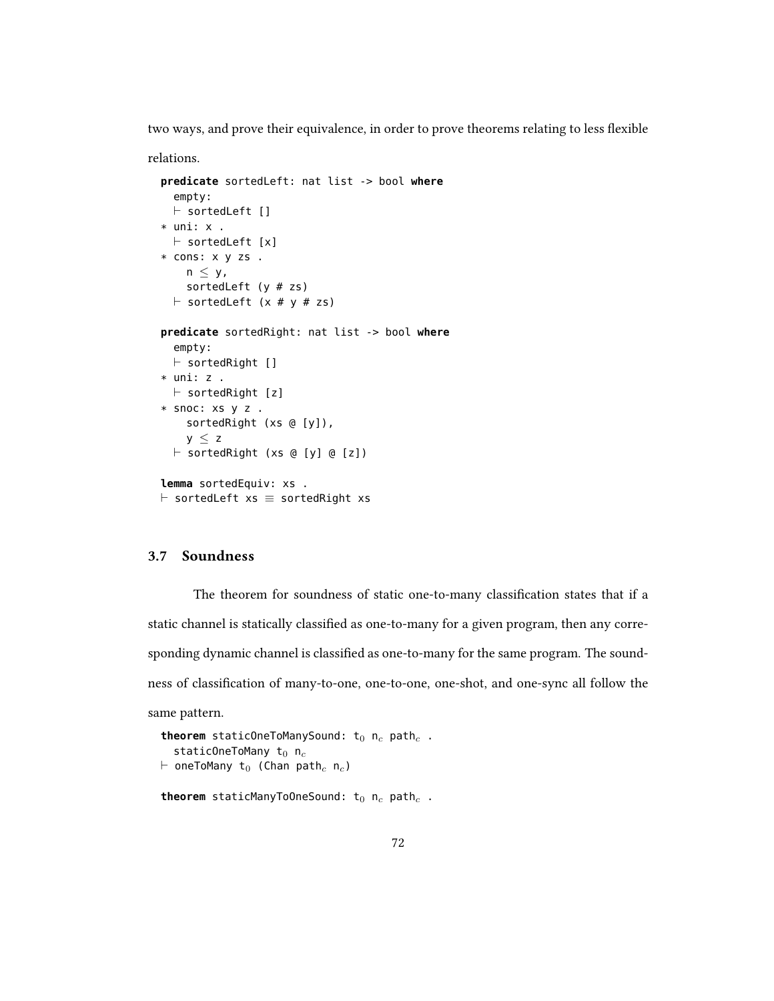two ways, and prove their equivalence, in order to prove theorems relating to less flexible

relations.

```
predicate sortedLeft: nat list -> bool where
  empty:
  \vdash sortedLeft []
* uni: x .
  \vdash sortedLeft [x]
* cons: x y zs .
    n \leq y,
    sortedLeft (y # zs)
  \vdash sortedLeft (x # y # zs)
predicate sortedRight: nat list -> bool where
  empty:
  \vdash sortedRight []
* uni: z .
  \vdash sortedRight [z]
* snoc: xs y z .
    sortedRight (xs @ [y]),
    y \leq z\vdash sortedRight (xs @ [y] @ [z])
lemma sortedEquiv: xs .
\vdash sortedLeft xs \equiv sortedRight xs
```
## 3.7 Soundness

The theorem for soundness of static one-to-many classification states that if a static channel is statically classified as one-to-many for a given program, then any corresponding dynamic channel is classified as one-to-many for the same program. The soundness of classification of many-to-one, one-to-one, one-shot, and one-sync all follow the same pattern.

```
theorem staticOneToManySound: t_0 n_c path<sub>c</sub>.
   staticOneToMany t_0 n<sub>c</sub>
\vdash oneToMany t<sub>0</sub> (Chan path<sub>c</sub> n<sub>c</sub>)
theorem staticManyToOneSound: t_0 n<sub>c</sub> path<sub>c</sub>.
```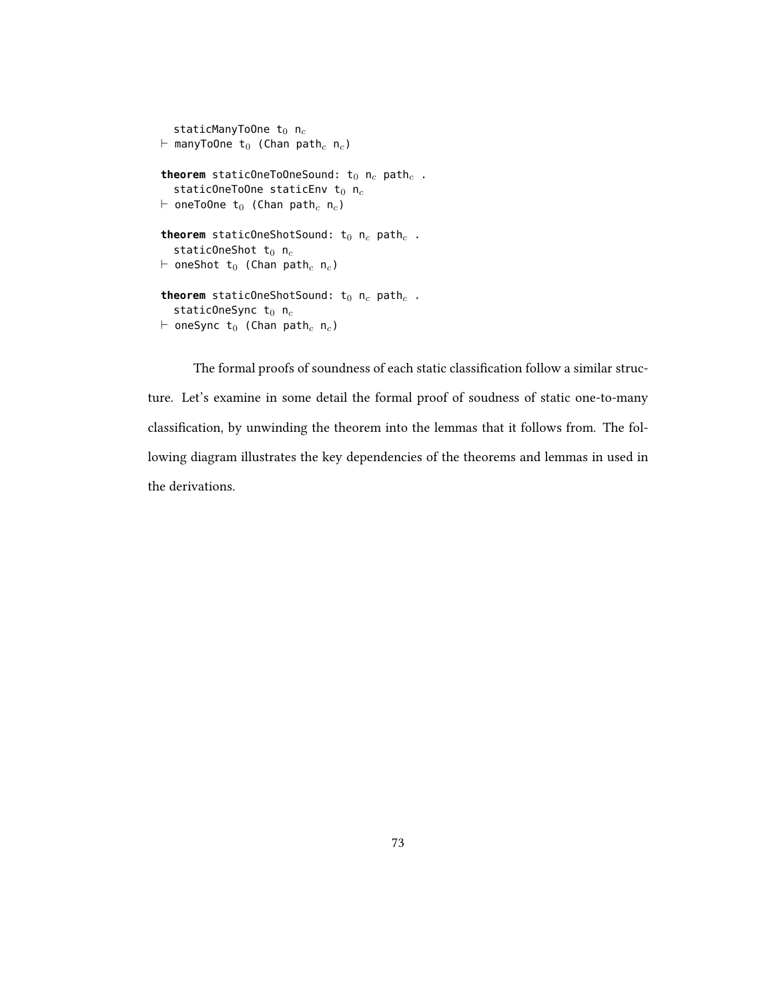```
staticManyToOne t_0 n<sub>c</sub>
\vdash manyToOne t<sub>0</sub> (Chan path<sub>c</sub> n<sub>c</sub>)
theorem staticOneToOneSound: t_0 n_c path<sub>c</sub>.
   staticOneToOne staticEnv t_0 n<sub>c</sub>
\vdash oneToOne t<sub>0</sub> (Chan path<sub>c</sub> n<sub>c</sub>)
theorem staticOneShotSound: t_0 n_c path<sub>c</sub>.
   staticOneShot t_0 n<sub>c</sub>
\vdash oneShot t<sub>0</sub> (Chan path<sub>c</sub> n<sub>c</sub>)
theorem staticOneShotSound: t_0 n_c path<sub>c</sub>.
   staticOneSync t_0 n<sub>c</sub>
\vdash oneSync t<sub>0</sub> (Chan path<sub>c</sub> n<sub>c</sub>)
```
The formal proofs of soundness of each static classification follow a similar structure. Let's examine in some detail the formal proof of soudness of static one-to-many classification, by unwinding the theorem into the lemmas that it follows from. The following diagram illustrates the key dependencies of the theorems and lemmas in used in the derivations.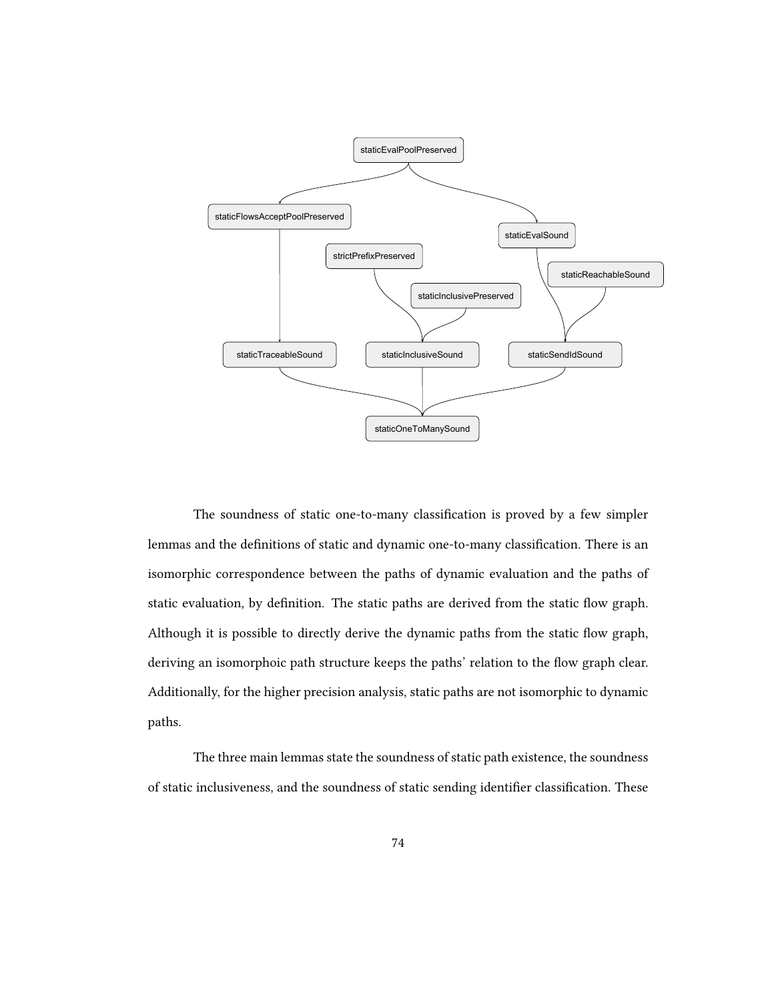

The soundness of static one-to-many classification is proved by a few simpler lemmas and the definitions of static and dynamic one-to-many classification. There is an isomorphic correspondence between the paths of dynamic evaluation and the paths of static evaluation, by definition. The static paths are derived from the static flow graph. Although it is possible to directly derive the dynamic paths from the static flow graph, deriving an isomorphoic path structure keeps the paths' relation to the flow graph clear. Additionally, for the higher precision analysis, static paths are not isomorphic to dynamic paths.

The three main lemmas state the soundness of static path existence, the soundness of static inclusiveness, and the soundness of static sending identifier classification. These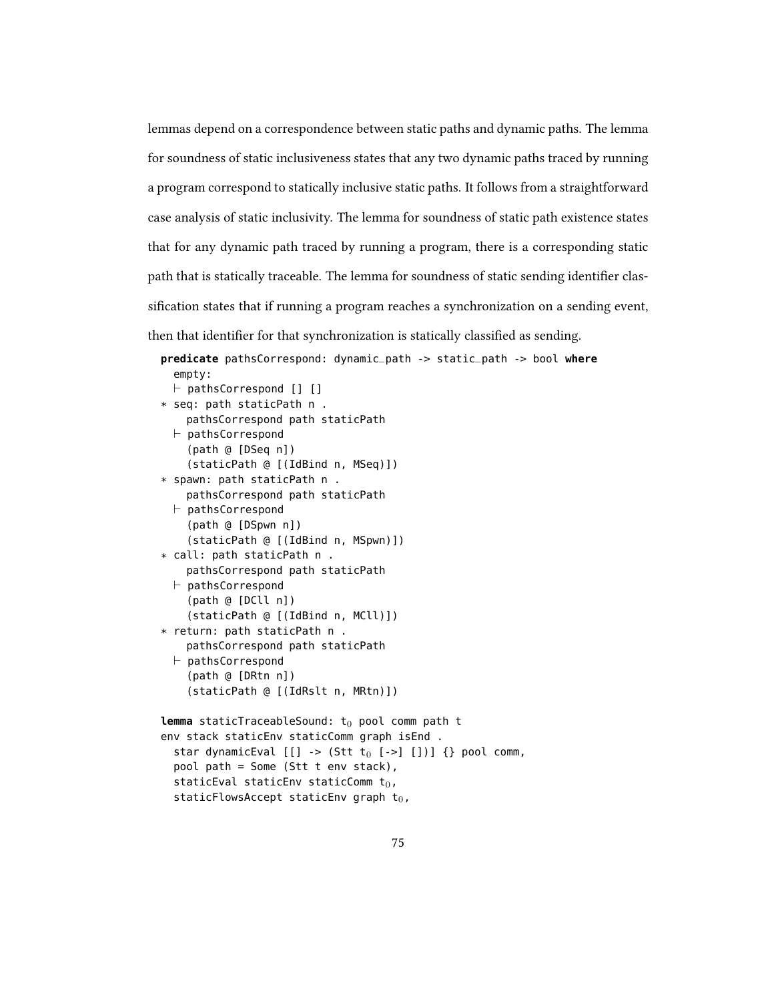lemmas depend on a correspondence between static paths and dynamic paths. The lemma for soundness of static inclusiveness states that any two dynamic paths traced by running a program correspond to statically inclusive static paths. It follows from a straightforward case analysis of static inclusivity. The lemma for soundness of static path existence states that for any dynamic path traced by running a program, there is a corresponding static path that is statically traceable. The lemma for soundness of static sending identifier classification states that if running a program reaches a synchronization on a sending event, then that identifier for that synchronization is statically classified as sending.

```
predicate pathsCorrespond: dynamic_path -> static_path -> bool where
  empty:
  \vdash pathsCorrespond [] []
* seq: path staticPath n .
    pathsCorrespond path staticPath
  \vdash pathsCorrespond
    (path @ [DSeq n])
    (staticPath @ [(IdBind n, MSeq)])
* spawn: path staticPath n .
    pathsCorrespond path staticPath
  \vdash pathsCorrespond
    (path @ [DSpwn n])
    (staticPath @ [(IdBind n, MSpwn)])
* call: path staticPath n .
    pathsCorrespond path staticPath
  \vdash pathsCorrespond
    (path @ [DCll n])
    (staticPath @ [(IdBind n, MCll)])
* return: path staticPath n .
    pathsCorrespond path staticPath
  \vdash pathsCorrespond
    (path @ [DRtn n])
    (staticPath @ [(IdRslt n, MRtn)])
lemma staticTraceableSound: t_0 pool comm path t
env stack staticEnv staticComm graph isEnd .
  star dynamicEval [[] \rightarrow (Stt t_0 [->][])) {} pool comm,
  pool path = Some (Stt t env stack),
  staticEval staticEnv staticComm t_0,
  staticFlowsAccept staticEnv graph t_0,
```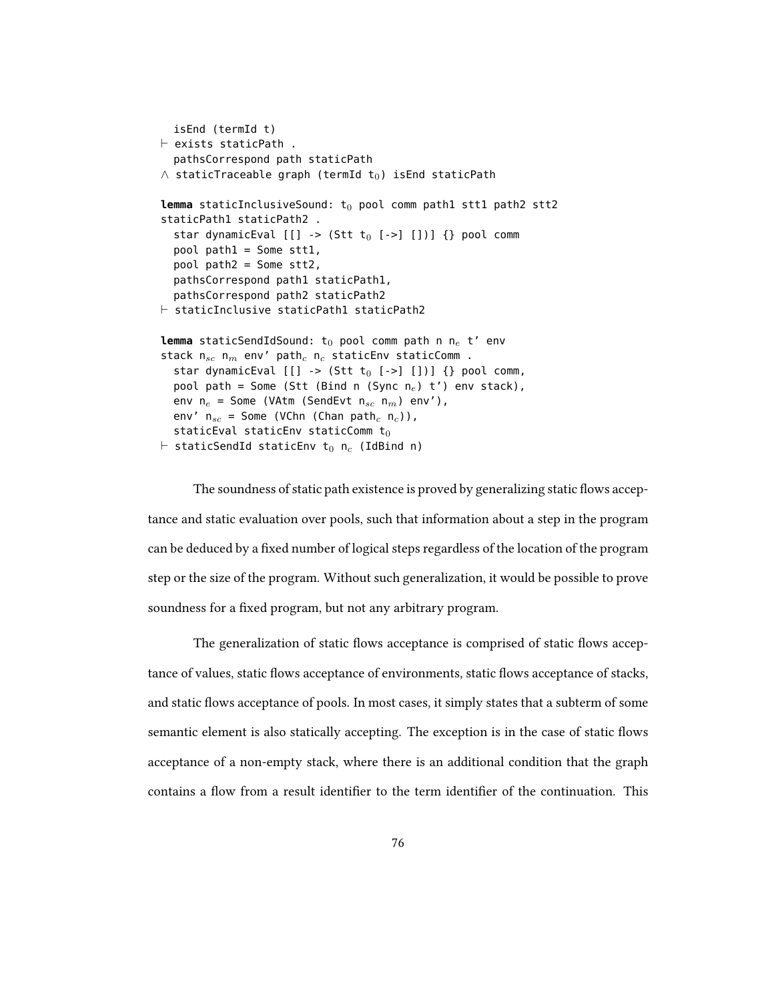```
isEnd (termId t)
\vdash exists staticPath.
  pathsCorrespond path staticPath
\wedge staticTraceable graph (termId t<sub>0</sub>) isEnd staticPath
lemma staticInclusiveSound: t<sub>0</sub> pool comm path1 stt1 path2 stt2
staticPath1 staticPath2 .
  star dynamicEval [[] \rightarrow (Stt t_0 [->][])) {} pool comm
  pool path1 = Some stt1,
  pool path2 = Some stt2,
  pathsCorrespond path1 staticPath1,
  pathsCorrespond path2 staticPath2
\vdash staticInclusive staticPath1 staticPath2
lemma staticSendIdSound: t_0 pool comm path n n_e t' env
stack n_{sc} n_m env' path<sub>c</sub> n_c staticEnv staticComm .
  star dynamicEval [[] \rightarrow (Stt t_0 [->][])) {} pool comm,
  pool path = Some (Stt (Bind n (Sync n_e) t') env stack),
  env n_e = Some (VAtm (SendEvt n_{sc} n_m) env'),
  env' n_{sc} = Some (VChn (Chan path<sub>c</sub> n<sub>c</sub>)),
  staticEval staticEnv staticComm t_0\vdash staticSendId staticEnv t<sub>0</sub> n<sub>c</sub> (IdBind n)
```
The soundness of static path existence is proved by generalizing static flows acceptance and static evaluation over pools, such that information about a step in the program can be deduced by a fixed number of logical steps regardless of the location of the program step or the size of the program. Without such generalization, it would be possible to prove soundness for a fixed program, but not any arbitrary program.

The generalization of static flows acceptance is comprised of static flows acceptance of values, static flows acceptance of environments, static flows acceptance of stacks, and static flows acceptance of pools. In most cases, it simply states that a subterm of some semantic element is also statically accepting. The exception is in the case of static flows acceptance of a non-empty stack, where there is an additional condition that the graph contains a flow from a result identifier to the term identifier of the continuation. This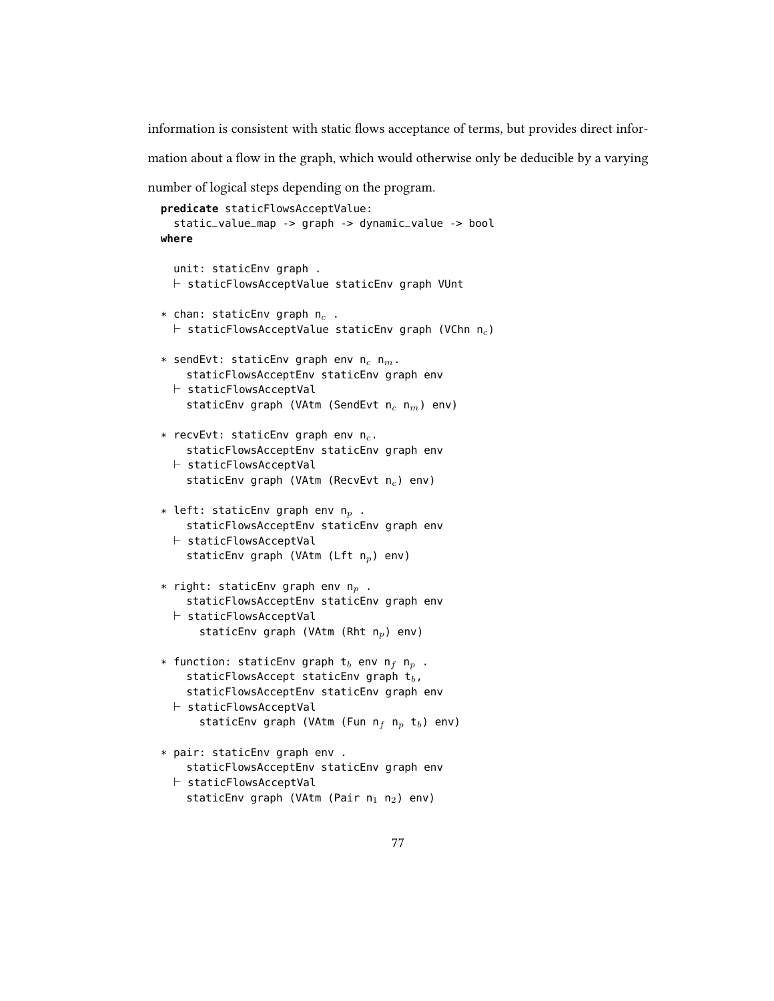information is consistent with static flows acceptance of terms, but provides direct infor-

mation about a flow in the graph, which would otherwise only be deducible by a varying

number of logical steps depending on the program.

```
predicate staticFlowsAcceptValue:
  static_value_map -> graph -> dynamic_value -> bool
where
  unit: staticEnv graph .
  \vdash staticFlowsAcceptValue staticEnv graph VUnt
* chan: staticEnv graph n_c.
  \vdash staticFlowsAcceptValue staticEnv graph (VChn n<sub>c</sub>)
* sendEvt: staticEnv graph env n_c n_m.
    staticFlowsAcceptEnv staticEnv graph env
  \vdash staticFlowsAcceptVal
    staticEnv graph (VAtm (SendEvt n_c n_m) env)
* recvEvt: staticEnv graph env n_c.
    staticFlowsAcceptEnv staticEnv graph env
  \vdash staticFlowsAcceptVal
    staticEnv graph (VAtm (RecvEvt n_c) env)
* left: staticEnv graph env n_p .
    staticFlowsAcceptEnv staticEnv graph env
  \vdash staticFlowsAcceptVal
    staticEnv graph (VAtm (Lft n_p) env)
* right: staticEnv graph env n_p.
    staticFlowsAcceptEnv staticEnv graph env
  \vdash staticFlowsAcceptVal
      staticEnv graph (VAtm (Rht n_p) env)
* function: staticEnv graph t<sub>b</sub> env n<sub>f</sub> n<sub>p</sub> .
    staticFlowsAccept staticEnv graph t_b,
    staticFlowsAcceptEnv staticEnv graph env
  \vdash staticFlowsAcceptVal
      staticEnv graph (VAtm (Fun n_f n_p t<sub>b</sub>) env)
* pair: staticEnv graph env .
    staticFlowsAcceptEnv staticEnv graph env
  \vdash staticFlowsAcceptVal
    staticEnv graph (VAtm (Pair n_1 n_2) env)
```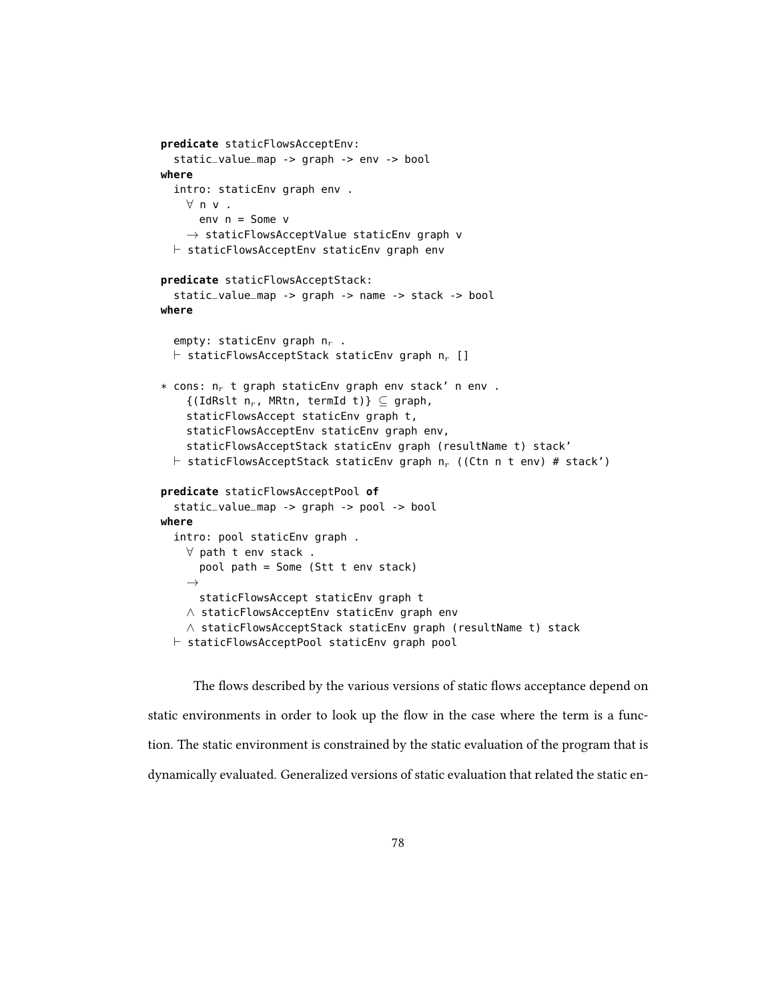```
predicate staticFlowsAcceptEnv:
  static_value_map -> graph -> env -> bool
where
  intro: staticEnv graph env .
    ∀ n v .
      env n = Some v
    \rightarrow staticFlowsAcceptValue staticEnv graph v
  \vdash staticFlowsAcceptEnv staticEnv graph env
predicate staticFlowsAcceptStack:
  static_value_map -> graph -> name -> stack -> bool
where
  empty: staticEnv graph n_r.
  \vdash staticFlowsAcceptStack staticEnv graph n<sub>r</sub> []
* cons: n_r t graph staticEnv graph env stack' n env.
    \{(IdRslt n_r, MRtn, termId t)\}\subseteq graph,
    staticFlowsAccept staticEnv graph t,
    staticFlowsAcceptEnv staticEnv graph env,
    staticFlowsAcceptStack staticEnv graph (resultName t) stack'
  \vdash staticFlowsAcceptStack staticEnv graph n<sub>r</sub> ((Ctn n t env) # stack')
predicate staticFlowsAcceptPool of
  static_value_map -> graph -> pool -> bool
where
  intro: pool staticEnv graph .
    ∀ path t env stack .
      pool path = Some (Stt t env stack)
    \rightarrowstaticFlowsAccept staticEnv graph t
    ∧ staticFlowsAcceptEnv staticEnv graph env
    ∧ staticFlowsAcceptStack staticEnv graph (resultName t) stack
  \vdash staticFlowsAcceptPool staticEnv graph pool
```
The flows described by the various versions of static flows acceptance depend on static environments in order to look up the flow in the case where the term is a function. The static environment is constrained by the static evaluation of the program that is dynamically evaluated. Generalized versions of static evaluation that related the static en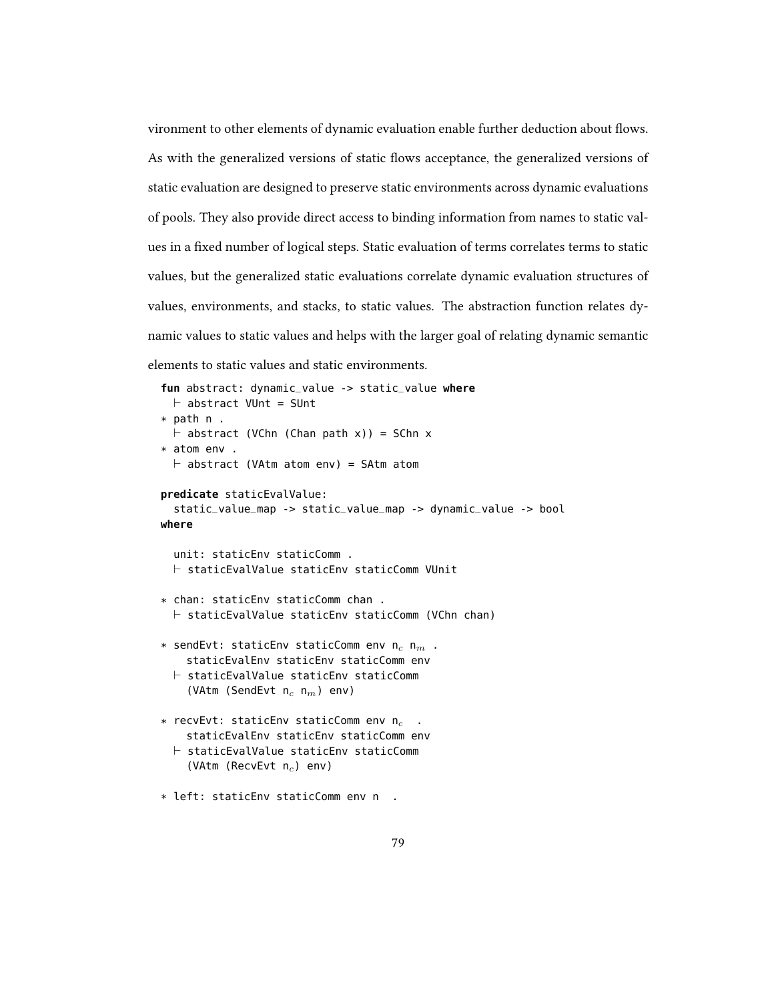vironment to other elements of dynamic evaluation enable further deduction about flows. As with the generalized versions of static flows acceptance, the generalized versions of static evaluation are designed to preserve static environments across dynamic evaluations of pools. They also provide direct access to binding information from names to static values in a fixed number of logical steps. Static evaluation of terms correlates terms to static values, but the generalized static evaluations correlate dynamic evaluation structures of values, environments, and stacks, to static values. The abstraction function relates dynamic values to static values and helps with the larger goal of relating dynamic semantic elements to static values and static environments.

```
fun abstract: dynamic_value -> static_value where
  \vdash abstract VUnt = SUnt
* path n .
  \vdash abstract (VChn (Chan path x)) = SChn x
* atom env .
  \vdash abstract (VAtm atom env) = SAtm atom
predicate staticEvalValue:
  static_value_map -> static_value_map -> dynamic_value -> bool
where
  unit: staticEnv staticComm .
  \vdash staticEvalValue staticEnv staticComm VUnit
* chan: staticEnv staticComm chan .
  \vdash staticEvalValue staticEnv staticComm (VChn chan)
* sendEvt: staticEnv staticComm env n_c n_m.
    staticEvalEnv staticEnv staticComm env
  \vdash staticEvalValue staticEnv staticComm
    (VAtm (SendEvt n_c n_m) env)
* recvEvt: staticEnv staticComm env n_cstaticEvalEnv staticEnv staticComm env
  \vdash staticEvalValue staticEnv staticComm
    (VAtm (RecvEvt n_c) env)
```

```
* left: staticEnv staticComm env n .
```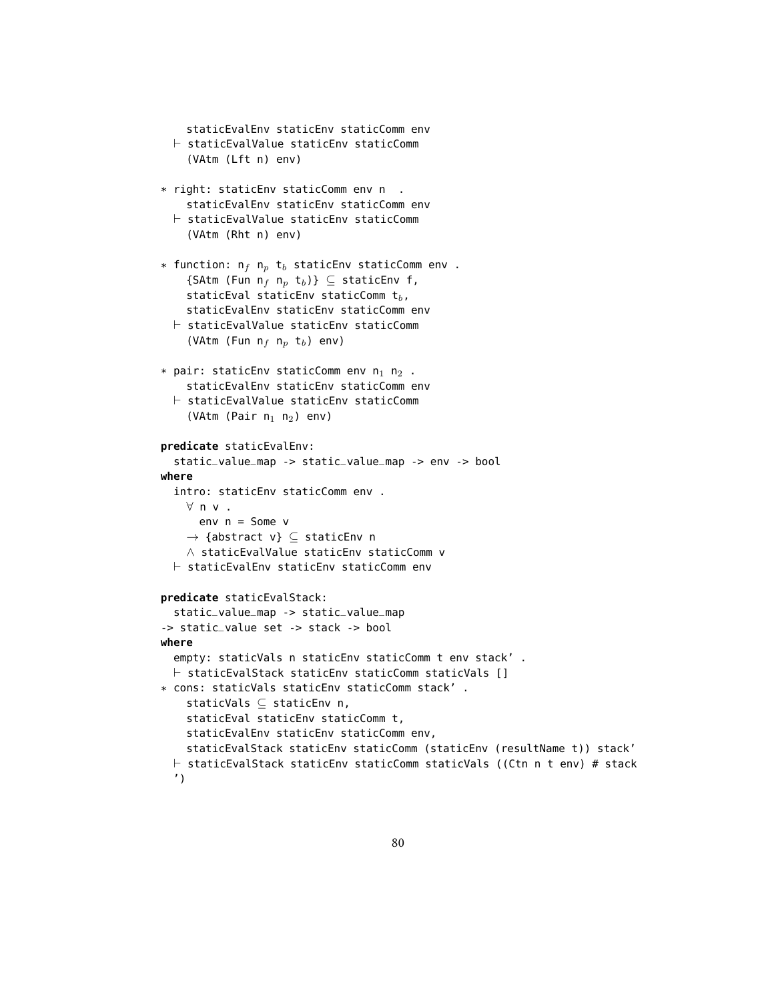```
staticEvalEnv staticEnv staticComm env
  \vdash staticEvalValue staticEnv staticComm
    (VAtm (Lft n) env)
* right: staticEnv staticComm env n .
    staticEvalEnv staticEnv staticComm env
  \vdash staticEvalValue staticEnv staticComm
    (VAtm (Rht n) env)
* function: n_f n_p t_b staticEnv staticComm env .
    {SAtm (Fun n_f n_p t_b)} \subseteq staticEnv f,
    staticEval staticEnv staticComm t_b,
    staticEvalEnv staticEnv staticComm env
  \vdash staticEvalValue staticEnv staticComm
    (VAtm (Fun n_f n_p t<sub>b</sub>) env)
* pair: staticEnv staticComm env n_1 n_2.
    staticEvalEnv staticEnv staticComm env
  \vdash staticEvalValue staticEnv staticComm
    (VAtm (Pair n_1 n_2) env)
predicate staticEvalEnv:
  static_value_map -> static_value_map -> env -> bool
where
  intro: staticEnv staticComm env .
    ∀ n v .
      env n = Some v→ {abstract v} ⊆ staticEnv n
    ∧ staticEvalValue staticEnv staticComm v
  \vdash staticEvalEnv staticEnv staticComm env
predicate staticEvalStack:
  static_value_map -> static_value_map
-> static_value set -> stack -> bool
where
  empty: staticVals n staticEnv staticComm t env stack' .
  \vdash staticEvalStack staticEnv staticComm staticVals []
* cons: staticVals staticEnv staticComm stack' .
    staticVals ⊆ staticEnv n,
    staticEval staticEnv staticComm t,
    staticEvalEnv staticEnv staticComm env,
    staticEvalStack staticEnv staticComm (staticEnv (resultName t)) stack'
  \vdash staticEvalStack staticEnv staticComm staticVals ((Ctn n t env) # stack
  ')
```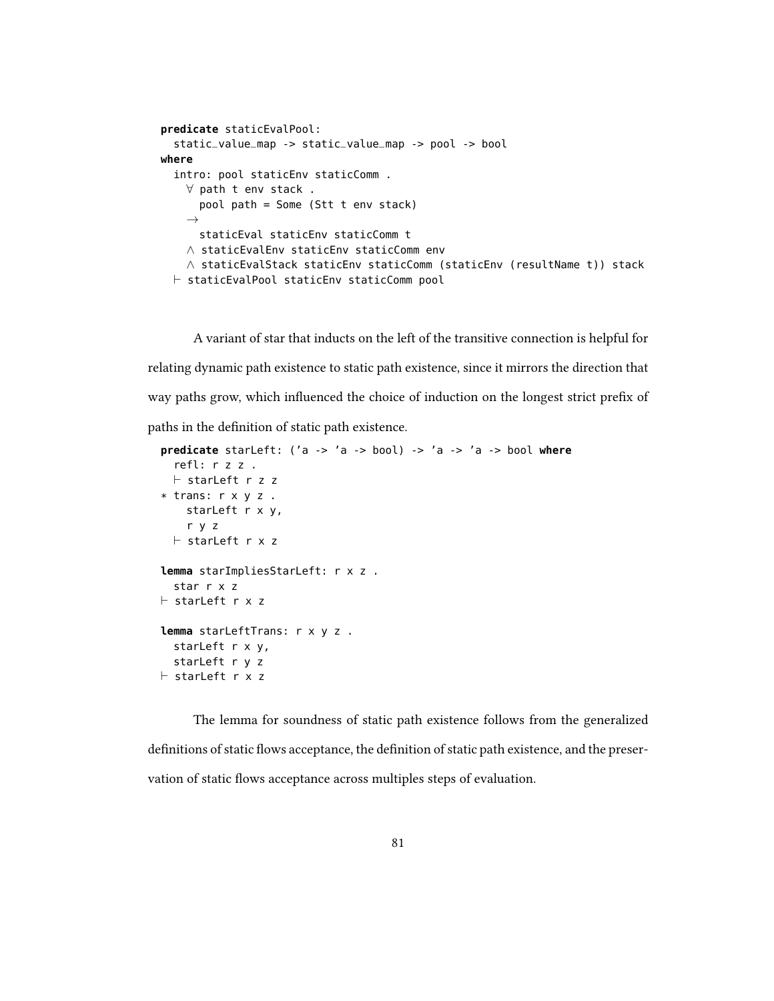```
predicate staticEvalPool:
  static_value_map -> static_value_map -> pool -> bool
where
  intro: pool staticEnv staticComm .
    ∀ path t env stack .
      pool path = Some (Stt t env stack)
    \rightarrowstaticEval staticEnv staticComm t
    ∧ staticEvalEnv staticEnv staticComm env
    ∧ staticEvalStack staticEnv staticComm (staticEnv (resultName t)) stack
  \vdash staticEvalPool staticEnv staticComm pool
```
A variant of star that inducts on the left of the transitive connection is helpful for relating dynamic path existence to static path existence, since it mirrors the direction that way paths grow, which influenced the choice of induction on the longest strict prefix of paths in the definition of static path existence.

```
predicate starLeft: ('a -> 'a -> bool) -> 'a -> 'a -> bool where
  refl: r z z .
  \vdash starLeft r z z
* trans: r x y z .
    starLeft r x y,
    r y z
  \vdash starLeft r x z
lemma starImpliesStarLeft: r x z .
  star r x z
\vdash starLeft r x z
lemma starLeftTrans: r x y z .
  starLeft r x y,
  starLeft r y z
\vdash starLeft r x z
```
The lemma for soundness of static path existence follows from the generalized definitions of static flows acceptance, the definition of static path existence, and the preservation of static flows acceptance across multiples steps of evaluation.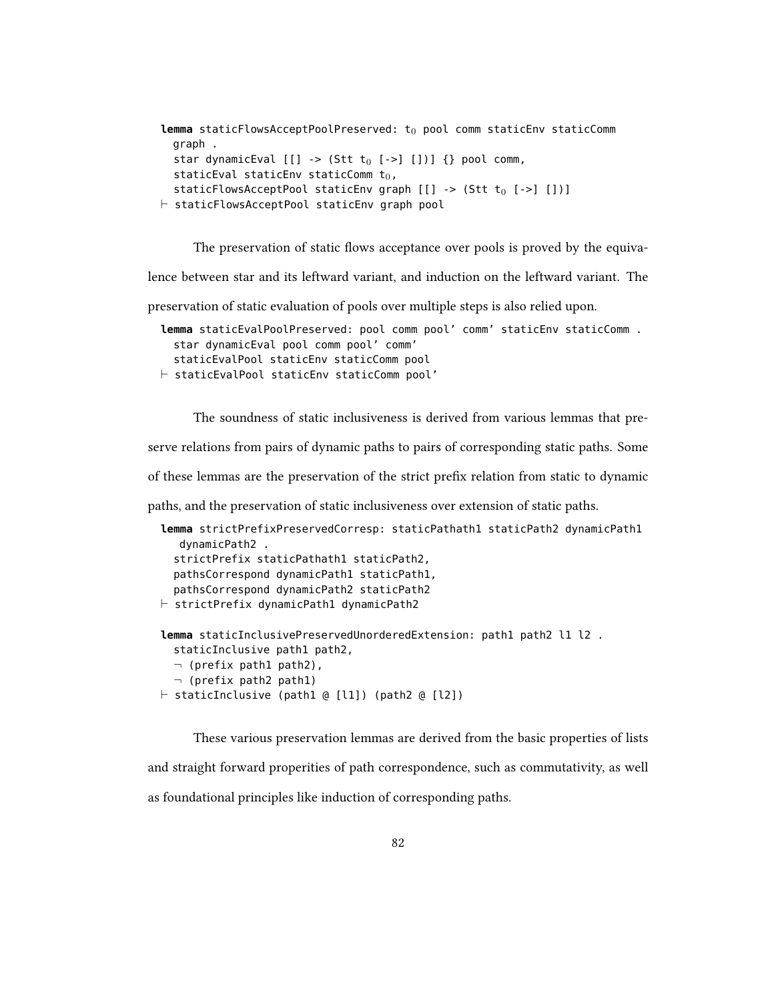```
lemma staticFlowsAcceptPoolPreserved: t<sub>0</sub> pool comm staticEnv staticComm
  graph .
  star dynamicEval [[] \rightarrow (Stt t_0 [->][])) {} pool comm,
  staticEval staticEnv staticComm t_0,
  staticFlowsAcceptPool staticEnv graph [[] -> (Stt t<sub>0</sub> [->] [])]
⊩ staticFlowsAcceptPool staticEnv graph pool
```
The preservation of static flows acceptance over pools is proved by the equiva-

lence between star and its leftward variant, and induction on the leftward variant. The

preservation of static evaluation of pools over multiple steps is also relied upon.

```
lemma staticEvalPoolPreserved: pool comm pool' comm' staticEnv staticComm .
  star dynamicEval pool comm pool' comm'
  staticEvalPool staticEnv staticComm pool
⊩ staticEvalPool staticEnv staticComm pool'
```
The soundness of static inclusiveness is derived from various lemmas that pre-

serve relations from pairs of dynamic paths to pairs of corresponding static paths. Some

of these lemmas are the preservation of the strict prefix relation from static to dynamic

paths, and the preservation of static inclusiveness over extension of static paths.

```
lemma strictPrefixPreservedCorresp: staticPathath1 staticPath2 dynamicPath1
  dynamicPath2 .
  strictPrefix staticPathath1 staticPath2,
  pathsCorrespond dynamicPath1 staticPath1,
  pathsCorrespond dynamicPath2 staticPath2
⊩ strictPrefix dynamicPath1 dynamicPath2
lemma staticInclusivePreservedUnorderedExtension: path1 path2 l1 l2 .
  staticInclusive path1 path2,
```

```
¬ (prefix path1 path2),
  \neg (prefix path2 path1)
\vdash staticInclusive (path1 @ [l1]) (path2 @ [l2])
```
These various preservation lemmas are derived from the basic properties of lists and straight forward properities of path correspondence, such as commutativity, as well as foundational principles like induction of corresponding paths.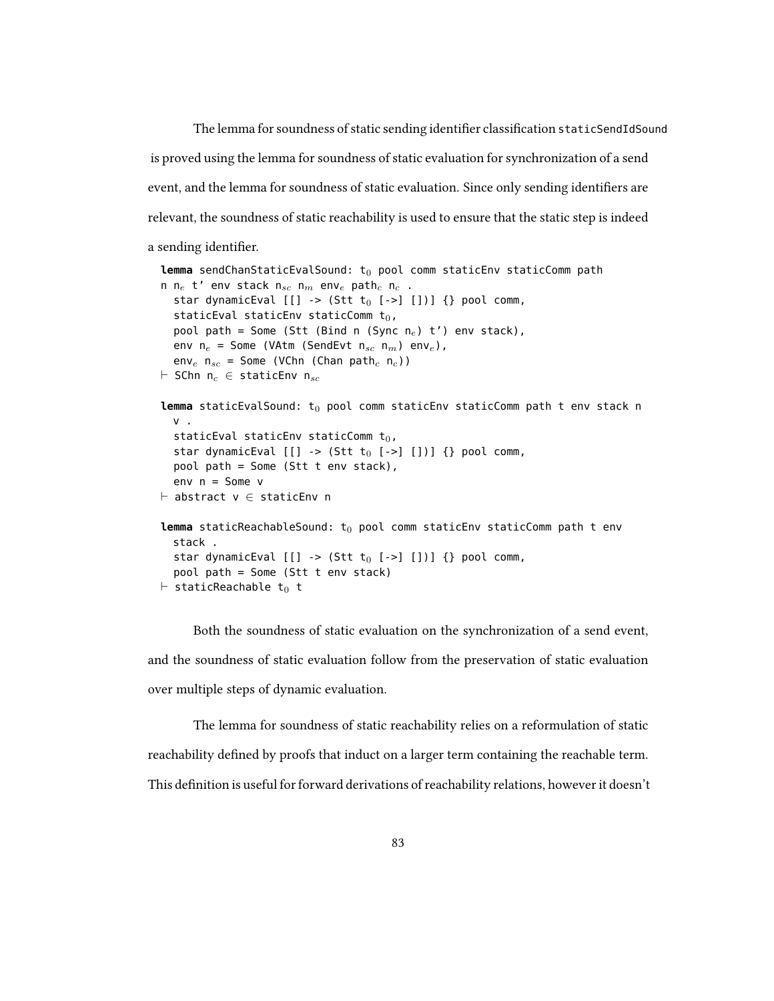The lemma for soundness of static sending identifier classification staticSendIdSound is proved using the lemma for soundness of static evaluation for synchronization of a send event, and the lemma for soundness of static evaluation. Since only sending identifiers are relevant, the soundness of static reachability is used to ensure that the static step is indeed a sending identifier.

```
lemma sendChanStaticEvalSound: t<sub>0</sub> pool comm staticEnv staticComm path
n n<sub>e</sub> t' env stack n<sub>sc</sub> n<sub>m</sub> env<sub>e</sub> path<sub>c</sub> n<sub>c</sub>.
  star dynamicEval [[] \rightarrow (Stt t_0 [->][])) {} pool comm,
  staticEval staticEnv staticComm t_0,
  pool path = Some (Stt (Bind n (Sync n<sub>e</sub>) t') env stack),
  env n_e = Some (VAtm (SendEvt n_{sc} n_m) env<sub>e</sub>),
  env_e n<sub>sc</sub> = Some (VChn (Chan path<sub>c</sub> n<sub>c</sub>))
\vdash SChn n<sub>c</sub> \in staticEnv n<sub>sc</sub>
lemma staticEvalSound: t_0 pool comm staticEnv staticComm path t env stack n
  V =staticEval staticEnv staticComm t_0,
  star dynamicEval [[] \rightarrow (Stt t_0 [->][])) {} pool comm,
  pool path = Some (Stt t env stack),
  env n = Some v
\vdash abstract v \in staticEnv n
lemma staticReachableSound: t<sub>0</sub> pool comm staticEnv staticComm path t env
  stack .
  star dynamicEval [[] \rightarrow (Stt t_0 [->][])) {} pool comm,
  pool path = Some (Stt t env stack)
\vdash staticReachable t<sub>0</sub> t
```
Both the soundness of static evaluation on the synchronization of a send event, and the soundness of static evaluation follow from the preservation of static evaluation over multiple steps of dynamic evaluation.

The lemma for soundness of static reachability relies on a reformulation of static reachability defined by proofs that induct on a larger term containing the reachable term. This definition is useful for forward derivations of reachability relations, however it doesn't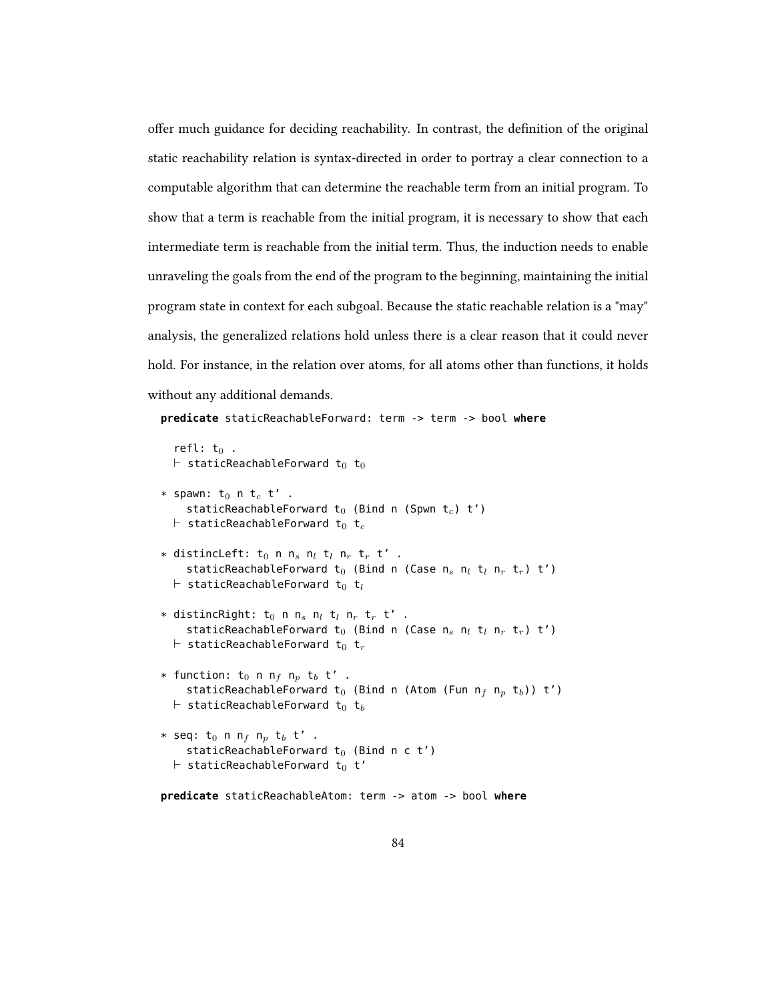offer much guidance for deciding reachability. In contrast, the definition of the original static reachability relation is syntax-directed in order to portray a clear connection to a computable algorithm that can determine the reachable term from an initial program. To show that a term is reachable from the initial program, it is necessary to show that each intermediate term is reachable from the initial term. Thus, the induction needs to enable unraveling the goals from the end of the program to the beginning, maintaining the initial program state in context for each subgoal. Because the static reachable relation is a "may" analysis, the generalized relations hold unless there is a clear reason that it could never hold. For instance, in the relation over atoms, for all atoms other than functions, it holds without any additional demands.

```
predicate staticReachableForward: term -> term -> bool where
   refl: t_0 .
  \vdash staticReachableForward t<sub>0</sub> t<sub>0</sub>
* spawn: t_0 n t_c t' .
      staticReachableForward t_0 (Bind n (Spwn t_c) t')
   \vdash staticReachableForward t<sub>0</sub> t<sub>c</sub>
* distincLeft: t_0 n n_s n_l t_l n_r t_r t' .
      staticReachableForward t<sub>0</sub> (Bind n (Case n_s n_l t<sub>l</sub> n_r t<sub>r</sub>) t')
   \vdash staticReachableForward t<sub>0</sub> t<sub>l</sub>
* distincRight: t_0 n n_s n_l t_l n_r t_r t' .
      staticReachableForward t<sub>0</sub> (Bind n (Case n<sub>s</sub> n<sub>l</sub> t<sub>l</sub> n<sub>r</sub> t<sub>r</sub>) t')
   \vdash staticReachableForward t<sub>0</sub> t<sub>r</sub>
* function: t_0 n n_f n_p t_b t' .
      staticReachableForward t<sub>0</sub> (Bind n (Atom (Fun n<sub>f</sub> n<sub>p</sub> t<sub>b</sub>)) t')
   \vdash staticReachableForward t<sub>0</sub> t<sub>b</sub>
* seq: t_0 n n<sub>f</sub> n<sub>p</sub> t_b t' .
      staticReachableForward t_0 (Bind n c t')
   \vdash staticReachableForward t<sub>0</sub> t'
predicate staticReachableAtom: term -> atom -> bool where
```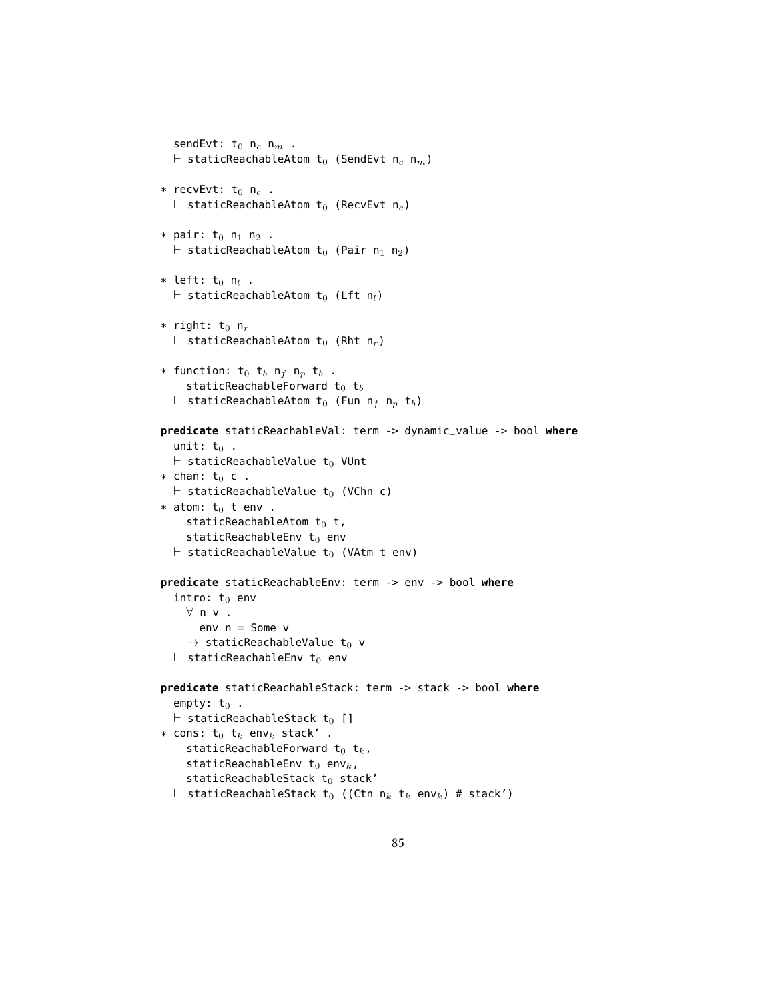```
sendEvt: t_0 n_c n_m .
  \vdash staticReachableAtom t<sub>0</sub> (SendEvt n<sub>c</sub> n<sub>m</sub>)
* recvEvt: t_0 n<sub>c</sub>.
  \vdash staticReachableAtom t<sub>0</sub> (RecvEvt n<sub>c</sub>)
* pair: t_0 n_1 n_2 .
  \vdash staticReachableAtom t<sub>0</sub> (Pair n<sub>1</sub> n<sub>2</sub>)
* left: t<sub>0</sub> n<sub>l</sub>.
  \vdash staticReachableAtom t<sub>0</sub> (Lft n<sub>l</sub>)
* right: t_0 n<sub>r</sub>
  \vdash staticReachableAtom t<sub>0</sub> (Rht n<sub>r</sub>)
* function: t_0 t_b n_f n_p t_b .
     staticReachableForward t_0 t_b\vdash staticReachableAtom t<sub>0</sub> (Fun n<sub>f</sub> n<sub>p</sub> t<sub>b</sub>)
predicate staticReachableVal: term -> dynamic_value -> bool where
  unit: t_0.
  \vdash staticReachableValue t<sub>0</sub> VUnt
* chan: t_0 c.
  \vdash staticReachableValue t<sub>0</sub> (VChn c)
* atom: t_0 t env.
     staticReachableAtom t_0 t,
     staticReachableEnv t_0 env
  \vdash staticReachableValue t<sub>0</sub> (VAtm t env)
predicate staticReachableEnv: term -> env -> bool where
  intro: t_0 env
     ∀ n v .
        env n = Some v
     \rightarrow staticReachableValue t<sub>0</sub> v
  \vdash staticReachableEnv t<sub>0</sub> env
predicate staticReachableStack: term -> stack -> bool where
  empty: t_0.
  \vdash staticReachableStack t<sub>0</sub> []
* cons: t_0 t_k env<sub>k</sub> stack'.
     staticReachableForward t_0 t_k,
     staticReachableEnv t_0 env<sub>k</sub>,
     staticReachableStack t_0 stack'
  \vdash staticReachableStack t<sub>0</sub> ((Ctn n<sub>k</sub> t<sub>k</sub> env<sub>k</sub>) # stack')
```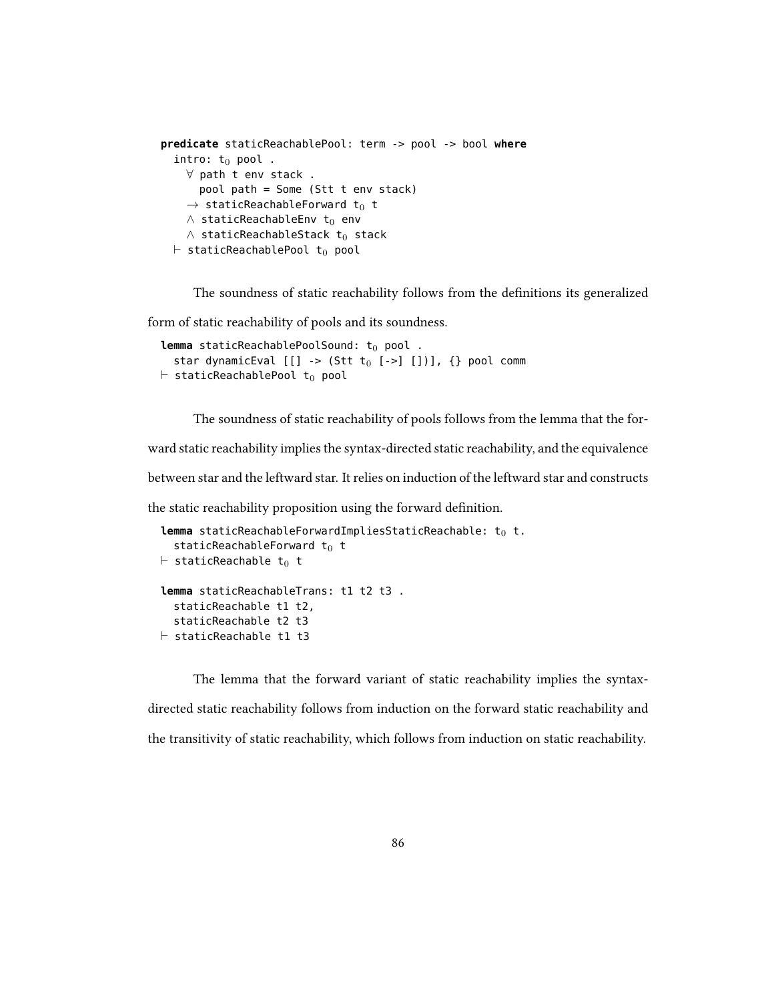```
predicate staticReachablePool: term -> pool -> bool where
  intro: t_0 pool.
    ∀ path t env stack .
       pool path = Some (Stt t env stack)
     \rightarrow staticReachableForward t<sub>0</sub> t
    \wedge staticReachableEnv t<sub>0</sub> env
    \wedge staticReachableStack t<sub>0</sub> stack
  \vdash staticReachablePool t_0 pool
```
The soundness of static reachability follows from the definitions its generalized

form of static reachability of pools and its soundness.

```
lemma staticReachablePoolSound: t_0 pool.
  star dynamicEval [[] \rightarrow (Stt t_0 [->] [])), {} pool comm
\vdash staticReachablePool t<sub>0</sub> pool
```
The soundness of static reachability of pools follows from the lemma that the for-

ward static reachability implies the syntax-directed static reachability, and the equivalence

between star and the leftward star. It relies on induction of the leftward star and constructs

the static reachability proposition using the forward definition.

```
lemma staticReachableForwardImpliesStaticReachable: t<sub>0</sub> t.
  staticReachableForward t_0 t
\vdash staticReachable t<sub>0</sub> t
lemma staticReachableTrans: t1 t2 t3 .
  staticReachable t1 t2,
  staticReachable t2 t3
\vdash staticReachable t1 t3
```
The lemma that the forward variant of static reachability implies the syntaxdirected static reachability follows from induction on the forward static reachability and the transitivity of static reachability, which follows from induction on static reachability.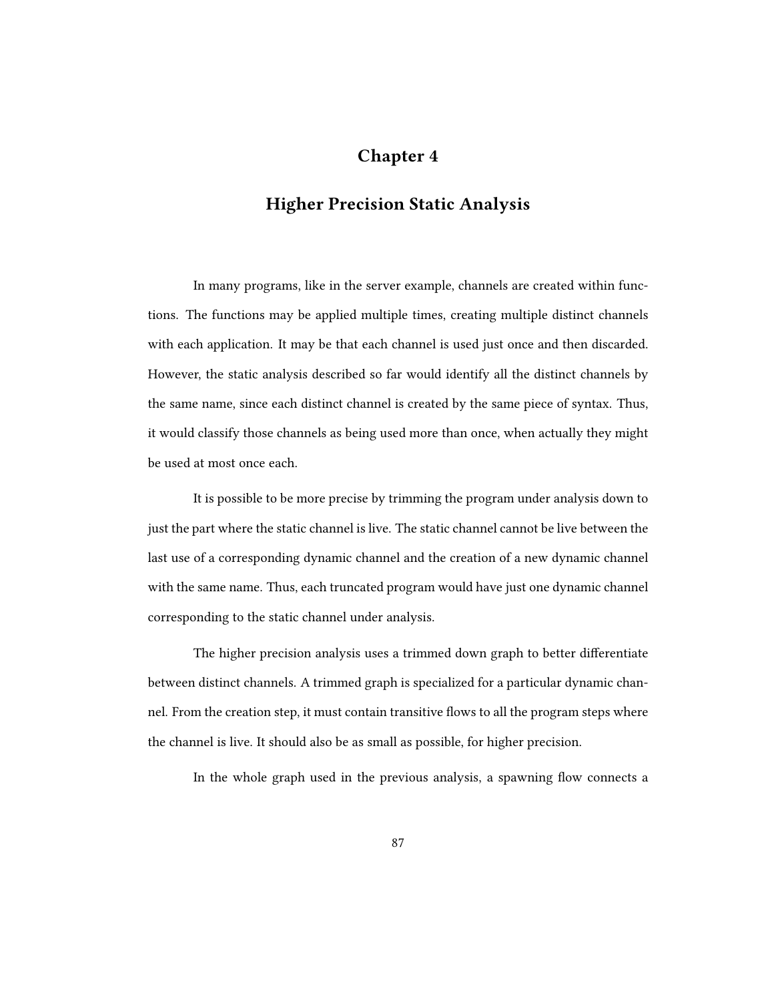## Chapter 4

## Higher Precision Static Analysis

In many programs, like in the server example, channels are created within functions. The functions may be applied multiple times, creating multiple distinct channels with each application. It may be that each channel is used just once and then discarded. However, the static analysis described so far would identify all the distinct channels by the same name, since each distinct channel is created by the same piece of syntax. Thus, it would classify those channels as being used more than once, when actually they might be used at most once each.

It is possible to be more precise by trimming the program under analysis down to just the part where the static channel is live. The static channel cannot be live between the last use of a corresponding dynamic channel and the creation of a new dynamic channel with the same name. Thus, each truncated program would have just one dynamic channel corresponding to the static channel under analysis.

The higher precision analysis uses a trimmed down graph to better differentiate between distinct channels. A trimmed graph is specialized for a particular dynamic channel. From the creation step, it must contain transitive flows to all the program steps where the channel is live. It should also be as small as possible, for higher precision.

In the whole graph used in the previous analysis, a spawning flow connects a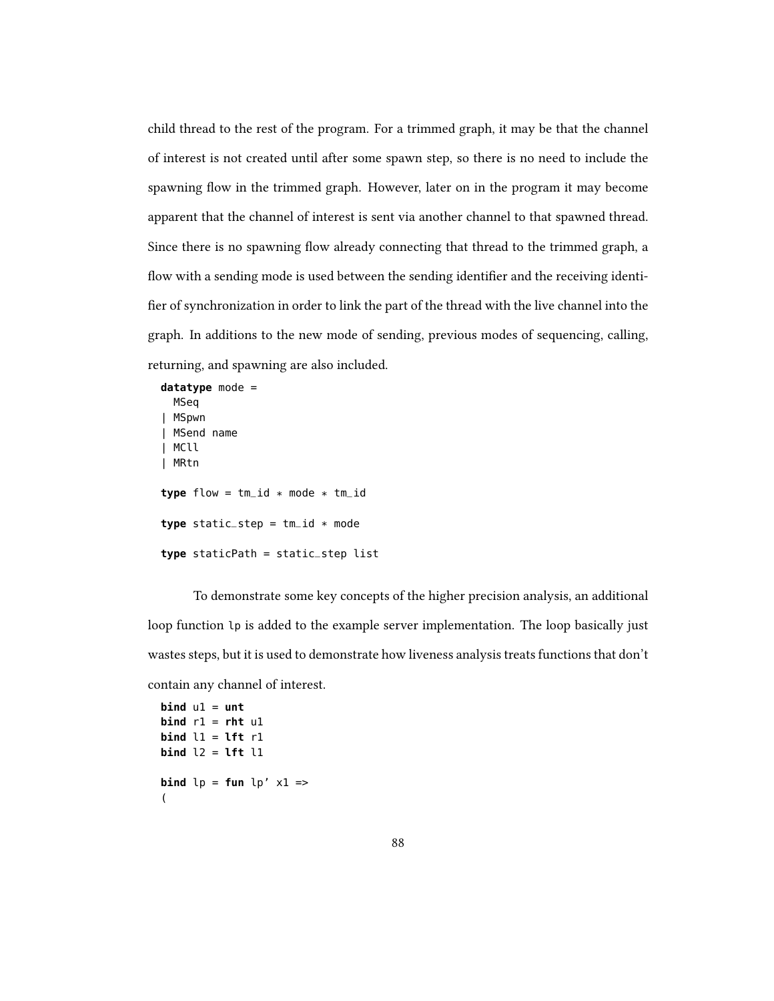child thread to the rest of the program. For a trimmed graph, it may be that the channel of interest is not created until after some spawn step, so there is no need to include the spawning flow in the trimmed graph. However, later on in the program it may become apparent that the channel of interest is sent via another channel to that spawned thread. Since there is no spawning flow already connecting that thread to the trimmed graph, a flow with a sending mode is used between the sending identifier and the receiving identifier of synchronization in order to link the part of the thread with the live channel into the graph. In additions to the new mode of sending, previous modes of sequencing, calling, returning, and spawning are also included.

```
datatype mode =
 MSeq
| MSpwn
| MSend name
| MCll
| MRtn
type flow = tm_id * mode * tm_idtype static_step = tm_id * modetype staticPath = static_step list
```
To demonstrate some key concepts of the higher precision analysis, an additional loop function lp is added to the example server implementation. The loop basically just wastes steps, but it is used to demonstrate how liveness analysis treats functions that don't contain any channel of interest.

```
\mathbf{bind} \mathbf{u1} = \mathbf{unt}bind r1 = rht u1
bind l1 = lft r1
bind l2 = lft l1
bind lp = fun lp' x1 = >(
```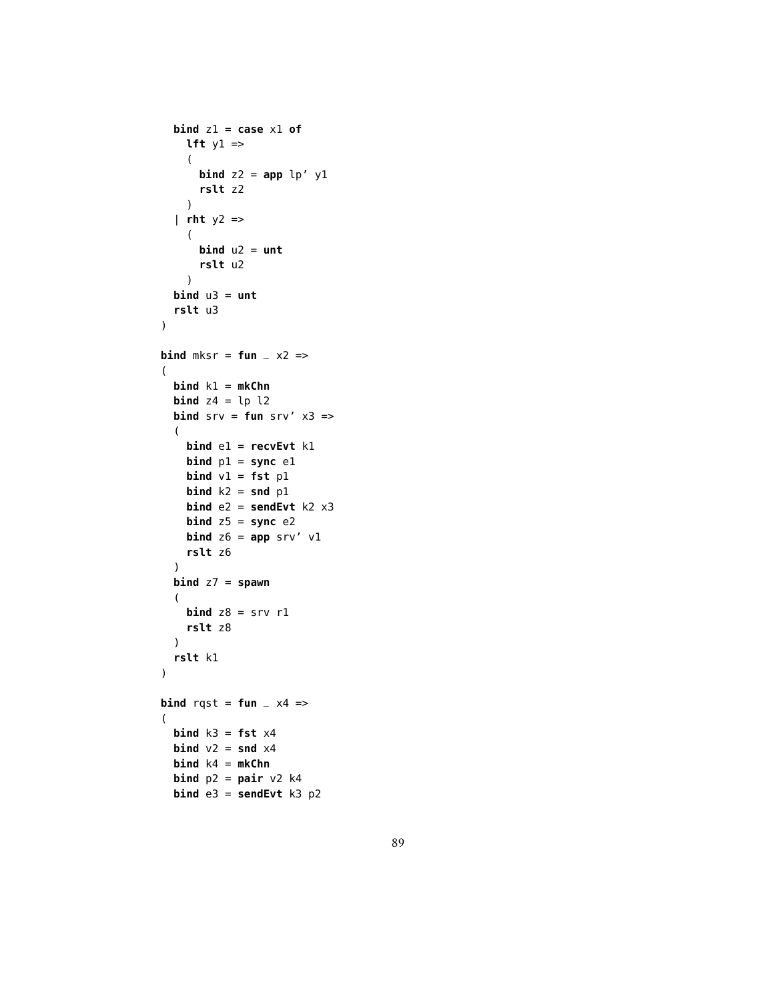```
bind z1 = case x1 of
    lft y1 \Rightarrow(
      bind z2 = app lp' y1
      rslt z2
    )
  | rht y2 =>
    (
      \mathbf{bind} u2 = untrslt u2
    )
  \mathbf{bind} u3 = \mathbf{unt}rslt u3
)
bind mksr = fun \ge \times 2 \Rightarrow(
  bind k1 = mkChn
  bind z4 = lp 12bind srv = fun srv' x3 =>(
    bind e1 = recvEvt k1
    bind p1 = sync e1
    bind v1 = fst p1
    bind k2 = snd p1
    bind e2 = sendEvt k2 x3
    bind z5 = sync e2
    bind z6 = app srv' v1
    rslt z6
  )
  bind z7 = spawn
  (
    bind z8 = srv r1rslt z8
  )
  rslt k1
)
bind rqst = fun _ x4 =>
(
  \mathbf{bind} k3 = \mathbf{fst} x4
  bind v2 = snd x4bind k4 = mkChn
  bind p2 = pair v2 k4bind e3 = sendEvt k3 p2
```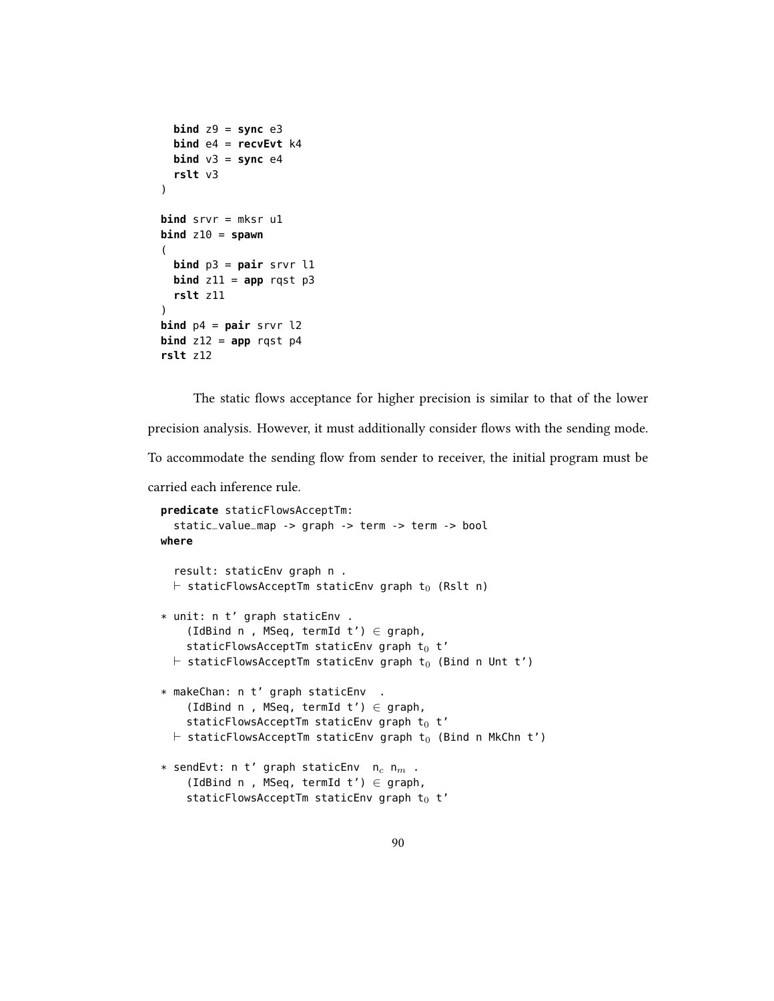```
bind z9 = sync e3bind e4 = recvEvt k4
  bind v3 = sync e4
  rslt v3
)
bind srvr = mksr u1
\mathbf{bind} z10 = \mathbf{spam}(
  bind p3 = pair srvr l1
  bind z11 = app rqst p3rslt z11
)
bind p4 = pair srvr l2
bind z12 = app rqst p4rslt z12
```
The static flows acceptance for higher precision is similar to that of the lower

precision analysis. However, it must additionally consider flows with the sending mode.

To accommodate the sending flow from sender to receiver, the initial program must be

carried each inference rule.

```
predicate staticFlowsAcceptTm:
  static_value_map -> graph -> term -> term -> bool
where
  result: staticEnv graph n .
  \vdash staticFlowsAcceptTm staticEnv graph t<sub>0</sub> (Rslt n)
* unit: n t' graph staticEnv .
    (IdBind n, MSeq, termId t') \in graph,
    staticFlowsAcceptTm staticEnv graph t_0 t'
  \vdash staticFlowsAcceptTm staticEnv graph t<sub>0</sub> (Bind n Unt t')
* makeChan: n t' graph staticEnv .
    (IdBind n, MSeq, termId t') \in graph,
    staticFlowsAcceptTm staticEnv graph t_0 t'
  \vdash staticFlowsAcceptTm staticEnv graph t<sub>0</sub> (Bind n MkChn t')
* sendEvt: n t' graph staticEnv n_c n<sub>m</sub>.
    (IdBind n, MSeq, termId t') \in graph,
    staticFlowsAcceptTm staticEnv graph t_0 t'
```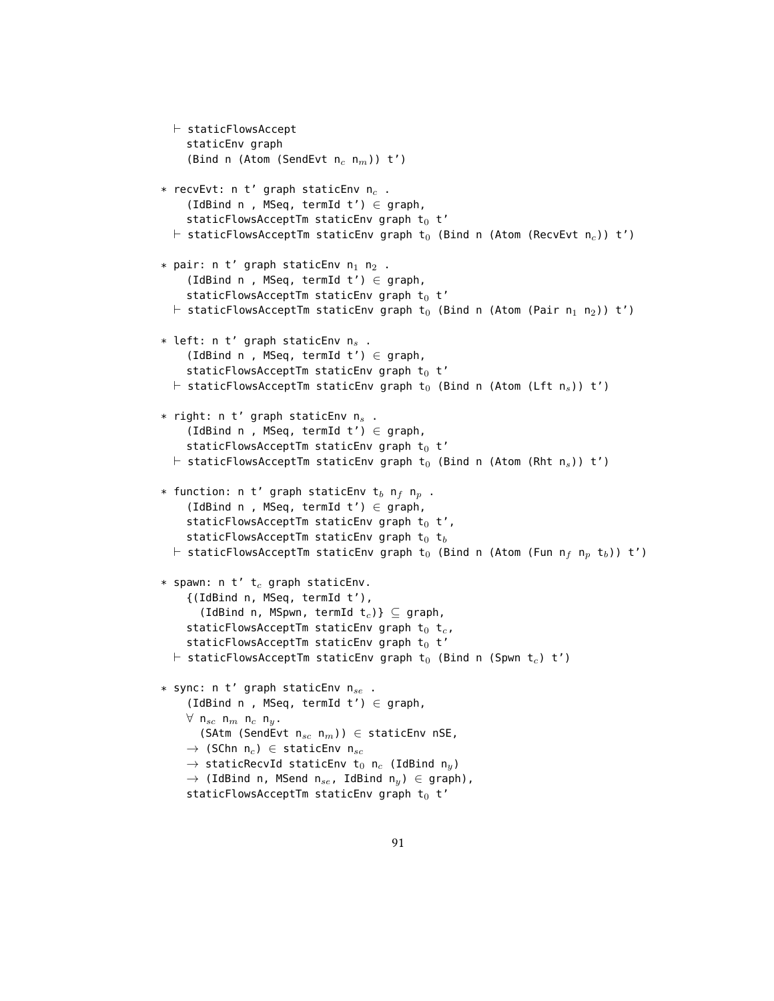```
\vdash staticFlowsAccept
     staticEnv graph
     (Bind n (Atom (SendEvt n_c n_m)) t')
* recvEvt: n t' graph staticEnv n_c.
     (IdBind n, MSeq, termId t') \in graph,
     staticFlowsAcceptTm staticEnv graph t_0 t'
  \vdash staticFlowsAcceptTm staticEnv graph t<sub>0</sub> (Bind n (Atom (RecvEvt n<sub>c</sub>)) t')
* pair: n t' graph staticEnv n<sub>1</sub> n<sub>2</sub>.
     (IdBind n, MSeq, termId t') \in graph,
     staticFlowsAcceptTm staticEnv graph t_0 t'
  \vdash staticFlowsAcceptTm staticEnv graph t<sub>0</sub> (Bind n (Atom (Pair n<sub>1</sub> n<sub>2</sub>)) t')
* left: n t' graph staticEnv n_s.
     (IdBind n, MSeq, termId t') \in graph,
     staticFlowsAcceptTm staticEnv graph t_0 t'
  \vdash staticFlowsAcceptTm staticEnv graph t<sub>0</sub> (Bind n (Atom (Lft n<sub>s</sub>)) t')
* right: n t' graph staticEnv n<sub>s</sub>.
     (IdBind n, MSeq, termId t') \in graph,
     staticFlowsAcceptTm staticEnv graph t_0 t'
  \vdash staticFlowsAcceptTm staticEnv graph t<sub>0</sub> (Bind n (Atom (Rht n<sub>s</sub>)) t')
* function: n t' graph staticEnv t<sub>b</sub> n<sub>f</sub> n<sub>p</sub>.
     (IdBind n, MSeq, termId t') \in graph,
     staticFlowsAcceptTm staticEnv graph t_0 t',
     staticFlowsAcceptTm staticEnv graph t_0 t<sub>b</sub>
  \vdash staticFlowsAcceptTm staticEnv graph t<sub>0</sub> (Bind n (Atom (Fun n<sub>f</sub> n<sub>p</sub> t<sub>b</sub>)) t')
* spawn: n t' t_c graph staticEnv.
     {(IdBind n, MSeq, termId t'),
        (IdBind n, MSpwn, termId t_c)} \subseteq graph,
     staticFlowsAcceptTm staticEnv graph t_0 t<sub>c</sub>,
     staticFlowsAcceptTm staticEnv graph t_0 t'
  \vdash staticFlowsAcceptTm staticEnv graph t<sub>0</sub> (Bind n (Spwn t<sub>c</sub>) t')
* sync: n t' graph staticEnv n_{se}.
     (IdBind n, MSeq, termId t') \in graph,
     \forall n<sub>sc</sub> n<sub>m</sub> n<sub>c</sub> n<sub>y</sub>.
        (SAtm (SendEvt n_{sc} n_m)) \in staticEnv nSE,
     \rightarrow (SChn n<sub>c</sub>) \in staticEnv n<sub>sc</sub>
     \rightarrow staticRecvId staticEnv t<sub>0</sub> n<sub>c</sub> (IdBind n<sub>y</sub>)
     \rightarrow (IdBind n, MSend n<sub>se</sub>, IdBind n<sub>y</sub>) \in graph),
     staticFlowsAcceptTm staticEnv graph t_0 t'
```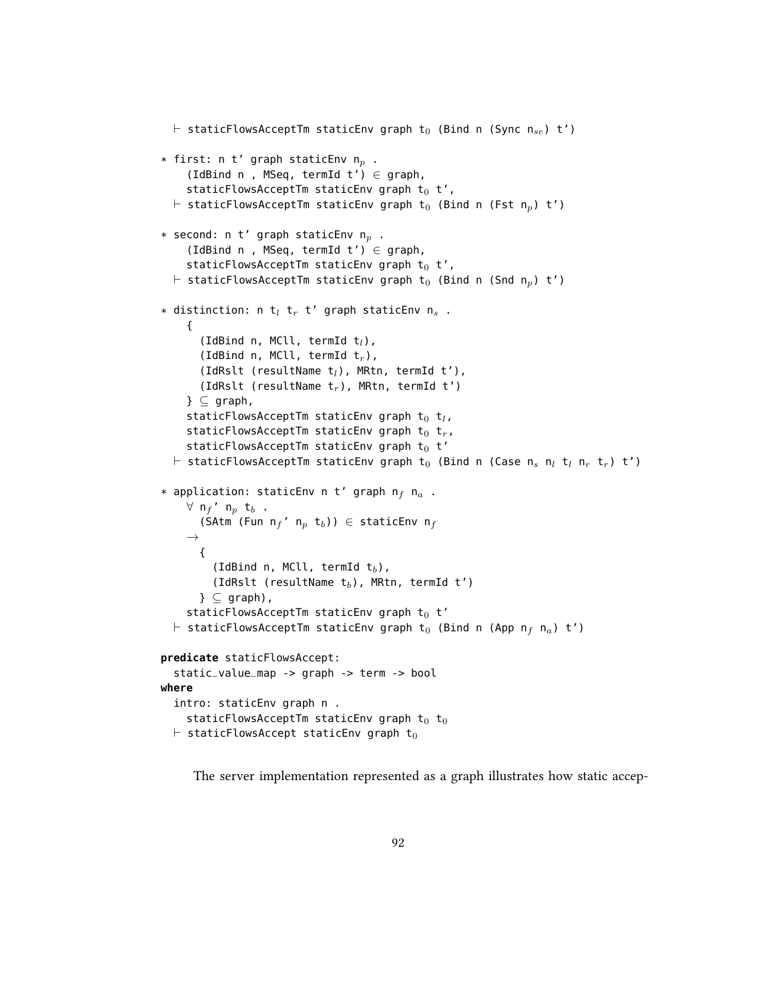```
\vdash staticFlowsAcceptTm staticEnv graph t<sub>0</sub> (Bind n (Sync n<sub>se</sub>) t')
* first: n t' graph staticEnv n_p.
     (IdBind n, MSeq, termId t') \in graph,
     staticFlowsAcceptTm staticEnv graph t_0 t',
  \vdash staticFlowsAcceptTm staticEnv graph t<sub>0</sub> (Bind n (Fst n<sub>p</sub>) t')
* second: n t' graph staticEnv n_p.
     (IdBind n, MSeq, termId t') \in graph,
     staticFlowsAcceptTm staticEnv graph t_0 t',
  \vdash staticFlowsAcceptTm staticEnv graph t<sub>0</sub> (Bind n (Snd n<sub>p</sub>) t')
* distinction: n t<sub>l</sub> t<sub>r</sub> t' graph staticEnv n<sub>s</sub>.
     {
       (IdBind n, MCll, termId t_l),
       (IdBind n, MCll, termId t_r),
       (IdRslt (resultName t_l), MRtn, termId t'),
       (IdRslt (resultName t_r), MRtn, termId t')
     \} \subset graph,
     staticFlowsAcceptTm staticEnv graph t_0 t_l,
     staticFlowsAcceptTm staticEnv graph t_0 t_r,
     staticFlowsAcceptTm staticEnv graph t_0 t'
  \vdash staticFlowsAcceptTm staticEnv graph t<sub>0</sub> (Bind n (Case n<sub>s</sub> n<sub>i</sub> t<sub>i</sub> n<sub>r</sub> t<sub>r</sub>) t')
* application: staticEnv n t' graph n_f n<sub>a</sub>.
     ∀ n_f' n_p t_b.
       (SAtm (Fun n_f' n_p t_b)) \in staticEnv n_f\rightarrow{
          (IdBind n, MCll, termId t_b),
          (IdRslt (resultName t_b), MRtn, termId t')
       \} \subset graph),
     staticFlowsAcceptTm staticEnv graph t_0 t'
  \vdash staticFlowsAcceptTm staticEnv graph t<sub>0</sub> (Bind n (App n<sub>f</sub> n<sub>a</sub>) t')
predicate staticFlowsAccept:
  static_value_map -> graph -> term -> bool
where
  intro: staticEnv graph n .
     staticFlowsAcceptTm staticEnv graph t_0 t<sub>0</sub>
  \vdash staticFlowsAccept staticEnv graph t<sub>0</sub>
```
The server implementation represented as a graph illustrates how static accep-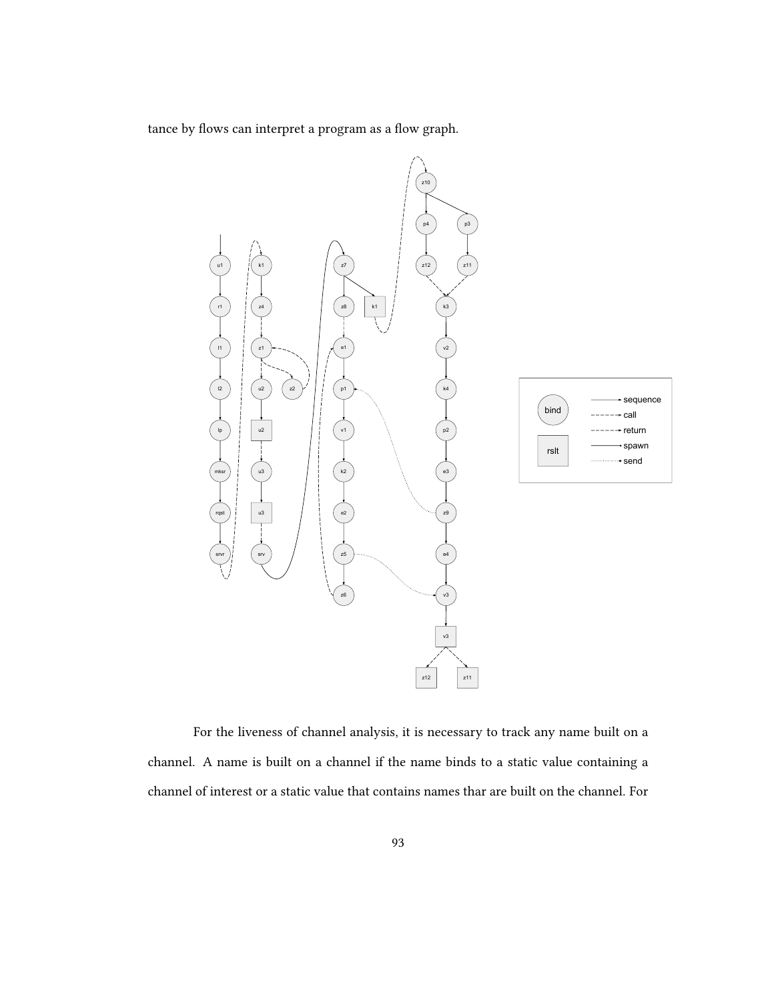tance by flows can interpret a program as a flow graph.



For the liveness of channel analysis, it is necessary to track any name built on a channel. A name is built on a channel if the name binds to a static value containing a channel of interest or a static value that contains names thar are built on the channel. For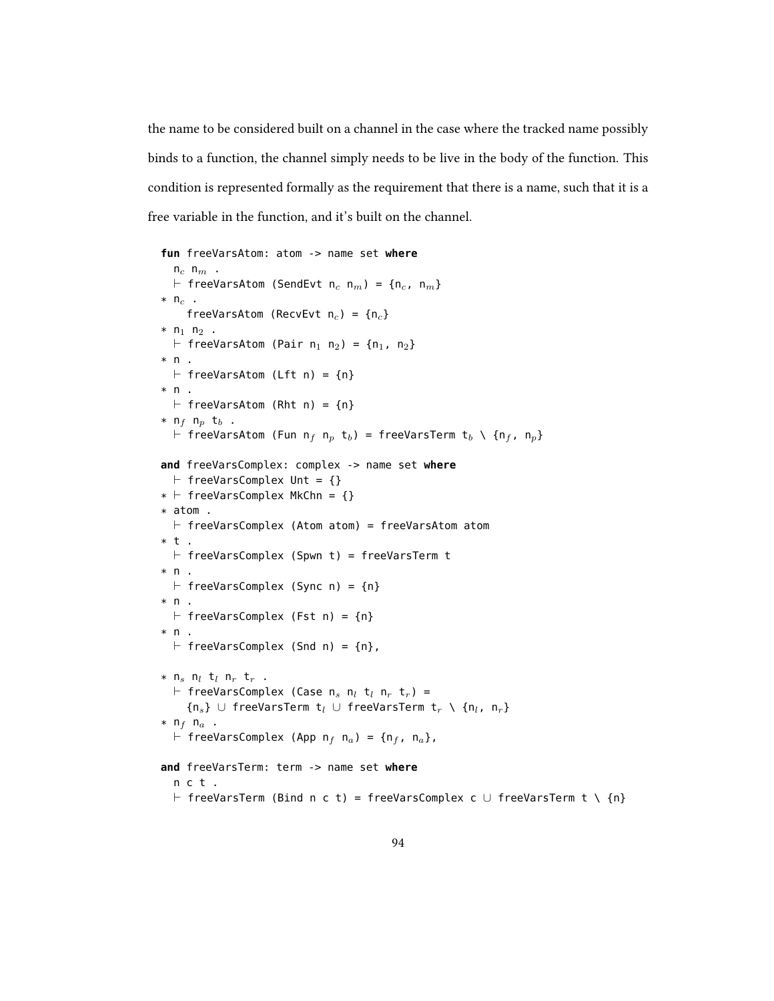the name to be considered built on a channel in the case where the tracked name possibly binds to a function, the channel simply needs to be live in the body of the function. This condition is represented formally as the requirement that there is a name, such that it is a free variable in the function, and it's built on the channel.

```
fun freeVarsAtom: atom -> name set where
   n_c n_m.
  \vdash freeVarsAtom (SendEvt n<sub>c</sub> n<sub>m</sub>) = {n<sub>c</sub>, n<sub>m</sub>}
* n<sub>c</sub> .
      freeVarsAtom (RecvEvt n_c) = {n_c}
* n<sub>1</sub> n<sub>2</sub>.
  \vdash freeVarsAtom (Pair n<sub>1</sub> n<sub>2</sub>) = {n<sub>1</sub>, n<sub>2</sub>}
* n.
  \vdash freeVarsAtom (Lft n) = {n}
* n .
  \vdash freeVarsAtom (Rht n) = {n}
* n<sub>f</sub> n<sub>p</sub> t<sub>b</sub>.
  \vdash freeVarsAtom (Fun n<sub>f</sub> n<sub>p</sub> t<sub>b</sub>) = freeVarsTerm t<sub>b</sub> \ {n<sub>f</sub>, n<sub>p</sub>}
and freeVarsComplex: complex -> name set where
  \vdash freeVarsComplex Unt = {}
* \vdash freeVarsComplex MkChn = {}
* atom .
  \vdash freeVarsComplex (Atom atom) = freeVarsAtom atom
* t.
  \vdash freeVarsComplex (Spwn t) = freeVarsTerm t
* n.
  \vdash freeVarsComplex (Sync n) = {n}
* n.
  \vdash freeVarsComplex (Fst n) = {n}
* n.
  \vdash freeVarsComplex (Snd n) = {n},
* n<sub>s</sub> n<sub>l</sub> t<sub>l</sub> n<sub>r</sub> t<sub>r</sub>.
  \vdash freeVarsComplex (Case n<sub>s</sub> n<sub>l</sub> t<sub>l</sub> n<sub>r</sub> t<sub>r</sub>) =
      {n_s} ∪ freeVarsTerm t<sub>l</sub> ∪ freeVarsTerm t<sub>r</sub> \ {n<sub>l</sub>, n<sub>r</sub>}
* n_f n_a .
  \vdash freeVarsComplex (App n<sub>f</sub> n<sub>a</sub>) = {n<sub>f</sub>, n<sub>a</sub>},
and freeVarsTerm: term -> name set where
   n c t .
   \vdash freeVarsTerm (Bind n c t) = freeVarsComplex c \cup freeVarsTerm t \ {n}
```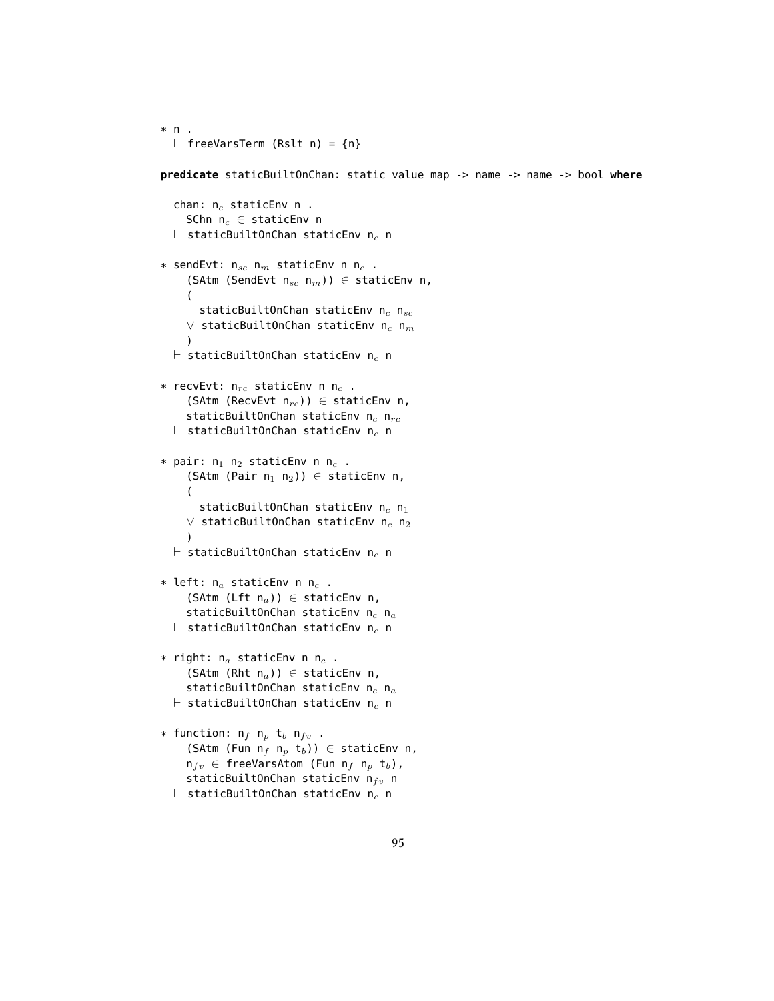```
* n.
  \vdash freeVarsTerm (Rslt n) = {n}
predicate staticBuiltOnChan: static_value_map -> name -> name -> bool where
  chan: n_c staticEnv n.
    SChn n_c \in staticEnv n
  \vdash staticBuiltOnChan staticEnv n<sub>c</sub> n
* sendEvt: n_{sc} n_m staticEnv n n_c .
     (SAtm (SendEvt n_{sc} n_m)) \in staticEnv n,
     (
       staticBuiltOnChan staticEnv n_c n_{sc}∨ staticBuiltOnChan staticEnv n_c n<sub>m</sub>
     )
  \vdash staticBuiltOnChan staticEnv n<sub>c</sub> n
* recvEvt: n_{rc} staticEnv n n_c .
     (SAtm (RecvEvt n_{rc})) \in staticEnv n,
     staticBuiltOnChan staticEnv n_c n_{rc}\vdash staticBuiltOnChan staticEnv n<sub>c</sub> n
* pair: n_1 n_2 staticEnv n n_c .
     (SAtm (Pair n_1 n_2)) \in staticEnv n,
     (
       staticBuiltOnChan staticEnv n_c n_1\vee staticBuiltOnChan staticEnv n<sub>c</sub> n<sub>2</sub>
    )\vdash staticBuiltOnChan staticEnv n_c n
* left: n_a staticEnv n n_c .
     (SAtm (Lft n_a)) \in staticEnv n,
     staticBuiltOnChan staticEnv n_c n_a\vdash staticBuiltOnChan staticEnv n<sub>c</sub> n
* right: n_a staticEnv n n_c .
     (SAtm (Rht n_a)) \in staticEnv n,
    staticBuiltOnChan staticEnv n_c n_a\vdash staticBuiltOnChan staticEnv n<sub>c</sub> n
* function: n_f n_p t_b n_{fv} .
     (SAtm (Fun n_f n_p t_b)) \in staticEnv n,
    n_{fv} \in freeVarsAtom (Fun n_f n_p t_b),
    staticBuiltOnChan staticEnv n_{fv} n
```

```
\vdash staticBuiltOnChan staticEnv n<sub>c</sub> n
```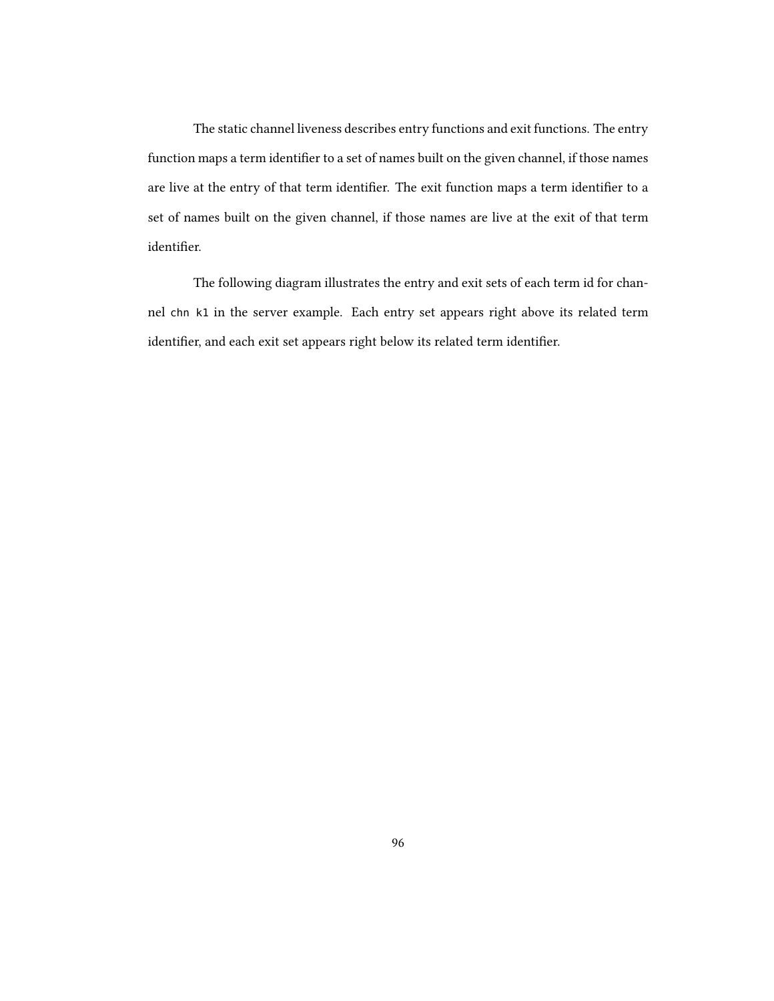The static channel liveness describes entry functions and exit functions. The entry function maps a term identifier to a set of names built on the given channel, if those names are live at the entry of that term identifier. The exit function maps a term identifier to a set of names built on the given channel, if those names are live at the exit of that term identifier.

The following diagram illustrates the entry and exit sets of each term id for channel chn k1 in the server example. Each entry set appears right above its related term identifier, and each exit set appears right below its related term identifier.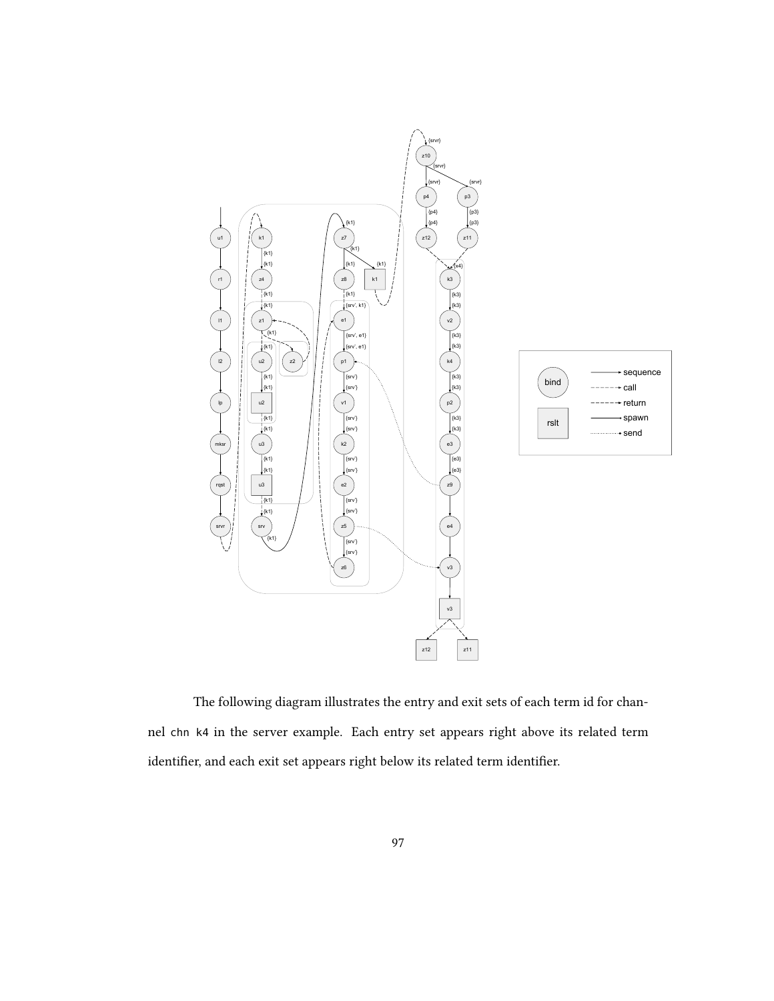

The following diagram illustrates the entry and exit sets of each term id for channel chn k4 in the server example. Each entry set appears right above its related term identifier, and each exit set appears right below its related term identifier.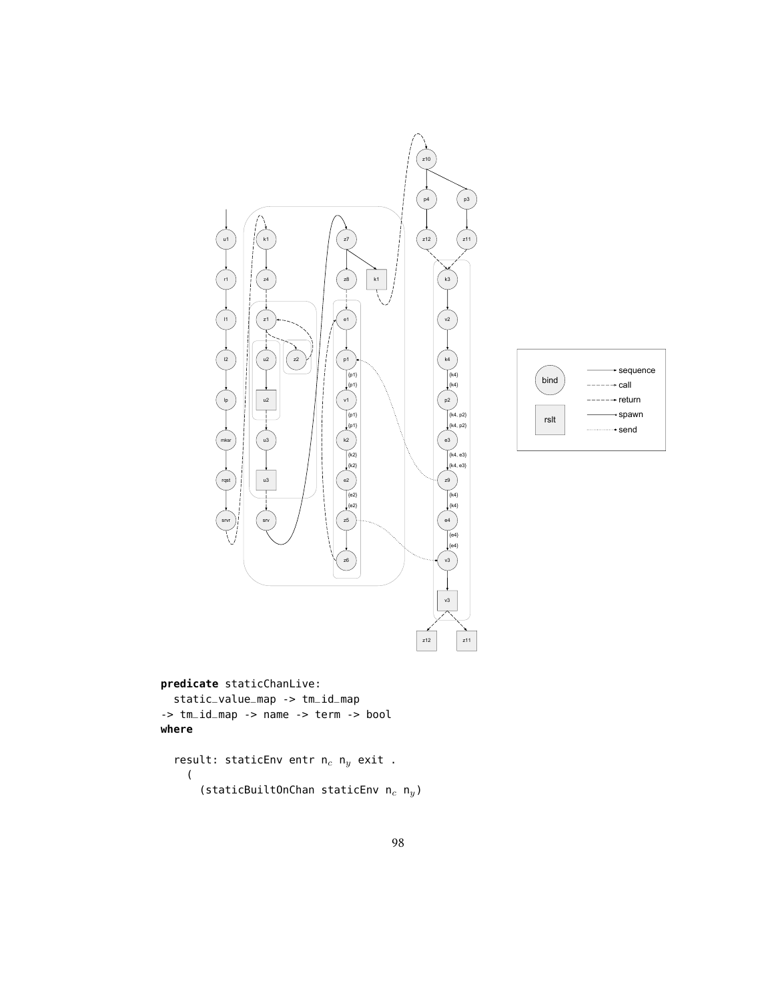

**predicate** staticChanLive:

static\_value\_map -> tm\_id\_map -> tm\_id\_map -> name -> term -> bool **where**

result: staticEnv entr  $n_c$   $n_y$  exit . ( (staticBuiltOnChan staticEnv  $n_c$   $n_y$ )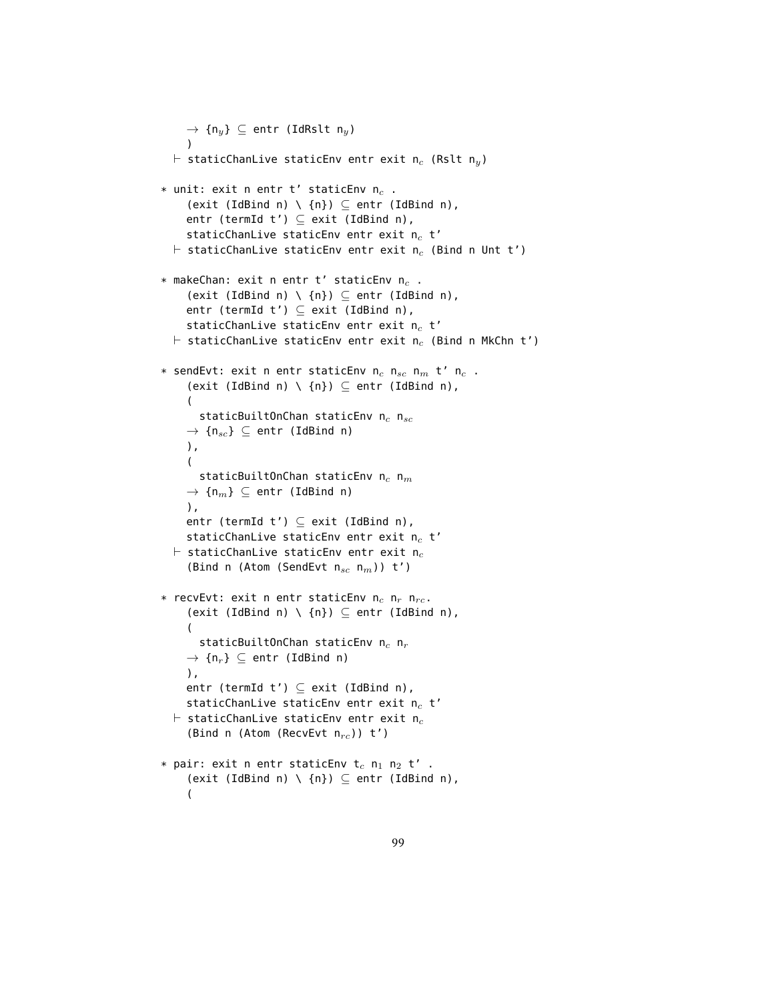```
\rightarrow {n<sub>y</sub>} \subseteq entr (IdRslt n<sub>y</sub>)
    )
  \vdash staticChanLive staticEnv entr exit n<sub>c</sub> (Rslt n<sub>y</sub>)
* unit: exit n entr t' staticEnv n_c.
     (exit (IdBind n) \ \{n\}) \subseteq entr (IdBind n),
     entr (termId t') \subseteq exit (IdBind n),
     staticChanLive staticEnv entr exit n_c t'
  \vdash staticChanLive staticEnv entr exit n<sub>c</sub> (Bind n Unt t')
* makeChan: exit n entr t' staticEnv n_c.
     (exit (IdBind n) \ \{n\}) \subseteq entr (IdBind n),
     entr (termId t') \subseteq exit (IdBind n),
     staticChanLive staticEnv entr exit n_c t'
  \vdash staticChanLive staticEnv entr exit n<sub>c</sub> (Bind n MkChn t')
* sendEvt: exit n entr staticEnv n_c n_{sc} n_m t' n_c .
     (exit (IdBind n) \ \{n\}) \subseteq entr (IdBind n),
     (
       staticBuiltOnChan staticEnv n_c n_{sc}\rightarrow \{n_{sc}\}\subseteq entr (IdBind n)
     ),
     \left(staticBuiltOnChan staticEnv n_c n_m\rightarrow \{n_m\} \subseteq entr (IdBind n)
     ),
     entr (termId t') \subseteq exit (IdBind n),
     staticChanLive staticEnv entr exit n_c t'
  \vdash staticChanLive staticEnv entr exit n_c(Bind n (Atom (SendEvt n_{sc} n_m)) t')
* recvEvt: exit n entr staticEnv n_c n_r n_{rc}.
     (exit (IdBind n) \ \{n\}) \subseteq entr (IdBind n),
     (
       staticBuiltOnChan staticEnv n_c n_r\rightarrow {n<sub>r</sub>} \subseteq entr (IdBind n)
     ),
     entr (termId t') \subseteq exit (IdBind n),
     staticChanLive staticEnv entr exit n_c t'
  \vdash staticChanLive staticEnv entr exit n<sub>c</sub>
     (Bind n (Atom (RecvEvt n_{rc})) t')
* pair: exit n entr staticEnv t_c n<sub>1</sub> n<sub>2</sub> t' .
     (exit (IdBind n) \ \{n\}) \subseteq entr (IdBind n),
     (
```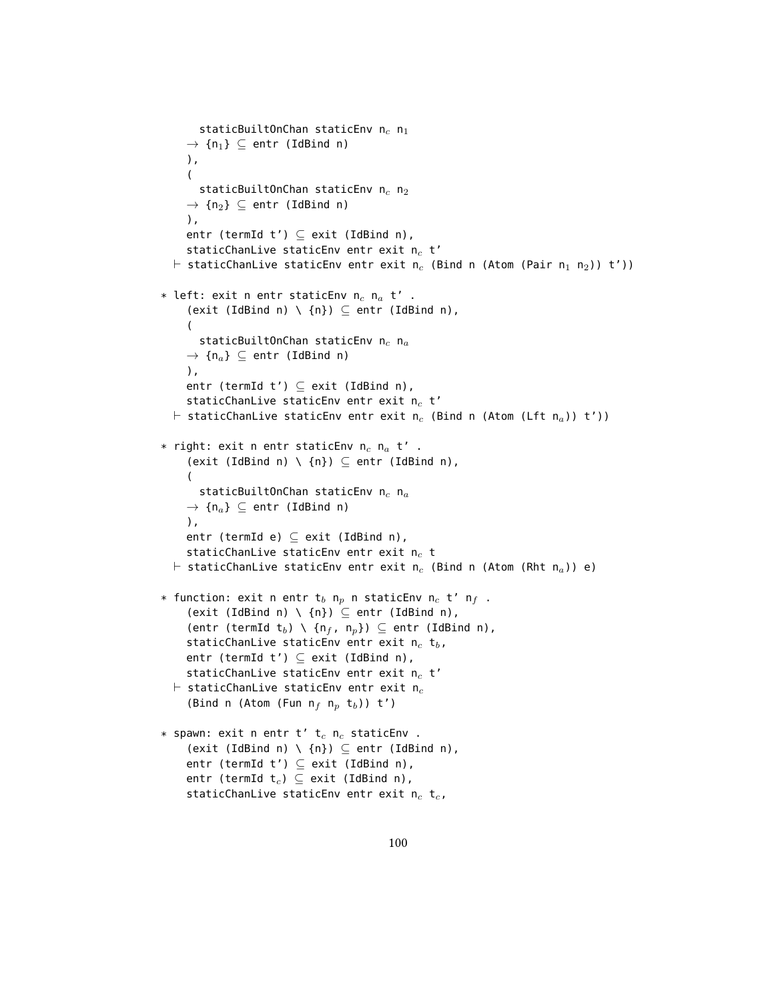```
staticBuiltOnChan staticEnv n_c n_1\rightarrow {n<sub>1</sub>} \subseteq entr (IdBind n)
     ),
     (
       staticBuiltOnChan staticEnv n_c n_2\rightarrow {n<sub>2</sub>} \subseteq entr (IdBind n)
     ),
     entr (termId t') \subseteq exit (IdBind n),
     staticChanLive staticEnv entr exit n_c t'
  \vdash staticChanLive staticEnv entr exit n<sub>c</sub> (Bind n (Atom (Pair n<sub>1</sub> n<sub>2</sub>)) t'))
* left: exit n entr staticEnv n_c n_a t' .
     (exit (IdBind n) \ \{n\}) \subseteq entr (IdBind n),
     (
        staticBuiltOnChan staticEnv n_c n_a\rightarrow \{n_a\} \subseteq entr (IdBind n)
     ),
     entr (termId t') \subseteq exit (IdBind n),
     staticChanLive staticEnv entr exit n_c t'
  \vdash staticChanLive staticEnv entr exit n<sub>c</sub> (Bind n (Atom (Lft n<sub>a</sub>)) t'))
* right: exit n entr staticEnv n_c n_a t'.
     (exit (IdBind n) \ \{n\}) \subseteq entr (IdBind n),
     (
        staticBuiltOnChan staticEnv n_c n_a\rightarrow {n<sub>a</sub>} \subseteq entr (IdBind n)
     ),
     entr (termId e) \subseteq exit (IdBind n),
     staticChanLive staticEnv entr exit n_c t
  \vdash staticChanLive staticEnv entr exit n<sub>c</sub> (Bind n (Atom (Rht n<sub>a</sub>)) e)
* function: exit n entr t_b n<sub>p</sub> n staticEnv n<sub>c</sub> t' n<sub>f</sub> .
     (exit (IdBind n) \ \{n\}) \subseteq entr (IdBind n),
     (entr (termId t<sub>b</sub>) \ {n<sub>f</sub>, n<sub>p</sub>}) \subseteq entr (IdBind n),
     staticChanLive staticEnv entr exit n_c t<sub>b</sub>,
     entr (termId t') \subseteq exit (IdBind n),
     staticChanLive staticEnv entr exit n_c t'
  \vdash staticChanLive staticEnv entr exit n_c(Bind n (Atom (Fun n_f n_p t_b)) t')
* spawn: exit n entr t' t_c n<sub>c</sub> staticEnv .
     (exit (IdBind n) \ \{n\}) \subseteq entr (IdBind n),
     entr (termId t') \subseteq exit (IdBind n),
     entr (termId t_c) \subseteq exit (IdBind n),
     staticChanLive staticEnv entr exit n_c t<sub>c</sub>,
```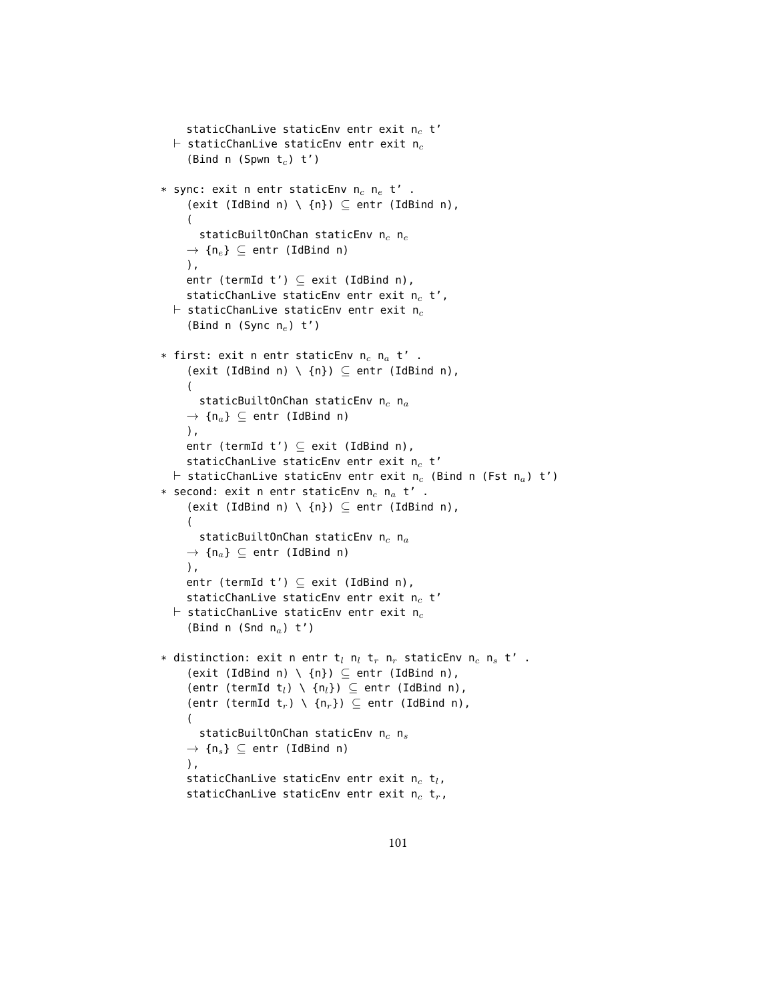```
staticChanLive staticEnv entr exit n_c t'
  \vdash staticChanLive staticEnv entr exit n<sub>c</sub>
     (Bind n (Spwn t_c) t')
* sync: exit n entr staticEnv n_e n_e t'.
     (exit (IdBind n) \ \{n\}) \subseteq entr (IdBind n),
     (
       staticBuiltOnChan staticEnv n_c n_e\rightarrow {n<sub>e</sub>} \subseteq entr (IdBind n)
     ),
     entr (termId t') \subseteq exit (IdBind n),
     staticChanLive staticEnv entr exit n_c t',
  \vdash staticChanLive staticEnv entr exit n<sub>c</sub>
     (Bind n (Sync n_e) t')
* first: exit n entr staticEnv n_c n_a t'.
     (exit (IdBind n) \ \{n\}) \subseteq entr (IdBind n),
     (
       staticBuiltOnChan staticEnv n_c n_a\rightarrow {n<sub>a</sub>} \subseteq entr (IdBind n)
     ),
     entr (termId t') \subset exit (IdBind n),
     staticChanLive staticEnv entr exit n_c t'
  \vdash staticChanLive staticEnv entr exit n<sub>c</sub> (Bind n (Fst n<sub>a</sub>) t')
* second: exit n entr staticEnv n_c n_a t'.
     (exit (IdBind n) \ \{n\}) \subseteq entr (IdBind n),
     (
       staticBuiltOnChan staticEnv n_c n_a\rightarrow {n<sub>a</sub>} \subseteq entr (IdBind n)
     ),
     entr (termId t') \subseteq exit (IdBind n),
     staticChanLive staticEnv entr exit n_c t'
  \vdash staticChanLive staticEnv entr exit n<sub>c</sub>
     (Bind n (Snd n_a) t')
* distinction: exit n entr t_l n_l t_r n_r staticEnv n_c n_s t' .
     (exit (IdBind n) \ \{n\}) \subseteq entr (IdBind n),
     (entr (termId t_l) \ \{n_l\}) \subseteq entr (IdBind n),
     (entr (termId t_r) \ {n<sub>r</sub>}) \subseteq entr (IdBind n),
     (
       staticBuiltOnChan staticEnv n_c n_s\rightarrow {n<sub>s</sub>} \subseteq entr (IdBind n)
     ),
     staticChanLive staticEnv entr exit n_c t<sub>l</sub>,
     staticChanLive staticEnv entr exit n_c t<sub>r</sub>,
```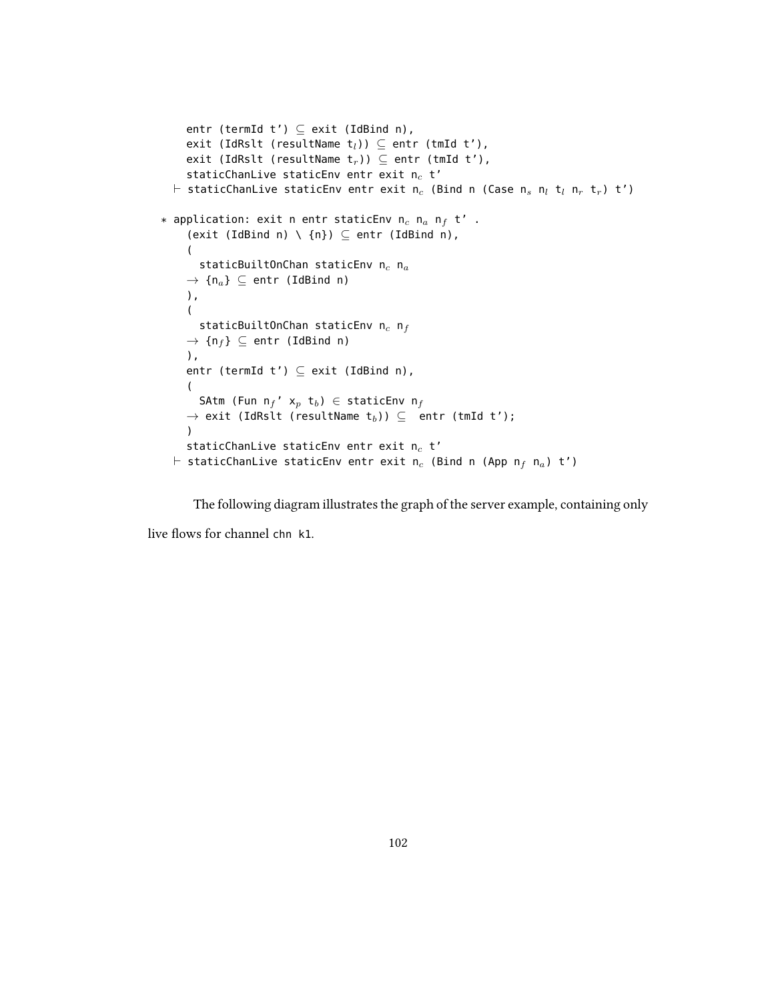```
entr (termId t') \subseteq exit (IdBind n),
     exit (IdRslt (resultName t_l)) \subseteq entr (tmId t'),
     exit (IdRslt (resultName t_r)) \subseteq entr (tmId t'),
     staticChanLive staticEnv entr exit n_c t'
  \vdash staticChanLive staticEnv entr exit n<sub>c</sub> (Bind n (Case n<sub>s</sub> n<sub>l</sub> t<sub>l</sub> n<sub>r</sub> t<sub>r</sub>) t')
* application: exit n entr staticEnv n_c n_a n_f t' .
     (exit (IdBind n) \ \{n\}) \subseteq entr (IdBind n),
     (
       staticBuiltOnChan staticEnv n_c n_a\rightarrow {n<sub>a</sub>} \subseteq entr (IdBind n)
     ),
     \left(staticBuiltOnChan staticEnv n_c nf
     \rightarrow {n<sub>f</sub>} \subseteq entr (IdBind n)
     ),
     entr (termId t') \subseteq exit (IdBind n),
     (
       SAtm (Fun n_f' x_p t_b) \in staticEnv n_f\rightarrow exit (IdRslt (resultName t<sub>b</sub>)) \subseteq entr (tmId t');
     \lambdastaticChanLive staticEnv entr exit n_c t'
  \vdash staticChanLive staticEnv entr exit n<sub>c</sub> (Bind n (App n<sub>f</sub> n<sub>a</sub>) t')
```
The following diagram illustrates the graph of the server example, containing only

live flows for channel chn k1.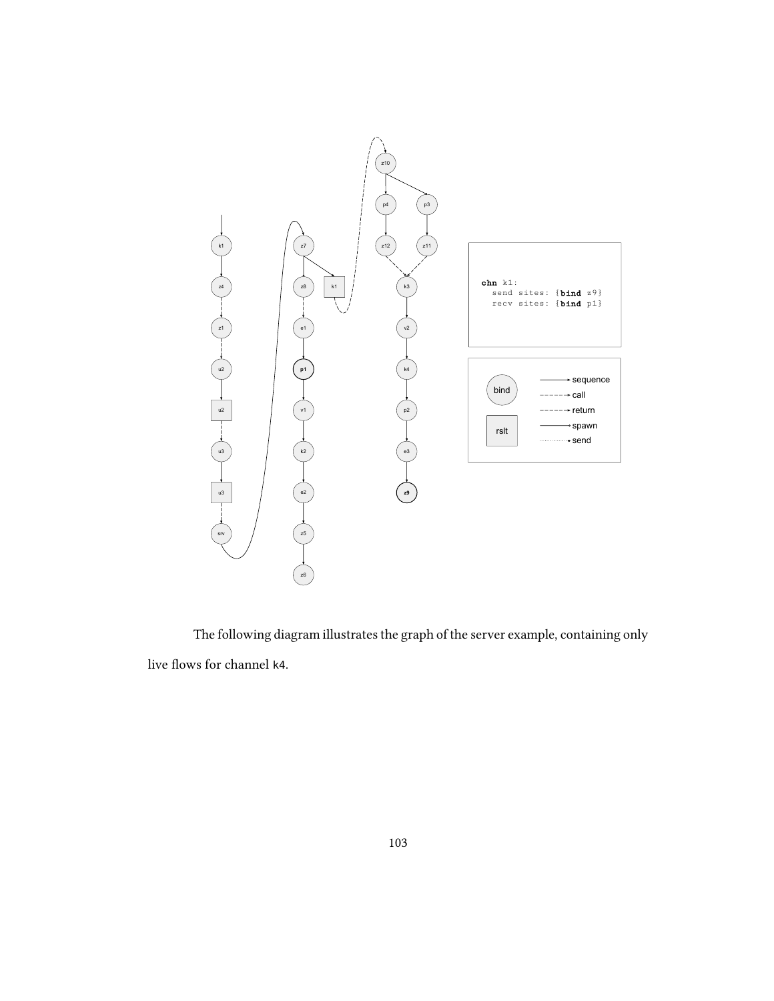

The following diagram illustrates the graph of the server example, containing only live flows for channel k4.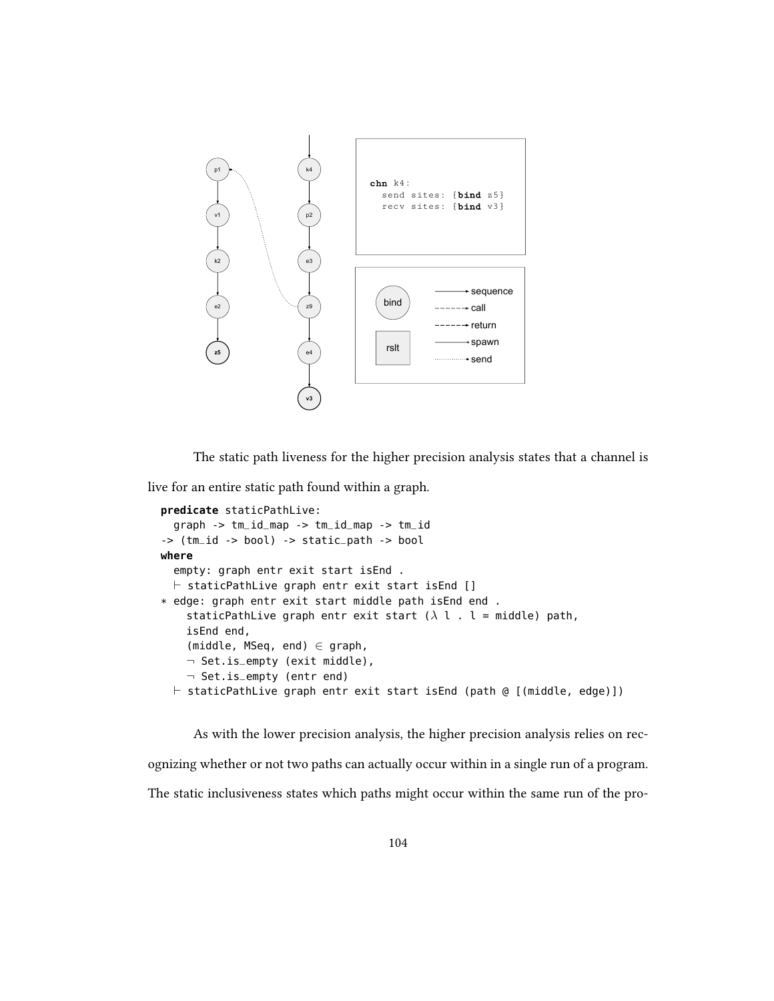

The static path liveness for the higher precision analysis states that a channel is

live for an entire static path found within a graph.

```
predicate staticPathLive:
  graph -> tm_id_map -> tm_id_map -> tm_id
-> (tm_id -> bool) -> static_path -> bool
where
  empty: graph entr exit start isEnd .
  \vdash staticPathLive graph entr exit start isEnd []
* edge: graph entr exit start middle path isEnd end .
    staticPathLive graph entr exit start (\lambda \, l \, . \, l = middle) path,
    isEnd end,
    (middle, MSeq, end) \in graph,
    ¬ Set.is_empty (exit middle),
    ¬ Set.is_empty (entr end)
  \vdash staticPathLive graph entr exit start isEnd (path @ [(middle, edge)])
```
As with the lower precision analysis, the higher precision analysis relies on recognizing whether or not two paths can actually occur within in a single run of a program. The static inclusiveness states which paths might occur within the same run of the pro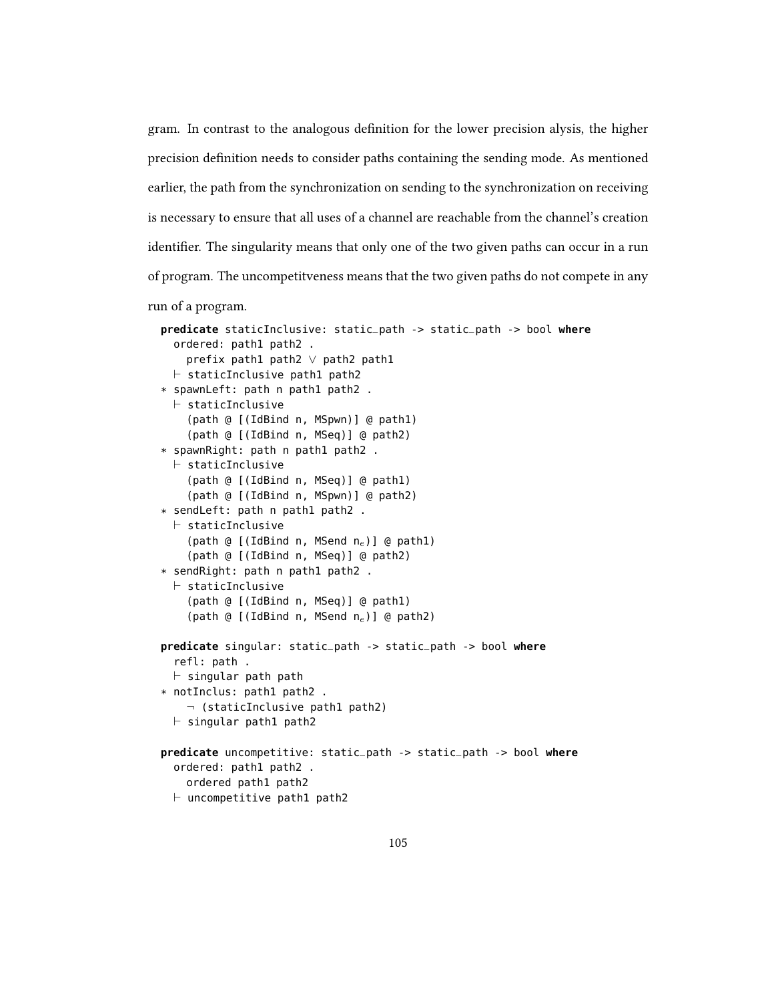gram. In contrast to the analogous denition for the lower precision alysis, the higher precision definition needs to consider paths containing the sending mode. As mentioned earlier, the path from the synchronization on sending to the synchronization on receiving is necessary to ensure that all uses of a channel are reachable from the channel's creation identifier. The singularity means that only one of the two given paths can occur in a run of program. The uncompetitveness means that the two given paths do not compete in any run of a program.

```
predicate staticInclusive: static_path -> static_path -> bool where
  ordered: path1 path2 .
    prefix path1 path2 ∨ path2 path1
  \vdash staticInclusive path1 path2
* spawnLeft: path n path1 path2 .
  \vdash staticInclusive
    (path @ [(IdBind n, MSpwn)] @ path1)
    (path @ [(IdBind n, MSeq)] @ path2)
* spawnRight: path n path1 path2 .
  \vdash staticInclusive
    (path @ [(IdBind n, MSeq)] @ path1)
    (path @ [(IdBind n, MSpwn)] @ path2)
* sendLeft: path n path1 path2 .
  \vdash staticInclusive
    (path @ [(IdBind n, MSend n_e)] @ path1)
    (path @ [(IdBind n, MSeq)] @ path2)
* sendRight: path n path1 path2 .
  \vdash staticInclusive
    (path @ [(IdBind n, MSeq)] @ path1)
    (path @ [(IdBind n, MSend n_e)] @ path2)
predicate singular: static_path -> static_path -> bool where
  refl: path .
  \vdash singular path path
* notInclus: path1 path2 .
    \neg (staticInclusive path1 path2)
  \vdash singular path1 path2
predicate uncompetitive: static_path -> static_path -> bool where
  ordered: path1 path2 .
    ordered path1 path2
  \vdash uncompetitive path1 path2
```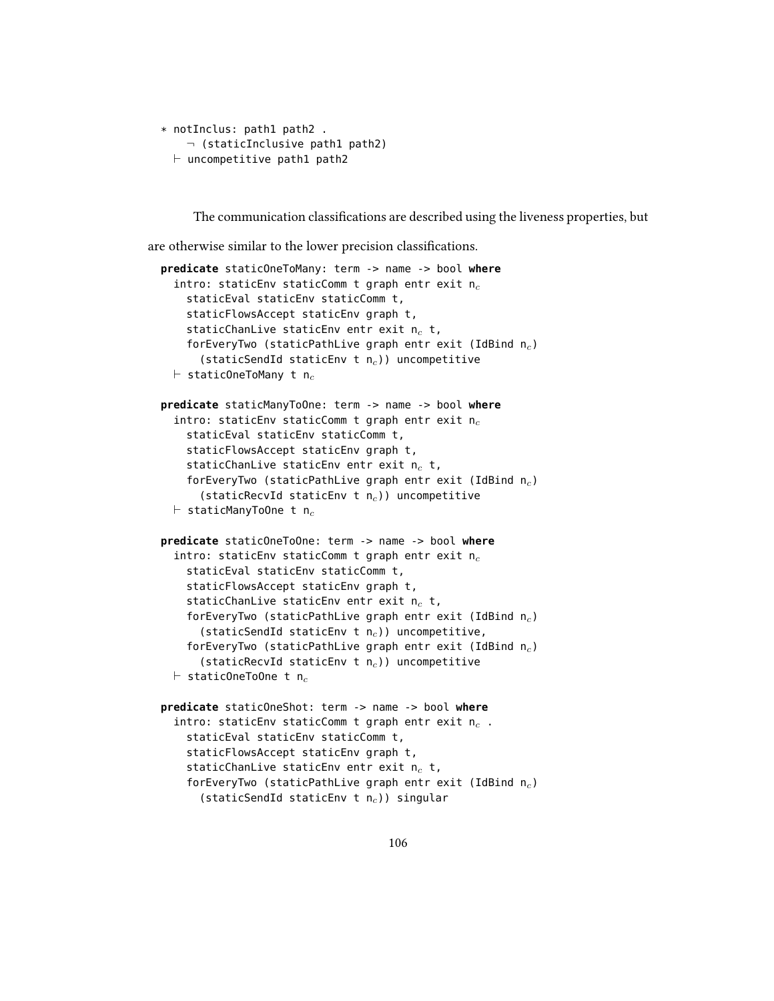```
* notInclus: path1 path2 .
    \neg (staticInclusive path1 path2)
  \vdash uncompetitive path1 path2
```
The communication classifications are described using the liveness properties, but

are otherwise similar to the lower precision classifications.

```
predicate staticOneToMany: term -> name -> bool where
  intro: staticEnv staticComm t graph entr exit n_cstaticEval staticEnv staticComm t,
    staticFlowsAccept staticEnv graph t,
    staticChanLive staticEnv entr exit n_c t,
    forEveryTwo (staticPathLive graph entr exit (IdBind n_c)
      (staticSendId staticEnv t n_c)) uncompetitive
  \vdash staticOneToMany t n<sub>c</sub>
predicate staticManyToOne: term -> name -> bool where
  intro: staticEnv staticComm t graph entr exit n_cstaticEval staticEnv staticComm t,
    staticFlowsAccept staticEnv graph t,
    staticChanLive staticEnv entr exit n_c t,
    forEveryTwo (staticPathLive graph entr exit (IdBind n_c)
      (staticRecvId staticEnv t n_c)) uncompetitive
  \vdash staticManyToOne t n<sub>c</sub>
predicate staticOneToOne: term -> name -> bool where
  intro: staticEnv staticComm t graph entr exit n_cstaticEval staticEnv staticComm t,
    staticFlowsAccept staticEnv graph t,
    staticChanLive staticEnv entr exit n_c t,
    forEveryTwo (staticPathLive graph entr exit (IdBind n_c)
      (staticSendId staticEnv t n_c)) uncompetitive,
    forEveryTwo (staticPathLive graph entr exit (IdBind n_c)
      (staticRecvId staticEnv t n_c)) uncompetitive
  \vdash staticOneToOne t n<sub>c</sub>
predicate staticOneShot: term -> name -> bool where
  intro: staticEnv staticComm t graph entr exit n_c.
    staticEval staticEnv staticComm t,
    staticFlowsAccept staticEnv graph t,
    staticChanLive staticEnv entr exit n_c t,
    forEveryTwo (staticPathLive graph entr exit (IdBind n_c)
      (staticSendId staticEnv t n_c)) singular
```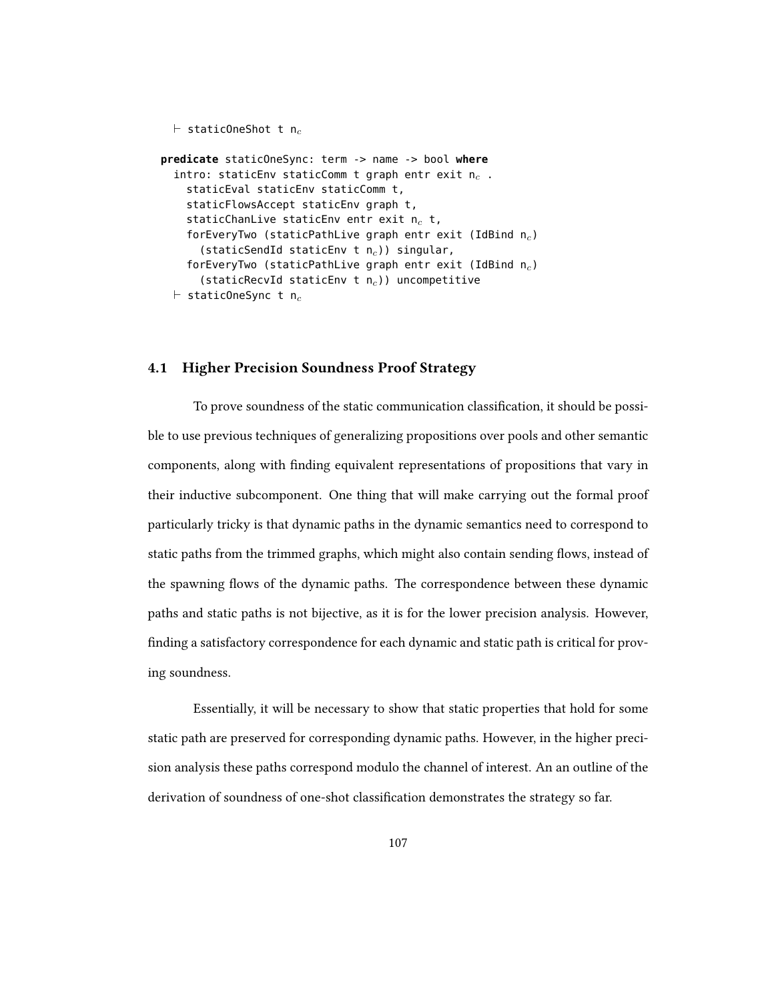```
\vdash staticOneShot t n<sub>c</sub>
predicate staticOneSync: term -> name -> bool where
  intro: staticEnv staticComm t graph entr exit n_c.
    staticEval staticEnv staticComm t,
    staticFlowsAccept staticEnv graph t,
    staticChanLive staticEnv entr exit n_c t,
    forEveryTwo (staticPathLive graph entr exit (IdBind n_c)
      (staticSendId staticEnv t n_c)) singular,
    forEveryTwo (staticPathLive graph entr exit (IdBind n_c)
      (staticRecvId staticEnv t n_c)) uncompetitive
  \vdash staticOneSync t n<sub>c</sub>
```
### 4.1 Higher Precision Soundness Proof Strategy

To prove soundness of the static communication classification, it should be possible to use previous techniques of generalizing propositions over pools and other semantic components, along with finding equivalent representations of propositions that vary in their inductive subcomponent. One thing that will make carrying out the formal proof particularly tricky is that dynamic paths in the dynamic semantics need to correspond to static paths from the trimmed graphs, which might also contain sending flows, instead of the spawning flows of the dynamic paths. The correspondence between these dynamic paths and static paths is not bijective, as it is for the lower precision analysis. However, finding a satisfactory correspondence for each dynamic and static path is critical for proving soundness.

Essentially, it will be necessary to show that static properties that hold for some static path are preserved for corresponding dynamic paths. However, in the higher precision analysis these paths correspond modulo the channel of interest. An an outline of the derivation of soundness of one-shot classification demonstrates the strategy so far.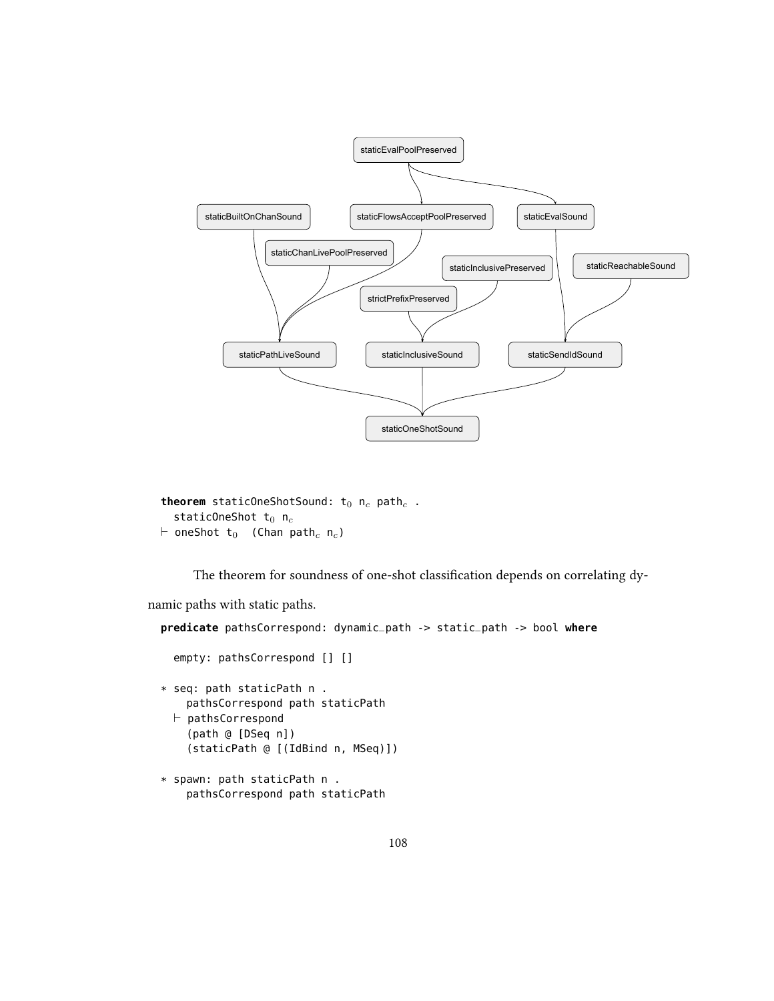

```
theorem staticOneShotSound: t_0 n_c path<sub>c</sub>.
   staticOneShot t_0 n<sub>c</sub>
\vdash oneShot t<sub>0</sub> (Chan path<sub>c</sub> n<sub>c</sub>)
```
The theorem for soundness of one-shot classification depends on correlating dy-

namic paths with static paths.

```
predicate pathsCorrespond: dynamic_path -> static_path -> bool where
 empty: pathsCorrespond [] []
* seq: path staticPath n .
   pathsCorrespond path staticPath
 \vdash pathsCorrespond
    (path @ [DSeq n])
    (staticPath @ [(IdBind n, MSeq)])
* spawn: path staticPath n .
    pathsCorrespond path staticPath
```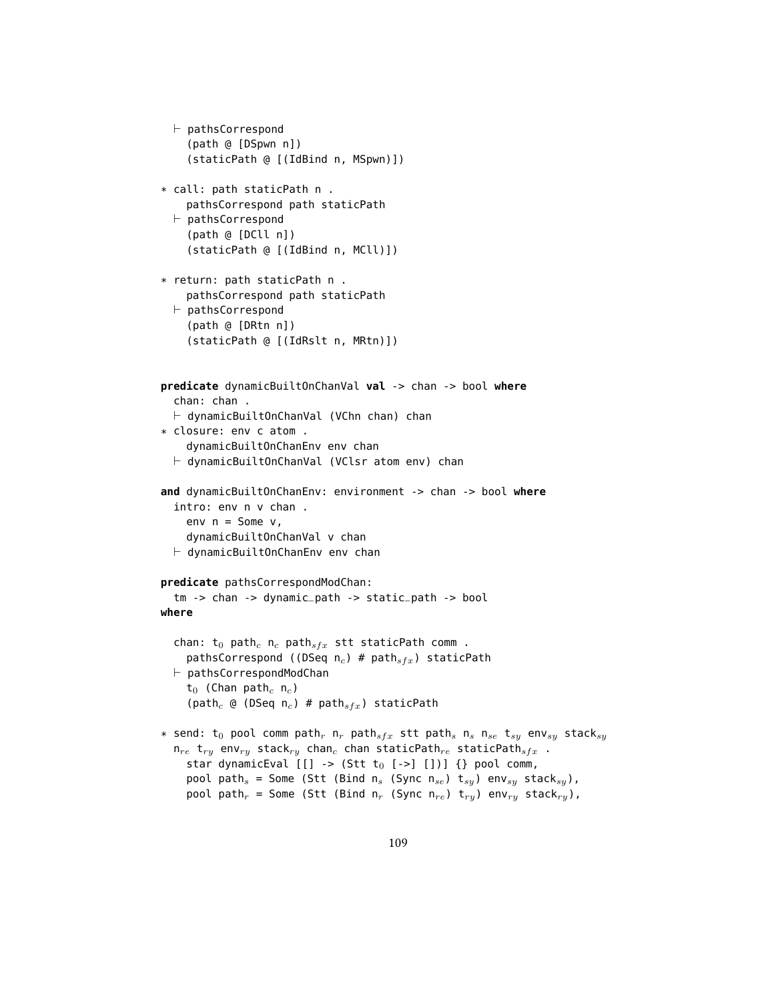```
\vdash pathsCorrespond
     (path @ [DSpwn n])
     (staticPath @ [(IdBind n, MSpwn)])
* call: path staticPath n .
     pathsCorrespond path staticPath
  \vdash pathsCorrespond
     (path @ [DCll n])
     (staticPath @ [(IdBind n, MCll)])
* return: path staticPath n .
     pathsCorrespond path staticPath
  \vdash pathsCorrespond
     (path @ [DRtn n])
     (staticPath @ [(IdRslt n, MRtn)])
predicate dynamicBuiltOnChanVal val -> chan -> bool where
  chan: chan .
  \vdash dynamicBuiltOnChanVal (VChn chan) chan
* closure: env c atom .
     dynamicBuiltOnChanEnv env chan
  \vdash dynamicBuiltOnChanVal (VClsr atom env) chan
and dynamicBuiltOnChanEnv: environment -> chan -> bool where
  intro: env n v chan .
     env n = Some v,
     dynamicBuiltOnChanVal v chan
  \vdash dynamicBuiltOnChanEnv env chan
predicate pathsCorrespondModChan:
  tm -> chan -> dynamic_path -> static_path -> bool
where
  chan: t_0 path<sub>c</sub> n<sub>c</sub> path<sub>sfx</sub> stt staticPath comm .
     pathsCorrespond ((DSeq n_c) # paths_{frx}) staticPath
  \vdash pathsCorrespondModChan
     t_0 (Chan path<sub>c</sub> n<sub>c</sub>)
     (path<sub>c</sub> @ (DSeq n<sub>c</sub>) # path<sub>sfx</sub>) staticPath
* send: t_0 pool comm path<sub>r</sub> n<sub>r</sub> path<sub>sfx</sub> stt path<sub>s</sub> n<sub>s</sub> n<sub>se</sub> t<sub>sy</sub> env<sub>sy</sub> stack<sub>sy</sub>
  n_{re} t<sub>ry</sub> env<sub>ry</sub> stack<sub>ry</sub> chan<sub>c</sub> chan staticPath<sub>re</sub> staticPath<sub>sfx</sub>.
     star dynamicEval [[] \rightarrow (Stt t_0 [->] [])) {} pool comm,
     pool path<sub>s</sub> = Some (Stt (Bind n<sub>s</sub> (Sync n<sub>se</sub>) t<sub>sy</sub>) env<sub>sy</sub> stack<sub>sy</sub>),
     pool path<sub>r</sub> = Some (Stt (Bind n<sub>r</sub> (Sync n<sub>re</sub>) t<sub>ry</sub>) env<sub>ry</sub> stack<sub>ry</sub>),
```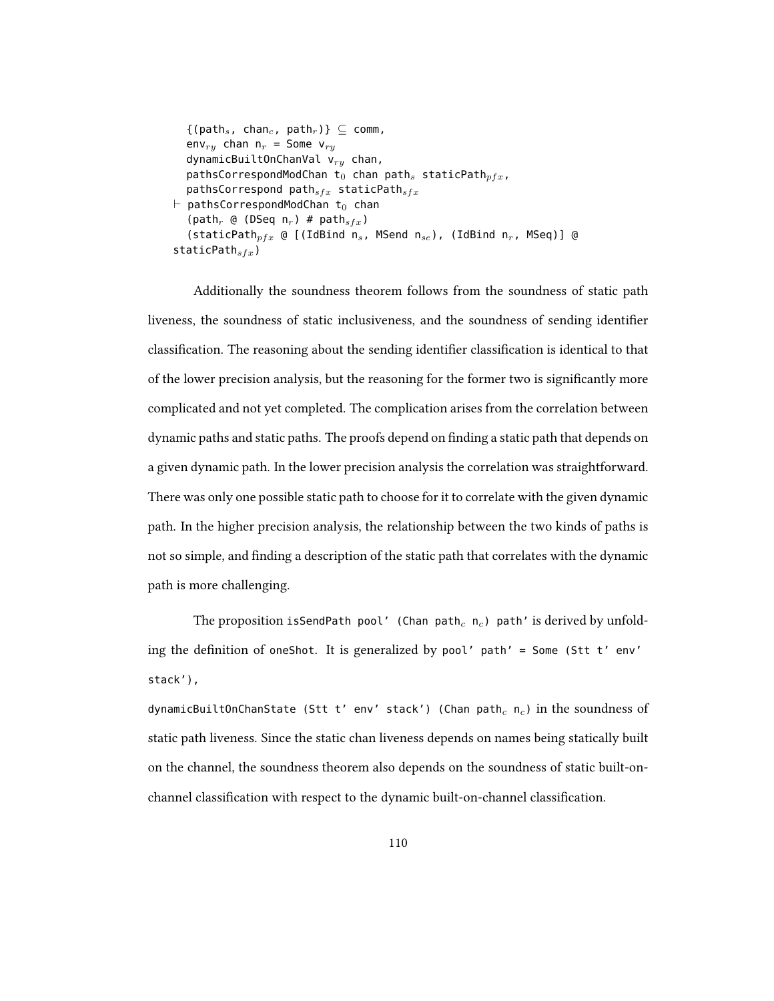```
\{(\text{path}_s, \text{ chan}_c, \text{path}_r)\}\subseteq \text{comm},env<sub>ry</sub> chan n_r = Some v<sub>ry</sub>
   dynamicBuiltOnChanVal v_{ry} chan,
   pathsCorrespondModChan t<sub>0</sub> chan path<sub>s</sub> staticPath<sub>pfx</sub>,
   pathsCorrespond pathsfrx} staticPathsfrx\vdash pathsCorrespondModChan t<sub>0</sub> chan
   (path<sub>r</sub> @ (DSeq n<sub>r</sub>) # path<sub>sfx</sub>)
   (staticPath<sub>pfx</sub> @ [(IdBind n<sub>s</sub>, MSend n<sub>se</sub>), (IdBind n<sub>r</sub>, MSeq)] @
staticPath_{sfx})
```
Additionally the soundness theorem follows from the soundness of static path liveness, the soundness of static inclusiveness, and the soundness of sending identifier classification. The reasoning about the sending identifier classification is identical to that of the lower precision analysis, but the reasoning for the former two is signicantly more complicated and not yet completed. The complication arises from the correlation between dynamic paths and static paths. The proofs depend on finding a static path that depends on a given dynamic path. In the lower precision analysis the correlation was straightforward. There was only one possible static path to choose for it to correlate with the given dynamic path. In the higher precision analysis, the relationship between the two kinds of paths is not so simple, and finding a description of the static path that correlates with the dynamic path is more challenging.

The proposition isSendPath pool' (Chan path<sub>c</sub> n<sub>c</sub>) path' is derived by unfolding the definition of oneShot. It is generalized by pool' path' = Some (Stt t' env' stack'),

dynamicBuiltOnChanState (Stt t' env' stack') (Chan path<sub>c</sub> n<sub>c</sub>) in the soundness of static path liveness. Since the static chan liveness depends on names being statically built on the channel, the soundness theorem also depends on the soundness of static built-onchannel classification with respect to the dynamic built-on-channel classification.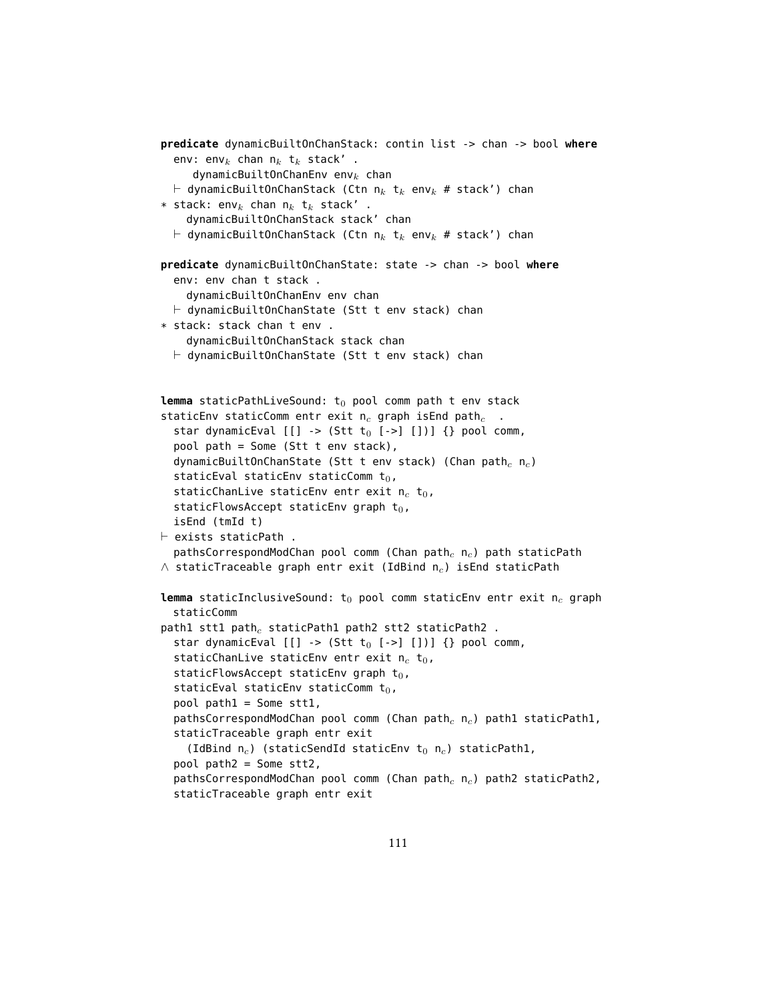```
predicate dynamicBuiltOnChanStack: contin list -> chan -> bool where
  env: env<sub>k</sub> chan n_k t<sub>k</sub> stack'.
      dynamicBuiltOnChanEnv env<sub>k</sub> chan
  \vdash dynamicBuiltOnChanStack (Ctn n<sub>k</sub> t<sub>k</sub> env<sub>k</sub> # stack') chan
* stack: env<sub>k</sub> chan n_k t<sub>k</sub> stack'.
    dynamicBuiltOnChanStack stack' chan
  \vdash dynamicBuiltOnChanStack (Ctn \mathsf{n}_k t_k env_k # stack') chan
predicate dynamicBuiltOnChanState: state -> chan -> bool where
  env: env chan t stack .
    dynamicBuiltOnChanEnv env chan
  \vdash dynamicBuiltOnChanState (Stt t env stack) chan
* stack: stack chan t env .
    dynamicBuiltOnChanStack stack chan
  \vdash dynamicBuiltOnChanState (Stt t env stack) chan
lemma staticPathLiveSound: t_0 pool comm path t env stack
staticEnv staticComm entr exit n_c graph isEnd path_c.
  star dynamicEval [[] \rightarrow (Stt t_0 [->][])) {} pool comm,
  pool path = Some (Stt t env stack),
  dynamicBuiltOnChanState (Stt t env stack) (Chan path<sub>c</sub> n<sub>c</sub>)
  staticEval staticEnv staticComm t_0,
  staticChanLive staticEnv entr exit n_c t<sub>0</sub>,
  staticFlowsAccept staticEnv graph t_0,
  isEnd (tmId t)
\vdash exists staticPath .
  pathsCorrespondModChan pool comm (Chan path<sub>c</sub> n<sub>c</sub>) path staticPath
\wedge staticTraceable graph entr exit (IdBind n<sub>c</sub>) isEnd staticPath
lemma staticInclusiveSound: t_0 pool comm staticEnv entr exit n_c graph
  staticComm
path1 stt1 path<sub>c</sub> staticPath1 path2 stt2 staticPath2.
  star dynamicEval [[] \rightarrow (Stt t_0 [->][])) {} pool comm,
  staticChanLive staticEnv entr exit n_c t<sub>0</sub>,
  staticFlowsAccept staticEnv graph t_0,
  staticEval staticEnv staticComm t_0,
  pool path1 = Some stt1,
  pathsCorrespondModChan pool comm (Chan path<sub>c</sub> n<sub>c</sub>) path1 staticPath1,
  staticTraceable graph entr exit
    (IdBind n_c) (staticSendId staticEnv t_0 n_c) staticPath1,
  pool path2 = Some stt2,
  pathsCorrespondModChan pool comm (Chan path<sub>c</sub> n<sub>c</sub>) path2 staticPath2,
  staticTraceable graph entr exit
```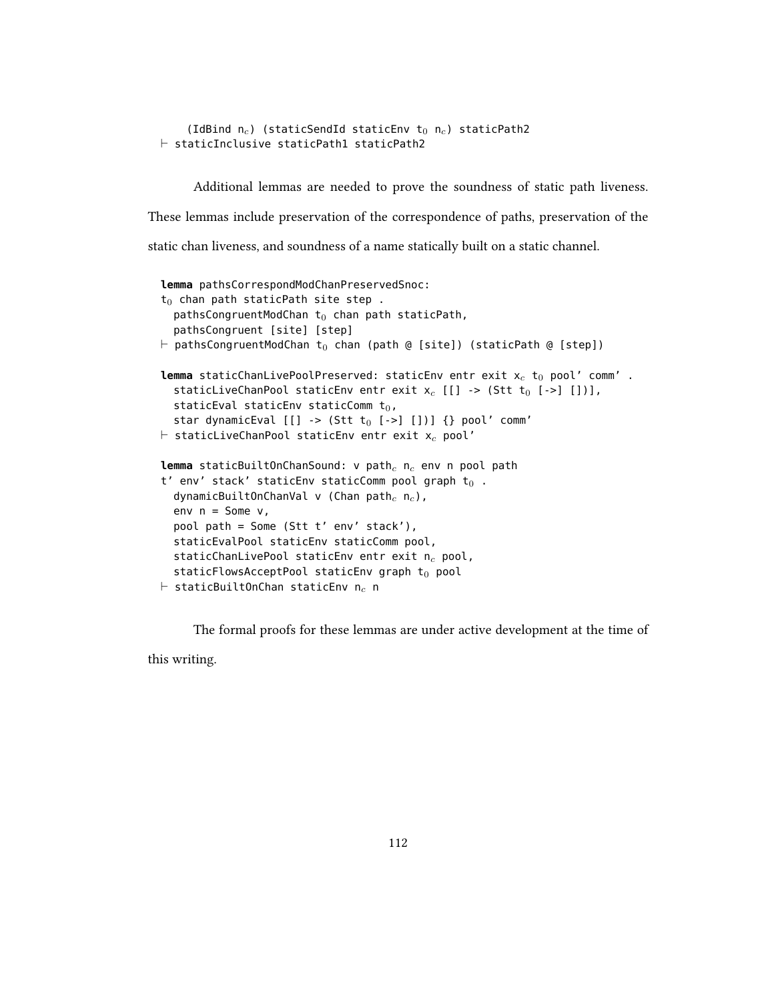```
(IdBind n_c) (staticSendId staticEnv t_0 n_c) staticPath2
\vdash staticInclusive staticPath1 staticPath2
```
Additional lemmas are needed to prove the soundness of static path liveness. These lemmas include preservation of the correspondence of paths, preservation of the static chan liveness, and soundness of a name statically built on a static channel.

```
lemma pathsCorrespondModChanPreservedSnoc:
t_0 chan path staticPath site step .
  pathsCongruentModChan t_0 chan path staticPath,
  pathsCongruent [site] [step]
\vdash pathsCongruentModChan t<sub>0</sub> chan (path @ [site]) (staticPath @ [step])
lemma staticChanLivePoolPreserved: staticEnv entr exit x_c t<sub>0</sub> pool' comm' .
  staticLiveChanPool staticEnv entr exit x_c [[] -> (Stt t<sub>0</sub> [->] [])],
  staticEval staticEnv staticComm t_0,
  star dynamicEval [[] \rightarrow (Stt t_0 [->][])) {} pool' comm'
\vdash staticLiveChanPool staticEnv entr exit x_c pool'
lemma staticBuiltOnChanSound: v path<sub>c</sub> n_c env n pool path
t' env' stack' staticEnv staticComm pool graph t_0.
  dynamicBuiltOnChanVal v (Chan path<sub>c</sub> n<sub>c</sub>),
  env n = Some v,
  pool path = Some (Stt t' env' stack'),
  staticEvalPool staticEnv staticComm pool,
  staticChanLivePool staticEnv entr exit n_c pool,
  staticFlowsAcceptPool staticEnv graph t_0 pool
\vdash staticBuiltOnChan staticEnv n<sub>c</sub> n
```
The formal proofs for these lemmas are under active development at the time of this writing.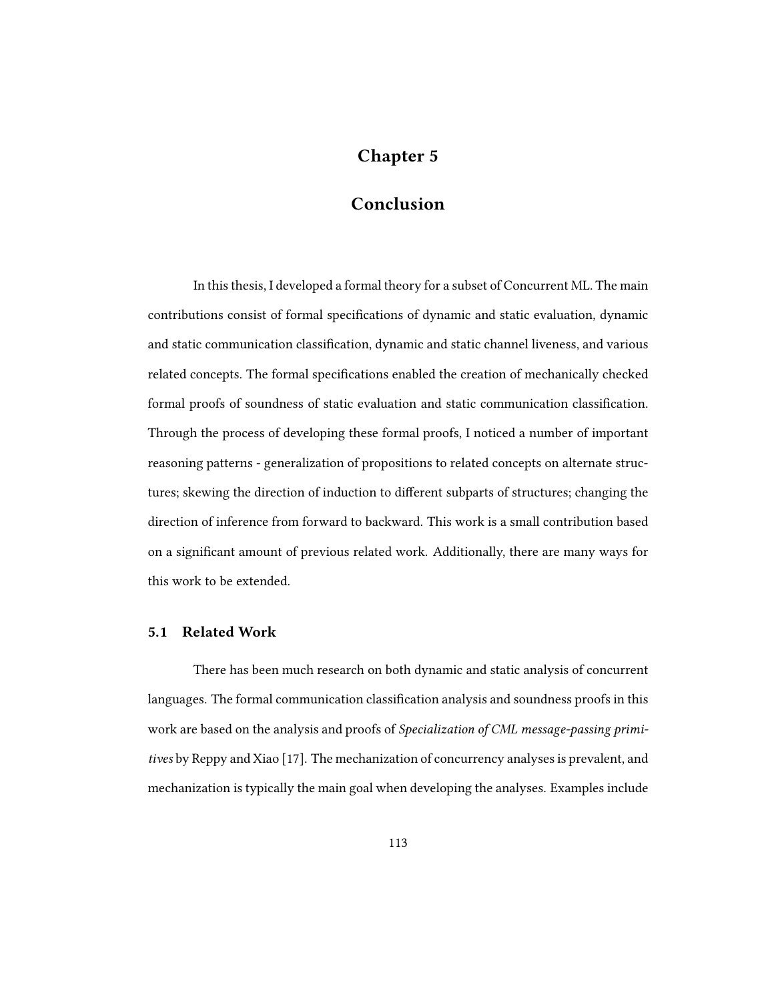# Chapter 5

### Conclusion

In this thesis, I developed a formal theory for a subset of Concurrent ML. The main contributions consist of formal specifications of dynamic and static evaluation, dynamic and static communication classification, dynamic and static channel liveness, and various related concepts. The formal specifications enabled the creation of mechanically checked formal proofs of soundness of static evaluation and static communication classification. Through the process of developing these formal proofs, I noticed a number of important reasoning patterns - generalization of propositions to related concepts on alternate structures; skewing the direction of induction to different subparts of structures; changing the direction of inference from forward to backward. This work is a small contribution based on a signicant amount of previous related work. Additionally, there are many ways for this work to be extended.

### 5.1 Related Work

There has been much research on both dynamic and static analysis of concurrent languages. The formal communication classification analysis and soundness proofs in this work are based on the analysis and proofs of Specialization of CML message-passing primitives by Reppy and Xiao [17]. The mechanization of concurrency analyses is prevalent, and mechanization is typically the main goal when developing the analyses. Examples include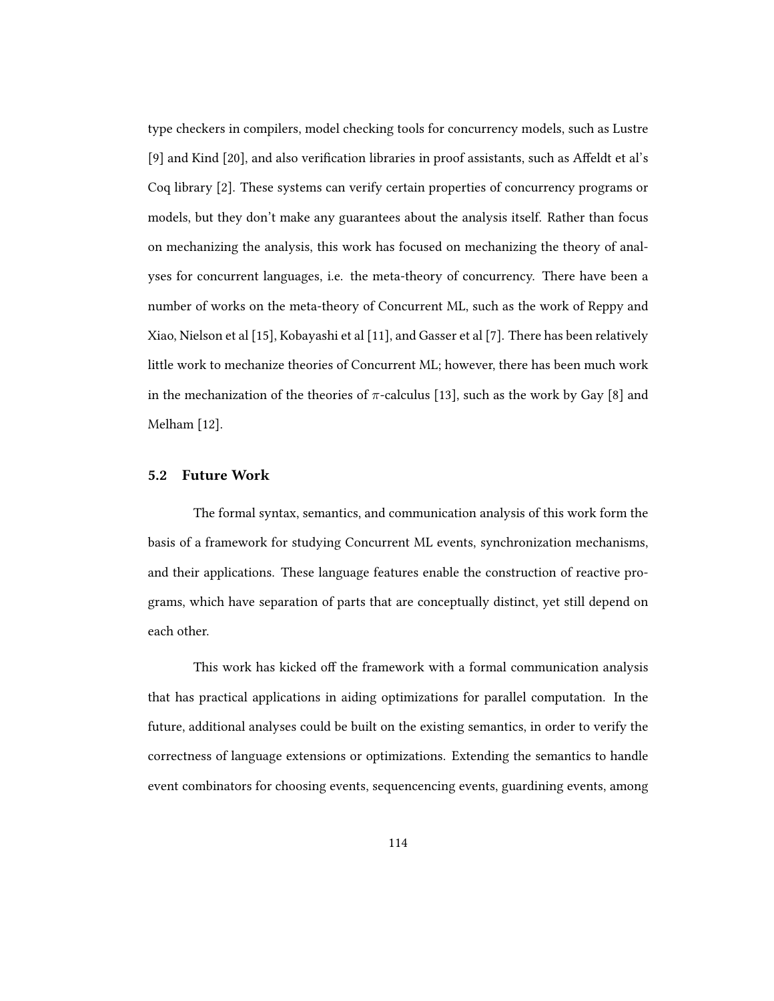type checkers in compilers, model checking tools for concurrency models, such as Lustre [9] and Kind [20], and also verification libraries in proof assistants, such as Affeldt et al's Coq library [2]. These systems can verify certain properties of concurrency programs or models, but they don't make any guarantees about the analysis itself. Rather than focus on mechanizing the analysis, this work has focused on mechanizing the theory of analyses for concurrent languages, i.e. the meta-theory of concurrency. There have been a number of works on the meta-theory of Concurrent ML, such as the work of Reppy and Xiao, Nielson et al [15], Kobayashi et al [11], and Gasser et al [7]. There has been relatively little work to mechanize theories of Concurrent ML; however, there has been much work in the mechanization of the theories of  $\pi$ -calculus [13], such as the work by Gay [8] and Melham [12].

#### 5.2 Future Work

The formal syntax, semantics, and communication analysis of this work form the basis of a framework for studying Concurrent ML events, synchronization mechanisms, and their applications. These language features enable the construction of reactive programs, which have separation of parts that are conceptually distinct, yet still depend on each other.

This work has kicked off the framework with a formal communication analysis that has practical applications in aiding optimizations for parallel computation. In the future, additional analyses could be built on the existing semantics, in order to verify the correctness of language extensions or optimizations. Extending the semantics to handle event combinators for choosing events, sequencencing events, guardining events, among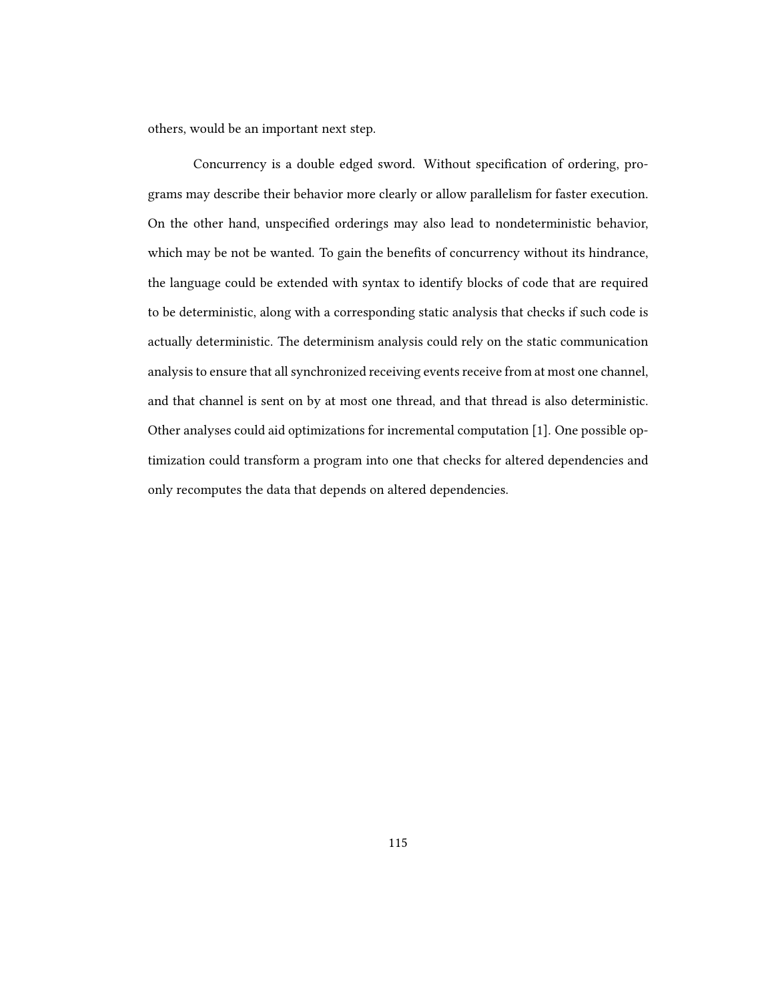others, would be an important next step.

Concurrency is a double edged sword. Without specification of ordering, programs may describe their behavior more clearly or allow parallelism for faster execution. On the other hand, unspecified orderings may also lead to nondeterministic behavior, which may be not be wanted. To gain the benefits of concurrency without its hindrance, the language could be extended with syntax to identify blocks of code that are required to be deterministic, along with a corresponding static analysis that checks if such code is actually deterministic. The determinism analysis could rely on the static communication analysis to ensure that all synchronized receiving events receive from at most one channel, and that channel is sent on by at most one thread, and that thread is also deterministic. Other analyses could aid optimizations for incremental computation [1]. One possible optimization could transform a program into one that checks for altered dependencies and only recomputes the data that depends on altered dependencies.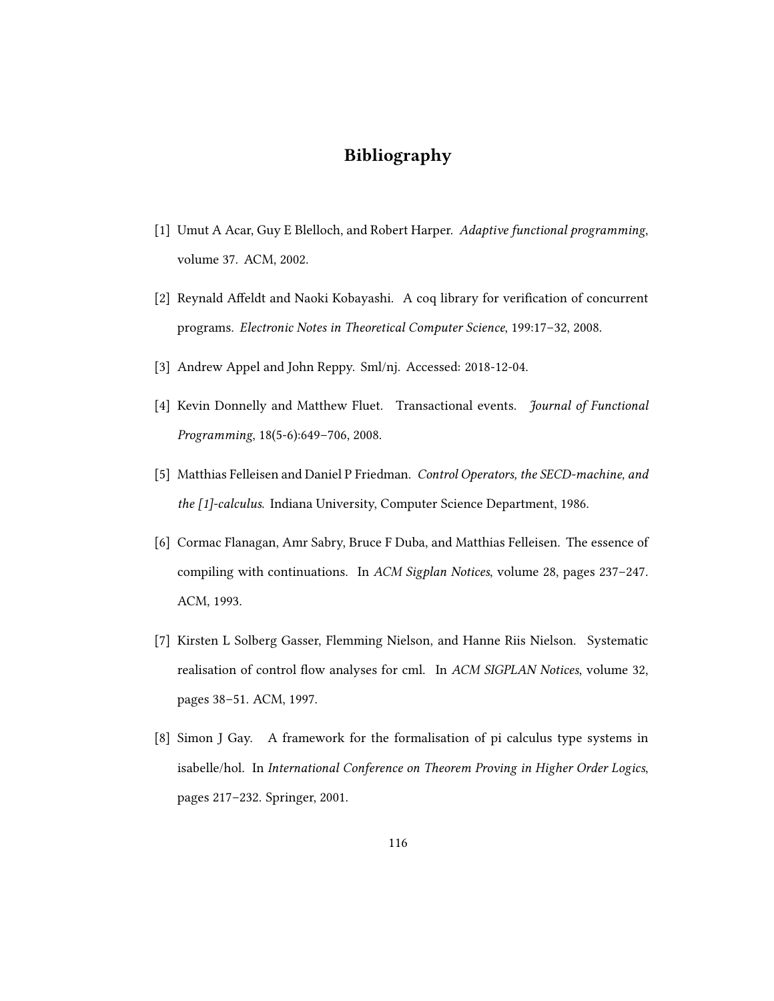# Bibliography

- [1] Umut A Acar, Guy E Blelloch, and Robert Harper. Adaptive functional programming, volume 37. ACM, 2002.
- [2] Reynald Affeldt and Naoki Kobayashi. A coq library for verification of concurrent programs. Electronic Notes in Theoretical Computer Science, 199:17–32, 2008.
- [3] Andrew Appel and John Reppy. Sml/nj. Accessed: 2018-12-04.
- [4] Kevin Donnelly and Matthew Fluet. Transactional events. Journal of Functional Programming, 18(5-6):649–706, 2008.
- [5] Matthias Felleisen and Daniel P Friedman. Control Operators, the SECD-machine, and the [1]-calculus. Indiana University, Computer Science Department, 1986.
- [6] Cormac Flanagan, Amr Sabry, Bruce F Duba, and Matthias Felleisen. The essence of compiling with continuations. In ACM Sigplan Notices, volume 28, pages 237–247. ACM, 1993.
- [7] Kirsten L Solberg Gasser, Flemming Nielson, and Hanne Riis Nielson. Systematic realisation of control flow analyses for cml. In ACM SIGPLAN Notices, volume 32, pages 38–51. ACM, 1997.
- [8] Simon J Gay. A framework for the formalisation of pi calculus type systems in isabelle/hol. In International Conference on Theorem Proving in Higher Order Logics, pages 217–232. Springer, 2001.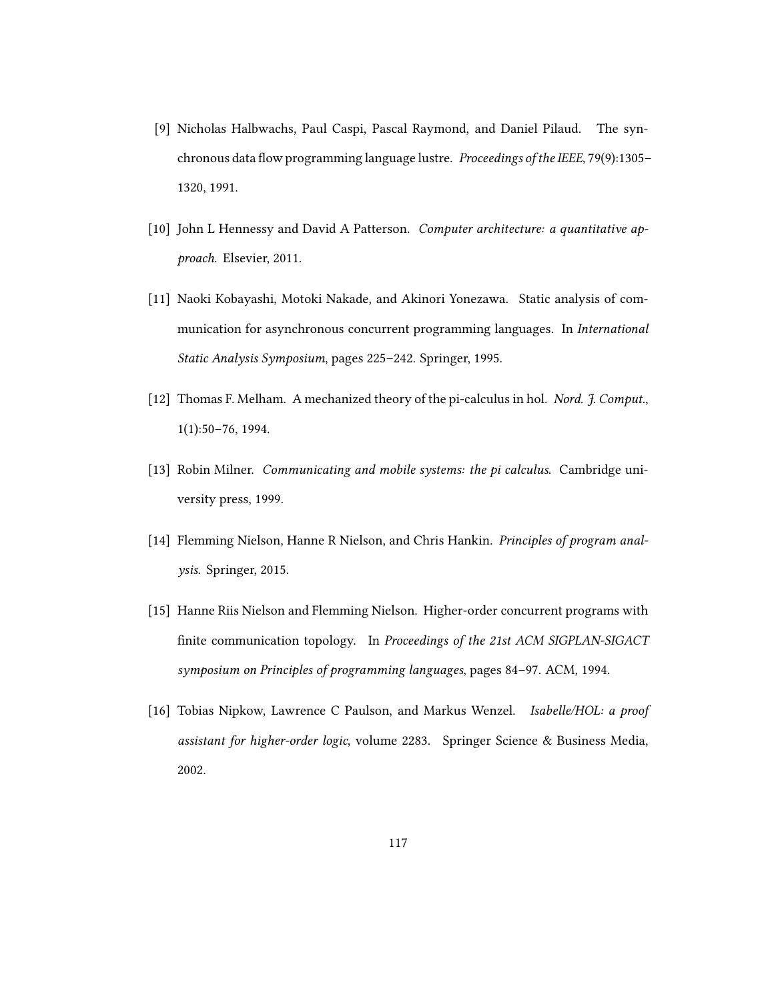- [9] Nicholas Halbwachs, Paul Caspi, Pascal Raymond, and Daniel Pilaud. The synchronous data flow programming language lustre. *Proceedings of the IEEE*,  $79(9)$ :1305– 1320, 1991.
- [10] John L Hennessy and David A Patterson. Computer architecture: a quantitative approach. Elsevier, 2011.
- [11] Naoki Kobayashi, Motoki Nakade, and Akinori Yonezawa. Static analysis of communication for asynchronous concurrent programming languages. In International Static Analysis Symposium, pages 225–242. Springer, 1995.
- [12] Thomas F. Melham. A mechanized theory of the pi-calculus in hol. Nord. J. Comput., 1(1):50–76, 1994.
- [13] Robin Milner. Communicating and mobile systems: the pi calculus. Cambridge university press, 1999.
- [14] Flemming Nielson, Hanne R Nielson, and Chris Hankin. Principles of program analysis. Springer, 2015.
- [15] Hanne Riis Nielson and Flemming Nielson. Higher-order concurrent programs with finite communication topology. In Proceedings of the 21st ACM SIGPLAN-SIGACT symposium on Principles of programming languages, pages 84–97. ACM, 1994.
- [16] Tobias Nipkow, Lawrence C Paulson, and Markus Wenzel. Isabelle/HOL: a proof assistant for higher-order logic, volume 2283. Springer Science & Business Media, 2002.